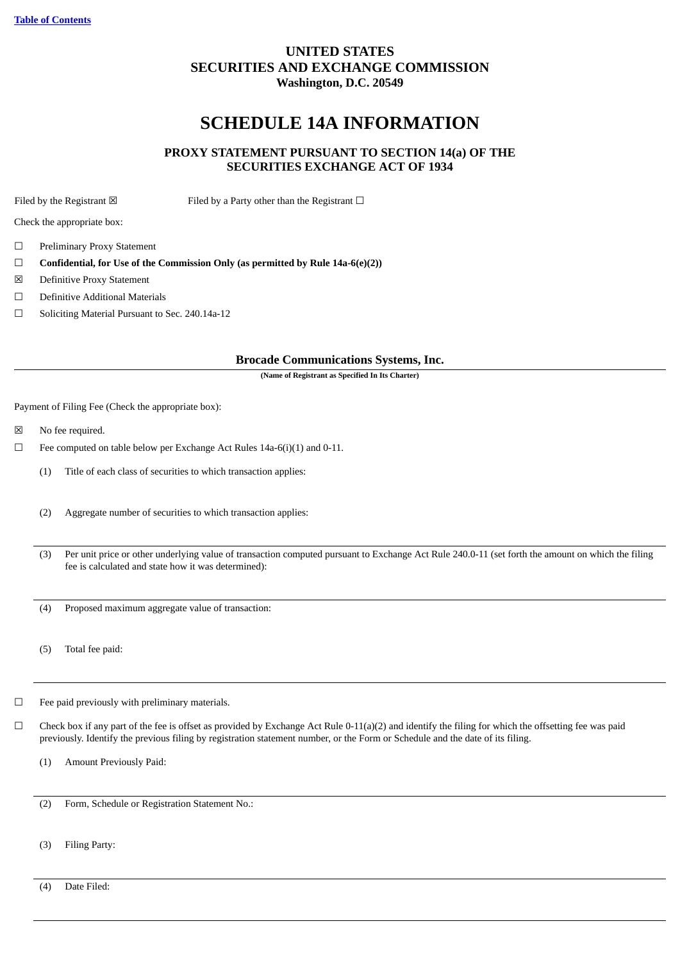## **UNITED STATES SECURITIES AND EXCHANGE COMMISSION Washington, D.C. 20549**

# **SCHEDULE 14A INFORMATION**

## **PROXY STATEMENT PURSUANT TO SECTION 14(a) OF THE SECURITIES EXCHANGE ACT OF 1934**

Filed by the Registrant  $\boxtimes$  Filed by a Party other than the Registrant  $\Box$ 

Check the appropriate box:

- ☐ Preliminary Proxy Statement
- ☐ **Confidential, for Use of the Commission Only (as permitted by Rule 14a-6(e)(2))**
- ☒ Definitive Proxy Statement
- ☐ Definitive Additional Materials
- ☐ Soliciting Material Pursuant to Sec. 240.14a-12

## **Brocade Communications Systems, Inc.**

**(Name of Registrant as Specified In Its Charter)**

Payment of Filing Fee (Check the appropriate box):

- ☒ No fee required.
- $\Box$  Fee computed on table below per Exchange Act Rules 14a-6(i)(1) and 0-11.
	- (1) Title of each class of securities to which transaction applies:
	- (2) Aggregate number of securities to which transaction applies:
	- (3) Per unit price or other underlying value of transaction computed pursuant to Exchange Act Rule 240.0-11 (set forth the amount on which the filing fee is calculated and state how it was determined):
	- (4) Proposed maximum aggregate value of transaction:
	- (5) Total fee paid:
- ☐ Fee paid previously with preliminary materials.
- $\Box$  Check box if any part of the fee is offset as provided by Exchange Act Rule 0-11(a)(2) and identify the filing for which the offsetting fee was paid previously. Identify the previous filing by registration statement number, or the Form or Schedule and the date of its filing.
	- (1) Amount Previously Paid:

(2) Form, Schedule or Registration Statement No.:

(3) Filing Party:

(4) Date Filed: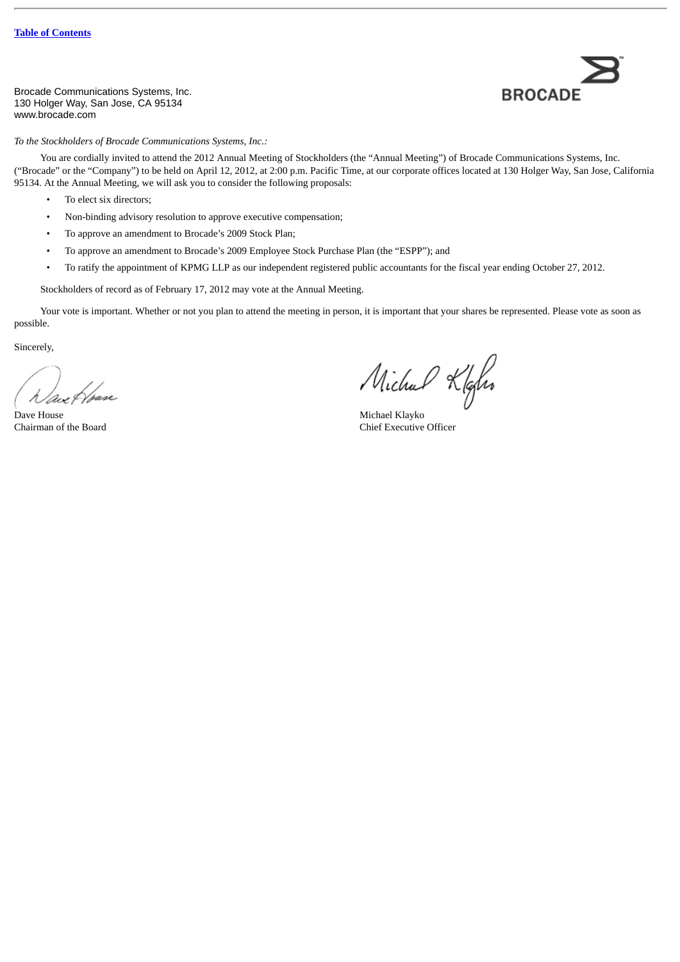Brocade Communications Systems, Inc. 130 Holger Way, San Jose, CA 95134 www.brocade.com



*To the Stockholders of Brocade Communications Systems, Inc.:*

You are cordially invited to attend the 2012 Annual Meeting of Stockholders (the "Annual Meeting") of Brocade Communications Systems, Inc. ("Brocade" or the "Company") to be held on April 12, 2012, at 2:00 p.m. Pacific Time, at our corporate offices located at 130 Holger Way, San Jose, California 95134. At the Annual Meeting, we will ask you to consider the following proposals:

- To elect six directors;
- Non-binding advisory resolution to approve executive compensation;
- To approve an amendment to Brocade's 2009 Stock Plan;
- To approve an amendment to Brocade's 2009 Employee Stock Purchase Plan (the "ESPP"); and
- To ratify the appointment of KPMG LLP as our independent registered public accountants for the fiscal year ending October 27, 2012.

Stockholders of record as of February 17, 2012 may vote at the Annual Meeting.

Your vote is important. Whether or not you plan to attend the meeting in person, it is important that your shares be represented. Please vote as soon as possible.

Sincerely,

Dave House Michael Klayko

Michael Klafer

Chairman of the Board Chief Executive Officer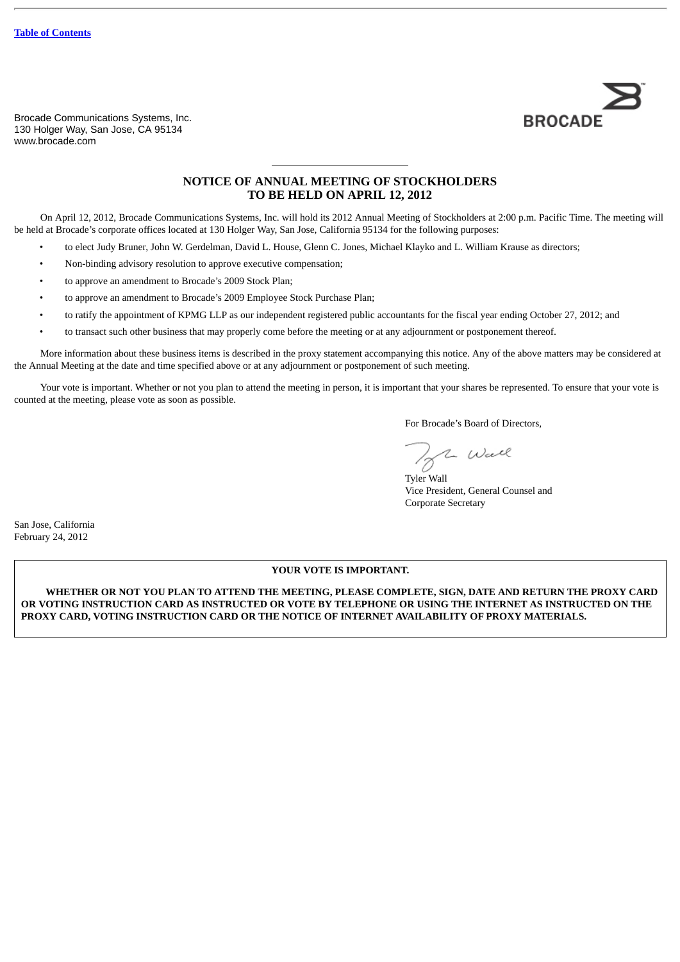Brocade Communications Systems, Inc. 130 Holger Way, San Jose, CA 95134 www.brocade.com



## **NOTICE OF ANNUAL MEETING OF STOCKHOLDERS TO BE HELD ON APRIL 12, 2012**

On April 12, 2012, Brocade Communications Systems, Inc. will hold its 2012 Annual Meeting of Stockholders at 2:00 p.m. Pacific Time. The meeting will be held at Brocade's corporate offices located at 130 Holger Way, San Jose, California 95134 for the following purposes:

- to elect Judy Bruner, John W. Gerdelman, David L. House, Glenn C. Jones, Michael Klayko and L. William Krause as directors;
- Non-binding advisory resolution to approve executive compensation;
- to approve an amendment to Brocade's 2009 Stock Plan;
- to approve an amendment to Brocade's 2009 Employee Stock Purchase Plan;
- to ratify the appointment of KPMG LLP as our independent registered public accountants for the fiscal year ending October 27, 2012; and
- to transact such other business that may properly come before the meeting or at any adjournment or postponement thereof.

More information about these business items is described in the proxy statement accompanying this notice. Any of the above matters may be considered at the Annual Meeting at the date and time specified above or at any adjournment or postponement of such meeting.

Your vote is important. Whether or not you plan to attend the meeting in person, it is important that your shares be represented. To ensure that your vote is counted at the meeting, please vote as soon as possible.

For Brocade's Board of Directors,

**B** Wall

Vice President, General Counsel and Corporate Secretary

San Jose, California February 24, 2012

#### **YOUR VOTE IS IMPORTANT.**

**WHETHER OR NOT YOU PLAN TO ATTEND THE MEETING, PLEASE COMPLETE, SIGN, DATE AND RETURN THE PROXY CARD OR VOTING INSTRUCTION CARD AS INSTRUCTED OR VOTE BY TELEPHONE OR USING THE INTERNET AS INSTRUCTED ON THE PROXY CARD, VOTING INSTRUCTION CARD OR THE NOTICE OF INTERNET AVAILABILITY OF PROXY MATERIALS.**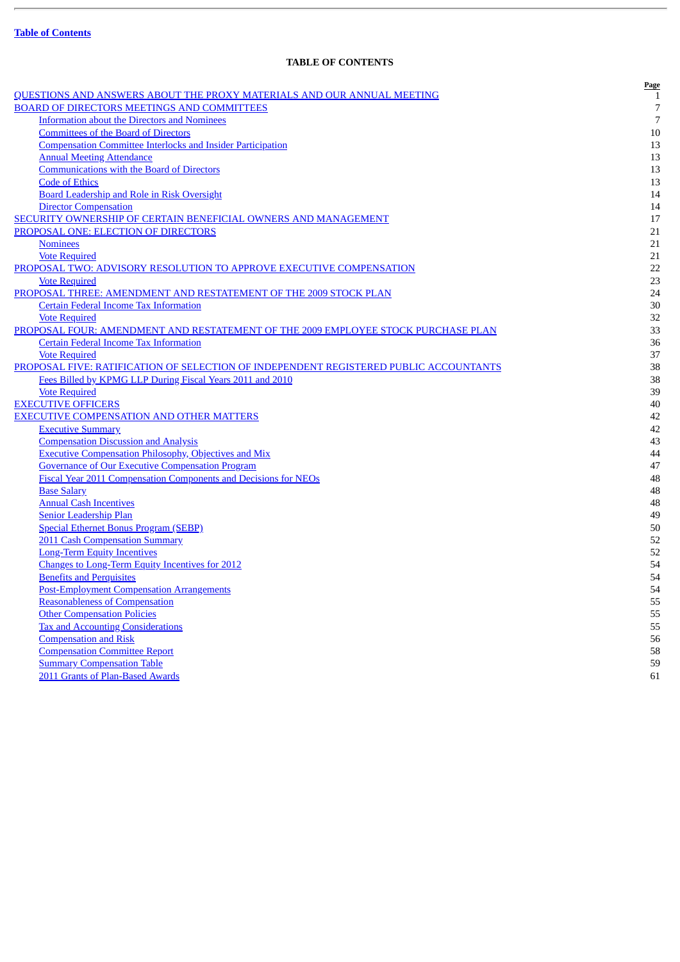J.

## **TABLE OF CONTENTS**

<span id="page-3-0"></span>

| <u>QUESTIONS AND ANSWERS ABOUT THE PROXY MATERIALS AND OUR ANNUAL MEETING</u>         | Page           |
|---------------------------------------------------------------------------------------|----------------|
| <b>BOARD OF DIRECTORS MEETINGS AND COMMITTEES</b>                                     | 1<br>7         |
| <b>Information about the Directors and Nominees</b>                                   | $\overline{7}$ |
| <b>Committees of the Board of Directors</b>                                           | 10             |
| <b>Compensation Committee Interlocks and Insider Participation</b>                    | 13             |
| <b>Annual Meeting Attendance</b>                                                      | 13             |
| <b>Communications with the Board of Directors</b>                                     | 13             |
| <b>Code of Ethics</b>                                                                 | 13             |
| Board Leadership and Role in Risk Oversight                                           | 14             |
| <b>Director Compensation</b>                                                          | 14             |
| SECURITY OWNERSHIP OF CERTAIN BENEFICIAL OWNERS AND MANAGEMENT                        | 17             |
| PROPOSAL ONE: ELECTION OF DIRECTORS                                                   | 21             |
| <b>Nominees</b>                                                                       | 21             |
| <b>Vote Required</b>                                                                  | 21             |
| PROPOSAL TWO: ADVISORY RESOLUTION TO APPROVE EXECUTIVE COMPENSATION                   | 22             |
| <b>Vote Required</b>                                                                  | 23             |
| PROPOSAL THREE: AMENDMENT AND RESTATEMENT OF THE 2009 STOCK PLAN                      | 24             |
| <b>Certain Federal Income Tax Information</b>                                         | $30\,$         |
| <b>Vote Required</b>                                                                  | 32             |
| PROPOSAL FOUR: AMENDMENT AND RESTATEMENT OF THE 2009 EMPLOYEE STOCK PURCHASE PLAN     | 33             |
| <b>Certain Federal Income Tax Information</b>                                         | 36             |
| <b>Vote Required</b>                                                                  | 37             |
| PROPOSAL FIVE: RATIFICATION OF SELECTION OF INDEPENDENT REGISTERED PUBLIC ACCOUNTANTS | 38             |
| Fees Billed by KPMG LLP During Fiscal Years 2011 and 2010                             | 38             |
| <b>Vote Required</b>                                                                  | 39             |
| <b>EXECUTIVE OFFICERS</b>                                                             | 40             |
| <b>EXECUTIVE COMPENSATION AND OTHER MATTERS</b>                                       | 42             |
| <b>Executive Summary</b>                                                              | 42             |
| <b>Compensation Discussion and Analysis</b>                                           | 43             |
| <b>Executive Compensation Philosophy, Objectives and Mix</b>                          | 44             |
| <b>Governance of Our Executive Compensation Program</b>                               | 47             |
| <b>Fiscal Year 2011 Compensation Components and Decisions for NEOs</b>                | 48             |
| <b>Base Salary</b>                                                                    | 48             |
| <b>Annual Cash Incentives</b>                                                         | 48             |
| <b>Senior Leadership Plan</b>                                                         | 49             |
| <b>Special Ethernet Bonus Program (SEBP)</b>                                          | 50             |
| 2011 Cash Compensation Summary                                                        | 52             |
| <b>Long-Term Equity Incentives</b>                                                    | 52             |
| <b>Changes to Long-Term Equity Incentives for 2012</b>                                | 54             |
| <b>Benefits and Perquisites</b>                                                       | 54             |
| <b>Post-Employment Compensation Arrangements</b>                                      | 54             |
| <b>Reasonableness of Compensation</b>                                                 | 55             |
| <b>Other Compensation Policies</b>                                                    | 55             |
| <b>Tax and Accounting Considerations</b>                                              | 55             |
| <b>Compensation and Risk</b>                                                          | 56             |
| <b>Compensation Committee Report</b>                                                  | 58             |
| <b>Summary Compensation Table</b>                                                     | 59             |
| 2011 Grants of Plan-Based Awards                                                      | 61             |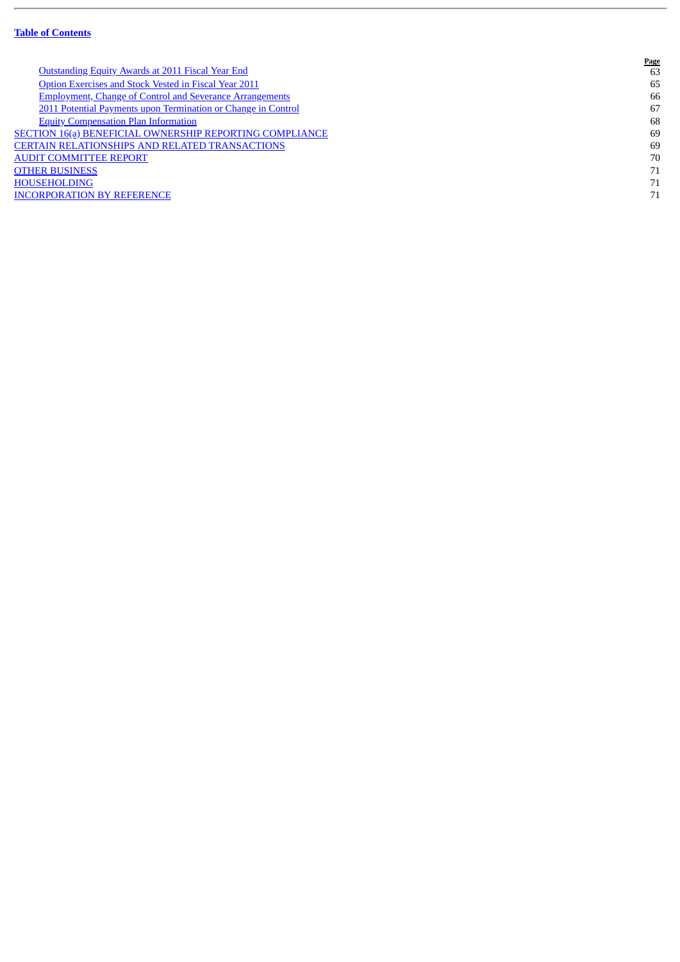Ē.

|                                                                 | <b>Page</b> |
|-----------------------------------------------------------------|-------------|
| <b>Outstanding Equity Awards at 2011 Fiscal Year End</b>        | 63          |
| Option Exercises and Stock Vested in Fiscal Year 2011           | 65          |
| <b>Employment, Change of Control and Severance Arrangements</b> | 66          |
| 2011 Potential Payments upon Termination or Change in Control   | 67          |
| <b>Equity Compensation Plan Information</b>                     | 68          |
| <b>SECTION 16(a) BENEFICIAL OWNERSHIP REPORTING COMPLIANCE</b>  | 69          |
| CERTAIN RELATIONSHIPS AND RELATED TRANSACTIONS                  | 69          |
| <b>AUDIT COMMITTEE REPORT</b>                                   | 70          |
| <b>OTHER BUSINESS</b>                                           | 71          |
| <b>HOUSEHOLDING</b>                                             | 71          |
| <b>INCORPORATION BY REFERENCE</b>                               | 71          |
|                                                                 |             |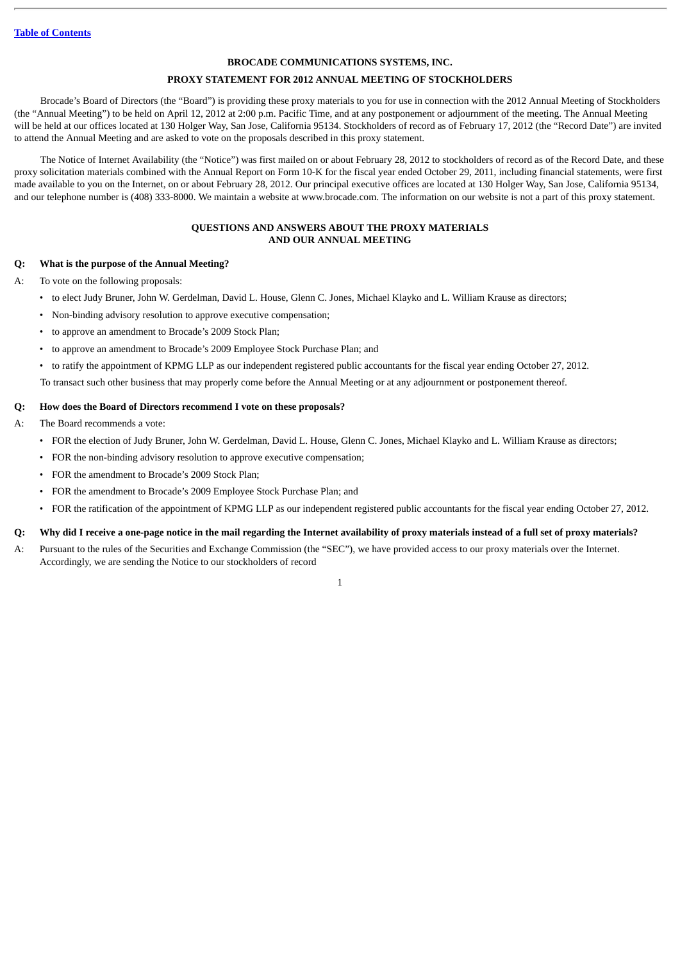#### **BROCADE COMMUNICATIONS SYSTEMS, INC.**

## **PROXY STATEMENT FOR 2012 ANNUAL MEETING OF STOCKHOLDERS**

Brocade's Board of Directors (the "Board") is providing these proxy materials to you for use in connection with the 2012 Annual Meeting of Stockholders (the "Annual Meeting") to be held on April 12, 2012 at 2:00 p.m. Pacific Time, and at any postponement or adjournment of the meeting. The Annual Meeting will be held at our offices located at 130 Holger Way, San Jose, California 95134. Stockholders of record as of February 17, 2012 (the "Record Date") are invited to attend the Annual Meeting and are asked to vote on the proposals described in this proxy statement.

The Notice of Internet Availability (the "Notice") was first mailed on or about February 28, 2012 to stockholders of record as of the Record Date, and these proxy solicitation materials combined with the Annual Report on Form 10-K for the fiscal year ended October 29, 2011, including financial statements, were first made available to you on the Internet, on or about February 28, 2012. Our principal executive offices are located at 130 Holger Way, San Jose, California 95134, and our telephone number is (408) 333-8000. We maintain a website at www.brocade.com. The information on our website is not a part of this proxy statement.

## **QUESTIONS AND ANSWERS ABOUT THE PROXY MATERIALS AND OUR ANNUAL MEETING**

## <span id="page-5-0"></span>**Q: What is the purpose of the Annual Meeting?**

A: To vote on the following proposals:

- to elect Judy Bruner, John W. Gerdelman, David L. House, Glenn C. Jones, Michael Klayko and L. William Krause as directors;
- Non-binding advisory resolution to approve executive compensation;
- to approve an amendment to Brocade's 2009 Stock Plan;
- to approve an amendment to Brocade's 2009 Employee Stock Purchase Plan; and
- to ratify the appointment of KPMG LLP as our independent registered public accountants for the fiscal year ending October 27, 2012.

To transact such other business that may properly come before the Annual Meeting or at any adjournment or postponement thereof.

## **Q: How does the Board of Directors recommend I vote on these proposals?**

A: The Board recommends a vote:

- FOR the election of Judy Bruner, John W. Gerdelman, David L. House, Glenn C. Jones, Michael Klayko and L. William Krause as directors;
- FOR the non-binding advisory resolution to approve executive compensation;
- FOR the amendment to Brocade's 2009 Stock Plan;
- FOR the amendment to Brocade's 2009 Employee Stock Purchase Plan; and
- FOR the ratification of the appointment of KPMG LLP as our independent registered public accountants for the fiscal year ending October 27, 2012.

## **Q: Why did I receive a one-page notice in the mail regarding the Internet availability of proxy materials instead of a full set of proxy materials?**

A: Pursuant to the rules of the Securities and Exchange Commission (the "SEC"), we have provided access to our proxy materials over the Internet. Accordingly, we are sending the Notice to our stockholders of record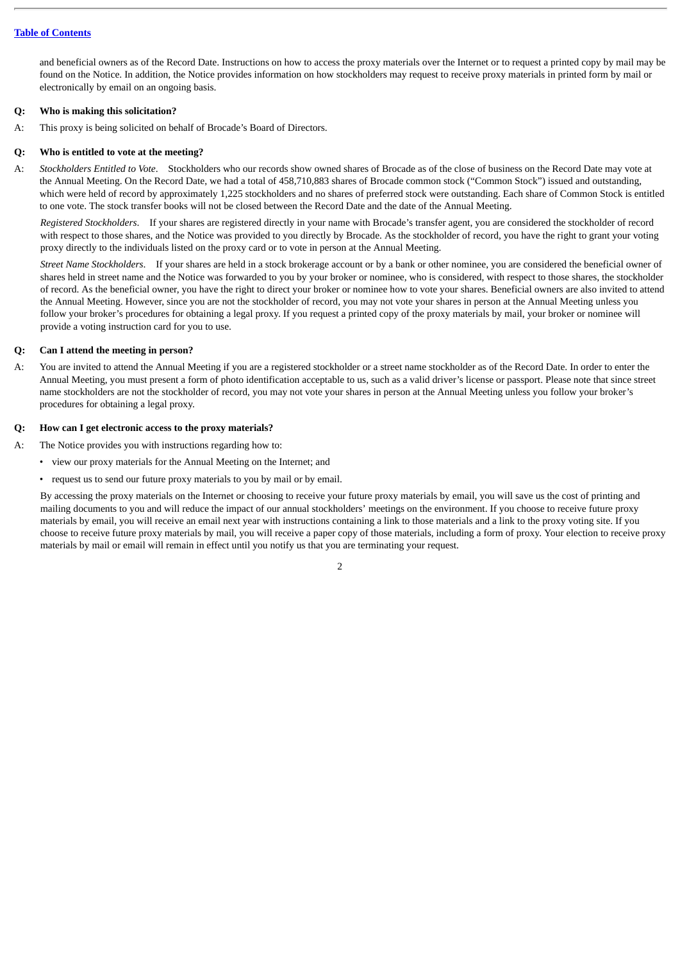and beneficial owners as of the Record Date. Instructions on how to access the proxy materials over the Internet or to request a printed copy by mail may be found on the Notice. In addition, the Notice provides information on how stockholders may request to receive proxy materials in printed form by mail or electronically by email on an ongoing basis.

## **Q: Who is making this solicitation?**

A: This proxy is being solicited on behalf of Brocade's Board of Directors.

## **Q: Who is entitled to vote at the meeting?**

A: *Stockholders Entitled to Vote*. Stockholders who our records show owned shares of Brocade as of the close of business on the Record Date may vote at the Annual Meeting. On the Record Date, we had a total of 458,710,883 shares of Brocade common stock ("Common Stock") issued and outstanding, which were held of record by approximately 1,225 stockholders and no shares of preferred stock were outstanding. Each share of Common Stock is entitled to one vote. The stock transfer books will not be closed between the Record Date and the date of the Annual Meeting.

*Registered Stockholders*. If your shares are registered directly in your name with Brocade's transfer agent, you are considered the stockholder of record with respect to those shares, and the Notice was provided to you directly by Brocade. As the stockholder of record, you have the right to grant your voting proxy directly to the individuals listed on the proxy card or to vote in person at the Annual Meeting.

*Street Name Stockholders*. If your shares are held in a stock brokerage account or by a bank or other nominee, you are considered the beneficial owner of shares held in street name and the Notice was forwarded to you by your broker or nominee, who is considered, with respect to those shares, the stockholder of record. As the beneficial owner, you have the right to direct your broker or nominee how to vote your shares. Beneficial owners are also invited to attend the Annual Meeting. However, since you are not the stockholder of record, you may not vote your shares in person at the Annual Meeting unless you follow your broker's procedures for obtaining a legal proxy. If you request a printed copy of the proxy materials by mail, your broker or nominee will provide a voting instruction card for you to use.

## **Q: Can I attend the meeting in person?**

A: You are invited to attend the Annual Meeting if you are a registered stockholder or a street name stockholder as of the Record Date. In order to enter the Annual Meeting, you must present a form of photo identification acceptable to us, such as a valid driver's license or passport. Please note that since street name stockholders are not the stockholder of record, you may not vote your shares in person at the Annual Meeting unless you follow your broker's procedures for obtaining a legal proxy.

## **Q: How can I get electronic access to the proxy materials?**

A: The Notice provides you with instructions regarding how to:

- view our proxy materials for the Annual Meeting on the Internet; and
- request us to send our future proxy materials to you by mail or by email.

By accessing the proxy materials on the Internet or choosing to receive your future proxy materials by email, you will save us the cost of printing and mailing documents to you and will reduce the impact of our annual stockholders' meetings on the environment. If you choose to receive future proxy materials by email, you will receive an email next year with instructions containing a link to those materials and a link to the proxy voting site. If you choose to receive future proxy materials by mail, you will receive a paper copy of those materials, including a form of proxy. Your election to receive proxy materials by mail or email will remain in effect until you notify us that you are terminating your request.

 $\overline{2}$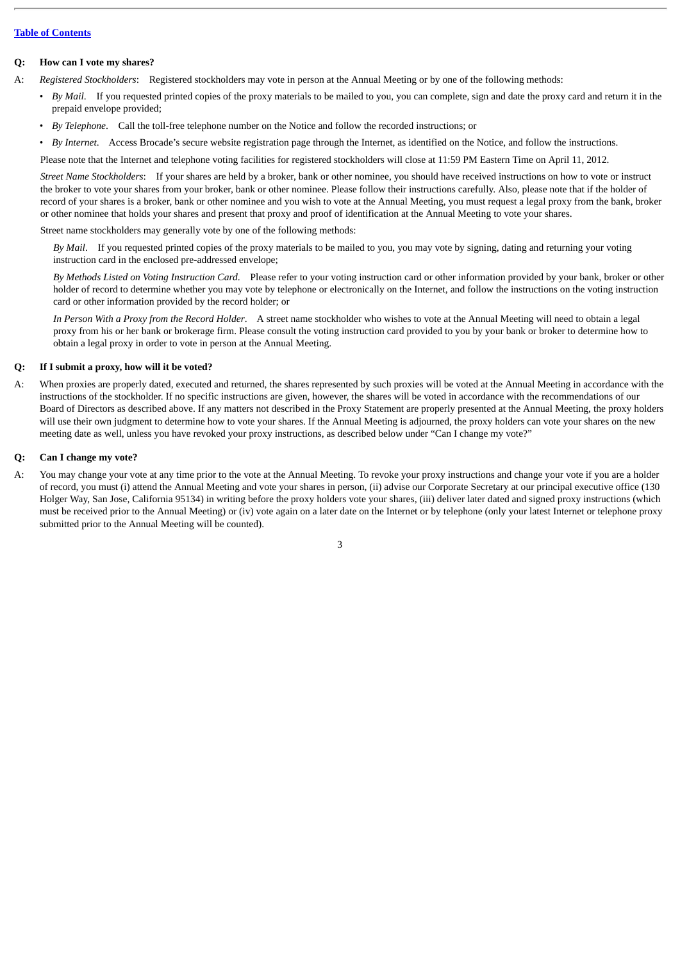#### **Q: How can I vote my shares?**

- A: *Registered Stockholders*: Registered stockholders may vote in person at the Annual Meeting or by one of the following methods:
	- *By Mail*. If you requested printed copies of the proxy materials to be mailed to you, you can complete, sign and date the proxy card and return it in the prepaid envelope provided;
	- *By Telephone*. Call the toll-free telephone number on the Notice and follow the recorded instructions; or
	- *By Internet*. Access Brocade's secure website registration page through the Internet, as identified on the Notice, and follow the instructions.

Please note that the Internet and telephone voting facilities for registered stockholders will close at 11:59 PM Eastern Time on April 11, 2012.

*Street Name Stockholders*: If your shares are held by a broker, bank or other nominee, you should have received instructions on how to vote or instruct the broker to vote your shares from your broker, bank or other nominee. Please follow their instructions carefully. Also, please note that if the holder of record of your shares is a broker, bank or other nominee and you wish to vote at the Annual Meeting, you must request a legal proxy from the bank, broker or other nominee that holds your shares and present that proxy and proof of identification at the Annual Meeting to vote your shares.

Street name stockholders may generally vote by one of the following methods:

*By Mail*. If you requested printed copies of the proxy materials to be mailed to you, you may vote by signing, dating and returning your voting instruction card in the enclosed pre-addressed envelope;

*By Methods Listed on Voting Instruction Card*. Please refer to your voting instruction card or other information provided by your bank, broker or other holder of record to determine whether you may vote by telephone or electronically on the Internet, and follow the instructions on the voting instruction card or other information provided by the record holder; or

*In Person With a Proxy from the Record Holder*. A street name stockholder who wishes to vote at the Annual Meeting will need to obtain a legal proxy from his or her bank or brokerage firm. Please consult the voting instruction card provided to you by your bank or broker to determine how to obtain a legal proxy in order to vote in person at the Annual Meeting.

#### **Q: If I submit a proxy, how will it be voted?**

A: When proxies are properly dated, executed and returned, the shares represented by such proxies will be voted at the Annual Meeting in accordance with the instructions of the stockholder. If no specific instructions are given, however, the shares will be voted in accordance with the recommendations of our Board of Directors as described above. If any matters not described in the Proxy Statement are properly presented at the Annual Meeting, the proxy holders will use their own judgment to determine how to vote your shares. If the Annual Meeting is adjourned, the proxy holders can vote your shares on the new meeting date as well, unless you have revoked your proxy instructions, as described below under "Can I change my vote?"

#### **Q: Can I change my vote?**

A: You may change your vote at any time prior to the vote at the Annual Meeting. To revoke your proxy instructions and change your vote if you are a holder of record, you must (i) attend the Annual Meeting and vote your shares in person, (ii) advise our Corporate Secretary at our principal executive office (130 Holger Way, San Jose, California 95134) in writing before the proxy holders vote your shares, (iii) deliver later dated and signed proxy instructions (which must be received prior to the Annual Meeting) or (iv) vote again on a later date on the Internet or by telephone (only your latest Internet or telephone proxy submitted prior to the Annual Meeting will be counted).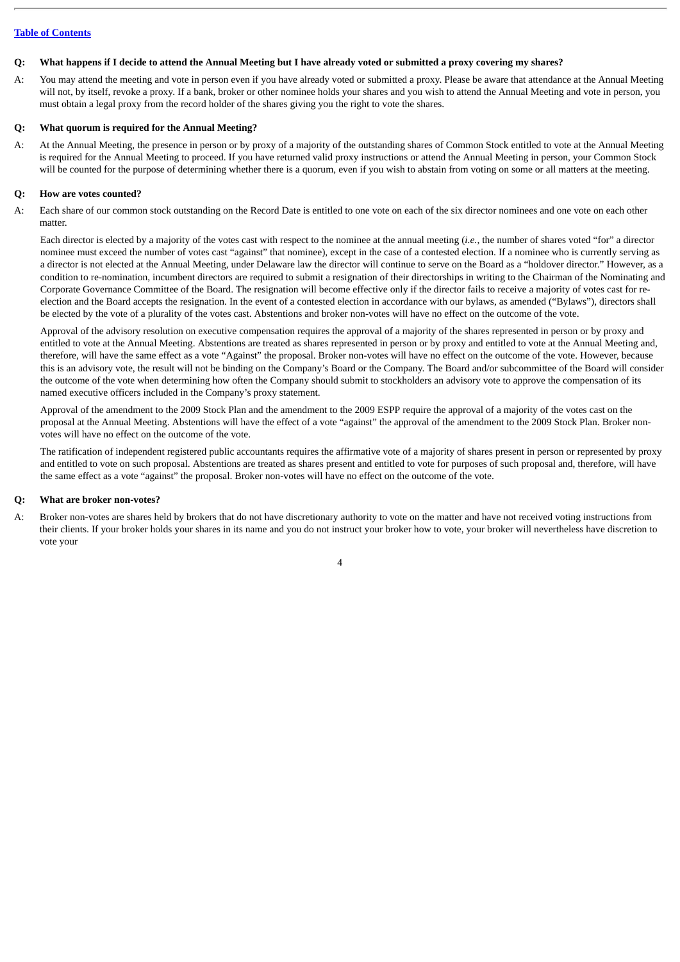#### **Q: What happens if I decide to attend the Annual Meeting but I have already voted or submitted a proxy covering my shares?**

A: You may attend the meeting and vote in person even if you have already voted or submitted a proxy. Please be aware that attendance at the Annual Meeting will not, by itself, revoke a proxy. If a bank, broker or other nominee holds your shares and you wish to attend the Annual Meeting and vote in person, you must obtain a legal proxy from the record holder of the shares giving you the right to vote the shares.

#### **Q: What quorum is required for the Annual Meeting?**

A: At the Annual Meeting, the presence in person or by proxy of a majority of the outstanding shares of Common Stock entitled to vote at the Annual Meeting is required for the Annual Meeting to proceed. If you have returned valid proxy instructions or attend the Annual Meeting in person, your Common Stock will be counted for the purpose of determining whether there is a quorum, even if you wish to abstain from voting on some or all matters at the meeting.

#### **Q: How are votes counted?**

A: Each share of our common stock outstanding on the Record Date is entitled to one vote on each of the six director nominees and one vote on each other matter.

Each director is elected by a majority of the votes cast with respect to the nominee at the annual meeting (*i.e.*, the number of shares voted "for" a director nominee must exceed the number of votes cast "against" that nominee), except in the case of a contested election. If a nominee who is currently serving as a director is not elected at the Annual Meeting, under Delaware law the director will continue to serve on the Board as a "holdover director." However, as a condition to re-nomination, incumbent directors are required to submit a resignation of their directorships in writing to the Chairman of the Nominating and Corporate Governance Committee of the Board. The resignation will become effective only if the director fails to receive a majority of votes cast for reelection and the Board accepts the resignation. In the event of a contested election in accordance with our bylaws, as amended ("Bylaws"), directors shall be elected by the vote of a plurality of the votes cast. Abstentions and broker non-votes will have no effect on the outcome of the vote.

Approval of the advisory resolution on executive compensation requires the approval of a majority of the shares represented in person or by proxy and entitled to vote at the Annual Meeting. Abstentions are treated as shares represented in person or by proxy and entitled to vote at the Annual Meeting and, therefore, will have the same effect as a vote "Against" the proposal. Broker non-votes will have no effect on the outcome of the vote. However, because this is an advisory vote, the result will not be binding on the Company's Board or the Company. The Board and/or subcommittee of the Board will consider the outcome of the vote when determining how often the Company should submit to stockholders an advisory vote to approve the compensation of its named executive officers included in the Company's proxy statement.

Approval of the amendment to the 2009 Stock Plan and the amendment to the 2009 ESPP require the approval of a majority of the votes cast on the proposal at the Annual Meeting. Abstentions will have the effect of a vote "against" the approval of the amendment to the 2009 Stock Plan. Broker nonvotes will have no effect on the outcome of the vote.

The ratification of independent registered public accountants requires the affirmative vote of a majority of shares present in person or represented by proxy and entitled to vote on such proposal. Abstentions are treated as shares present and entitled to vote for purposes of such proposal and, therefore, will have the same effect as a vote "against" the proposal. Broker non-votes will have no effect on the outcome of the vote.

#### **Q: What are broker non-votes?**

A: Broker non-votes are shares held by brokers that do not have discretionary authority to vote on the matter and have not received voting instructions from their clients. If your broker holds your shares in its name and you do not instruct your broker how to vote, your broker will nevertheless have discretion to vote your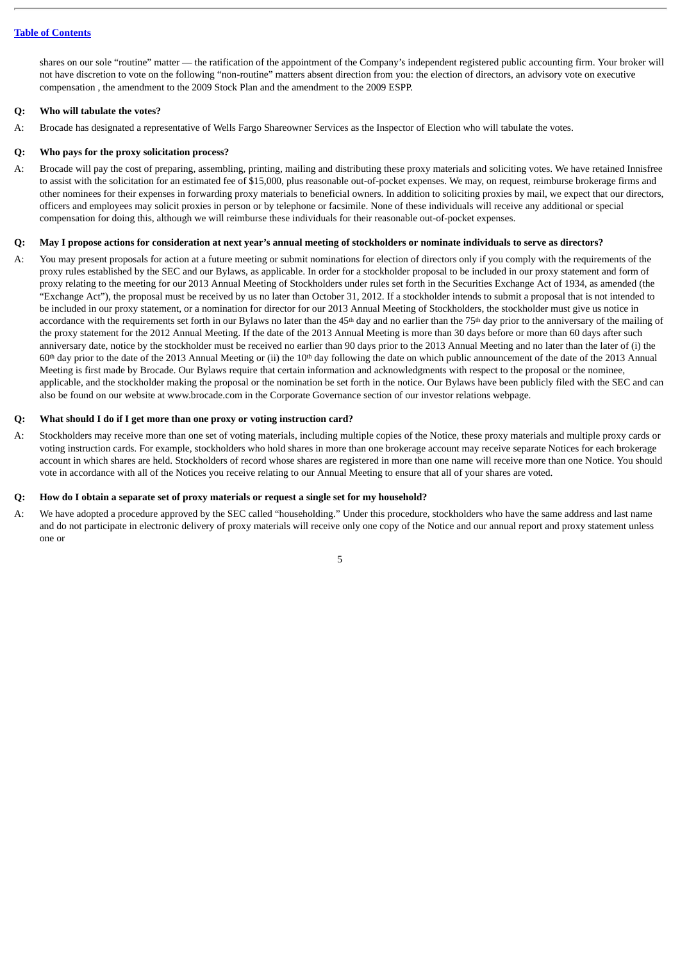shares on our sole "routine" matter — the ratification of the appointment of the Company's independent registered public accounting firm. Your broker will not have discretion to vote on the following "non-routine" matters absent direction from you: the election of directors, an advisory vote on executive compensation , the amendment to the 2009 Stock Plan and the amendment to the 2009 ESPP.

## **Q: Who will tabulate the votes?**

A: Brocade has designated a representative of Wells Fargo Shareowner Services as the Inspector of Election who will tabulate the votes.

## **Q: Who pays for the proxy solicitation process?**

A: Brocade will pay the cost of preparing, assembling, printing, mailing and distributing these proxy materials and soliciting votes. We have retained Innisfree to assist with the solicitation for an estimated fee of \$15,000, plus reasonable out-of-pocket expenses. We may, on request, reimburse brokerage firms and other nominees for their expenses in forwarding proxy materials to beneficial owners. In addition to soliciting proxies by mail, we expect that our directors, officers and employees may solicit proxies in person or by telephone or facsimile. None of these individuals will receive any additional or special compensation for doing this, although we will reimburse these individuals for their reasonable out-of-pocket expenses.

#### **Q: May I propose actions for consideration at next year's annual meeting of stockholders or nominate individuals to serve as directors?**

A: You may present proposals for action at a future meeting or submit nominations for election of directors only if you comply with the requirements of the proxy rules established by the SEC and our Bylaws, as applicable. In order for a stockholder proposal to be included in our proxy statement and form of proxy relating to the meeting for our 2013 Annual Meeting of Stockholders under rules set forth in the Securities Exchange Act of 1934, as amended (the "Exchange Act"), the proposal must be received by us no later than October 31, 2012. If a stockholder intends to submit a proposal that is not intended to be included in our proxy statement, or a nomination for director for our 2013 Annual Meeting of Stockholders, the stockholder must give us notice in accordance with the requirements set forth in our Bylaws no later than the  $45<sup>th</sup>$  day and no earlier than the  $75<sup>th</sup>$  day prior to the anniversary of the mailing of the proxy statement for the 2012 Annual Meeting. If the date of the 2013 Annual Meeting is more than 30 days before or more than 60 days after such anniversary date, notice by the stockholder must be received no earlier than 90 days prior to the 2013 Annual Meeting and no later than the later of (i) the  $60<sup>th</sup>$  day prior to the date of the 2013 Annual Meeting or (ii) the  $10<sup>th</sup>$  day following the date on which public announcement of the date of the 2013 Annual Meeting is first made by Brocade. Our Bylaws require that certain information and acknowledgments with respect to the proposal or the nominee, applicable, and the stockholder making the proposal or the nomination be set forth in the notice. Our Bylaws have been publicly filed with the SEC and can also be found on our website at www.brocade.com in the Corporate Governance section of our investor relations webpage.

## **Q: What should I do if I get more than one proxy or voting instruction card?**

A: Stockholders may receive more than one set of voting materials, including multiple copies of the Notice, these proxy materials and multiple proxy cards or voting instruction cards. For example, stockholders who hold shares in more than one brokerage account may receive separate Notices for each brokerage account in which shares are held. Stockholders of record whose shares are registered in more than one name will receive more than one Notice. You should vote in accordance with all of the Notices you receive relating to our Annual Meeting to ensure that all of your shares are voted.

## **Q: How do I obtain a separate set of proxy materials or request a single set for my household?**

A: We have adopted a procedure approved by the SEC called "householding." Under this procedure, stockholders who have the same address and last name and do not participate in electronic delivery of proxy materials will receive only one copy of the Notice and our annual report and proxy statement unless one or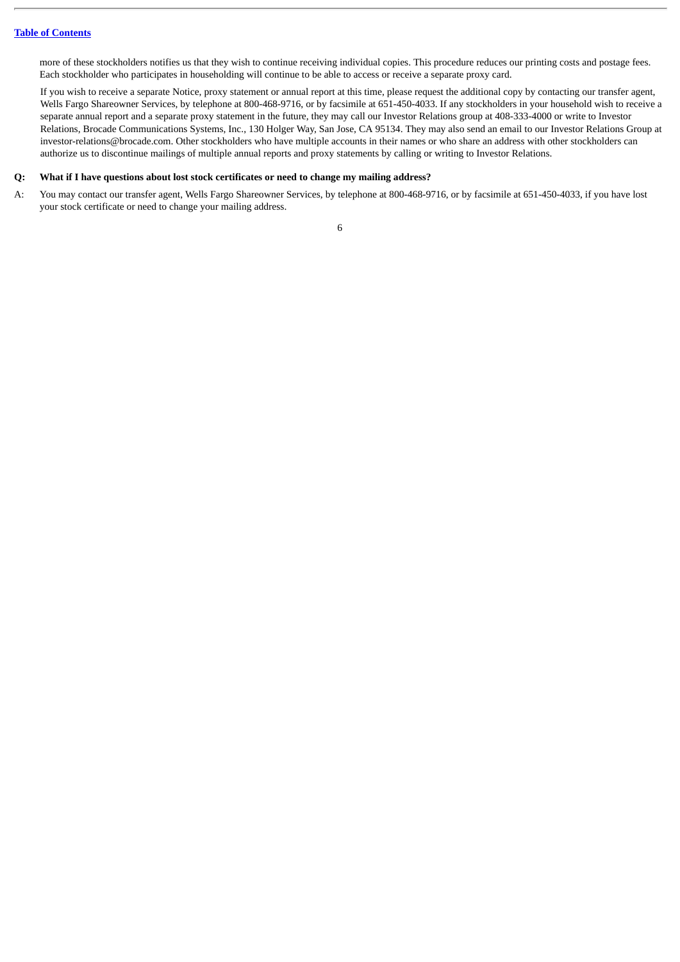more of these stockholders notifies us that they wish to continue receiving individual copies. This procedure reduces our printing costs and postage fees. Each stockholder who participates in householding will continue to be able to access or receive a separate proxy card.

If you wish to receive a separate Notice, proxy statement or annual report at this time, please request the additional copy by contacting our transfer agent, Wells Fargo Shareowner Services, by telephone at 800-468-9716, or by facsimile at 651-450-4033. If any stockholders in your household wish to receive a separate annual report and a separate proxy statement in the future, they may call our Investor Relations group at 408-333-4000 or write to Investor Relations, Brocade Communications Systems, Inc., 130 Holger Way, San Jose, CA 95134. They may also send an email to our Investor Relations Group at investor-relations@brocade.com. Other stockholders who have multiple accounts in their names or who share an address with other stockholders can authorize us to discontinue mailings of multiple annual reports and proxy statements by calling or writing to Investor Relations.

## **Q: What if I have questions about lost stock certificates or need to change my mailing address?**

A: You may contact our transfer agent, Wells Fargo Shareowner Services, by telephone at 800-468-9716, or by facsimile at 651-450-4033, if you have lost your stock certificate or need to change your mailing address.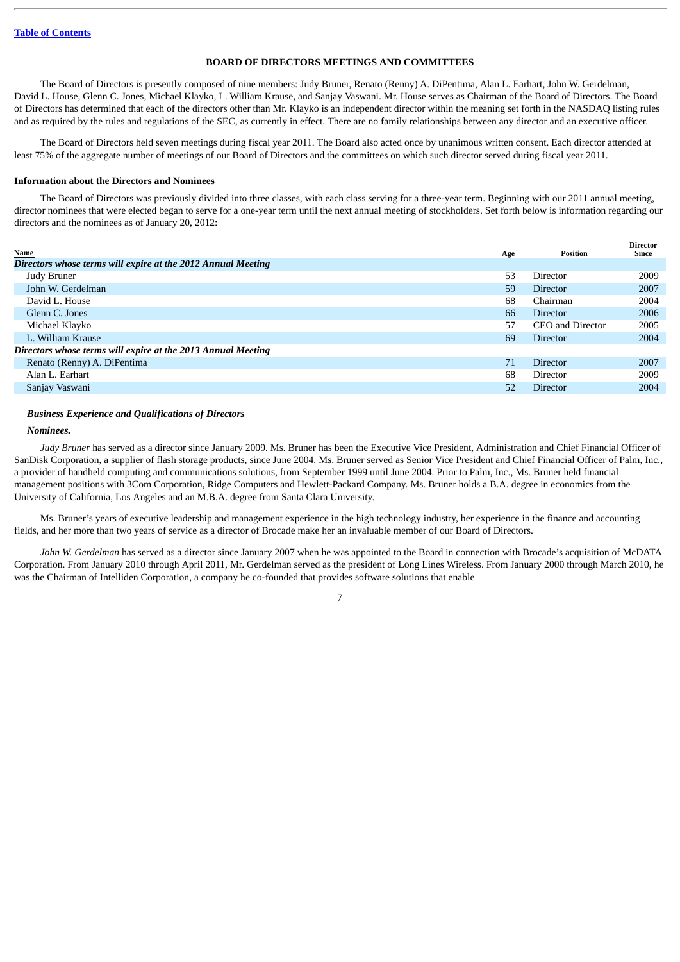#### **BOARD OF DIRECTORS MEETINGS AND COMMITTEES**

<span id="page-11-0"></span>The Board of Directors is presently composed of nine members: Judy Bruner, Renato (Renny) A. DiPentima, Alan L. Earhart, John W. Gerdelman, David L. House, Glenn C. Jones, Michael Klayko, L. William Krause, and Sanjay Vaswani. Mr. House serves as Chairman of the Board of Directors. The Board of Directors has determined that each of the directors other than Mr. Klayko is an independent director within the meaning set forth in the NASDAQ listing rules and as required by the rules and regulations of the SEC, as currently in effect. There are no family relationships between any director and an executive officer.

The Board of Directors held seven meetings during fiscal year 2011. The Board also acted once by unanimous written consent. Each director attended at least 75% of the aggregate number of meetings of our Board of Directors and the committees on which such director served during fiscal year 2011.

#### <span id="page-11-1"></span>**Information about the Directors and Nominees**

The Board of Directors was previously divided into three classes, with each class serving for a three-year term. Beginning with our 2011 annual meeting, director nominees that were elected began to serve for a one-year term until the next annual meeting of stockholders. Set forth below is information regarding our directors and the nominees as of January 20, 2012:

|                                                              |            |                  | <b>Director</b> |
|--------------------------------------------------------------|------------|------------------|-----------------|
| <b>Name</b>                                                  | <u>Age</u> | <b>Position</b>  | Since           |
| Directors whose terms will expire at the 2012 Annual Meeting |            |                  |                 |
| Judy Bruner                                                  | 53         | Director         | 2009            |
| John W. Gerdelman                                            | 59         | <b>Director</b>  | 2007            |
| David L. House                                               | 68         | Chairman         | 2004            |
| Glenn C. Jones                                               | 66         | <b>Director</b>  | 2006            |
| Michael Klayko                                               | 57         | CEO and Director | 2005            |
| L. William Krause                                            | 69         | <b>Director</b>  | 2004            |
| Directors whose terms will expire at the 2013 Annual Meeting |            |                  |                 |
| Renato (Renny) A. DiPentima                                  |            | <b>Director</b>  | 2007            |
| Alan L. Earhart                                              | 68         | Director         | 2009            |
| Sanjay Vaswani                                               | 52         | Director         | 2004            |
|                                                              |            |                  |                 |

## *Business Experience and Qualifications of Directors*

#### *Nominees.*

*Judy Bruner* has served as a director since January 2009. Ms. Bruner has been the Executive Vice President, Administration and Chief Financial Officer of SanDisk Corporation, a supplier of flash storage products, since June 2004. Ms. Bruner served as Senior Vice President and Chief Financial Officer of Palm, Inc., a provider of handheld computing and communications solutions, from September 1999 until June 2004. Prior to Palm, Inc., Ms. Bruner held financial management positions with 3Com Corporation, Ridge Computers and Hewlett-Packard Company. Ms. Bruner holds a B.A. degree in economics from the University of California, Los Angeles and an M.B.A. degree from Santa Clara University.

Ms. Bruner's years of executive leadership and management experience in the high technology industry, her experience in the finance and accounting fields, and her more than two years of service as a director of Brocade make her an invaluable member of our Board of Directors.

*John W. Gerdelman* has served as a director since January 2007 when he was appointed to the Board in connection with Brocade's acquisition of McDATA Corporation. From January 2010 through April 2011, Mr. Gerdelman served as the president of Long Lines Wireless. From January 2000 through March 2010, he was the Chairman of Intelliden Corporation, a company he co-founded that provides software solutions that enable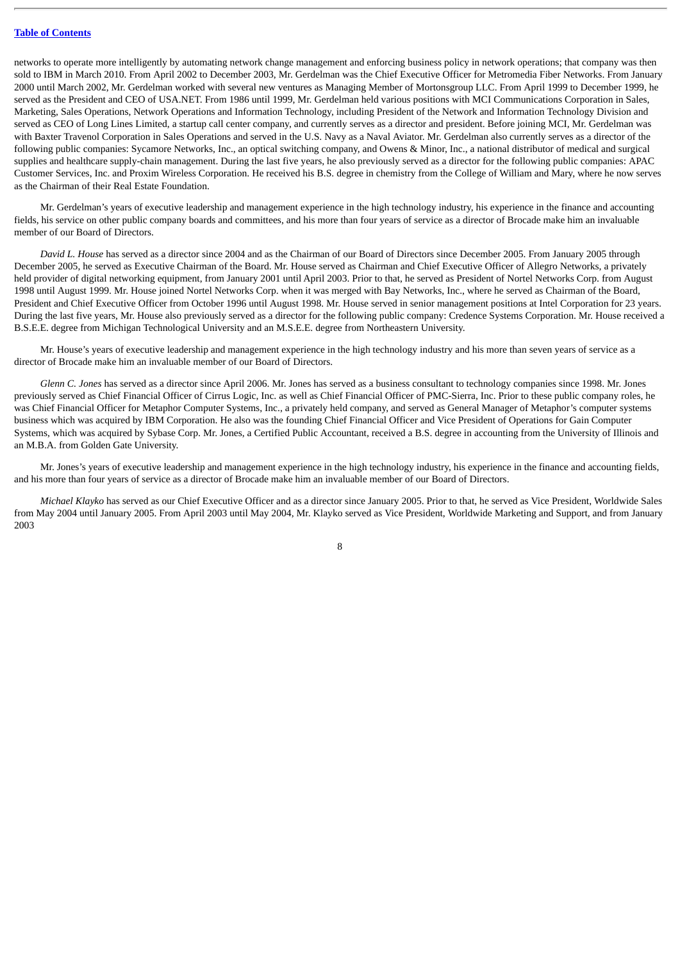networks to operate more intelligently by automating network change management and enforcing business policy in network operations; that company was then sold to IBM in March 2010. From April 2002 to December 2003, Mr. Gerdelman was the Chief Executive Officer for Metromedia Fiber Networks. From January 2000 until March 2002, Mr. Gerdelman worked with several new ventures as Managing Member of Mortonsgroup LLC. From April 1999 to December 1999, he served as the President and CEO of USA.NET. From 1986 until 1999, Mr. Gerdelman held various positions with MCI Communications Corporation in Sales, Marketing, Sales Operations, Network Operations and Information Technology, including President of the Network and Information Technology Division and served as CEO of Long Lines Limited, a startup call center company, and currently serves as a director and president. Before joining MCI, Mr. Gerdelman was with Baxter Travenol Corporation in Sales Operations and served in the U.S. Navy as a Naval Aviator. Mr. Gerdelman also currently serves as a director of the following public companies: Sycamore Networks, Inc., an optical switching company, and Owens & Minor, Inc., a national distributor of medical and surgical supplies and healthcare supply-chain management. During the last five years, he also previously served as a director for the following public companies: APAC Customer Services, Inc. and Proxim Wireless Corporation. He received his B.S. degree in chemistry from the College of William and Mary, where he now serves as the Chairman of their Real Estate Foundation.

Mr. Gerdelman's years of executive leadership and management experience in the high technology industry, his experience in the finance and accounting fields, his service on other public company boards and committees, and his more than four years of service as a director of Brocade make him an invaluable member of our Board of Directors.

*David L. House* has served as a director since 2004 and as the Chairman of our Board of Directors since December 2005. From January 2005 through December 2005, he served as Executive Chairman of the Board. Mr. House served as Chairman and Chief Executive Officer of Allegro Networks, a privately held provider of digital networking equipment, from January 2001 until April 2003. Prior to that, he served as President of Nortel Networks Corp. from August 1998 until August 1999. Mr. House joined Nortel Networks Corp. when it was merged with Bay Networks, Inc., where he served as Chairman of the Board, President and Chief Executive Officer from October 1996 until August 1998. Mr. House served in senior management positions at Intel Corporation for 23 years. During the last five years, Mr. House also previously served as a director for the following public company: Credence Systems Corporation. Mr. House received a B.S.E.E. degree from Michigan Technological University and an M.S.E.E. degree from Northeastern University.

Mr. House's years of executive leadership and management experience in the high technology industry and his more than seven years of service as a director of Brocade make him an invaluable member of our Board of Directors.

*Glenn C. Jones* has served as a director since April 2006. Mr. Jones has served as a business consultant to technology companies since 1998. Mr. Jones previously served as Chief Financial Officer of Cirrus Logic, Inc. as well as Chief Financial Officer of PMC-Sierra, Inc. Prior to these public company roles, he was Chief Financial Officer for Metaphor Computer Systems, Inc., a privately held company, and served as General Manager of Metaphor's computer systems business which was acquired by IBM Corporation. He also was the founding Chief Financial Officer and Vice President of Operations for Gain Computer Systems, which was acquired by Sybase Corp. Mr. Jones, a Certified Public Accountant, received a B.S. degree in accounting from the University of Illinois and an M.B.A. from Golden Gate University.

Mr. Jones's years of executive leadership and management experience in the high technology industry, his experience in the finance and accounting fields, and his more than four years of service as a director of Brocade make him an invaluable member of our Board of Directors.

*Michael Klayko* has served as our Chief Executive Officer and as a director since January 2005. Prior to that, he served as Vice President, Worldwide Sales from May 2004 until January 2005. From April 2003 until May 2004, Mr. Klayko served as Vice President, Worldwide Marketing and Support, and from January 2003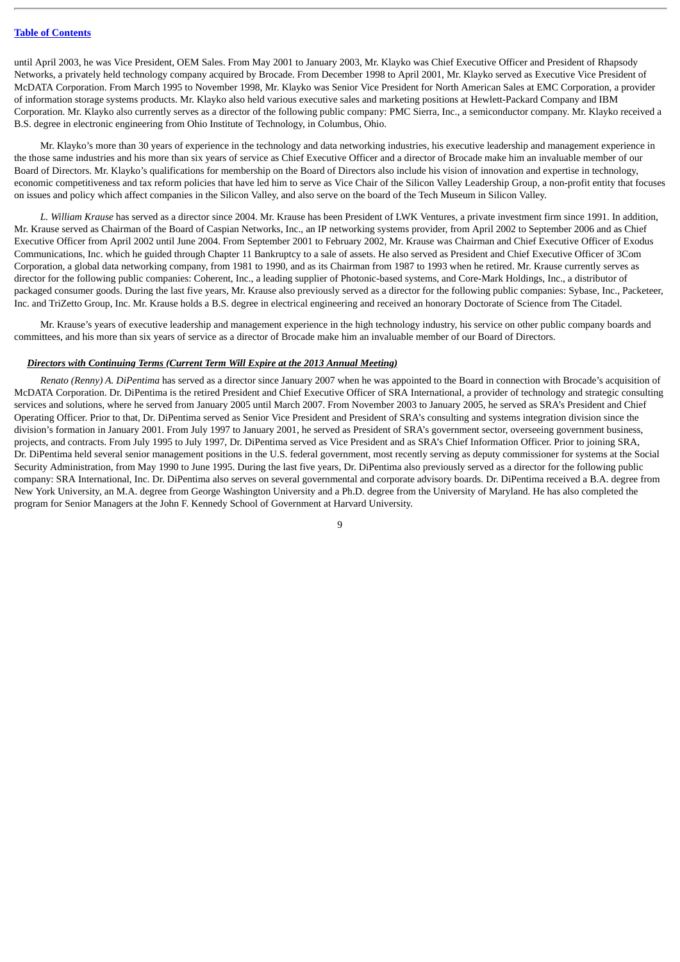until April 2003, he was Vice President, OEM Sales. From May 2001 to January 2003, Mr. Klayko was Chief Executive Officer and President of Rhapsody Networks, a privately held technology company acquired by Brocade. From December 1998 to April 2001, Mr. Klayko served as Executive Vice President of McDATA Corporation. From March 1995 to November 1998, Mr. Klayko was Senior Vice President for North American Sales at EMC Corporation, a provider of information storage systems products. Mr. Klayko also held various executive sales and marketing positions at Hewlett-Packard Company and IBM Corporation. Mr. Klayko also currently serves as a director of the following public company: PMC Sierra, Inc., a semiconductor company. Mr. Klayko received a B.S. degree in electronic engineering from Ohio Institute of Technology, in Columbus, Ohio.

Mr. Klayko's more than 30 years of experience in the technology and data networking industries, his executive leadership and management experience in the those same industries and his more than six years of service as Chief Executive Officer and a director of Brocade make him an invaluable member of our Board of Directors. Mr. Klayko's qualifications for membership on the Board of Directors also include his vision of innovation and expertise in technology, economic competitiveness and tax reform policies that have led him to serve as Vice Chair of the Silicon Valley Leadership Group, a non-profit entity that focuses on issues and policy which affect companies in the Silicon Valley, and also serve on the board of the Tech Museum in Silicon Valley.

*L. William Krause* has served as a director since 2004. Mr. Krause has been President of LWK Ventures, a private investment firm since 1991. In addition, Mr. Krause served as Chairman of the Board of Caspian Networks, Inc., an IP networking systems provider, from April 2002 to September 2006 and as Chief Executive Officer from April 2002 until June 2004. From September 2001 to February 2002, Mr. Krause was Chairman and Chief Executive Officer of Exodus Communications, Inc. which he guided through Chapter 11 Bankruptcy to a sale of assets. He also served as President and Chief Executive Officer of 3Com Corporation, a global data networking company, from 1981 to 1990, and as its Chairman from 1987 to 1993 when he retired. Mr. Krause currently serves as director for the following public companies: Coherent, Inc., a leading supplier of Photonic-based systems, and Core-Mark Holdings, Inc., a distributor of packaged consumer goods. During the last five years, Mr. Krause also previously served as a director for the following public companies: Sybase, Inc., Packeteer, Inc. and TriZetto Group, Inc. Mr. Krause holds a B.S. degree in electrical engineering and received an honorary Doctorate of Science from The Citadel.

Mr. Krause's years of executive leadership and management experience in the high technology industry, his service on other public company boards and committees, and his more than six years of service as a director of Brocade make him an invaluable member of our Board of Directors.

#### *Directors with Continuing Terms (Current Term Will Expire at the 2013 Annual Meeting)*

*Renato (Renny) A. DiPentima* has served as a director since January 2007 when he was appointed to the Board in connection with Brocade's acquisition of McDATA Corporation. Dr. DiPentima is the retired President and Chief Executive Officer of SRA International, a provider of technology and strategic consulting services and solutions, where he served from January 2005 until March 2007. From November 2003 to January 2005, he served as SRA's President and Chief Operating Officer. Prior to that, Dr. DiPentima served as Senior Vice President and President of SRA's consulting and systems integration division since the division's formation in January 2001. From July 1997 to January 2001, he served as President of SRA's government sector, overseeing government business, projects, and contracts. From July 1995 to July 1997, Dr. DiPentima served as Vice President and as SRA's Chief Information Officer. Prior to joining SRA, Dr. DiPentima held several senior management positions in the U.S. federal government, most recently serving as deputy commissioner for systems at the Social Security Administration, from May 1990 to June 1995. During the last five years, Dr. DiPentima also previously served as a director for the following public company: SRA International, Inc. Dr. DiPentima also serves on several governmental and corporate advisory boards. Dr. DiPentima received a B.A. degree from New York University, an M.A. degree from George Washington University and a Ph.D. degree from the University of Maryland. He has also completed the program for Senior Managers at the John F. Kennedy School of Government at Harvard University.

 $\alpha$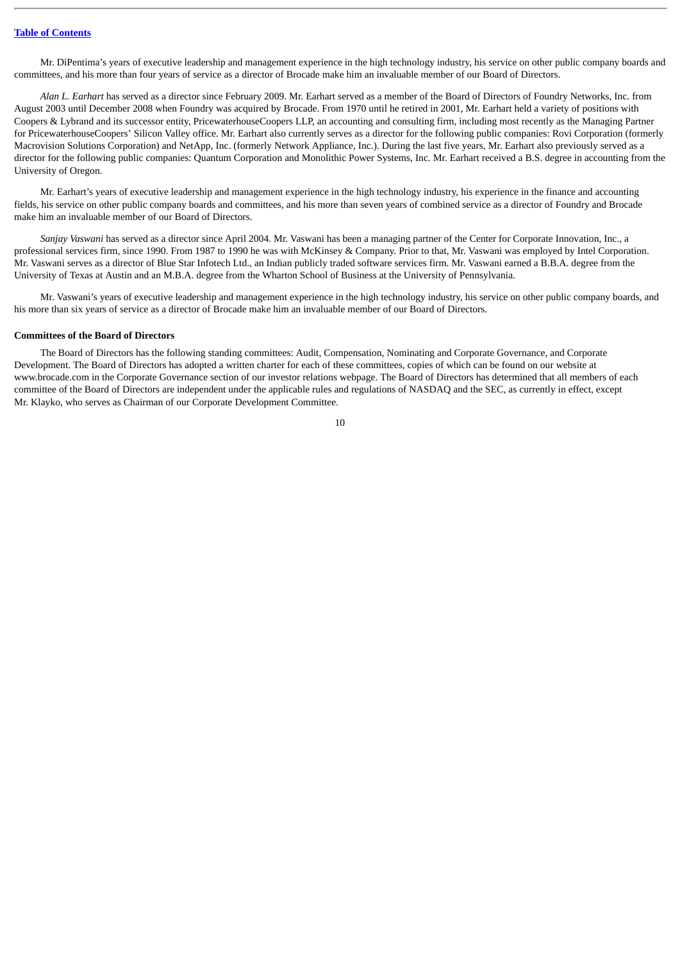Mr. DiPentima's years of executive leadership and management experience in the high technology industry, his service on other public company boards and committees, and his more than four years of service as a director of Brocade make him an invaluable member of our Board of Directors.

*Alan L. Earhart* has served as a director since February 2009. Mr. Earhart served as a member of the Board of Directors of Foundry Networks, Inc. from August 2003 until December 2008 when Foundry was acquired by Brocade. From 1970 until he retired in 2001, Mr. Earhart held a variety of positions with Coopers & Lybrand and its successor entity, PricewaterhouseCoopers LLP, an accounting and consulting firm, including most recently as the Managing Partner for PricewaterhouseCoopers' Silicon Valley office. Mr. Earhart also currently serves as a director for the following public companies: Rovi Corporation (formerly Macrovision Solutions Corporation) and NetApp, Inc. (formerly Network Appliance, Inc.). During the last five years, Mr. Earhart also previously served as a director for the following public companies: Quantum Corporation and Monolithic Power Systems, Inc. Mr. Earhart received a B.S. degree in accounting from the University of Oregon.

Mr. Earhart's years of executive leadership and management experience in the high technology industry, his experience in the finance and accounting fields, his service on other public company boards and committees, and his more than seven years of combined service as a director of Foundry and Brocade make him an invaluable member of our Board of Directors.

*Sanjay Vaswani* has served as a director since April 2004. Mr. Vaswani has been a managing partner of the Center for Corporate Innovation, Inc., a professional services firm, since 1990. From 1987 to 1990 he was with McKinsey & Company. Prior to that, Mr. Vaswani was employed by Intel Corporation. Mr. Vaswani serves as a director of Blue Star Infotech Ltd., an Indian publicly traded software services firm. Mr. Vaswani earned a B.B.A. degree from the University of Texas at Austin and an M.B.A. degree from the Wharton School of Business at the University of Pennsylvania.

Mr. Vaswani's years of executive leadership and management experience in the high technology industry, his service on other public company boards, and his more than six years of service as a director of Brocade make him an invaluable member of our Board of Directors.

#### <span id="page-14-0"></span>**Committees of the Board of Directors**

The Board of Directors has the following standing committees: Audit, Compensation, Nominating and Corporate Governance, and Corporate Development. The Board of Directors has adopted a written charter for each of these committees, copies of which can be found on our website at www.brocade.com in the Corporate Governance section of our investor relations webpage. The Board of Directors has determined that all members of each committee of the Board of Directors are independent under the applicable rules and regulations of NASDAQ and the SEC, as currently in effect, except Mr. Klayko, who serves as Chairman of our Corporate Development Committee.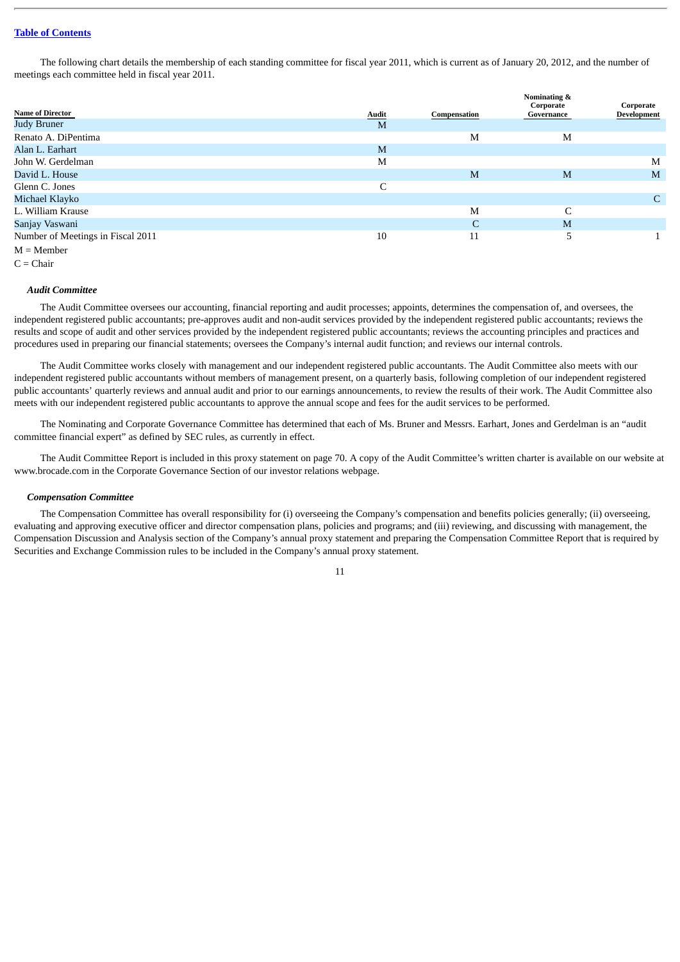The following chart details the membership of each standing committee for fiscal year 2011, which is current as of January 20, 2012, and the number of meetings each committee held in fiscal year 2011.

| <b>Name of Director</b>           |                   |              | Nominating &<br>Corporate | Corporate   |
|-----------------------------------|-------------------|--------------|---------------------------|-------------|
| <b>Judy Bruner</b>                | <u>Audit</u><br>M | Compensation | Governance                | Development |
| Renato A. DiPentima               |                   | M            | M                         |             |
| Alan L. Earhart                   | M                 |              |                           |             |
| John W. Gerdelman                 | M                 |              |                           | M           |
| David L. House                    |                   | M            | M                         | M           |
| Glenn C. Jones                    | C                 |              |                           |             |
| Michael Klayko                    |                   |              |                           | C           |
| L. William Krause                 |                   | M            | C                         |             |
| Sanjay Vaswani                    |                   | C            | M                         |             |
| Number of Meetings in Fiscal 2011 | 10                | 11           | 5                         |             |
| $M =$ Member                      |                   |              |                           |             |

 $C = **Chair**$ 

#### *Audit Committee*

The Audit Committee oversees our accounting, financial reporting and audit processes; appoints, determines the compensation of, and oversees, the independent registered public accountants; pre-approves audit and non-audit services provided by the independent registered public accountants; reviews the results and scope of audit and other services provided by the independent registered public accountants; reviews the accounting principles and practices and procedures used in preparing our financial statements; oversees the Company's internal audit function; and reviews our internal controls.

The Audit Committee works closely with management and our independent registered public accountants. The Audit Committee also meets with our independent registered public accountants without members of management present, on a quarterly basis, following completion of our independent registered public accountants' quarterly reviews and annual audit and prior to our earnings announcements, to review the results of their work. The Audit Committee also meets with our independent registered public accountants to approve the annual scope and fees for the audit services to be performed.

The Nominating and Corporate Governance Committee has determined that each of Ms. Bruner and Messrs. Earhart, Jones and Gerdelman is an "audit committee financial expert" as defined by SEC rules, as currently in effect.

The Audit Committee Report is included in this proxy statement on page 70. A copy of the Audit Committee's written charter is available on our website at www.brocade.com in the Corporate Governance Section of our investor relations webpage.

## *Compensation Committee*

The Compensation Committee has overall responsibility for (i) overseeing the Company's compensation and benefits policies generally; (ii) overseeing, evaluating and approving executive officer and director compensation plans, policies and programs; and (iii) reviewing, and discussing with management, the Compensation Discussion and Analysis section of the Company's annual proxy statement and preparing the Compensation Committee Report that is required by Securities and Exchange Commission rules to be included in the Company's annual proxy statement.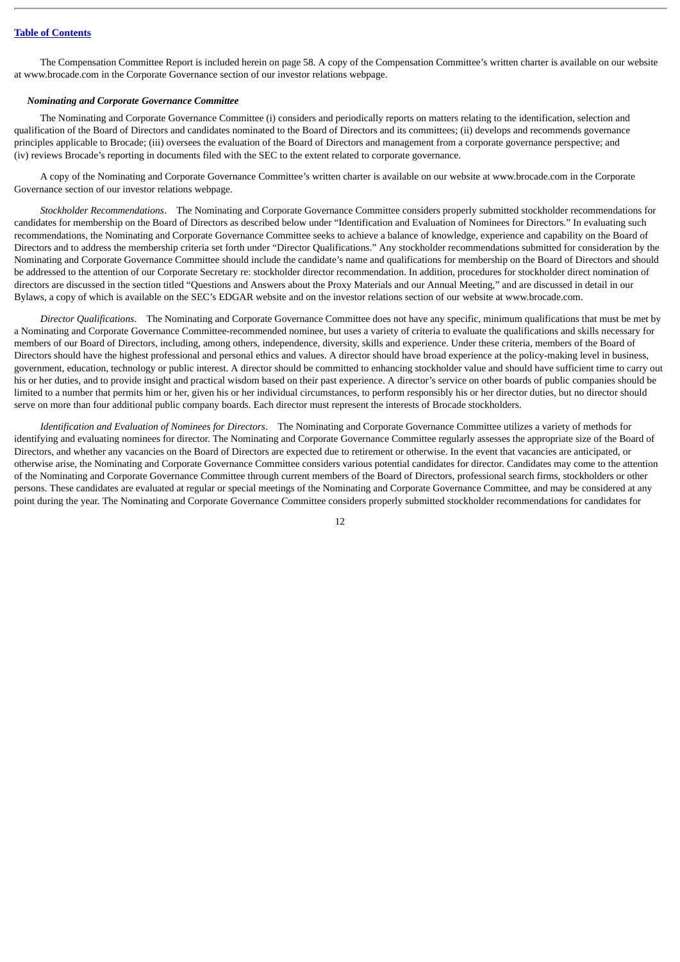The Compensation Committee Report is included herein on page 58. A copy of the Compensation Committee's written charter is available on our website at www.brocade.com in the Corporate Governance section of our investor relations webpage.

#### *Nominating and Corporate Governance Committee*

The Nominating and Corporate Governance Committee (i) considers and periodically reports on matters relating to the identification, selection and qualification of the Board of Directors and candidates nominated to the Board of Directors and its committees; (ii) develops and recommends governance principles applicable to Brocade; (iii) oversees the evaluation of the Board of Directors and management from a corporate governance perspective; and (iv) reviews Brocade's reporting in documents filed with the SEC to the extent related to corporate governance.

A copy of the Nominating and Corporate Governance Committee's written charter is available on our website at www.brocade.com in the Corporate Governance section of our investor relations webpage.

*Stockholder Recommendations*. The Nominating and Corporate Governance Committee considers properly submitted stockholder recommendations for candidates for membership on the Board of Directors as described below under "Identification and Evaluation of Nominees for Directors." In evaluating such recommendations, the Nominating and Corporate Governance Committee seeks to achieve a balance of knowledge, experience and capability on the Board of Directors and to address the membership criteria set forth under "Director Qualifications." Any stockholder recommendations submitted for consideration by the Nominating and Corporate Governance Committee should include the candidate's name and qualifications for membership on the Board of Directors and should be addressed to the attention of our Corporate Secretary re: stockholder director recommendation. In addition, procedures for stockholder direct nomination of directors are discussed in the section titled "Questions and Answers about the Proxy Materials and our Annual Meeting," and are discussed in detail in our Bylaws, a copy of which is available on the SEC's EDGAR website and on the investor relations section of our website at www.brocade.com.

*Director Qualifications*. The Nominating and Corporate Governance Committee does not have any specific, minimum qualifications that must be met by a Nominating and Corporate Governance Committee-recommended nominee, but uses a variety of criteria to evaluate the qualifications and skills necessary for members of our Board of Directors, including, among others, independence, diversity, skills and experience. Under these criteria, members of the Board of Directors should have the highest professional and personal ethics and values. A director should have broad experience at the policy-making level in business, government, education, technology or public interest. A director should be committed to enhancing stockholder value and should have sufficient time to carry out his or her duties, and to provide insight and practical wisdom based on their past experience. A director's service on other boards of public companies should be limited to a number that permits him or her, given his or her individual circumstances, to perform responsibly his or her director duties, but no director should serve on more than four additional public company boards. Each director must represent the interests of Brocade stockholders.

*Identification and Evaluation of Nominees for Directors*. The Nominating and Corporate Governance Committee utilizes a variety of methods for identifying and evaluating nominees for director. The Nominating and Corporate Governance Committee regularly assesses the appropriate size of the Board of Directors, and whether any vacancies on the Board of Directors are expected due to retirement or otherwise. In the event that vacancies are anticipated, or otherwise arise, the Nominating and Corporate Governance Committee considers various potential candidates for director. Candidates may come to the attention of the Nominating and Corporate Governance Committee through current members of the Board of Directors, professional search firms, stockholders or other persons. These candidates are evaluated at regular or special meetings of the Nominating and Corporate Governance Committee, and may be considered at any point during the year. The Nominating and Corporate Governance Committee considers properly submitted stockholder recommendations for candidates for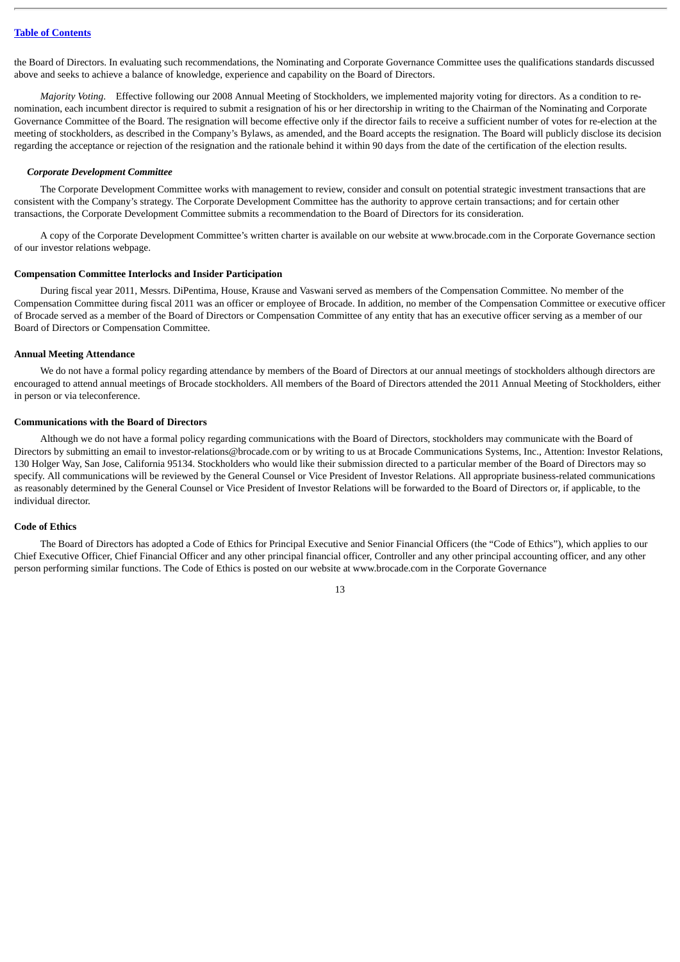the Board of Directors. In evaluating such recommendations, the Nominating and Corporate Governance Committee uses the qualifications standards discussed above and seeks to achieve a balance of knowledge, experience and capability on the Board of Directors.

*Majority Voting*. Effective following our 2008 Annual Meeting of Stockholders, we implemented majority voting for directors. As a condition to renomination, each incumbent director is required to submit a resignation of his or her directorship in writing to the Chairman of the Nominating and Corporate Governance Committee of the Board. The resignation will become effective only if the director fails to receive a sufficient number of votes for re-election at the meeting of stockholders, as described in the Company's Bylaws, as amended, and the Board accepts the resignation. The Board will publicly disclose its decision regarding the acceptance or rejection of the resignation and the rationale behind it within 90 days from the date of the certification of the election results.

#### *Corporate Development Committee*

The Corporate Development Committee works with management to review, consider and consult on potential strategic investment transactions that are consistent with the Company's strategy. The Corporate Development Committee has the authority to approve certain transactions; and for certain other transactions, the Corporate Development Committee submits a recommendation to the Board of Directors for its consideration.

A copy of the Corporate Development Committee's written charter is available on our website at www.brocade.com in the Corporate Governance section of our investor relations webpage.

#### <span id="page-17-0"></span>**Compensation Committee Interlocks and Insider Participation**

During fiscal year 2011, Messrs. DiPentima, House, Krause and Vaswani served as members of the Compensation Committee. No member of the Compensation Committee during fiscal 2011 was an officer or employee of Brocade. In addition, no member of the Compensation Committee or executive officer of Brocade served as a member of the Board of Directors or Compensation Committee of any entity that has an executive officer serving as a member of our Board of Directors or Compensation Committee.

#### <span id="page-17-1"></span>**Annual Meeting Attendance**

We do not have a formal policy regarding attendance by members of the Board of Directors at our annual meetings of stockholders although directors are encouraged to attend annual meetings of Brocade stockholders. All members of the Board of Directors attended the 2011 Annual Meeting of Stockholders, either in person or via teleconference.

#### <span id="page-17-2"></span>**Communications with the Board of Directors**

Although we do not have a formal policy regarding communications with the Board of Directors, stockholders may communicate with the Board of Directors by submitting an email to investor-relations@brocade.com or by writing to us at Brocade Communications Systems, Inc., Attention: Investor Relations, 130 Holger Way, San Jose, California 95134. Stockholders who would like their submission directed to a particular member of the Board of Directors may so specify. All communications will be reviewed by the General Counsel or Vice President of Investor Relations. All appropriate business-related communications as reasonably determined by the General Counsel or Vice President of Investor Relations will be forwarded to the Board of Directors or, if applicable, to the individual director.

#### <span id="page-17-3"></span>**Code of Ethics**

The Board of Directors has adopted a Code of Ethics for Principal Executive and Senior Financial Officers (the "Code of Ethics"), which applies to our Chief Executive Officer, Chief Financial Officer and any other principal financial officer, Controller and any other principal accounting officer, and any other person performing similar functions. The Code of Ethics is posted on our website at www.brocade.com in the Corporate Governance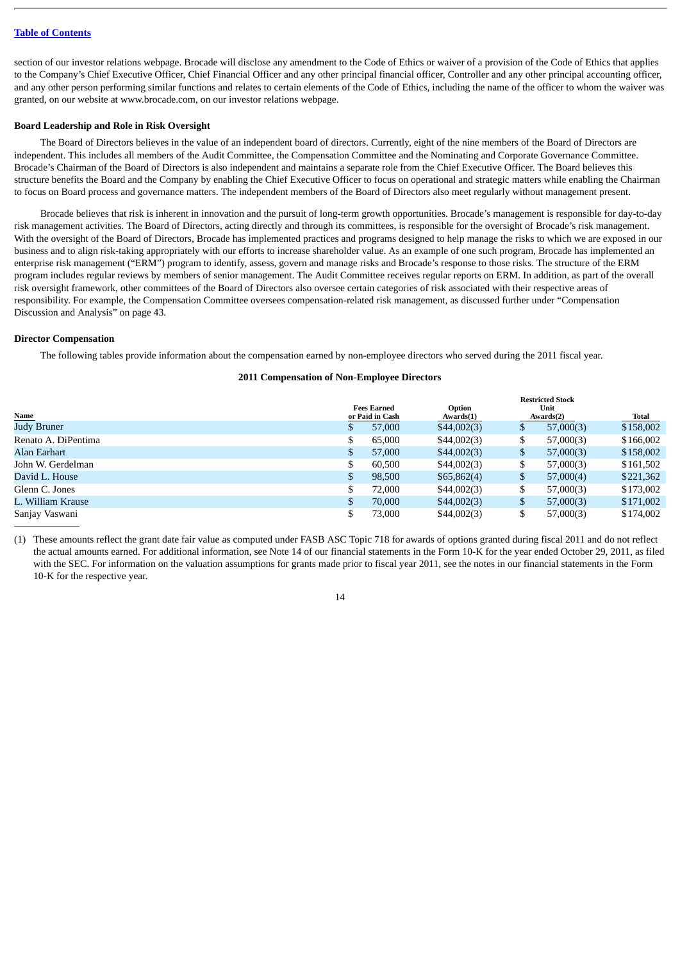section of our investor relations webpage. Brocade will disclose any amendment to the Code of Ethics or waiver of a provision of the Code of Ethics that applies to the Company's Chief Executive Officer, Chief Financial Officer and any other principal financial officer, Controller and any other principal accounting officer, and any other person performing similar functions and relates to certain elements of the Code of Ethics, including the name of the officer to whom the waiver was granted, on our website at www.brocade.com, on our investor relations webpage.

#### <span id="page-18-0"></span>**Board Leadership and Role in Risk Oversight**

The Board of Directors believes in the value of an independent board of directors. Currently, eight of the nine members of the Board of Directors are independent. This includes all members of the Audit Committee, the Compensation Committee and the Nominating and Corporate Governance Committee. Brocade's Chairman of the Board of Directors is also independent and maintains a separate role from the Chief Executive Officer. The Board believes this structure benefits the Board and the Company by enabling the Chief Executive Officer to focus on operational and strategic matters while enabling the Chairman to focus on Board process and governance matters. The independent members of the Board of Directors also meet regularly without management present.

Brocade believes that risk is inherent in innovation and the pursuit of long-term growth opportunities. Brocade's management is responsible for day-to-day risk management activities. The Board of Directors, acting directly and through its committees, is responsible for the oversight of Brocade's risk management. With the oversight of the Board of Directors, Brocade has implemented practices and programs designed to help manage the risks to which we are exposed in our business and to align risk-taking appropriately with our efforts to increase shareholder value. As an example of one such program, Brocade has implemented an enterprise risk management ("ERM") program to identify, assess, govern and manage risks and Brocade's response to those risks. The structure of the ERM program includes regular reviews by members of senior management. The Audit Committee receives regular reports on ERM. In addition, as part of the overall risk oversight framework, other committees of the Board of Directors also oversee certain categories of risk associated with their respective areas of responsibility. For example, the Compensation Committee oversees compensation-related risk management, as discussed further under "Compensation Discussion and Analysis" on page 43.

#### <span id="page-18-1"></span>**Director Compensation**

The following tables provide information about the compensation earned by non-employee directors who served during the 2011 fiscal year.

#### **2011 Compensation of Non-Employee Directors**

|                     |              |                                       |                     |    | <b>Restricted Stock</b> |           |
|---------------------|--------------|---------------------------------------|---------------------|----|-------------------------|-----------|
| Name                |              | <b>Fees Earned</b><br>or Paid in Cash | Option<br>Awards(1) |    | Unit<br>Awards(2)       | Total     |
| <b>Judy Bruner</b>  | $\mathbf{D}$ | 57,000                                | \$44,002(3)         | \$ | 57,000(3)               | \$158,002 |
| Renato A. DiPentima | \$           | 65,000                                | \$44,002(3)         | \$ | 57,000(3)               | \$166,002 |
| Alan Earhart        | \$           | 57,000                                | \$44,002(3)         | \$ | 57,000(3)               | \$158,002 |
| John W. Gerdelman   | \$           | 60,500                                | \$44,002(3)         | J  | 57,000(3)               | \$161,502 |
| David L. House      | \$           | 98,500                                | \$65,862(4)         | \$ | 57,000(4)               | \$221,362 |
| Glenn C. Jones      | \$           | 72,000                                | \$44,002(3)         | \$ | 57,000(3)               | \$173,002 |
| L. William Krause   | \$           | 70,000                                | \$44,002(3)         | \$ | 57,000(3)               | \$171,002 |
| Sanjay Vaswani      |              | 73,000                                | \$44,002(3)         | \$ | 57,000(3)               | \$174,002 |

(1) These amounts reflect the grant date fair value as computed under FASB ASC Topic 718 for awards of options granted during fiscal 2011 and do not reflect the actual amounts earned. For additional information, see Note 14 of our financial statements in the Form 10-K for the year ended October 29, 2011, as filed with the SEC. For information on the valuation assumptions for grants made prior to fiscal year 2011, see the notes in our financial statements in the Form 10-K for the respective year.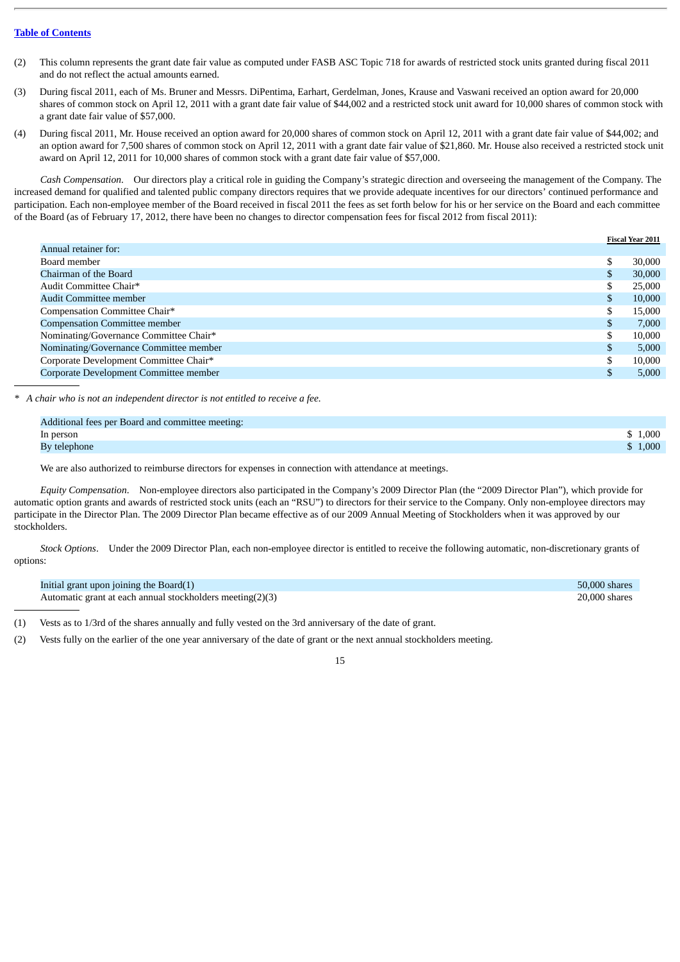- (2) This column represents the grant date fair value as computed under FASB ASC Topic 718 for awards of restricted stock units granted during fiscal 2011 and do not reflect the actual amounts earned.
- (3) During fiscal 2011, each of Ms. Bruner and Messrs. DiPentima, Earhart, Gerdelman, Jones, Krause and Vaswani received an option award for 20,000 shares of common stock on April 12, 2011 with a grant date fair value of \$44,002 and a restricted stock unit award for 10,000 shares of common stock with a grant date fair value of \$57,000.
- (4) During fiscal 2011, Mr. House received an option award for 20,000 shares of common stock on April 12, 2011 with a grant date fair value of \$44,002; and an option award for 7,500 shares of common stock on April 12, 2011 with a grant date fair value of \$21,860. Mr. House also received a restricted stock unit award on April 12, 2011 for 10,000 shares of common stock with a grant date fair value of \$57,000.

*Cash Compensation*. Our directors play a critical role in guiding the Company's strategic direction and overseeing the management of the Company. The increased demand for qualified and talented public company directors requires that we provide adequate incentives for our directors' continued performance and participation. Each non-employee member of the Board received in fiscal 2011 the fees as set forth below for his or her service on the Board and each committee of the Board (as of February 17, 2012, there have been no changes to director compensation fees for fiscal 2012 from fiscal 2011):

|                                        |    | <b>Fiscal Year 2011</b> |
|----------------------------------------|----|-------------------------|
| Annual retainer for:                   |    |                         |
| Board member                           | \$ | 30,000                  |
| Chairman of the Board                  | \$ | 30,000                  |
| Audit Committee Chair*                 | \$ | 25,000                  |
| Audit Committee member                 | \$ | 10,000                  |
| Compensation Committee Chair*          | \$ | 15,000                  |
| <b>Compensation Committee member</b>   | S  | 7.000                   |
| Nominating/Governance Committee Chair* | \$ | 10,000                  |
| Nominating/Governance Committee member | \$ | 5,000                   |
| Corporate Development Committee Chair* | \$ | 10,000                  |
| Corporate Development Committee member | \$ | 5,000                   |
|                                        |    |                         |

*\* A chair who is not an independent director is not entitled to receive a fee.*

| Additional fees per Board and committee meeting: |         |
|--------------------------------------------------|---------|
| In person                                        | 1,000   |
| By telephone                                     | \$1,000 |

We are also authorized to reimburse directors for expenses in connection with attendance at meetings.

*Equity Compensation*. Non-employee directors also participated in the Company's 2009 Director Plan (the "2009 Director Plan"), which provide for automatic option grants and awards of restricted stock units (each an "RSU") to directors for their service to the Company. Only non-employee directors may participate in the Director Plan. The 2009 Director Plan became effective as of our 2009 Annual Meeting of Stockholders when it was approved by our stockholders.

*Stock Options*. Under the 2009 Director Plan, each non-employee director is entitled to receive the following automatic, non-discretionary grants of options:

| Initial grant upon joining the Board(1)                   | 50,000 shares |
|-----------------------------------------------------------|---------------|
| Automatic grant at each annual stockholders meeting(2)(3) | 20,000 shares |

(1) Vests as to 1/3rd of the shares annually and fully vested on the 3rd anniversary of the date of grant.

(2) Vests fully on the earlier of the one year anniversary of the date of grant or the next annual stockholders meeting.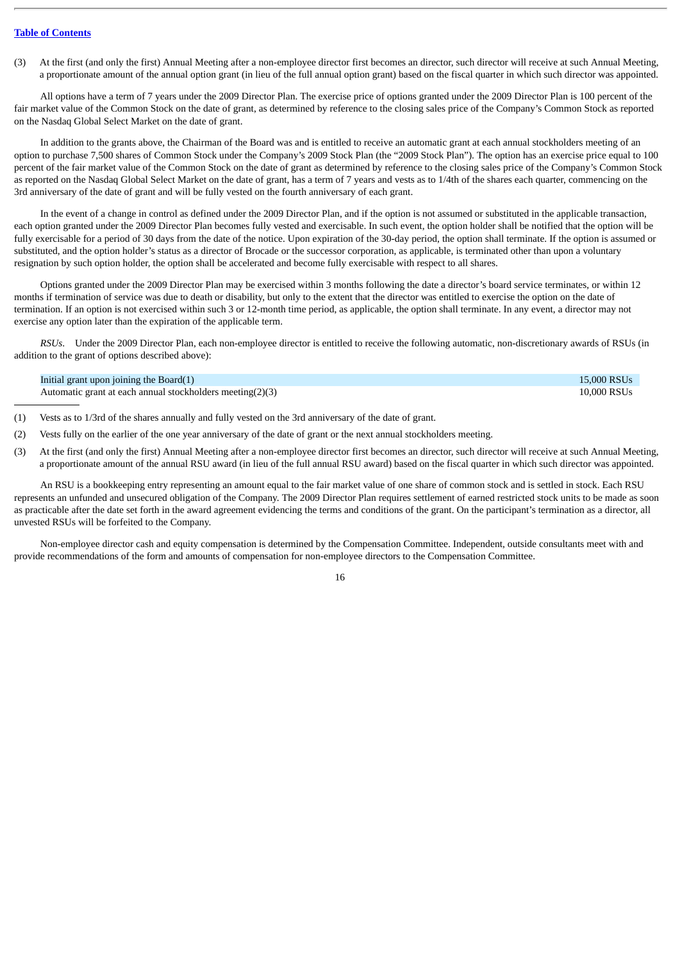(3) At the first (and only the first) Annual Meeting after a non-employee director first becomes an director, such director will receive at such Annual Meeting, a proportionate amount of the annual option grant (in lieu of the full annual option grant) based on the fiscal quarter in which such director was appointed.

All options have a term of 7 years under the 2009 Director Plan. The exercise price of options granted under the 2009 Director Plan is 100 percent of the fair market value of the Common Stock on the date of grant, as determined by reference to the closing sales price of the Company's Common Stock as reported on the Nasdaq Global Select Market on the date of grant.

In addition to the grants above, the Chairman of the Board was and is entitled to receive an automatic grant at each annual stockholders meeting of an option to purchase 7,500 shares of Common Stock under the Company's 2009 Stock Plan (the "2009 Stock Plan"). The option has an exercise price equal to 100 percent of the fair market value of the Common Stock on the date of grant as determined by reference to the closing sales price of the Company's Common Stock as reported on the Nasdaq Global Select Market on the date of grant, has a term of 7 years and vests as to 1/4th of the shares each quarter, commencing on the 3rd anniversary of the date of grant and will be fully vested on the fourth anniversary of each grant.

In the event of a change in control as defined under the 2009 Director Plan, and if the option is not assumed or substituted in the applicable transaction, each option granted under the 2009 Director Plan becomes fully vested and exercisable. In such event, the option holder shall be notified that the option will be fully exercisable for a period of 30 days from the date of the notice. Upon expiration of the 30-day period, the option shall terminate. If the option is assumed or substituted, and the option holder's status as a director of Brocade or the successor corporation, as applicable, is terminated other than upon a voluntary resignation by such option holder, the option shall be accelerated and become fully exercisable with respect to all shares.

Options granted under the 2009 Director Plan may be exercised within 3 months following the date a director's board service terminates, or within 12 months if termination of service was due to death or disability, but only to the extent that the director was entitled to exercise the option on the date of termination. If an option is not exercised within such 3 or 12-month time period, as applicable, the option shall terminate. In any event, a director may not exercise any option later than the expiration of the applicable term.

*RSUs*. Under the 2009 Director Plan, each non-employee director is entitled to receive the following automatic, non-discretionary awards of RSUs (in addition to the grant of options described above):

| Initial grant upon joining the $Board(1)$                 | 15.000 RSUs |
|-----------------------------------------------------------|-------------|
| Automatic grant at each annual stockholders meeting(2)(3) | 10,000 RSUs |

- (1) Vests as to 1/3rd of the shares annually and fully vested on the 3rd anniversary of the date of grant.
- (2) Vests fully on the earlier of the one year anniversary of the date of grant or the next annual stockholders meeting.
- (3) At the first (and only the first) Annual Meeting after a non-employee director first becomes an director, such director will receive at such Annual Meeting, a proportionate amount of the annual RSU award (in lieu of the full annual RSU award) based on the fiscal quarter in which such director was appointed.

An RSU is a bookkeeping entry representing an amount equal to the fair market value of one share of common stock and is settled in stock. Each RSU represents an unfunded and unsecured obligation of the Company. The 2009 Director Plan requires settlement of earned restricted stock units to be made as soon as practicable after the date set forth in the award agreement evidencing the terms and conditions of the grant. On the participant's termination as a director, all unvested RSUs will be forfeited to the Company.

Non-employee director cash and equity compensation is determined by the Compensation Committee. Independent, outside consultants meet with and provide recommendations of the form and amounts of compensation for non-employee directors to the Compensation Committee.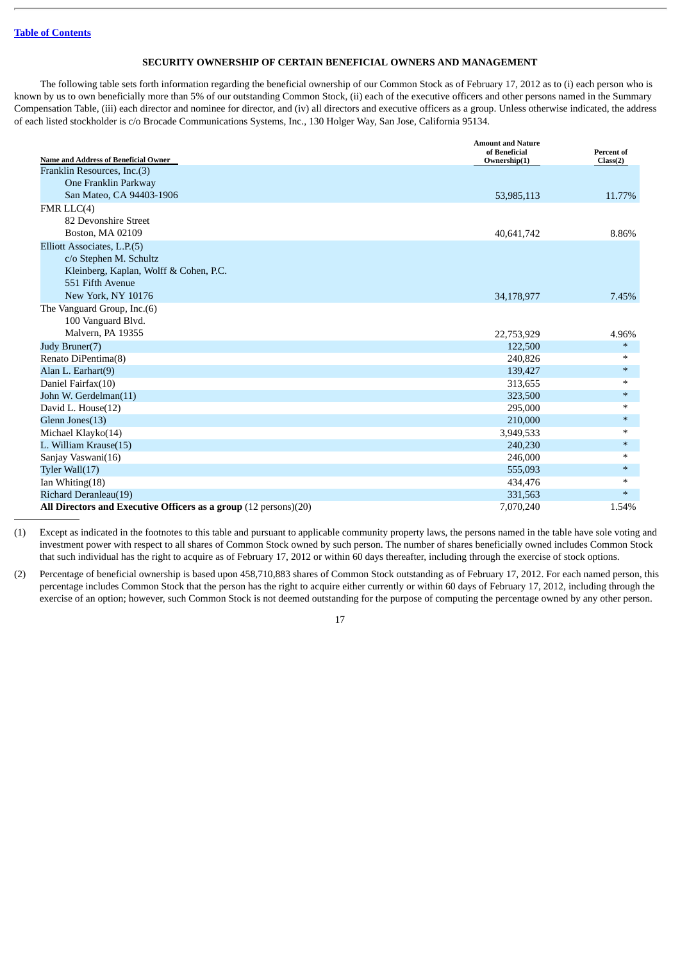## **SECURITY OWNERSHIP OF CERTAIN BENEFICIAL OWNERS AND MANAGEMENT**

<span id="page-21-0"></span>The following table sets forth information regarding the beneficial ownership of our Common Stock as of February 17, 2012 as to (i) each person who is known by us to own beneficially more than 5% of our outstanding Common Stock, (ii) each of the executive officers and other persons named in the Summary Compensation Table, (iii) each director and nominee for director, and (iv) all directors and executive officers as a group. Unless otherwise indicated, the address of each listed stockholder is c/o Brocade Communications Systems, Inc., 130 Holger Way, San Jose, California 95134.

| <b>Name and Address of Beneficial Owner</b>                      | <b>Amount and Nature</b><br>of Beneficial | <b>Percent of</b> |
|------------------------------------------------------------------|-------------------------------------------|-------------------|
| Franklin Resources, Inc.(3)                                      | Ownership(1)                              | Class(2)          |
| One Franklin Parkway                                             |                                           |                   |
| San Mateo, CA 94403-1906                                         | 53,985,113                                | 11.77%            |
| FMRLLC(4)                                                        |                                           |                   |
| 82 Devonshire Street                                             |                                           |                   |
| Boston, MA 02109                                                 | 40,641,742                                | 8.86%             |
| Elliott Associates, L.P.(5)                                      |                                           |                   |
| c/o Stephen M. Schultz                                           |                                           |                   |
| Kleinberg, Kaplan, Wolff & Cohen, P.C.                           |                                           |                   |
| 551 Fifth Avenue                                                 |                                           |                   |
| New York, NY 10176                                               | 34,178,977                                | 7.45%             |
| The Vanguard Group, Inc.(6)                                      |                                           |                   |
| 100 Vanguard Blvd.                                               |                                           |                   |
| Malvern, PA 19355                                                | 22,753,929                                | 4.96%             |
| Judy Bruner(7)                                                   | 122,500                                   | $\ast$            |
| Renato DiPentima(8)                                              | 240,826                                   | $\ast$            |
| Alan L. Earhart(9)                                               | 139,427                                   | $\ast$            |
| Daniel Fairfax(10)                                               | 313,655                                   | $\ast$            |
| John W. Gerdelman(11)                                            | 323,500                                   | $\ast$            |
| David L. House(12)                                               | 295,000                                   | $\ast$            |
| Glenn Jones(13)                                                  | 210,000                                   | $\ast$            |
| Michael Klayko(14)                                               | 3,949,533                                 | $\ast$            |
| L. William Krause(15)                                            | 240,230                                   | $\ast$            |
| Sanjay Vaswani(16)                                               | 246,000                                   | $\ast$            |
| Tyler Wall(17)                                                   | 555,093                                   | $\ast$            |
| Ian Whiting(18)                                                  | 434,476                                   | $\ast$            |
| Richard Deranleau(19)                                            | 331,563                                   | $\ast$            |
| All Directors and Executive Officers as a group (12 persons)(20) | 7,070,240                                 | 1.54%             |

(1) Except as indicated in the footnotes to this table and pursuant to applicable community property laws, the persons named in the table have sole voting and investment power with respect to all shares of Common Stock owned by such person. The number of shares beneficially owned includes Common Stock that such individual has the right to acquire as of February 17, 2012 or within 60 days thereafter, including through the exercise of stock options.

(2) Percentage of beneficial ownership is based upon 458,710,883 shares of Common Stock outstanding as of February 17, 2012. For each named person, this percentage includes Common Stock that the person has the right to acquire either currently or within 60 days of February 17, 2012, including through the exercise of an option; however, such Common Stock is not deemed outstanding for the purpose of computing the percentage owned by any other person.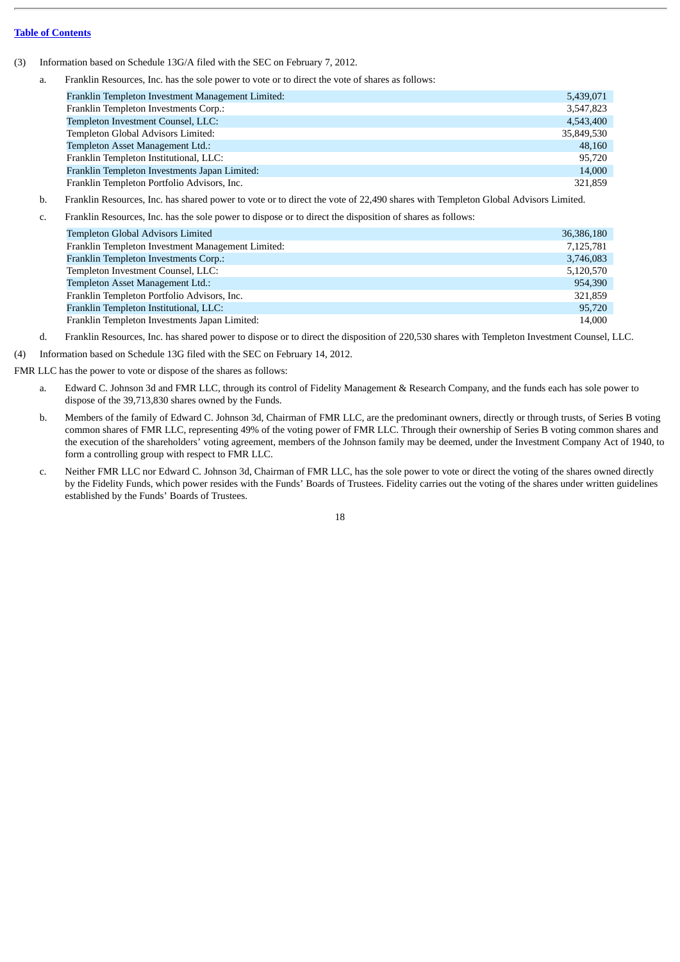- (3) Information based on Schedule 13G/A filed with the SEC on February 7, 2012.
	- a. Franklin Resources, Inc. has the sole power to vote or to direct the vote of shares as follows:

| Franklin Templeton Investment Management Limited: | 5,439,071  |
|---------------------------------------------------|------------|
| Franklin Templeton Investments Corp.:             | 3,547,823  |
| Templeton Investment Counsel, LLC:                | 4,543,400  |
| Templeton Global Advisors Limited:                | 35,849,530 |
| Templeton Asset Management Ltd.:                  | 48,160     |
| Franklin Templeton Institutional, LLC:            | 95,720     |
| Franklin Templeton Investments Japan Limited:     | 14,000     |
| Franklin Templeton Portfolio Advisors, Inc.       | 321,859    |

- b. Franklin Resources, Inc. has shared power to vote or to direct the vote of 22,490 shares with Templeton Global Advisors Limited.
- c. Franklin Resources, Inc. has the sole power to dispose or to direct the disposition of shares as follows:

| Templeton Global Advisors Limited                 | 36,386,180 |
|---------------------------------------------------|------------|
| Franklin Templeton Investment Management Limited: | 7,125,781  |
| Franklin Templeton Investments Corp.:             | 3,746,083  |
| Templeton Investment Counsel, LLC:                | 5,120,570  |
| Templeton Asset Management Ltd.:                  | 954,390    |
| Franklin Templeton Portfolio Advisors, Inc.       | 321,859    |
| Franklin Templeton Institutional, LLC:            | 95,720     |
| Franklin Templeton Investments Japan Limited:     | 14,000     |

d. Franklin Resources, Inc. has shared power to dispose or to direct the disposition of 220,530 shares with Templeton Investment Counsel, LLC.

(4) Information based on Schedule 13G filed with the SEC on February 14, 2012.

FMR LLC has the power to vote or dispose of the shares as follows:

- a. Edward C. Johnson 3d and FMR LLC, through its control of Fidelity Management & Research Company, and the funds each has sole power to dispose of the 39,713,830 shares owned by the Funds.
- b. Members of the family of Edward C. Johnson 3d, Chairman of FMR LLC, are the predominant owners, directly or through trusts, of Series B voting common shares of FMR LLC, representing 49% of the voting power of FMR LLC. Through their ownership of Series B voting common shares and the execution of the shareholders' voting agreement, members of the Johnson family may be deemed, under the Investment Company Act of 1940, to form a controlling group with respect to FMR LLC.
- c. Neither FMR LLC nor Edward C. Johnson 3d, Chairman of FMR LLC, has the sole power to vote or direct the voting of the shares owned directly by the Fidelity Funds, which power resides with the Funds' Boards of Trustees. Fidelity carries out the voting of the shares under written guidelines established by the Funds' Boards of Trustees.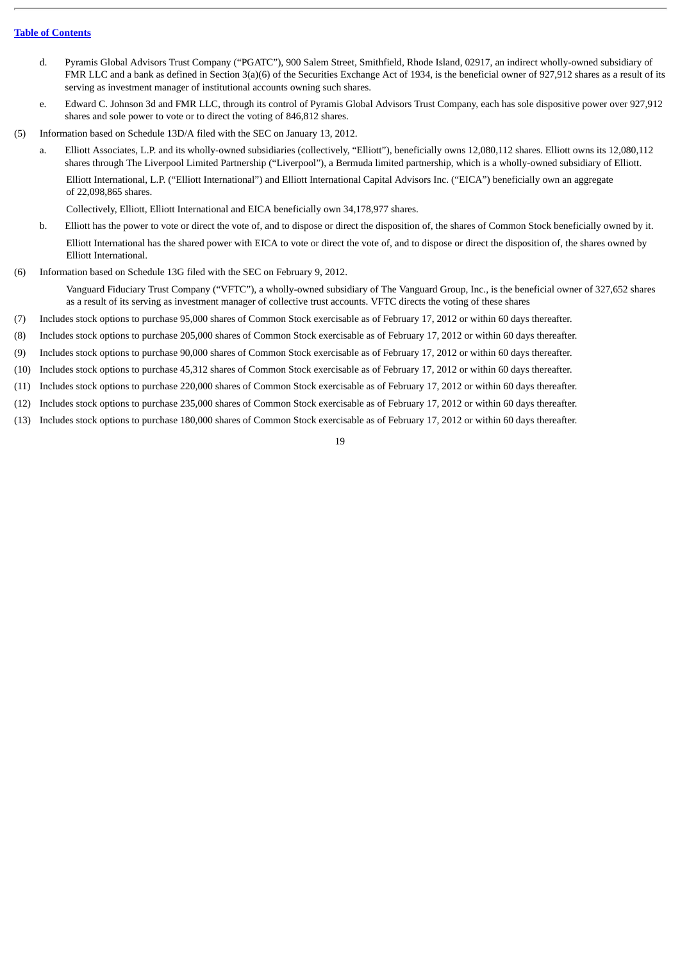- d. Pyramis Global Advisors Trust Company ("PGATC"), 900 Salem Street, Smithfield, Rhode Island, 02917, an indirect wholly-owned subsidiary of FMR LLC and a bank as defined in Section 3(a)(6) of the Securities Exchange Act of 1934, is the beneficial owner of 927,912 shares as a result of its serving as investment manager of institutional accounts owning such shares.
- e. Edward C. Johnson 3d and FMR LLC, through its control of Pyramis Global Advisors Trust Company, each has sole dispositive power over 927,912 shares and sole power to vote or to direct the voting of 846,812 shares.
- (5) Information based on Schedule 13D/A filed with the SEC on January 13, 2012.
	- a. Elliott Associates, L.P. and its wholly-owned subsidiaries (collectively, "Elliott"), beneficially owns 12,080,112 shares. Elliott owns its 12,080,112 shares through The Liverpool Limited Partnership ("Liverpool"), a Bermuda limited partnership, which is a wholly-owned subsidiary of Elliott. Elliott International, L.P. ("Elliott International") and Elliott International Capital Advisors Inc. ("EICA") beneficially own an aggregate of 22,098,865 shares.

Collectively, Elliott, Elliott International and EICA beneficially own 34,178,977 shares.

- b. Elliott has the power to vote or direct the vote of, and to dispose or direct the disposition of, the shares of Common Stock beneficially owned by it. Elliott International has the shared power with EICA to vote or direct the vote of, and to dispose or direct the disposition of, the shares owned by Elliott International.
- (6) Information based on Schedule 13G filed with the SEC on February 9, 2012.

Vanguard Fiduciary Trust Company ("VFTC"), a wholly-owned subsidiary of The Vanguard Group, Inc., is the beneficial owner of 327,652 shares as a result of its serving as investment manager of collective trust accounts. VFTC directs the voting of these shares

- (7) Includes stock options to purchase 95,000 shares of Common Stock exercisable as of February 17, 2012 or within 60 days thereafter.
- (8) Includes stock options to purchase 205,000 shares of Common Stock exercisable as of February 17, 2012 or within 60 days thereafter.
- (9) Includes stock options to purchase 90,000 shares of Common Stock exercisable as of February 17, 2012 or within 60 days thereafter.
- (10) Includes stock options to purchase 45,312 shares of Common Stock exercisable as of February 17, 2012 or within 60 days thereafter.
- (11) Includes stock options to purchase 220,000 shares of Common Stock exercisable as of February 17, 2012 or within 60 days thereafter.
- (12) Includes stock options to purchase 235,000 shares of Common Stock exercisable as of February 17, 2012 or within 60 days thereafter.
- (13) Includes stock options to purchase 180,000 shares of Common Stock exercisable as of February 17, 2012 or within 60 days thereafter.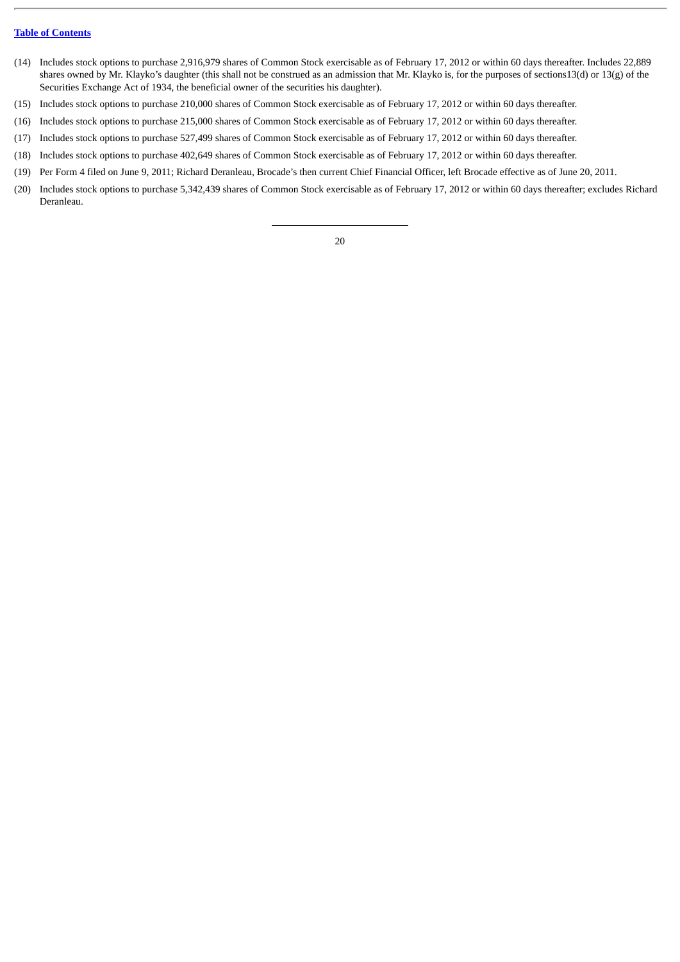- (14) Includes stock options to purchase 2,916,979 shares of Common Stock exercisable as of February 17, 2012 or within 60 days thereafter. Includes 22,889 shares owned by Mr. Klayko's daughter (this shall not be construed as an admission that Mr. Klayko is, for the purposes of sections13(d) or 13(g) of the Securities Exchange Act of 1934, the beneficial owner of the securities his daughter).
- (15) Includes stock options to purchase 210,000 shares of Common Stock exercisable as of February 17, 2012 or within 60 days thereafter.
- (16) Includes stock options to purchase 215,000 shares of Common Stock exercisable as of February 17, 2012 or within 60 days thereafter.
- (17) Includes stock options to purchase 527,499 shares of Common Stock exercisable as of February 17, 2012 or within 60 days thereafter.
- (18) Includes stock options to purchase 402,649 shares of Common Stock exercisable as of February 17, 2012 or within 60 days thereafter.
- (19) Per Form 4 filed on June 9, 2011; Richard Deranleau, Brocade's then current Chief Financial Officer, left Brocade effective as of June 20, 2011.
- (20) Includes stock options to purchase 5,342,439 shares of Common Stock exercisable as of February 17, 2012 or within 60 days thereafter; excludes Richard Deranleau.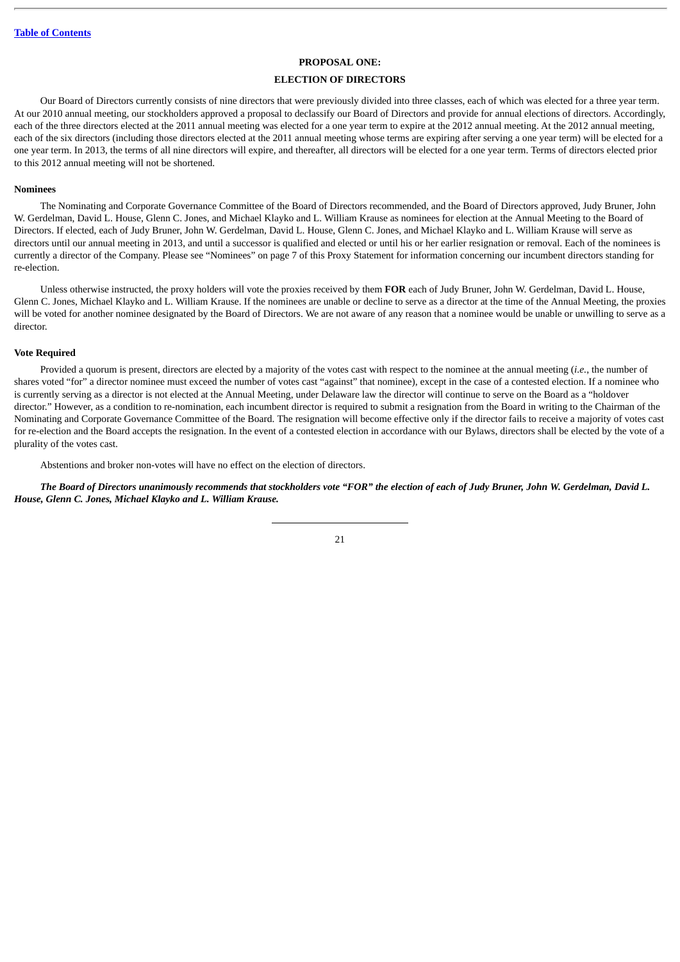#### **PROPOSAL ONE:**

#### **ELECTION OF DIRECTORS**

<span id="page-25-0"></span>Our Board of Directors currently consists of nine directors that were previously divided into three classes, each of which was elected for a three year term. At our 2010 annual meeting, our stockholders approved a proposal to declassify our Board of Directors and provide for annual elections of directors. Accordingly, each of the three directors elected at the 2011 annual meeting was elected for a one year term to expire at the 2012 annual meeting. At the 2012 annual meeting, each of the six directors (including those directors elected at the 2011 annual meeting whose terms are expiring after serving a one year term) will be elected for a one year term. In 2013, the terms of all nine directors will expire, and thereafter, all directors will be elected for a one year term. Terms of directors elected prior to this 2012 annual meeting will not be shortened.

#### <span id="page-25-1"></span>**Nominees**

The Nominating and Corporate Governance Committee of the Board of Directors recommended, and the Board of Directors approved, Judy Bruner, John W. Gerdelman, David L. House, Glenn C. Jones, and Michael Klayko and L. William Krause as nominees for election at the Annual Meeting to the Board of Directors. If elected, each of Judy Bruner, John W. Gerdelman, David L. House, Glenn C. Jones, and Michael Klayko and L. William Krause will serve as directors until our annual meeting in 2013, and until a successor is qualified and elected or until his or her earlier resignation or removal. Each of the nominees is currently a director of the Company. Please see "Nominees" on page 7 of this Proxy Statement for information concerning our incumbent directors standing for re-election.

Unless otherwise instructed, the proxy holders will vote the proxies received by them **FOR** each of Judy Bruner, John W. Gerdelman, David L. House, Glenn C. Jones, Michael Klayko and L. William Krause. If the nominees are unable or decline to serve as a director at the time of the Annual Meeting, the proxies will be voted for another nominee designated by the Board of Directors. We are not aware of any reason that a nominee would be unable or unwilling to serve as a director.

#### <span id="page-25-2"></span>**Vote Required**

Provided a quorum is present, directors are elected by a majority of the votes cast with respect to the nominee at the annual meeting (*i.e.*, the number of shares voted "for" a director nominee must exceed the number of votes cast "against" that nominee), except in the case of a contested election. If a nominee who is currently serving as a director is not elected at the Annual Meeting, under Delaware law the director will continue to serve on the Board as a "holdover director." However, as a condition to re-nomination, each incumbent director is required to submit a resignation from the Board in writing to the Chairman of the Nominating and Corporate Governance Committee of the Board. The resignation will become effective only if the director fails to receive a majority of votes cast for re-election and the Board accepts the resignation. In the event of a contested election in accordance with our Bylaws, directors shall be elected by the vote of a plurality of the votes cast.

Abstentions and broker non-votes will have no effect on the election of directors.

*The Board of Directors unanimously recommends that stockholders vote "FOR" the election of each of Judy Bruner, John W. Gerdelman, David L. House, Glenn C. Jones, Michael Klayko and L. William Krause.*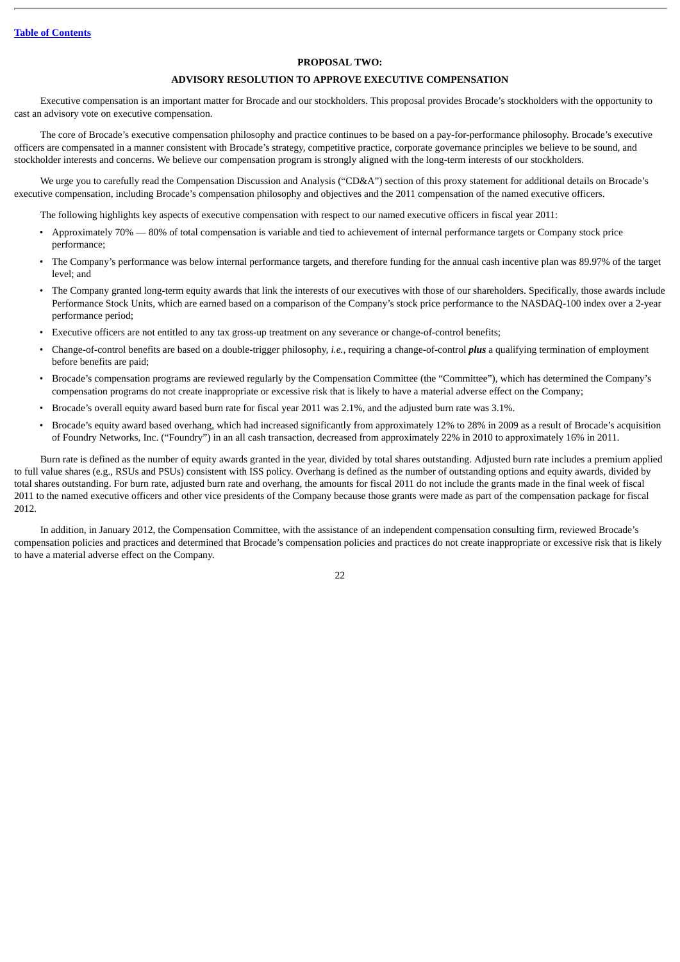#### **PROPOSAL TWO:**

#### **ADVISORY RESOLUTION TO APPROVE EXECUTIVE COMPENSATION**

<span id="page-26-0"></span>Executive compensation is an important matter for Brocade and our stockholders. This proposal provides Brocade's stockholders with the opportunity to cast an advisory vote on executive compensation.

The core of Brocade's executive compensation philosophy and practice continues to be based on a pay-for-performance philosophy. Brocade's executive officers are compensated in a manner consistent with Brocade's strategy, competitive practice, corporate governance principles we believe to be sound, and stockholder interests and concerns. We believe our compensation program is strongly aligned with the long-term interests of our stockholders.

We urge you to carefully read the Compensation Discussion and Analysis ("CD&A") section of this proxy statement for additional details on Brocade's executive compensation, including Brocade's compensation philosophy and objectives and the 2011 compensation of the named executive officers.

The following highlights key aspects of executive compensation with respect to our named executive officers in fiscal year 2011:

- Approximately 70% 80% of total compensation is variable and tied to achievement of internal performance targets or Company stock price performance;
- The Company's performance was below internal performance targets, and therefore funding for the annual cash incentive plan was 89.97% of the target level; and
- The Company granted long-term equity awards that link the interests of our executives with those of our shareholders. Specifically, those awards include Performance Stock Units, which are earned based on a comparison of the Company's stock price performance to the NASDAQ-100 index over a 2-year performance period;
- Executive officers are not entitled to any tax gross-up treatment on any severance or change-of-control benefits;
- Change-of-control benefits are based on a double-trigger philosophy, *i.e.*, requiring a change-of-control *plus* a qualifying termination of employment before benefits are paid;
- Brocade's compensation programs are reviewed regularly by the Compensation Committee (the "Committee"), which has determined the Company's compensation programs do not create inappropriate or excessive risk that is likely to have a material adverse effect on the Company;
- Brocade's overall equity award based burn rate for fiscal year 2011 was 2.1%, and the adjusted burn rate was 3.1%.
- Brocade's equity award based overhang, which had increased significantly from approximately 12% to 28% in 2009 as a result of Brocade's acquisition of Foundry Networks, Inc. ("Foundry") in an all cash transaction, decreased from approximately 22% in 2010 to approximately 16% in 2011.

Burn rate is defined as the number of equity awards granted in the year, divided by total shares outstanding. Adjusted burn rate includes a premium applied to full value shares (e.g., RSUs and PSUs) consistent with ISS policy. Overhang is defined as the number of outstanding options and equity awards, divided by total shares outstanding. For burn rate, adjusted burn rate and overhang, the amounts for fiscal 2011 do not include the grants made in the final week of fiscal 2011 to the named executive officers and other vice presidents of the Company because those grants were made as part of the compensation package for fiscal 2012.

In addition, in January 2012, the Compensation Committee, with the assistance of an independent compensation consulting firm, reviewed Brocade's compensation policies and practices and determined that Brocade's compensation policies and practices do not create inappropriate or excessive risk that is likely to have a material adverse effect on the Company.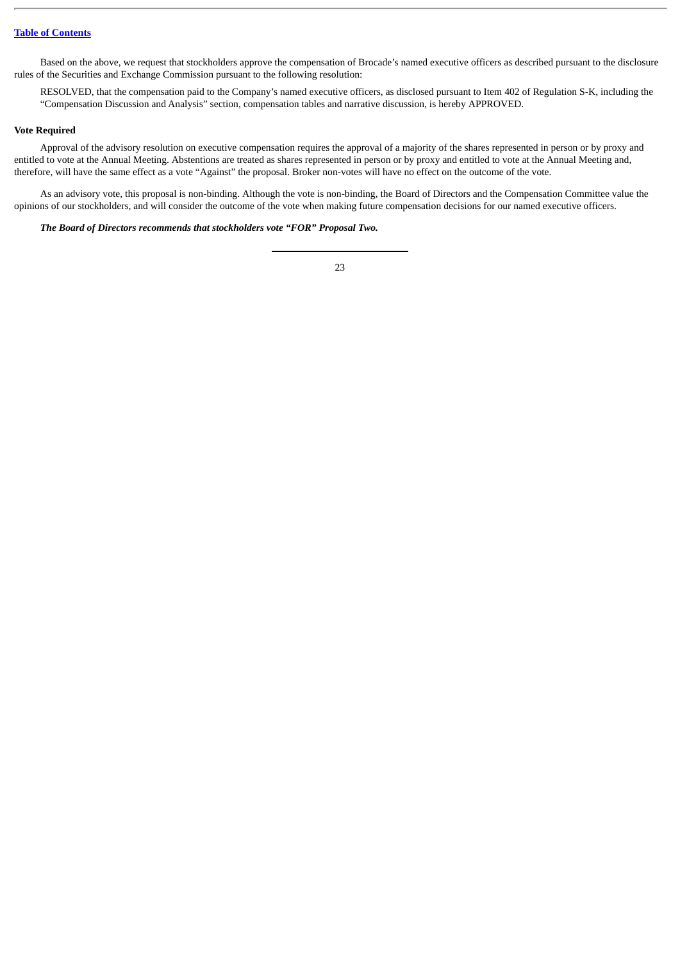Based on the above, we request that stockholders approve the compensation of Brocade's named executive officers as described pursuant to the disclosure rules of the Securities and Exchange Commission pursuant to the following resolution:

RESOLVED, that the compensation paid to the Company's named executive officers, as disclosed pursuant to Item 402 of Regulation S-K, including the "Compensation Discussion and Analysis" section, compensation tables and narrative discussion, is hereby APPROVED.

## <span id="page-27-0"></span>**Vote Required**

Approval of the advisory resolution on executive compensation requires the approval of a majority of the shares represented in person or by proxy and entitled to vote at the Annual Meeting. Abstentions are treated as shares represented in person or by proxy and entitled to vote at the Annual Meeting and, therefore, will have the same effect as a vote "Against" the proposal. Broker non-votes will have no effect on the outcome of the vote.

As an advisory vote, this proposal is non-binding. Although the vote is non-binding, the Board of Directors and the Compensation Committee value the opinions of our stockholders, and will consider the outcome of the vote when making future compensation decisions for our named executive officers.

## *The Board of Directors recommends that stockholders vote "FOR" Proposal Two.*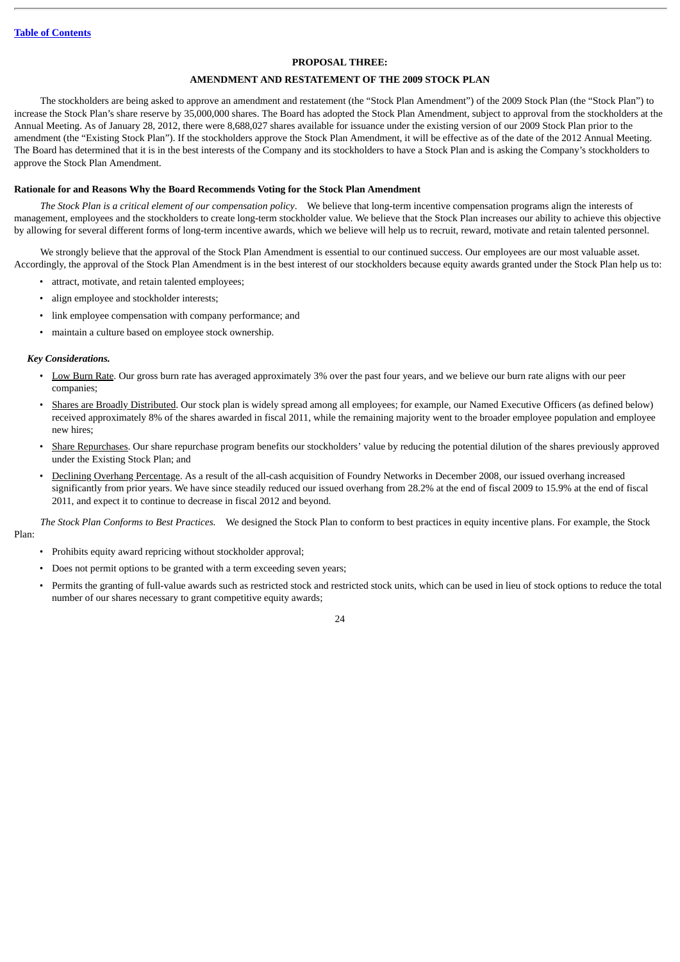#### **PROPOSAL THREE:**

## **AMENDMENT AND RESTATEMENT OF THE 2009 STOCK PLAN**

<span id="page-28-0"></span>The stockholders are being asked to approve an amendment and restatement (the "Stock Plan Amendment") of the 2009 Stock Plan (the "Stock Plan") to increase the Stock Plan's share reserve by 35,000,000 shares. The Board has adopted the Stock Plan Amendment, subject to approval from the stockholders at the Annual Meeting. As of January 28, 2012, there were 8,688,027 shares available for issuance under the existing version of our 2009 Stock Plan prior to the amendment (the "Existing Stock Plan"). If the stockholders approve the Stock Plan Amendment, it will be effective as of the date of the 2012 Annual Meeting. The Board has determined that it is in the best interests of the Company and its stockholders to have a Stock Plan and is asking the Company's stockholders to approve the Stock Plan Amendment.

#### **Rationale for and Reasons Why the Board Recommends Voting for the Stock Plan Amendment**

*The Stock Plan is a critical element of our compensation policy*. We believe that long-term incentive compensation programs align the interests of management, employees and the stockholders to create long-term stockholder value. We believe that the Stock Plan increases our ability to achieve this objective by allowing for several different forms of long-term incentive awards, which we believe will help us to recruit, reward, motivate and retain talented personnel.

We strongly believe that the approval of the Stock Plan Amendment is essential to our continued success. Our employees are our most valuable asset. Accordingly, the approval of the Stock Plan Amendment is in the best interest of our stockholders because equity awards granted under the Stock Plan help us to:

- attract, motivate, and retain talented employees;
- align employee and stockholder interests;
- link employee compensation with company performance; and
- maintain a culture based on employee stock ownership.

#### *Key Considerations.*

- Low Burn Rate. Our gross burn rate has averaged approximately 3% over the past four years, and we believe our burn rate aligns with our peer companies;
- Shares are Broadly Distributed. Our stock plan is widely spread among all employees; for example, our Named Executive Officers (as defined below) received approximately 8% of the shares awarded in fiscal 2011, while the remaining majority went to the broader employee population and employee new hires;
- Share Repurchases. Our share repurchase program benefits our stockholders' value by reducing the potential dilution of the shares previously approved under the Existing Stock Plan; and
- Declining Overhang Percentage. As a result of the all-cash acquisition of Foundry Networks in December 2008, our issued overhang increased significantly from prior years. We have since steadily reduced our issued overhang from 28.2% at the end of fiscal 2009 to 15.9% at the end of fiscal 2011, and expect it to continue to decrease in fiscal 2012 and beyond.

*The Stock Plan Conforms to Best Practices.* We designed the Stock Plan to conform to best practices in equity incentive plans. For example, the Stock Plan:

- Prohibits equity award repricing without stockholder approval;
- Does not permit options to be granted with a term exceeding seven years;
- Permits the granting of full-value awards such as restricted stock and restricted stock units, which can be used in lieu of stock options to reduce the total number of our shares necessary to grant competitive equity awards;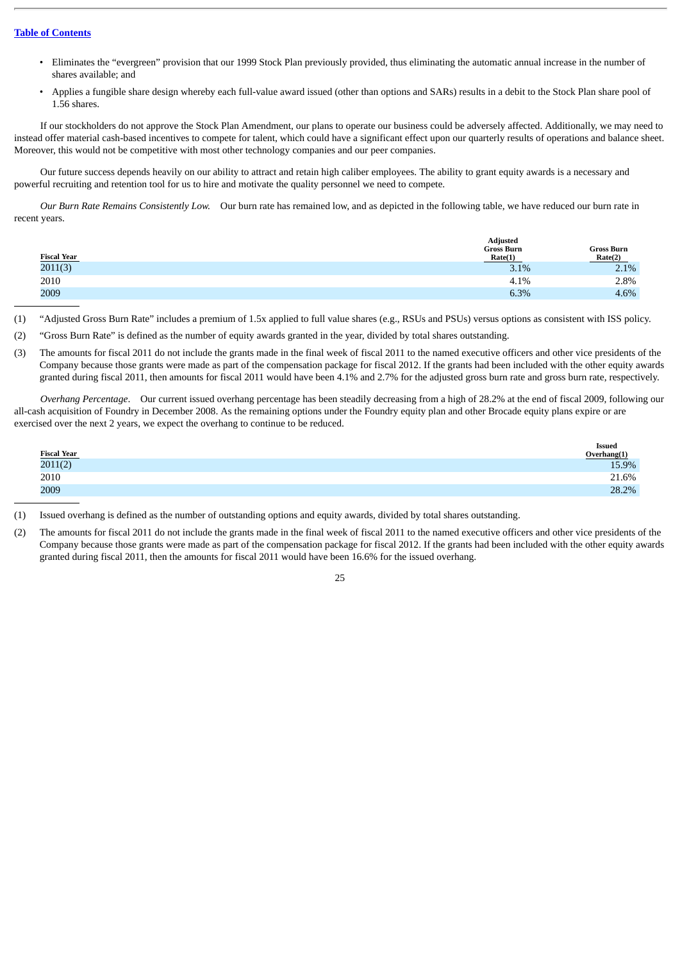- Eliminates the "evergreen" provision that our 1999 Stock Plan previously provided, thus eliminating the automatic annual increase in the number of shares available; and
- Applies a fungible share design whereby each full-value award issued (other than options and SARs) results in a debit to the Stock Plan share pool of 1.56 shares.

If our stockholders do not approve the Stock Plan Amendment, our plans to operate our business could be adversely affected. Additionally, we may need to instead offer material cash-based incentives to compete for talent, which could have a significant effect upon our quarterly results of operations and balance sheet. Moreover, this would not be competitive with most other technology companies and our peer companies.

Our future success depends heavily on our ability to attract and retain high caliber employees. The ability to grant equity awards is a necessary and powerful recruiting and retention tool for us to hire and motivate the quality personnel we need to compete.

*Our Burn Rate Remains Consistently Low.* Our burn rate has remained low, and as depicted in the following table, we have reduced our burn rate in recent years.

|                    | <b>Adjusted</b>              |                              |  |  |
|--------------------|------------------------------|------------------------------|--|--|
| <b>Fiscal Year</b> | <b>Gross Burn</b><br>Rate(1) | <b>Gross Burn</b><br>Rate(2) |  |  |
| 2011(3)            | 3.1%                         | 2.1%                         |  |  |
| 2010               | 4.1%                         | 2.8%                         |  |  |
| 2009               | 6.3%                         | 4.6%                         |  |  |

- (1) "Adjusted Gross Burn Rate" includes a premium of 1.5x applied to full value shares (e.g., RSUs and PSUs) versus options as consistent with ISS policy.
- (2) "Gross Burn Rate" is defined as the number of equity awards granted in the year, divided by total shares outstanding.
- (3) The amounts for fiscal 2011 do not include the grants made in the final week of fiscal 2011 to the named executive officers and other vice presidents of the Company because those grants were made as part of the compensation package for fiscal 2012. If the grants had been included with the other equity awards granted during fiscal 2011, then amounts for fiscal 2011 would have been 4.1% and 2.7% for the adjusted gross burn rate and gross burn rate, respectively.

*Overhang Percentage*. Our current issued overhang percentage has been steadily decreasing from a high of 28.2% at the end of fiscal 2009, following our all-cash acquisition of Foundry in December 2008. As the remaining options under the Foundry equity plan and other Brocade equity plans expire or are exercised over the next 2 years, we expect the overhang to continue to be reduced.

|                                      | <b>Issued</b><br>Overhang(1) |
|--------------------------------------|------------------------------|
| $\frac{\text{Fiscal Year}}{2011(2)}$ | 15.9%                        |
| 2010                                 | 21.6%                        |
| 2009                                 | 28.2%                        |
|                                      |                              |

(1) Issued overhang is defined as the number of outstanding options and equity awards, divided by total shares outstanding.

(2) The amounts for fiscal 2011 do not include the grants made in the final week of fiscal 2011 to the named executive officers and other vice presidents of the Company because those grants were made as part of the compensation package for fiscal 2012. If the grants had been included with the other equity awards granted during fiscal 2011, then the amounts for fiscal 2011 would have been 16.6% for the issued overhang.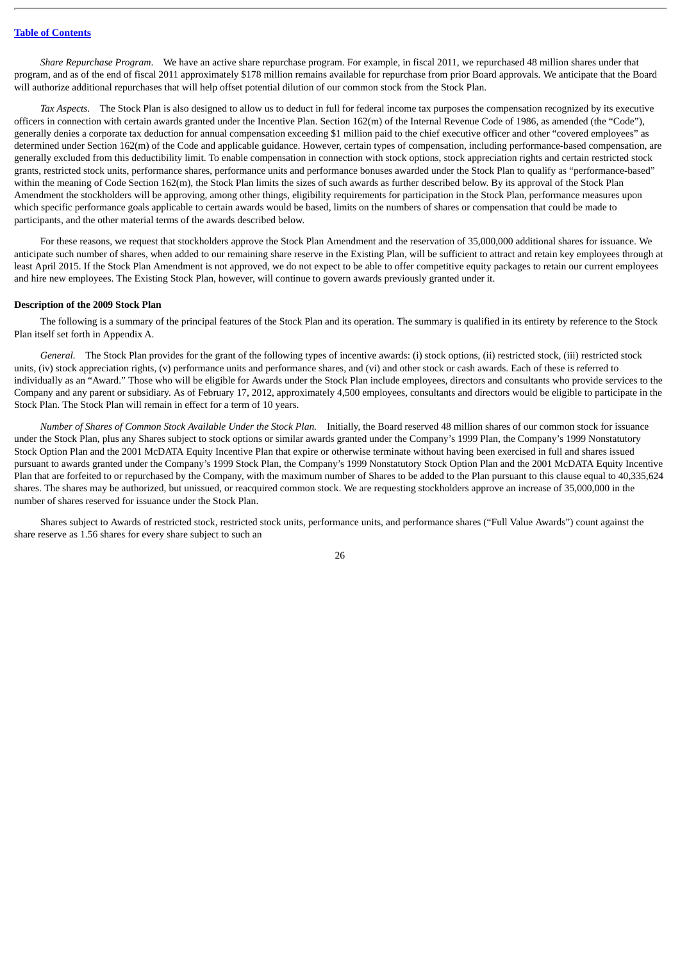*Share Repurchase Program*. We have an active share repurchase program. For example, in fiscal 2011, we repurchased 48 million shares under that program, and as of the end of fiscal 2011 approximately \$178 million remains available for repurchase from prior Board approvals. We anticipate that the Board will authorize additional repurchases that will help offset potential dilution of our common stock from the Stock Plan.

*Tax Aspects*. The Stock Plan is also designed to allow us to deduct in full for federal income tax purposes the compensation recognized by its executive officers in connection with certain awards granted under the Incentive Plan. Section 162(m) of the Internal Revenue Code of 1986, as amended (the "Code"), generally denies a corporate tax deduction for annual compensation exceeding \$1 million paid to the chief executive officer and other "covered employees" as determined under Section 162(m) of the Code and applicable guidance. However, certain types of compensation, including performance-based compensation, are generally excluded from this deductibility limit. To enable compensation in connection with stock options, stock appreciation rights and certain restricted stock grants, restricted stock units, performance shares, performance units and performance bonuses awarded under the Stock Plan to qualify as "performance-based" within the meaning of Code Section 162(m), the Stock Plan limits the sizes of such awards as further described below. By its approval of the Stock Plan Amendment the stockholders will be approving, among other things, eligibility requirements for participation in the Stock Plan, performance measures upon which specific performance goals applicable to certain awards would be based, limits on the numbers of shares or compensation that could be made to participants, and the other material terms of the awards described below.

For these reasons, we request that stockholders approve the Stock Plan Amendment and the reservation of 35,000,000 additional shares for issuance. We anticipate such number of shares, when added to our remaining share reserve in the Existing Plan, will be sufficient to attract and retain key employees through at least April 2015. If the Stock Plan Amendment is not approved, we do not expect to be able to offer competitive equity packages to retain our current employees and hire new employees. The Existing Stock Plan, however, will continue to govern awards previously granted under it.

#### **Description of the 2009 Stock Plan**

The following is a summary of the principal features of the Stock Plan and its operation. The summary is qualified in its entirety by reference to the Stock Plan itself set forth in Appendix A.

General. The Stock Plan provides for the grant of the following types of incentive awards: (i) stock options, (ii) restricted stock, (iii) restricted stock units, (iv) stock appreciation rights, (v) performance units and performance shares, and (vi) and other stock or cash awards. Each of these is referred to individually as an "Award." Those who will be eligible for Awards under the Stock Plan include employees, directors and consultants who provide services to the Company and any parent or subsidiary. As of February 17, 2012, approximately 4,500 employees, consultants and directors would be eligible to participate in the Stock Plan. The Stock Plan will remain in effect for a term of 10 years.

*Number of Shares of Common Stock Available Under the Stock Plan.* Initially, the Board reserved 48 million shares of our common stock for issuance under the Stock Plan, plus any Shares subject to stock options or similar awards granted under the Company's 1999 Plan, the Company's 1999 Nonstatutory Stock Option Plan and the 2001 McDATA Equity Incentive Plan that expire or otherwise terminate without having been exercised in full and shares issued pursuant to awards granted under the Company's 1999 Stock Plan, the Company's 1999 Nonstatutory Stock Option Plan and the 2001 McDATA Equity Incentive Plan that are forfeited to or repurchased by the Company, with the maximum number of Shares to be added to the Plan pursuant to this clause equal to 40,335,624 shares. The shares may be authorized, but unissued, or reacquired common stock. We are requesting stockholders approve an increase of 35,000,000 in the number of shares reserved for issuance under the Stock Plan.

Shares subject to Awards of restricted stock, restricted stock units, performance units, and performance shares ("Full Value Awards") count against the share reserve as 1.56 shares for every share subject to such an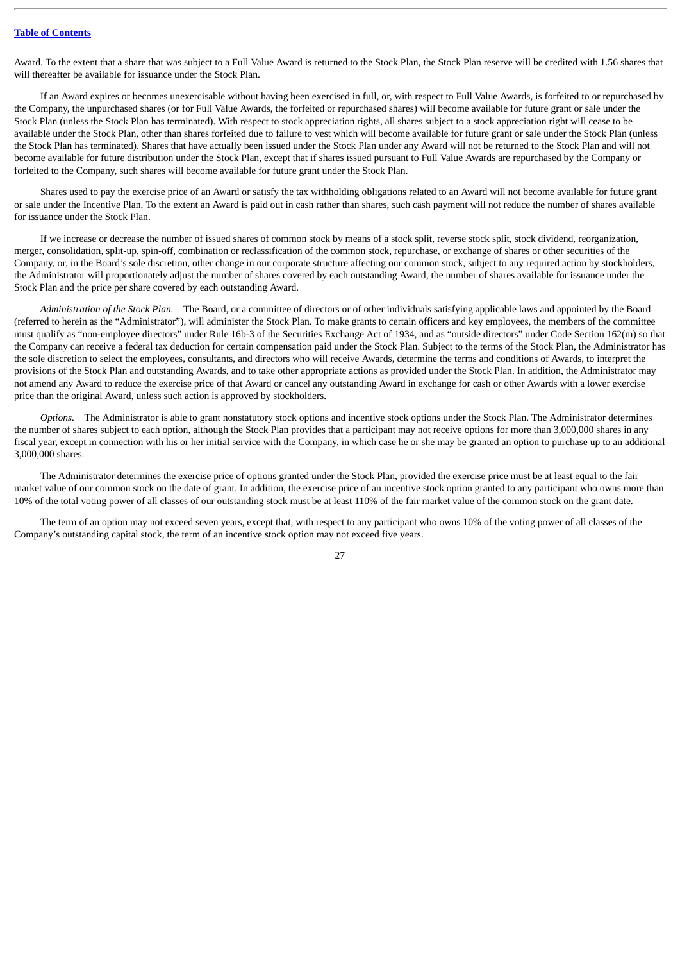Award. To the extent that a share that was subject to a Full Value Award is returned to the Stock Plan, the Stock Plan reserve will be credited with 1.56 shares that will thereafter be available for issuance under the Stock Plan.

If an Award expires or becomes unexercisable without having been exercised in full, or, with respect to Full Value Awards, is forfeited to or repurchased by the Company, the unpurchased shares (or for Full Value Awards, the forfeited or repurchased shares) will become available for future grant or sale under the Stock Plan (unless the Stock Plan has terminated). With respect to stock appreciation rights, all shares subject to a stock appreciation right will cease to be available under the Stock Plan, other than shares forfeited due to failure to vest which will become available for future grant or sale under the Stock Plan (unless the Stock Plan has terminated). Shares that have actually been issued under the Stock Plan under any Award will not be returned to the Stock Plan and will not become available for future distribution under the Stock Plan, except that if shares issued pursuant to Full Value Awards are repurchased by the Company or forfeited to the Company, such shares will become available for future grant under the Stock Plan.

Shares used to pay the exercise price of an Award or satisfy the tax withholding obligations related to an Award will not become available for future grant or sale under the Incentive Plan. To the extent an Award is paid out in cash rather than shares, such cash payment will not reduce the number of shares available for issuance under the Stock Plan.

If we increase or decrease the number of issued shares of common stock by means of a stock split, reverse stock split, stock dividend, reorganization, merger, consolidation, split-up, spin-off, combination or reclassification of the common stock, repurchase, or exchange of shares or other securities of the Company, or, in the Board's sole discretion, other change in our corporate structure affecting our common stock, subject to any required action by stockholders, the Administrator will proportionately adjust the number of shares covered by each outstanding Award, the number of shares available for issuance under the Stock Plan and the price per share covered by each outstanding Award.

*Administration of the Stock Plan.* The Board, or a committee of directors or of other individuals satisfying applicable laws and appointed by the Board (referred to herein as the "Administrator"), will administer the Stock Plan. To make grants to certain officers and key employees, the members of the committee must qualify as "non-employee directors" under Rule 16b-3 of the Securities Exchange Act of 1934, and as "outside directors" under Code Section 162(m) so that the Company can receive a federal tax deduction for certain compensation paid under the Stock Plan. Subject to the terms of the Stock Plan, the Administrator has the sole discretion to select the employees, consultants, and directors who will receive Awards, determine the terms and conditions of Awards, to interpret the provisions of the Stock Plan and outstanding Awards, and to take other appropriate actions as provided under the Stock Plan. In addition, the Administrator may not amend any Award to reduce the exercise price of that Award or cancel any outstanding Award in exchange for cash or other Awards with a lower exercise price than the original Award, unless such action is approved by stockholders.

*Options.* The Administrator is able to grant nonstatutory stock options and incentive stock options under the Stock Plan. The Administrator determines the number of shares subject to each option, although the Stock Plan provides that a participant may not receive options for more than 3,000,000 shares in any fiscal year, except in connection with his or her initial service with the Company, in which case he or she may be granted an option to purchase up to an additional 3,000,000 shares.

The Administrator determines the exercise price of options granted under the Stock Plan, provided the exercise price must be at least equal to the fair market value of our common stock on the date of grant. In addition, the exercise price of an incentive stock option granted to any participant who owns more than 10% of the total voting power of all classes of our outstanding stock must be at least 110% of the fair market value of the common stock on the grant date.

The term of an option may not exceed seven years, except that, with respect to any participant who owns 10% of the voting power of all classes of the Company's outstanding capital stock, the term of an incentive stock option may not exceed five years.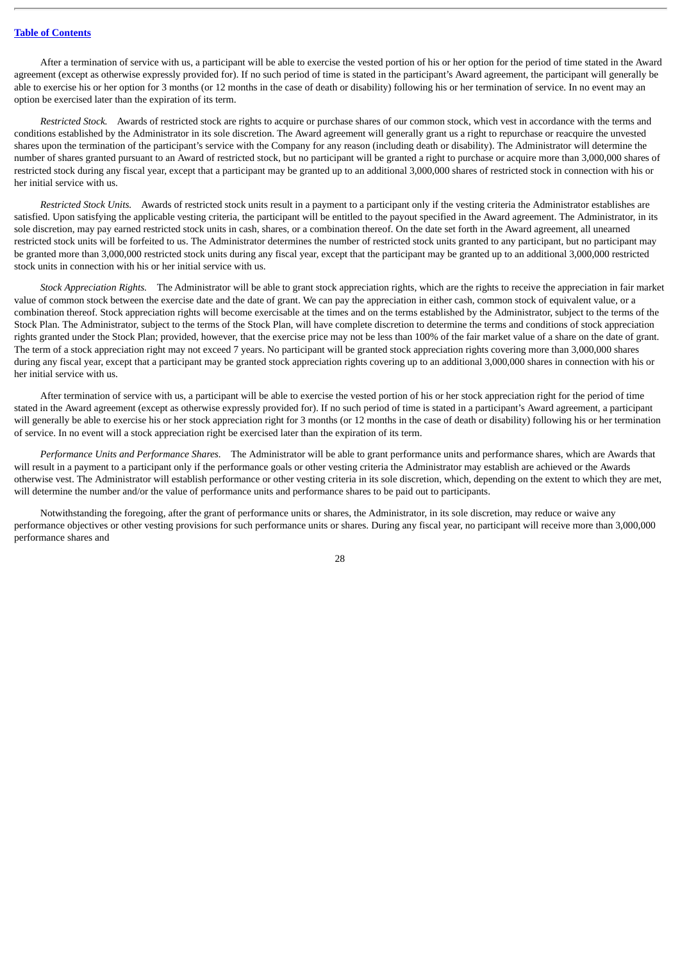After a termination of service with us, a participant will be able to exercise the vested portion of his or her option for the period of time stated in the Award agreement (except as otherwise expressly provided for). If no such period of time is stated in the participant's Award agreement, the participant will generally be able to exercise his or her option for 3 months (or 12 months in the case of death or disability) following his or her termination of service. In no event may an option be exercised later than the expiration of its term.

*Restricted Stock.* Awards of restricted stock are rights to acquire or purchase shares of our common stock, which vest in accordance with the terms and conditions established by the Administrator in its sole discretion. The Award agreement will generally grant us a right to repurchase or reacquire the unvested shares upon the termination of the participant's service with the Company for any reason (including death or disability). The Administrator will determine the number of shares granted pursuant to an Award of restricted stock, but no participant will be granted a right to purchase or acquire more than 3,000,000 shares of restricted stock during any fiscal year, except that a participant may be granted up to an additional 3,000,000 shares of restricted stock in connection with his or her initial service with us.

*Restricted Stock Units.* Awards of restricted stock units result in a payment to a participant only if the vesting criteria the Administrator establishes are satisfied. Upon satisfying the applicable vesting criteria, the participant will be entitled to the payout specified in the Award agreement. The Administrator, in its sole discretion, may pay earned restricted stock units in cash, shares, or a combination thereof. On the date set forth in the Award agreement, all unearned restricted stock units will be forfeited to us. The Administrator determines the number of restricted stock units granted to any participant, but no participant may be granted more than 3,000,000 restricted stock units during any fiscal year, except that the participant may be granted up to an additional 3,000,000 restricted stock units in connection with his or her initial service with us.

*Stock Appreciation Rights.* The Administrator will be able to grant stock appreciation rights, which are the rights to receive the appreciation in fair market value of common stock between the exercise date and the date of grant. We can pay the appreciation in either cash, common stock of equivalent value, or a combination thereof. Stock appreciation rights will become exercisable at the times and on the terms established by the Administrator, subject to the terms of the Stock Plan. The Administrator, subject to the terms of the Stock Plan, will have complete discretion to determine the terms and conditions of stock appreciation rights granted under the Stock Plan; provided, however, that the exercise price may not be less than 100% of the fair market value of a share on the date of grant. The term of a stock appreciation right may not exceed 7 years. No participant will be granted stock appreciation rights covering more than 3,000,000 shares during any fiscal year, except that a participant may be granted stock appreciation rights covering up to an additional 3,000,000 shares in connection with his or her initial service with us.

After termination of service with us, a participant will be able to exercise the vested portion of his or her stock appreciation right for the period of time stated in the Award agreement (except as otherwise expressly provided for). If no such period of time is stated in a participant's Award agreement, a participant will generally be able to exercise his or her stock appreciation right for 3 months (or 12 months in the case of death or disability) following his or her termination of service. In no event will a stock appreciation right be exercised later than the expiration of its term.

*Performance Units and Performance Shares.* The Administrator will be able to grant performance units and performance shares, which are Awards that will result in a payment to a participant only if the performance goals or other vesting criteria the Administrator may establish are achieved or the Awards otherwise vest. The Administrator will establish performance or other vesting criteria in its sole discretion, which, depending on the extent to which they are met, will determine the number and/or the value of performance units and performance shares to be paid out to participants.

Notwithstanding the foregoing, after the grant of performance units or shares, the Administrator, in its sole discretion, may reduce or waive any performance objectives or other vesting provisions for such performance units or shares. During any fiscal year, no participant will receive more than 3,000,000 performance shares and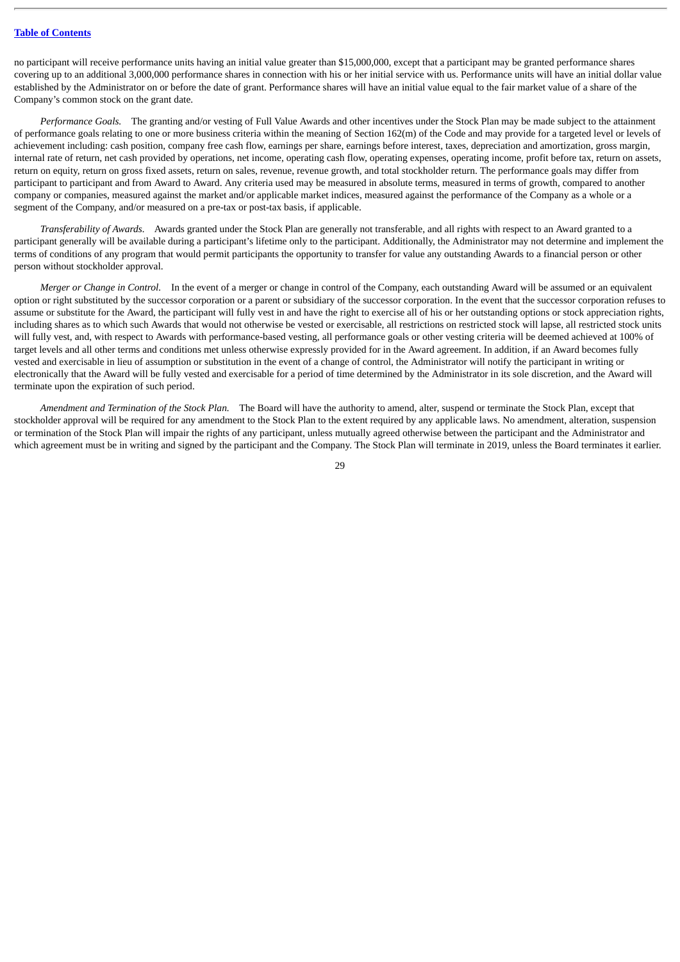no participant will receive performance units having an initial value greater than \$15,000,000, except that a participant may be granted performance shares covering up to an additional 3,000,000 performance shares in connection with his or her initial service with us. Performance units will have an initial dollar value established by the Administrator on or before the date of grant. Performance shares will have an initial value equal to the fair market value of a share of the Company's common stock on the grant date.

*Performance Goals.* The granting and/or vesting of Full Value Awards and other incentives under the Stock Plan may be made subject to the attainment of performance goals relating to one or more business criteria within the meaning of Section 162(m) of the Code and may provide for a targeted level or levels of achievement including: cash position, company free cash flow, earnings per share, earnings before interest, taxes, depreciation and amortization, gross margin, internal rate of return, net cash provided by operations, net income, operating cash flow, operating expenses, operating income, profit before tax, return on assets, return on equity, return on gross fixed assets, return on sales, revenue, revenue growth, and total stockholder return. The performance goals may differ from participant to participant and from Award to Award. Any criteria used may be measured in absolute terms, measured in terms of growth, compared to another company or companies, measured against the market and/or applicable market indices, measured against the performance of the Company as a whole or a segment of the Company, and/or measured on a pre-tax or post-tax basis, if applicable.

*Transferability of Awards.* Awards granted under the Stock Plan are generally not transferable, and all rights with respect to an Award granted to a participant generally will be available during a participant's lifetime only to the participant. Additionally, the Administrator may not determine and implement the terms of conditions of any program that would permit participants the opportunity to transfer for value any outstanding Awards to a financial person or other person without stockholder approval.

*Merger or Change in Control.* In the event of a merger or change in control of the Company, each outstanding Award will be assumed or an equivalent option or right substituted by the successor corporation or a parent or subsidiary of the successor corporation. In the event that the successor corporation refuses to assume or substitute for the Award, the participant will fully vest in and have the right to exercise all of his or her outstanding options or stock appreciation rights, including shares as to which such Awards that would not otherwise be vested or exercisable, all restrictions on restricted stock will lapse, all restricted stock units will fully vest, and, with respect to Awards with performance-based vesting, all performance goals or other vesting criteria will be deemed achieved at 100% of target levels and all other terms and conditions met unless otherwise expressly provided for in the Award agreement. In addition, if an Award becomes fully vested and exercisable in lieu of assumption or substitution in the event of a change of control, the Administrator will notify the participant in writing or electronically that the Award will be fully vested and exercisable for a period of time determined by the Administrator in its sole discretion, and the Award will terminate upon the expiration of such period.

*Amendment and Termination of the Stock Plan.* The Board will have the authority to amend, alter, suspend or terminate the Stock Plan, except that stockholder approval will be required for any amendment to the Stock Plan to the extent required by any applicable laws. No amendment, alteration, suspension or termination of the Stock Plan will impair the rights of any participant, unless mutually agreed otherwise between the participant and the Administrator and which agreement must be in writing and signed by the participant and the Company. The Stock Plan will terminate in 2019, unless the Board terminates it earlier.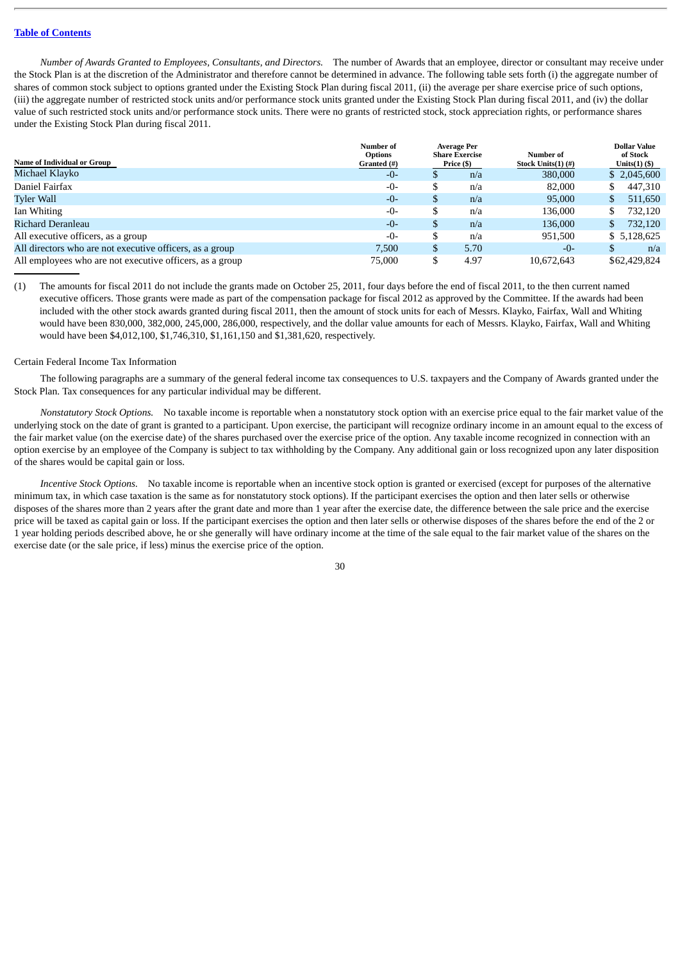*Number of Awards Granted to Employees, Consultants, and Directors.* The number of Awards that an employee, director or consultant may receive under the Stock Plan is at the discretion of the Administrator and therefore cannot be determined in advance. The following table sets forth (i) the aggregate number of shares of common stock subject to options granted under the Existing Stock Plan during fiscal 2011, (ii) the average per share exercise price of such options, (iii) the aggregate number of restricted stock units and/or performance stock units granted under the Existing Stock Plan during fiscal 2011, and (iv) the dollar value of such restricted stock units and/or performance stock units. There were no grants of restricted stock, stock appreciation rights, or performance shares under the Existing Stock Plan during fiscal 2011.

|                                                          | Number of   | <b>Average Per</b><br><b>Options</b><br>Number of<br><b>Share Exercise</b><br>Price (\$)<br>Stock Units(1) (#) |      |                 | <b>Dollar Value</b><br>of Stock |              |
|----------------------------------------------------------|-------------|----------------------------------------------------------------------------------------------------------------|------|-----------------|---------------------------------|--------------|
| Name of Individual or Group                              | Granted (#) |                                                                                                                |      | Units $(1)$ $($ |                                 |              |
| Michael Klayko                                           | -0-         | \$                                                                                                             | n/a  | 380,000         |                                 | \$2,045,600  |
| Daniel Fairfax                                           | $-0-$       | \$                                                                                                             | n/a  | 82,000          |                                 | 447,310      |
| <b>Tyler Wall</b>                                        | $-0-$       | \$                                                                                                             | n/a  | 95,000          | S.                              | 511,650      |
| Ian Whiting                                              | $-0-$       | \$                                                                                                             | n/a  | 136,000         |                                 | 732.120      |
| Richard Deranleau                                        | $-0-$       | \$                                                                                                             | n/a  | 136,000         | S.                              | 732,120      |
| All executive officers, as a group                       | $-0-$       | \$                                                                                                             | n/a  | 951,500         |                                 | \$5,128,625  |
| All directors who are not executive officers, as a group | 7.500       | \$                                                                                                             | 5.70 | $-0-$           |                                 | n/a          |
| All employees who are not executive officers, as a group | 75,000      | \$                                                                                                             | 4.97 | 10.672.643      |                                 | \$62,429,824 |

(1) The amounts for fiscal 2011 do not include the grants made on October 25, 2011, four days before the end of fiscal 2011, to the then current named executive officers. Those grants were made as part of the compensation package for fiscal 2012 as approved by the Committee. If the awards had been included with the other stock awards granted during fiscal 2011, then the amount of stock units for each of Messrs. Klayko, Fairfax, Wall and Whiting would have been 830,000, 382,000, 245,000, 286,000, respectively, and the dollar value amounts for each of Messrs. Klayko, Fairfax, Wall and Whiting would have been \$4,012,100, \$1,746,310, \$1,161,150 and \$1,381,620, respectively.

#### <span id="page-34-0"></span>Certain Federal Income Tax Information

The following paragraphs are a summary of the general federal income tax consequences to U.S. taxpayers and the Company of Awards granted under the Stock Plan. Tax consequences for any particular individual may be different.

*Nonstatutory Stock Options.* No taxable income is reportable when a nonstatutory stock option with an exercise price equal to the fair market value of the underlying stock on the date of grant is granted to a participant. Upon exercise, the participant will recognize ordinary income in an amount equal to the excess of the fair market value (on the exercise date) of the shares purchased over the exercise price of the option. Any taxable income recognized in connection with an option exercise by an employee of the Company is subject to tax withholding by the Company. Any additional gain or loss recognized upon any later disposition of the shares would be capital gain or loss.

*Incentive Stock Options.* No taxable income is reportable when an incentive stock option is granted or exercised (except for purposes of the alternative minimum tax, in which case taxation is the same as for nonstatutory stock options). If the participant exercises the option and then later sells or otherwise disposes of the shares more than 2 years after the grant date and more than 1 year after the exercise date, the difference between the sale price and the exercise price will be taxed as capital gain or loss. If the participant exercises the option and then later sells or otherwise disposes of the shares before the end of the 2 or 1 year holding periods described above, he or she generally will have ordinary income at the time of the sale equal to the fair market value of the shares on the exercise date (or the sale price, if less) minus the exercise price of the option.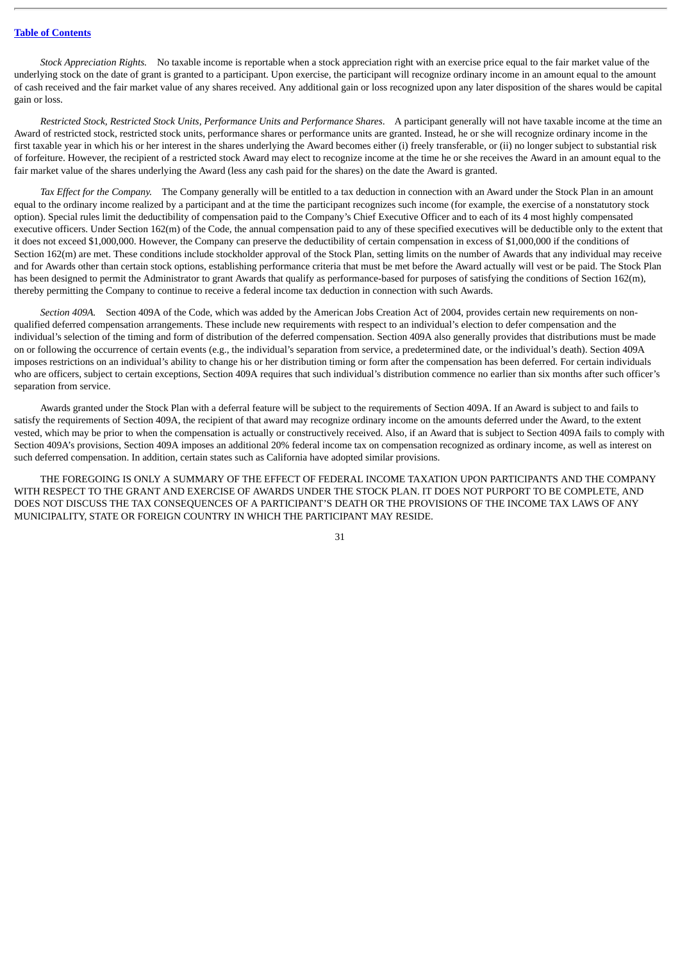*Stock Appreciation Rights.* No taxable income is reportable when a stock appreciation right with an exercise price equal to the fair market value of the underlying stock on the date of grant is granted to a participant. Upon exercise, the participant will recognize ordinary income in an amount equal to the amount of cash received and the fair market value of any shares received. Any additional gain or loss recognized upon any later disposition of the shares would be capital gain or loss.

*Restricted Stock, Restricted Stock Units, Performance Units and Performance Shares*. A participant generally will not have taxable income at the time an Award of restricted stock, restricted stock units, performance shares or performance units are granted. Instead, he or she will recognize ordinary income in the first taxable year in which his or her interest in the shares underlying the Award becomes either (i) freely transferable, or (ii) no longer subject to substantial risk of forfeiture. However, the recipient of a restricted stock Award may elect to recognize income at the time he or she receives the Award in an amount equal to the fair market value of the shares underlying the Award (less any cash paid for the shares) on the date the Award is granted.

*Tax Effect for the Company.* The Company generally will be entitled to a tax deduction in connection with an Award under the Stock Plan in an amount equal to the ordinary income realized by a participant and at the time the participant recognizes such income (for example, the exercise of a nonstatutory stock option). Special rules limit the deductibility of compensation paid to the Company's Chief Executive Officer and to each of its 4 most highly compensated executive officers. Under Section 162(m) of the Code, the annual compensation paid to any of these specified executives will be deductible only to the extent that it does not exceed \$1,000,000. However, the Company can preserve the deductibility of certain compensation in excess of \$1,000,000 if the conditions of Section 162(m) are met. These conditions include stockholder approval of the Stock Plan, setting limits on the number of Awards that any individual may receive and for Awards other than certain stock options, establishing performance criteria that must be met before the Award actually will vest or be paid. The Stock Plan has been designed to permit the Administrator to grant Awards that qualify as performance-based for purposes of satisfying the conditions of Section 162(m), thereby permitting the Company to continue to receive a federal income tax deduction in connection with such Awards.

*Section 409A.* Section 409A of the Code, which was added by the American Jobs Creation Act of 2004, provides certain new requirements on nonqualified deferred compensation arrangements. These include new requirements with respect to an individual's election to defer compensation and the individual's selection of the timing and form of distribution of the deferred compensation. Section 409A also generally provides that distributions must be made on or following the occurrence of certain events (e.g., the individual's separation from service, a predetermined date, or the individual's death). Section 409A imposes restrictions on an individual's ability to change his or her distribution timing or form after the compensation has been deferred. For certain individuals who are officers, subject to certain exceptions, Section 409A requires that such individual's distribution commence no earlier than six months after such officer's separation from service.

Awards granted under the Stock Plan with a deferral feature will be subject to the requirements of Section 409A. If an Award is subject to and fails to satisfy the requirements of Section 409A, the recipient of that award may recognize ordinary income on the amounts deferred under the Award, to the extent vested, which may be prior to when the compensation is actually or constructively received. Also, if an Award that is subject to Section 409A fails to comply with Section 409A's provisions, Section 409A imposes an additional 20% federal income tax on compensation recognized as ordinary income, as well as interest on such deferred compensation. In addition, certain states such as California have adopted similar provisions.

THE FOREGOING IS ONLY A SUMMARY OF THE EFFECT OF FEDERAL INCOME TAXATION UPON PARTICIPANTS AND THE COMPANY WITH RESPECT TO THE GRANT AND EXERCISE OF AWARDS UNDER THE STOCK PLAN. IT DOES NOT PURPORT TO BE COMPLETE, AND DOES NOT DISCUSS THE TAX CONSEQUENCES OF A PARTICIPANT'S DEATH OR THE PROVISIONS OF THE INCOME TAX LAWS OF ANY MUNICIPALITY, STATE OR FOREIGN COUNTRY IN WHICH THE PARTICIPANT MAY RESIDE.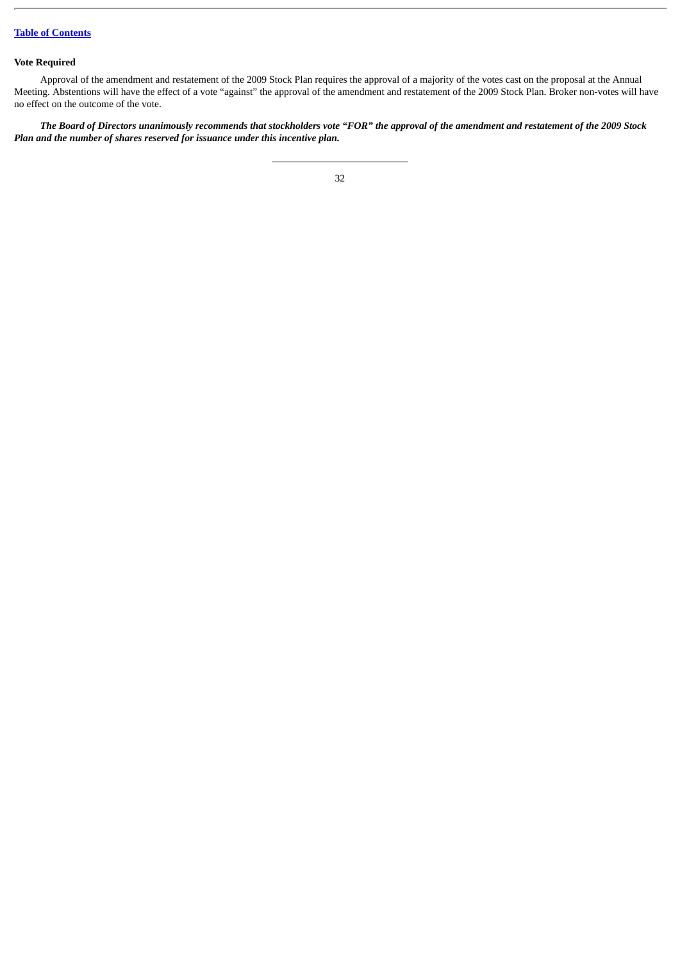# **Vote Required**

Approval of the amendment and restatement of the 2009 Stock Plan requires the approval of a majority of the votes cast on the proposal at the Annual Meeting. Abstentions will have the effect of a vote "against" the approval of the amendment and restatement of the 2009 Stock Plan. Broker non-votes will have no effect on the outcome of the vote.

*The Board of Directors unanimously recommends that stockholders vote "FOR" the approval of the amendment and restatement of the 2009 Stock Plan and the number of shares reserved for issuance under this incentive plan.*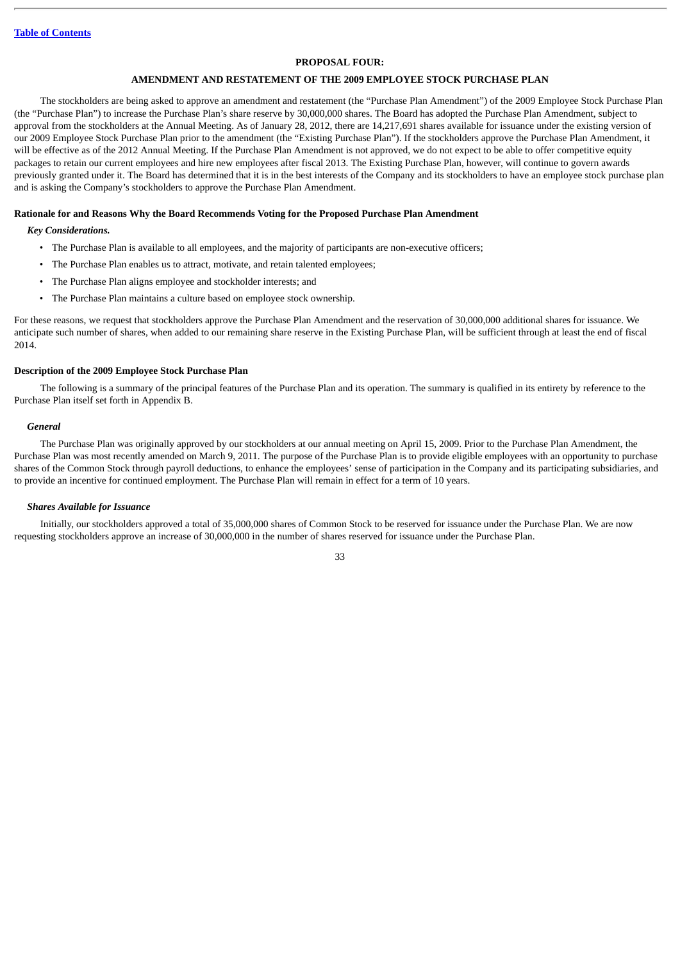### **PROPOSAL FOUR:**

### **AMENDMENT AND RESTATEMENT OF THE 2009 EMPLOYEE STOCK PURCHASE PLAN**

The stockholders are being asked to approve an amendment and restatement (the "Purchase Plan Amendment") of the 2009 Employee Stock Purchase Plan (the "Purchase Plan") to increase the Purchase Plan's share reserve by 30,000,000 shares. The Board has adopted the Purchase Plan Amendment, subject to approval from the stockholders at the Annual Meeting. As of January 28, 2012, there are 14,217,691 shares available for issuance under the existing version of our 2009 Employee Stock Purchase Plan prior to the amendment (the "Existing Purchase Plan"). If the stockholders approve the Purchase Plan Amendment, it will be effective as of the 2012 Annual Meeting. If the Purchase Plan Amendment is not approved, we do not expect to be able to offer competitive equity packages to retain our current employees and hire new employees after fiscal 2013. The Existing Purchase Plan, however, will continue to govern awards previously granted under it. The Board has determined that it is in the best interests of the Company and its stockholders to have an employee stock purchase plan and is asking the Company's stockholders to approve the Purchase Plan Amendment.

#### **Rationale for and Reasons Why the Board Recommends Voting for the Proposed Purchase Plan Amendment**

### *Key Considerations.*

- The Purchase Plan is available to all employees, and the majority of participants are non-executive officers;
- The Purchase Plan enables us to attract, motivate, and retain talented employees;
- The Purchase Plan aligns employee and stockholder interests; and
- The Purchase Plan maintains a culture based on employee stock ownership.

For these reasons, we request that stockholders approve the Purchase Plan Amendment and the reservation of 30,000,000 additional shares for issuance. We anticipate such number of shares, when added to our remaining share reserve in the Existing Purchase Plan, will be sufficient through at least the end of fiscal 2014.

#### **Description of the 2009 Employee Stock Purchase Plan**

The following is a summary of the principal features of the Purchase Plan and its operation. The summary is qualified in its entirety by reference to the Purchase Plan itself set forth in Appendix B.

#### *General*

The Purchase Plan was originally approved by our stockholders at our annual meeting on April 15, 2009. Prior to the Purchase Plan Amendment, the Purchase Plan was most recently amended on March 9, 2011. The purpose of the Purchase Plan is to provide eligible employees with an opportunity to purchase shares of the Common Stock through payroll deductions, to enhance the employees' sense of participation in the Company and its participating subsidiaries, and to provide an incentive for continued employment. The Purchase Plan will remain in effect for a term of 10 years.

### *Shares Available for Issuance*

Initially, our stockholders approved a total of 35,000,000 shares of Common Stock to be reserved for issuance under the Purchase Plan. We are now requesting stockholders approve an increase of 30,000,000 in the number of shares reserved for issuance under the Purchase Plan.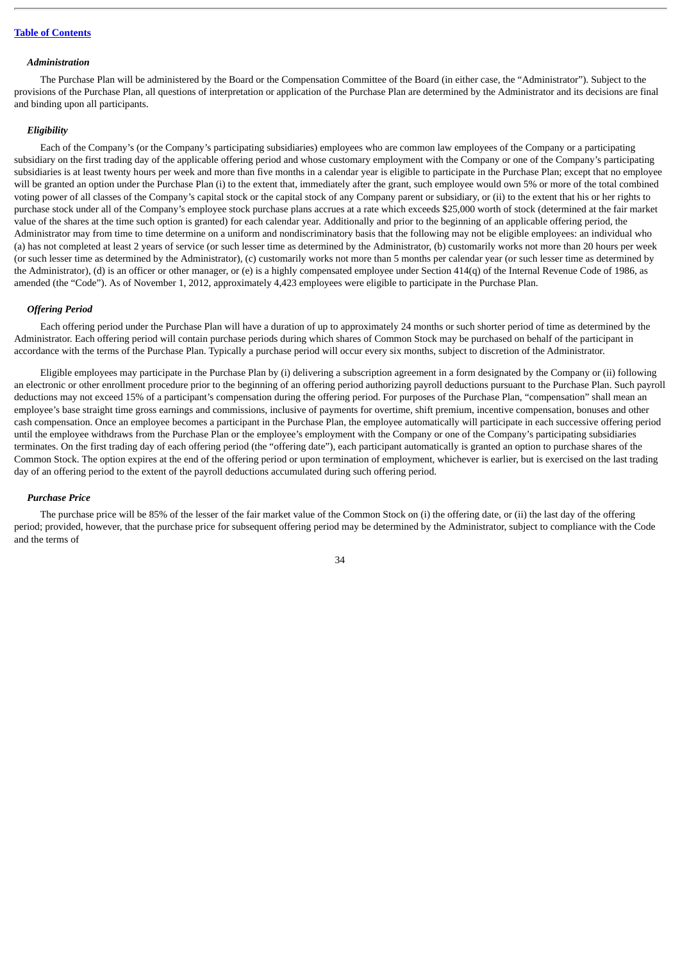#### *Administration*

The Purchase Plan will be administered by the Board or the Compensation Committee of the Board (in either case, the "Administrator"). Subject to the provisions of the Purchase Plan, all questions of interpretation or application of the Purchase Plan are determined by the Administrator and its decisions are final and binding upon all participants.

#### *Eligibility*

Each of the Company's (or the Company's participating subsidiaries) employees who are common law employees of the Company or a participating subsidiary on the first trading day of the applicable offering period and whose customary employment with the Company or one of the Company's participating subsidiaries is at least twenty hours per week and more than five months in a calendar year is eligible to participate in the Purchase Plan; except that no employee will be granted an option under the Purchase Plan (i) to the extent that, immediately after the grant, such employee would own 5% or more of the total combined voting power of all classes of the Company's capital stock or the capital stock of any Company parent or subsidiary, or (ii) to the extent that his or her rights to purchase stock under all of the Company's employee stock purchase plans accrues at a rate which exceeds \$25,000 worth of stock (determined at the fair market value of the shares at the time such option is granted) for each calendar year. Additionally and prior to the beginning of an applicable offering period, the Administrator may from time to time determine on a uniform and nondiscriminatory basis that the following may not be eligible employees: an individual who (a) has not completed at least 2 years of service (or such lesser time as determined by the Administrator, (b) customarily works not more than 20 hours per week (or such lesser time as determined by the Administrator), (c) customarily works not more than 5 months per calendar year (or such lesser time as determined by the Administrator), (d) is an officer or other manager, or (e) is a highly compensated employee under Section 414(q) of the Internal Revenue Code of 1986, as amended (the "Code"). As of November 1, 2012, approximately 4,423 employees were eligible to participate in the Purchase Plan.

#### *Offering Period*

Each offering period under the Purchase Plan will have a duration of up to approximately 24 months or such shorter period of time as determined by the Administrator. Each offering period will contain purchase periods during which shares of Common Stock may be purchased on behalf of the participant in accordance with the terms of the Purchase Plan. Typically a purchase period will occur every six months, subject to discretion of the Administrator.

Eligible employees may participate in the Purchase Plan by (i) delivering a subscription agreement in a form designated by the Company or (ii) following an electronic or other enrollment procedure prior to the beginning of an offering period authorizing payroll deductions pursuant to the Purchase Plan. Such payroll deductions may not exceed 15% of a participant's compensation during the offering period. For purposes of the Purchase Plan, "compensation" shall mean an employee's base straight time gross earnings and commissions, inclusive of payments for overtime, shift premium, incentive compensation, bonuses and other cash compensation. Once an employee becomes a participant in the Purchase Plan, the employee automatically will participate in each successive offering period until the employee withdraws from the Purchase Plan or the employee's employment with the Company or one of the Company's participating subsidiaries terminates. On the first trading day of each offering period (the "offering date"), each participant automatically is granted an option to purchase shares of the Common Stock. The option expires at the end of the offering period or upon termination of employment, whichever is earlier, but is exercised on the last trading day of an offering period to the extent of the payroll deductions accumulated during such offering period.

#### *Purchase Price*

The purchase price will be 85% of the lesser of the fair market value of the Common Stock on (i) the offering date, or (ii) the last day of the offering period; provided, however, that the purchase price for subsequent offering period may be determined by the Administrator, subject to compliance with the Code and the terms of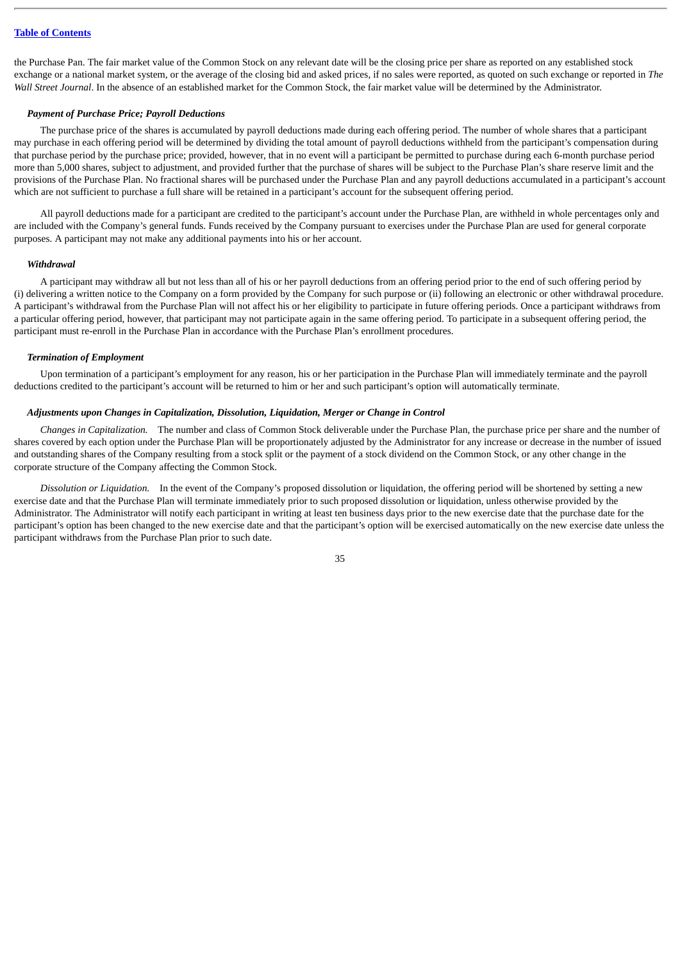the Purchase Pan. The fair market value of the Common Stock on any relevant date will be the closing price per share as reported on any established stock exchange or a national market system, or the average of the closing bid and asked prices, if no sales were reported, as quoted on such exchange or reported in *The Wall Street Journal*. In the absence of an established market for the Common Stock, the fair market value will be determined by the Administrator.

### *Payment of Purchase Price; Payroll Deductions*

The purchase price of the shares is accumulated by payroll deductions made during each offering period. The number of whole shares that a participant may purchase in each offering period will be determined by dividing the total amount of payroll deductions withheld from the participant's compensation during that purchase period by the purchase price; provided, however, that in no event will a participant be permitted to purchase during each 6-month purchase period more than 5,000 shares, subject to adjustment, and provided further that the purchase of shares will be subject to the Purchase Plan's share reserve limit and the provisions of the Purchase Plan. No fractional shares will be purchased under the Purchase Plan and any payroll deductions accumulated in a participant's account which are not sufficient to purchase a full share will be retained in a participant's account for the subsequent offering period.

All payroll deductions made for a participant are credited to the participant's account under the Purchase Plan, are withheld in whole percentages only and are included with the Company's general funds. Funds received by the Company pursuant to exercises under the Purchase Plan are used for general corporate purposes. A participant may not make any additional payments into his or her account.

#### *Withdrawal*

A participant may withdraw all but not less than all of his or her payroll deductions from an offering period prior to the end of such offering period by (i) delivering a written notice to the Company on a form provided by the Company for such purpose or (ii) following an electronic or other withdrawal procedure. A participant's withdrawal from the Purchase Plan will not affect his or her eligibility to participate in future offering periods. Once a participant withdraws from a particular offering period, however, that participant may not participate again in the same offering period. To participate in a subsequent offering period, the participant must re-enroll in the Purchase Plan in accordance with the Purchase Plan's enrollment procedures.

#### *Termination of Employment*

Upon termination of a participant's employment for any reason, his or her participation in the Purchase Plan will immediately terminate and the payroll deductions credited to the participant's account will be returned to him or her and such participant's option will automatically terminate.

#### *Adjustments upon Changes in Capitalization, Dissolution, Liquidation, Merger or Change in Control*

*Changes in Capitalization.* The number and class of Common Stock deliverable under the Purchase Plan, the purchase price per share and the number of shares covered by each option under the Purchase Plan will be proportionately adjusted by the Administrator for any increase or decrease in the number of issued and outstanding shares of the Company resulting from a stock split or the payment of a stock dividend on the Common Stock, or any other change in the corporate structure of the Company affecting the Common Stock.

*Dissolution or Liquidation.* In the event of the Company's proposed dissolution or liquidation, the offering period will be shortened by setting a new exercise date and that the Purchase Plan will terminate immediately prior to such proposed dissolution or liquidation, unless otherwise provided by the Administrator. The Administrator will notify each participant in writing at least ten business days prior to the new exercise date that the purchase date for the participant's option has been changed to the new exercise date and that the participant's option will be exercised automatically on the new exercise date unless the participant withdraws from the Purchase Plan prior to such date.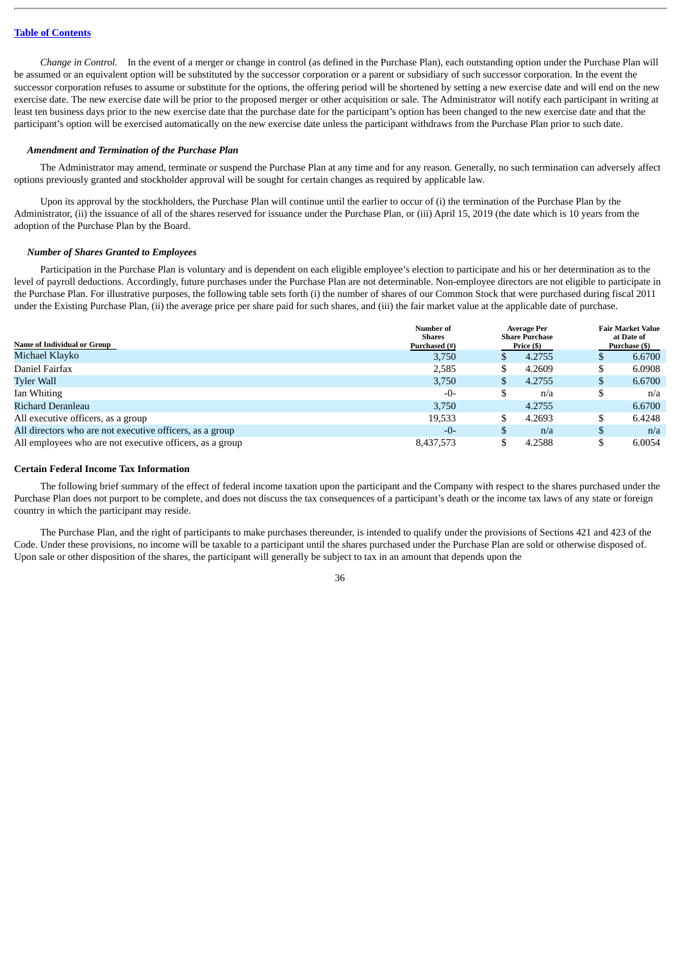*Change in Control.* In the event of a merger or change in control (as defined in the Purchase Plan), each outstanding option under the Purchase Plan will be assumed or an equivalent option will be substituted by the successor corporation or a parent or subsidiary of such successor corporation. In the event the successor corporation refuses to assume or substitute for the options, the offering period will be shortened by setting a new exercise date and will end on the new exercise date. The new exercise date will be prior to the proposed merger or other acquisition or sale. The Administrator will notify each participant in writing at least ten business days prior to the new exercise date that the purchase date for the participant's option has been changed to the new exercise date and that the participant's option will be exercised automatically on the new exercise date unless the participant withdraws from the Purchase Plan prior to such date.

#### *Amendment and Termination of the Purchase Plan*

The Administrator may amend, terminate or suspend the Purchase Plan at any time and for any reason. Generally, no such termination can adversely affect options previously granted and stockholder approval will be sought for certain changes as required by applicable law.

Upon its approval by the stockholders, the Purchase Plan will continue until the earlier to occur of (i) the termination of the Purchase Plan by the Administrator, (ii) the issuance of all of the shares reserved for issuance under the Purchase Plan, or (iii) April 15, 2019 (the date which is 10 years from the adoption of the Purchase Plan by the Board.

#### *Number of Shares Granted to Employees*

Participation in the Purchase Plan is voluntary and is dependent on each eligible employee's election to participate and his or her determination as to the level of payroll deductions. Accordingly, future purchases under the Purchase Plan are not determinable. Non-employee directors are not eligible to participate in the Purchase Plan. For illustrative purposes, the following table sets forth (i) the number of shares of our Common Stock that were purchased during fiscal 2011 under the Existing Purchase Plan, (ii) the average price per share paid for such shares, and (iii) the fair market value at the applicable date of purchase.

|                                                          | Number of<br><b>Shares</b> |    | <b>Average Per</b><br><b>Share Purchase</b> |    | <b>Fair Market Value</b><br>at Date of |  |
|----------------------------------------------------------|----------------------------|----|---------------------------------------------|----|----------------------------------------|--|
| Name of Individual or Group                              | Purchased (#)              |    | Price (\$)                                  |    | Purchase (\$)                          |  |
| Michael Klavko                                           | 3.750                      | S  | 4.2755                                      |    | 6.6700                                 |  |
| Daniel Fairfax                                           | 2,585                      | \$ | 4.2609                                      |    | 6.0908                                 |  |
| <b>Tyler Wall</b>                                        | 3,750                      | S  | 4.2755                                      | S  | 6.6700                                 |  |
| Ian Whiting                                              | $-0-$                      | S  | n/a                                         | ۵D | n/a                                    |  |
| Richard Deranleau                                        | 3,750                      |    | 4.2755                                      |    | 6.6700                                 |  |
| All executive officers, as a group                       | 19,533                     | \$ | 4.2693                                      |    | 6.4248                                 |  |
| All directors who are not executive officers, as a group | $-0-$                      | S  | n/a                                         |    | n/a                                    |  |
| All employees who are not executive officers, as a group | 8,437,573                  | \$ | 4.2588                                      |    | 6.0054                                 |  |

### **Certain Federal Income Tax Information**

The following brief summary of the effect of federal income taxation upon the participant and the Company with respect to the shares purchased under the Purchase Plan does not purport to be complete, and does not discuss the tax consequences of a participant's death or the income tax laws of any state or foreign country in which the participant may reside.

The Purchase Plan, and the right of participants to make purchases thereunder, is intended to qualify under the provisions of Sections 421 and 423 of the Code. Under these provisions, no income will be taxable to a participant until the shares purchased under the Purchase Plan are sold or otherwise disposed of. Upon sale or other disposition of the shares, the participant will generally be subject to tax in an amount that depends upon the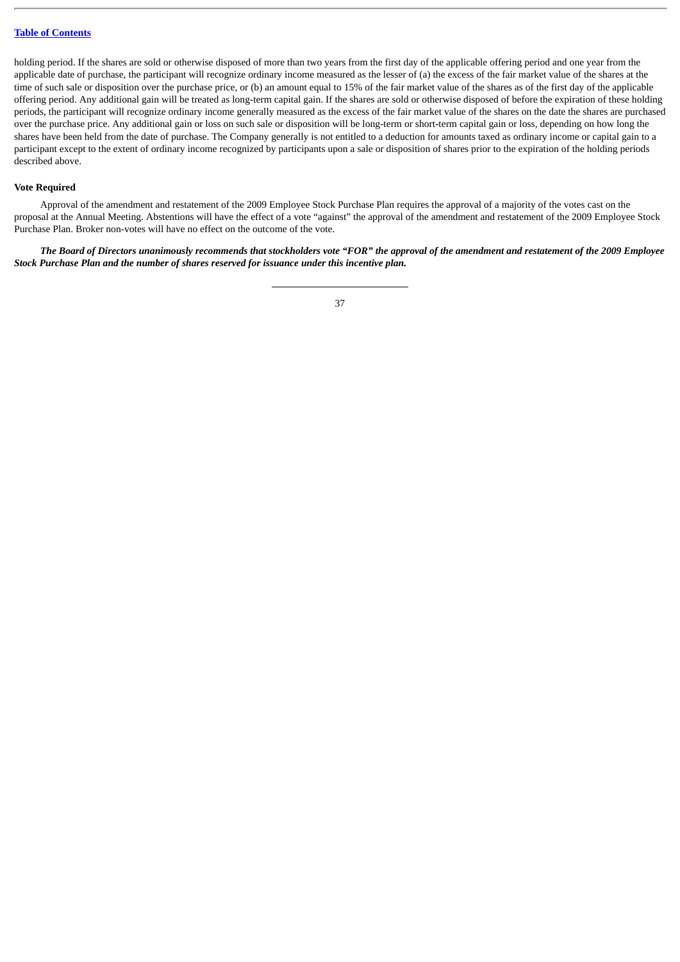holding period. If the shares are sold or otherwise disposed of more than two years from the first day of the applicable offering period and one year from the applicable date of purchase, the participant will recognize ordinary income measured as the lesser of (a) the excess of the fair market value of the shares at the time of such sale or disposition over the purchase price, or (b) an amount equal to 15% of the fair market value of the shares as of the first day of the applicable offering period. Any additional gain will be treated as long-term capital gain. If the shares are sold or otherwise disposed of before the expiration of these holding periods, the participant will recognize ordinary income generally measured as the excess of the fair market value of the shares on the date the shares are purchased over the purchase price. Any additional gain or loss on such sale or disposition will be long-term or short-term capital gain or loss, depending on how long the shares have been held from the date of purchase. The Company generally is not entitled to a deduction for amounts taxed as ordinary income or capital gain to a participant except to the extent of ordinary income recognized by participants upon a sale or disposition of shares prior to the expiration of the holding periods described above.

#### **Vote Required**

Approval of the amendment and restatement of the 2009 Employee Stock Purchase Plan requires the approval of a majority of the votes cast on the proposal at the Annual Meeting. Abstentions will have the effect of a vote "against" the approval of the amendment and restatement of the 2009 Employee Stock Purchase Plan. Broker non-votes will have no effect on the outcome of the vote.

*The Board of Directors unanimously recommends that stockholders vote "FOR" the approval of the amendment and restatement of the 2009 Employee Stock Purchase Plan and the number of shares reserved for issuance under this incentive plan.*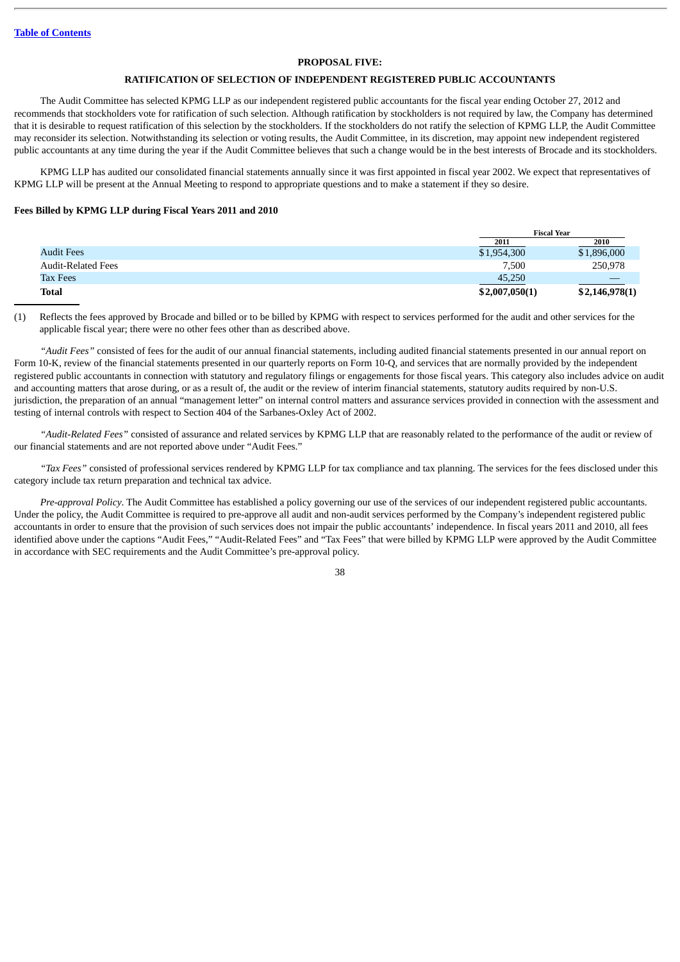### **PROPOSAL FIVE:**

### **RATIFICATION OF SELECTION OF INDEPENDENT REGISTERED PUBLIC ACCOUNTANTS**

The Audit Committee has selected KPMG LLP as our independent registered public accountants for the fiscal year ending October 27, 2012 and recommends that stockholders vote for ratification of such selection. Although ratification by stockholders is not required by law, the Company has determined that it is desirable to request ratification of this selection by the stockholders. If the stockholders do not ratify the selection of KPMG LLP, the Audit Committee may reconsider its selection. Notwithstanding its selection or voting results, the Audit Committee, in its discretion, may appoint new independent registered public accountants at any time during the year if the Audit Committee believes that such a change would be in the best interests of Brocade and its stockholders.

KPMG LLP has audited our consolidated financial statements annually since it was first appointed in fiscal year 2002. We expect that representatives of KPMG LLP will be present at the Annual Meeting to respond to appropriate questions and to make a statement if they so desire.

#### **Fees Billed by KPMG LLP during Fiscal Years 2011 and 2010**

|                           | <b>Fiscal Year</b> |                |
|---------------------------|--------------------|----------------|
|                           | 2011               | 2010           |
| <b>Audit Fees</b>         | \$1,954,300        | \$1,896,000    |
| <b>Audit-Related Fees</b> | 7,500              | 250,978        |
| <b>Tax Fees</b>           | 45,250             |                |
| <b>Total</b>              | \$2,007,050(1)     | \$2,146,978(1) |

(1) Reflects the fees approved by Brocade and billed or to be billed by KPMG with respect to services performed for the audit and other services for the applicable fiscal year; there were no other fees other than as described above.

*"Audit Fees"* consisted of fees for the audit of our annual financial statements, including audited financial statements presented in our annual report on Form 10-K, review of the financial statements presented in our quarterly reports on Form 10-Q, and services that are normally provided by the independent registered public accountants in connection with statutory and regulatory filings or engagements for those fiscal years. This category also includes advice on audit and accounting matters that arose during, or as a result of, the audit or the review of interim financial statements, statutory audits required by non-U.S. jurisdiction, the preparation of an annual "management letter" on internal control matters and assurance services provided in connection with the assessment and testing of internal controls with respect to Section 404 of the Sarbanes-Oxley Act of 2002.

*"Audit-Related Fees"* consisted of assurance and related services by KPMG LLP that are reasonably related to the performance of the audit or review of our financial statements and are not reported above under "Audit Fees."

*"Tax Fees"* consisted of professional services rendered by KPMG LLP for tax compliance and tax planning. The services for the fees disclosed under this category include tax return preparation and technical tax advice.

*Pre-approval Policy*. The Audit Committee has established a policy governing our use of the services of our independent registered public accountants. Under the policy, the Audit Committee is required to pre-approve all audit and non-audit services performed by the Company's independent registered public accountants in order to ensure that the provision of such services does not impair the public accountants' independence. In fiscal years 2011 and 2010, all fees identified above under the captions "Audit Fees," "Audit-Related Fees" and "Tax Fees" that were billed by KPMG LLP were approved by the Audit Committee in accordance with SEC requirements and the Audit Committee's pre-approval policy.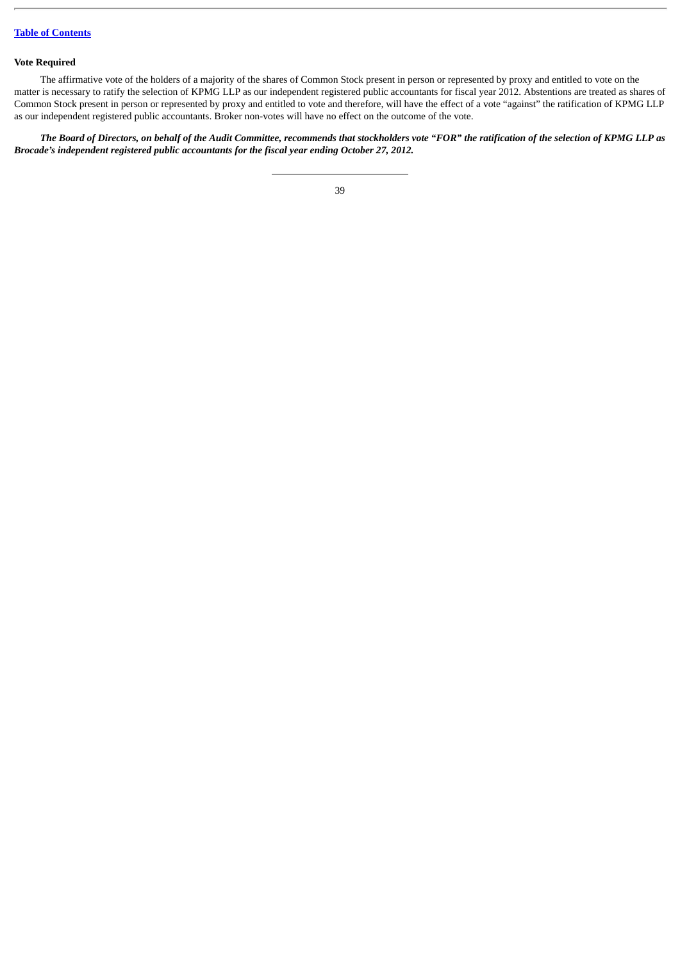# **Vote Required**

The affirmative vote of the holders of a majority of the shares of Common Stock present in person or represented by proxy and entitled to vote on the matter is necessary to ratify the selection of KPMG LLP as our independent registered public accountants for fiscal year 2012. Abstentions are treated as shares of Common Stock present in person or represented by proxy and entitled to vote and therefore, will have the effect of a vote "against" the ratification of KPMG LLP as our independent registered public accountants. Broker non-votes will have no effect on the outcome of the vote.

*The Board of Directors, on behalf of the Audit Committee, recommends that stockholders vote "FOR" the ratification of the selection of KPMG LLP as Brocade's independent registered public accountants for the fiscal year ending October 27, 2012.*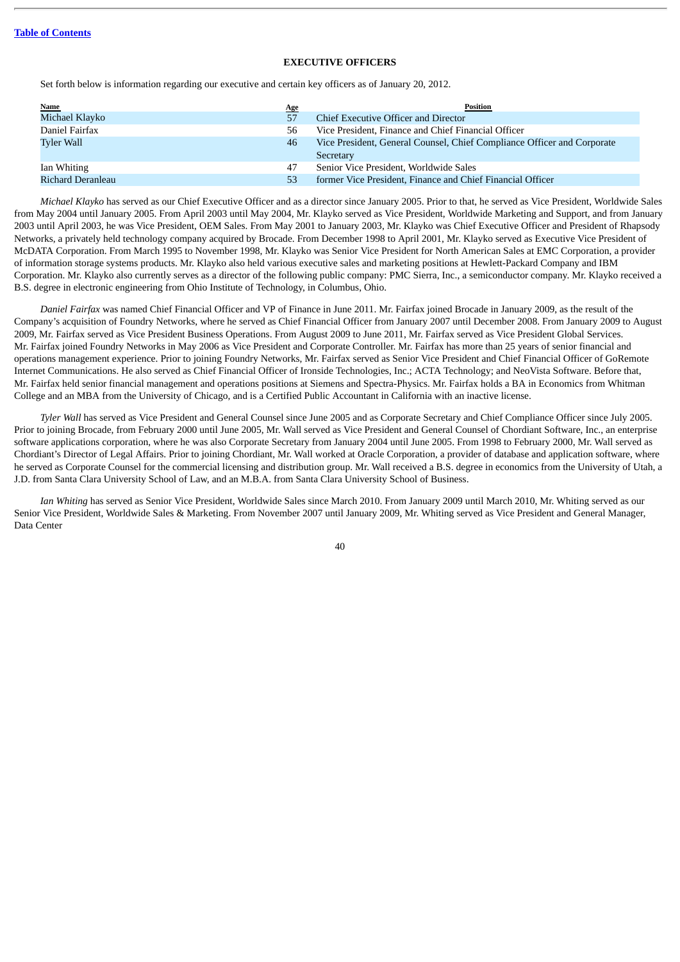### **EXECUTIVE OFFICERS**

Set forth below is information regarding our executive and certain key officers as of January 20, 2012.

| <b>Name</b>       | <u>Age</u> | Position                                                                |
|-------------------|------------|-------------------------------------------------------------------------|
| Michael Klayko    | 57         | Chief Executive Officer and Director                                    |
| Daniel Fairfax    | 56         | Vice President, Finance and Chief Financial Officer                     |
| Tyler Wall        | 46         | Vice President, General Counsel, Chief Compliance Officer and Corporate |
|                   |            | Secretary                                                               |
| Ian Whiting       | 47         | Senior Vice President, Worldwide Sales                                  |
| Richard Deranleau | 53         | former Vice President, Finance and Chief Financial Officer              |

*Michael Klayko* has served as our Chief Executive Officer and as a director since January 2005. Prior to that, he served as Vice President, Worldwide Sales from May 2004 until January 2005. From April 2003 until May 2004, Mr. Klayko served as Vice President, Worldwide Marketing and Support, and from January 2003 until April 2003, he was Vice President, OEM Sales. From May 2001 to January 2003, Mr. Klayko was Chief Executive Officer and President of Rhapsody Networks, a privately held technology company acquired by Brocade. From December 1998 to April 2001, Mr. Klayko served as Executive Vice President of McDATA Corporation. From March 1995 to November 1998, Mr. Klayko was Senior Vice President for North American Sales at EMC Corporation, a provider of information storage systems products. Mr. Klayko also held various executive sales and marketing positions at Hewlett-Packard Company and IBM Corporation. Mr. Klayko also currently serves as a director of the following public company: PMC Sierra, Inc., a semiconductor company. Mr. Klayko received a B.S. degree in electronic engineering from Ohio Institute of Technology, in Columbus, Ohio.

*Daniel Fairfax* was named Chief Financial Officer and VP of Finance in June 2011. Mr. Fairfax joined Brocade in January 2009, as the result of the Company's acquisition of Foundry Networks, where he served as Chief Financial Officer from January 2007 until December 2008. From January 2009 to August 2009, Mr. Fairfax served as Vice President Business Operations. From August 2009 to June 2011, Mr. Fairfax served as Vice President Global Services. Mr. Fairfax joined Foundry Networks in May 2006 as Vice President and Corporate Controller. Mr. Fairfax has more than 25 years of senior financial and operations management experience. Prior to joining Foundry Networks, Mr. Fairfax served as Senior Vice President and Chief Financial Officer of GoRemote Internet Communications. He also served as Chief Financial Officer of Ironside Technologies, Inc.; ACTA Technology; and NeoVista Software. Before that, Mr. Fairfax held senior financial management and operations positions at Siemens and Spectra-Physics. Mr. Fairfax holds a BA in Economics from Whitman College and an MBA from the University of Chicago, and is a Certified Public Accountant in California with an inactive license.

*Tyler Wall* has served as Vice President and General Counsel since June 2005 and as Corporate Secretary and Chief Compliance Officer since July 2005. Prior to joining Brocade, from February 2000 until June 2005, Mr. Wall served as Vice President and General Counsel of Chordiant Software, Inc., an enterprise software applications corporation, where he was also Corporate Secretary from January 2004 until June 2005. From 1998 to February 2000, Mr. Wall served as Chordiant's Director of Legal Affairs. Prior to joining Chordiant, Mr. Wall worked at Oracle Corporation, a provider of database and application software, where he served as Corporate Counsel for the commercial licensing and distribution group. Mr. Wall received a B.S. degree in economics from the University of Utah, a J.D. from Santa Clara University School of Law, and an M.B.A. from Santa Clara University School of Business.

*Ian Whiting* has served as Senior Vice President, Worldwide Sales since March 2010. From January 2009 until March 2010, Mr. Whiting served as our Senior Vice President, Worldwide Sales & Marketing. From November 2007 until January 2009, Mr. Whiting served as Vice President and General Manager, Data Center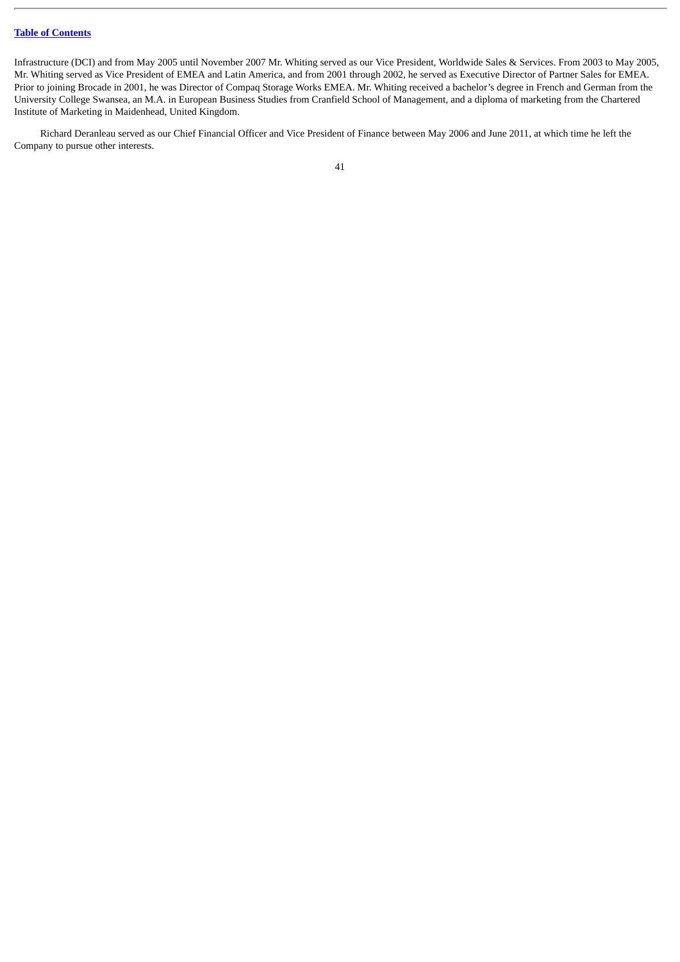Infrastructure (DCI) and from May 2005 until November 2007 Mr. Whiting served as our Vice President, Worldwide Sales & Services. From 2003 to May 2005, Mr. Whiting served as Vice President of EMEA and Latin America, and from 2001 through 2002, he served as Executive Director of Partner Sales for EMEA. Prior to joining Brocade in 2001, he was Director of Compaq Storage Works EMEA. Mr. Whiting received a bachelor's degree in French and German from the University College Swansea, an M.A. in European Business Studies from Cranfield School of Management, and a diploma of marketing from the Chartered Institute of Marketing in Maidenhead, United Kingdom.

Richard Deranleau served as our Chief Financial Officer and Vice President of Finance between May 2006 and June 2011, at which time he left the Company to pursue other interests.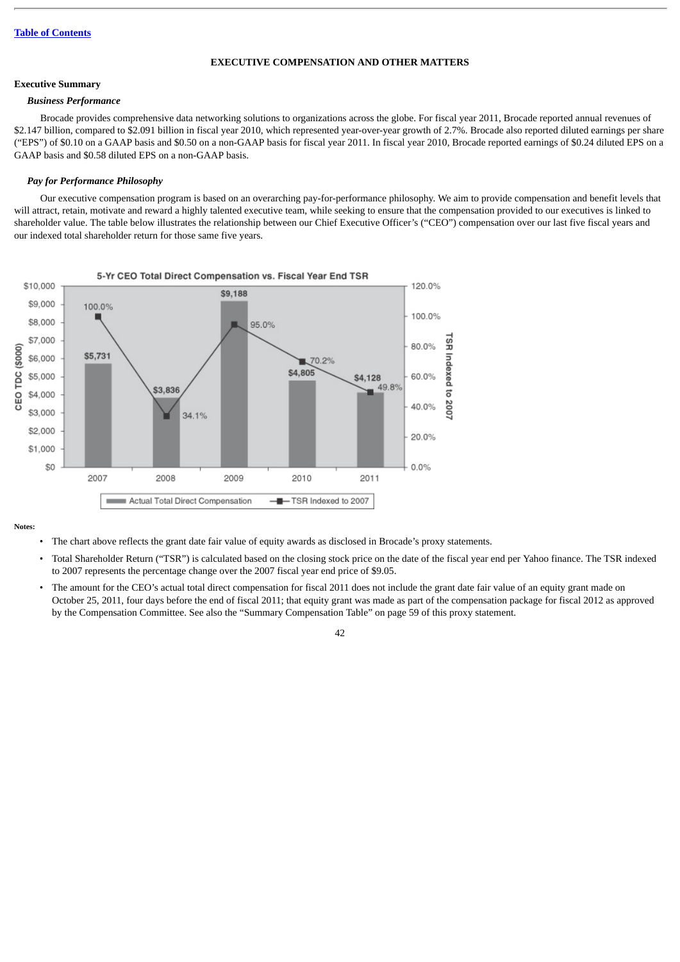### **EXECUTIVE COMPENSATION AND OTHER MATTERS**

# **Executive Summary**

#### *Business Performance*

Brocade provides comprehensive data networking solutions to organizations across the globe. For fiscal year 2011, Brocade reported annual revenues of \$2.147 billion, compared to \$2.091 billion in fiscal year 2010, which represented year-over-year growth of 2.7%. Brocade also reported diluted earnings per share ("EPS") of \$0.10 on a GAAP basis and \$0.50 on a non-GAAP basis for fiscal year 2011. In fiscal year 2010, Brocade reported earnings of \$0.24 diluted EPS on a GAAP basis and \$0.58 diluted EPS on a non-GAAP basis.

### *Pay for Performance Philosophy*

Our executive compensation program is based on an overarching pay-for-performance philosophy. We aim to provide compensation and benefit levels that will attract, retain, motivate and reward a highly talented executive team, while seeking to ensure that the compensation provided to our executives is linked to shareholder value. The table below illustrates the relationship between our Chief Executive Officer's ("CEO") compensation over our last five fiscal years and our indexed total shareholder return for those same five years.



**Notes:**

- The chart above reflects the grant date fair value of equity awards as disclosed in Brocade's proxy statements.
- Total Shareholder Return ("TSR") is calculated based on the closing stock price on the date of the fiscal year end per Yahoo finance. The TSR indexed to 2007 represents the percentage change over the 2007 fiscal year end price of \$9.05.
- The amount for the CEO's actual total direct compensation for fiscal 2011 does not include the grant date fair value of an equity grant made on October 25, 2011, four days before the end of fiscal 2011; that equity grant was made as part of the compensation package for fiscal 2012 as approved by the Compensation Committee. See also the "Summary Compensation Table" on page 59 of this proxy statement.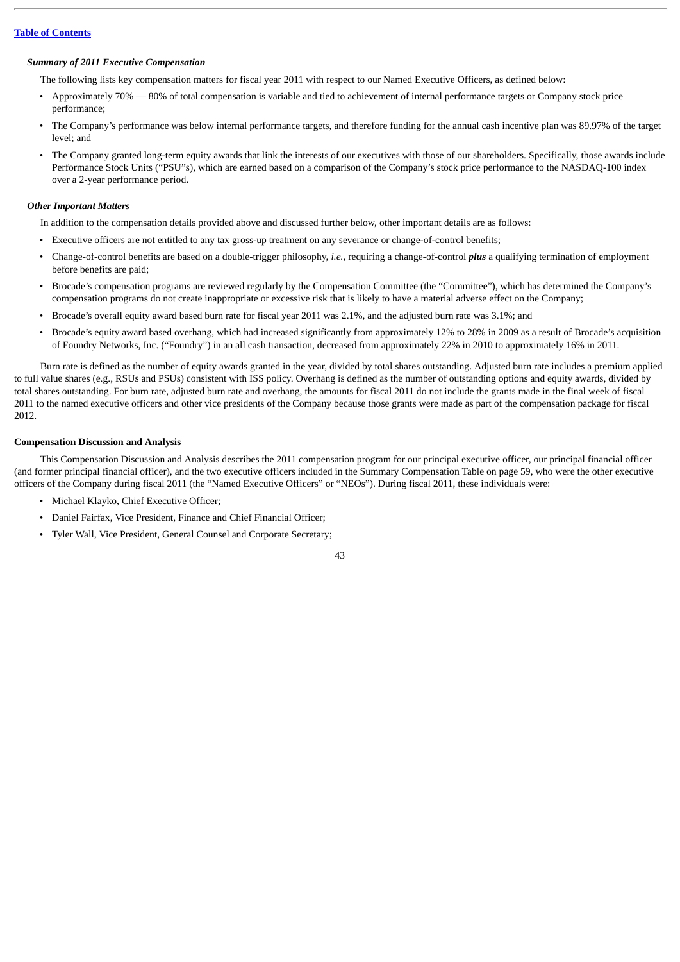#### *Summary of 2011 Executive Compensation*

The following lists key compensation matters for fiscal year 2011 with respect to our Named Executive Officers, as defined below:

- Approximately 70% 80% of total compensation is variable and tied to achievement of internal performance targets or Company stock price performance;
- The Company's performance was below internal performance targets, and therefore funding for the annual cash incentive plan was 89.97% of the target level; and
- The Company granted long-term equity awards that link the interests of our executives with those of our shareholders. Specifically, those awards include Performance Stock Units ("PSU"s), which are earned based on a comparison of the Company's stock price performance to the NASDAQ-100 index over a 2-year performance period.

#### *Other Important Matters*

In addition to the compensation details provided above and discussed further below, other important details are as follows:

- Executive officers are not entitled to any tax gross-up treatment on any severance or change-of-control benefits;
- Change-of-control benefits are based on a double-trigger philosophy, *i.e.*, requiring a change-of-control *plus* a qualifying termination of employment before benefits are paid;
- Brocade's compensation programs are reviewed regularly by the Compensation Committee (the "Committee"), which has determined the Company's compensation programs do not create inappropriate or excessive risk that is likely to have a material adverse effect on the Company;
- Brocade's overall equity award based burn rate for fiscal year 2011 was 2.1%, and the adjusted burn rate was 3.1%; and
- Brocade's equity award based overhang, which had increased significantly from approximately 12% to 28% in 2009 as a result of Brocade's acquisition of Foundry Networks, Inc. ("Foundry") in an all cash transaction, decreased from approximately 22% in 2010 to approximately 16% in 2011.

Burn rate is defined as the number of equity awards granted in the year, divided by total shares outstanding. Adjusted burn rate includes a premium applied to full value shares (e.g., RSUs and PSUs) consistent with ISS policy. Overhang is defined as the number of outstanding options and equity awards, divided by total shares outstanding. For burn rate, adjusted burn rate and overhang, the amounts for fiscal 2011 do not include the grants made in the final week of fiscal 2011 to the named executive officers and other vice presidents of the Company because those grants were made as part of the compensation package for fiscal 2012.

### **Compensation Discussion and Analysis**

This Compensation Discussion and Analysis describes the 2011 compensation program for our principal executive officer, our principal financial officer (and former principal financial officer), and the two executive officers included in the Summary Compensation Table on page 59, who were the other executive officers of the Company during fiscal 2011 (the "Named Executive Officers" or "NEOs"). During fiscal 2011, these individuals were:

- Michael Klayko, Chief Executive Officer;
- Daniel Fairfax, Vice President, Finance and Chief Financial Officer;
- Tyler Wall, Vice President, General Counsel and Corporate Secretary;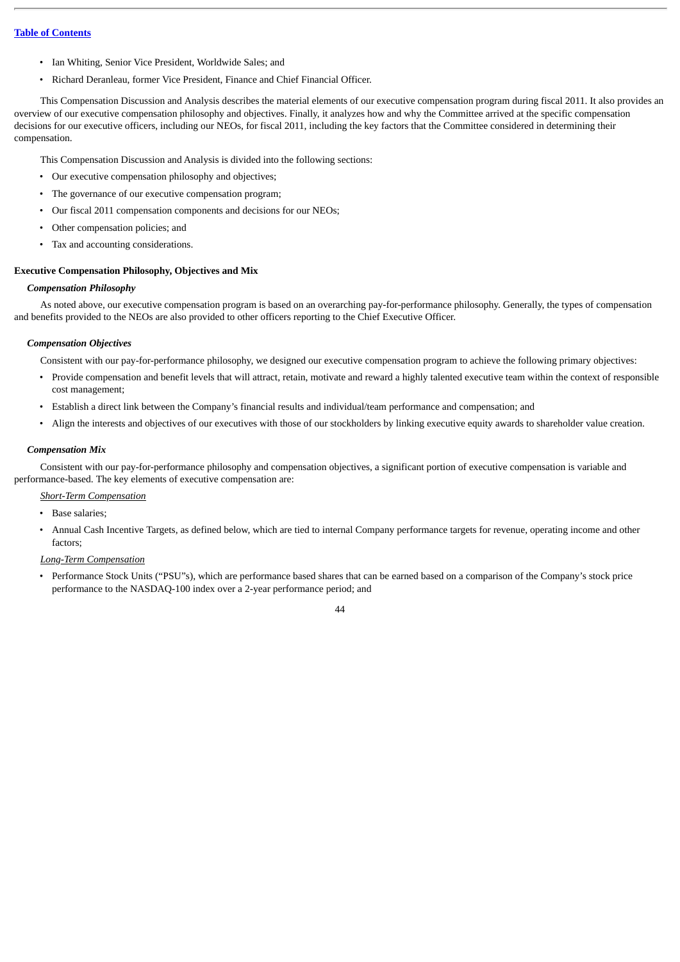- Ian Whiting, Senior Vice President, Worldwide Sales; and
- Richard Deranleau, former Vice President, Finance and Chief Financial Officer.

This Compensation Discussion and Analysis describes the material elements of our executive compensation program during fiscal 2011. It also provides an overview of our executive compensation philosophy and objectives. Finally, it analyzes how and why the Committee arrived at the specific compensation decisions for our executive officers, including our NEOs, for fiscal 2011, including the key factors that the Committee considered in determining their compensation.

This Compensation Discussion and Analysis is divided into the following sections:

- Our executive compensation philosophy and objectives;
- The governance of our executive compensation program;
- Our fiscal 2011 compensation components and decisions for our NEOs;
- Other compensation policies; and
- Tax and accounting considerations.

### **Executive Compensation Philosophy, Objectives and Mix**

### *Compensation Philosophy*

As noted above, our executive compensation program is based on an overarching pay-for-performance philosophy. Generally, the types of compensation and benefits provided to the NEOs are also provided to other officers reporting to the Chief Executive Officer.

### *Compensation Objectives*

Consistent with our pay-for-performance philosophy, we designed our executive compensation program to achieve the following primary objectives:

- Provide compensation and benefit levels that will attract, retain, motivate and reward a highly talented executive team within the context of responsible cost management;
- Establish a direct link between the Company's financial results and individual/team performance and compensation; and
- Align the interests and objectives of our executives with those of our stockholders by linking executive equity awards to shareholder value creation.

### *Compensation Mix*

Consistent with our pay-for-performance philosophy and compensation objectives, a significant portion of executive compensation is variable and performance-based. The key elements of executive compensation are:

### *Short-Term Compensation*

- Base salaries;
- Annual Cash Incentive Targets, as defined below, which are tied to internal Company performance targets for revenue, operating income and other factors;

### *Long-Term Compensation*

• Performance Stock Units ("PSU"s), which are performance based shares that can be earned based on a comparison of the Company's stock price performance to the NASDAQ-100 index over a 2-year performance period; and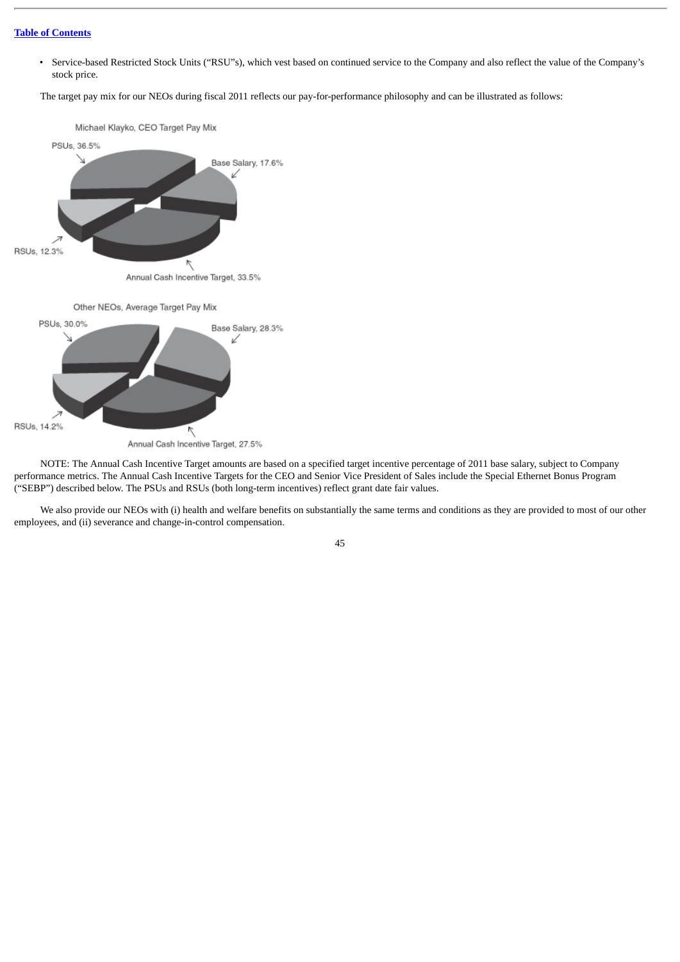• Service-based Restricted Stock Units ("RSU"s), which vest based on continued service to the Company and also reflect the value of the Company's stock price.

The target pay mix for our NEOs during fiscal 2011 reflects our pay-for-performance philosophy and can be illustrated as follows:



NOTE: The Annual Cash Incentive Target amounts are based on a specified target incentive percentage of 2011 base salary, subject to Company performance metrics. The Annual Cash Incentive Targets for the CEO and Senior Vice President of Sales include the Special Ethernet Bonus Program ("SEBP") described below. The PSUs and RSUs (both long-term incentives) reflect grant date fair values.

We also provide our NEOs with (i) health and welfare benefits on substantially the same terms and conditions as they are provided to most of our other employees, and (ii) severance and change-in-control compensation.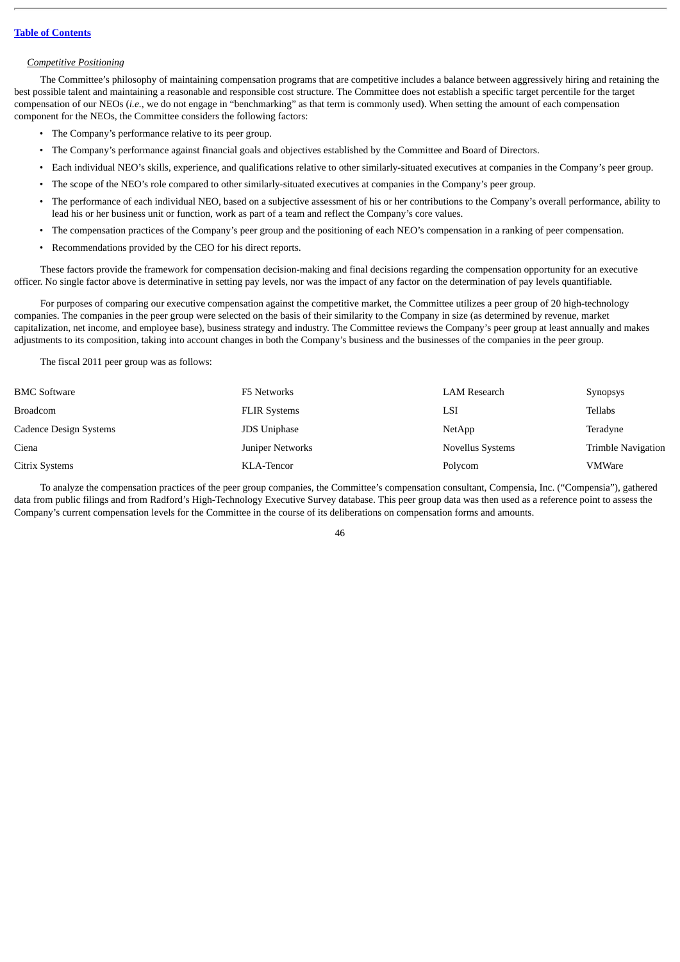#### *Competitive Positioning*

The Committee's philosophy of maintaining compensation programs that are competitive includes a balance between aggressively hiring and retaining the best possible talent and maintaining a reasonable and responsible cost structure. The Committee does not establish a specific target percentile for the target compensation of our NEOs (*i.e.*, we do not engage in "benchmarking" as that term is commonly used). When setting the amount of each compensation component for the NEOs, the Committee considers the following factors:

- The Company's performance relative to its peer group.
- The Company's performance against financial goals and objectives established by the Committee and Board of Directors.
- Each individual NEO's skills, experience, and qualifications relative to other similarly-situated executives at companies in the Company's peer group.
- The scope of the NEO's role compared to other similarly-situated executives at companies in the Company's peer group.
- The performance of each individual NEO, based on a subjective assessment of his or her contributions to the Company's overall performance, ability to lead his or her business unit or function, work as part of a team and reflect the Company's core values.
- The compensation practices of the Company's peer group and the positioning of each NEO's compensation in a ranking of peer compensation.
- Recommendations provided by the CEO for his direct reports.

These factors provide the framework for compensation decision-making and final decisions regarding the compensation opportunity for an executive officer. No single factor above is determinative in setting pay levels, nor was the impact of any factor on the determination of pay levels quantifiable.

For purposes of comparing our executive compensation against the competitive market, the Committee utilizes a peer group of 20 high-technology companies. The companies in the peer group were selected on the basis of their similarity to the Company in size (as determined by revenue, market capitalization, net income, and employee base), business strategy and industry. The Committee reviews the Company's peer group at least annually and makes adjustments to its composition, taking into account changes in both the Company's business and the businesses of the companies in the peer group.

The fiscal 2011 peer group was as follows:

| <b>BMC Software</b>    | F5 Networks         | LAM Research            | <b>Synopsys</b>           |
|------------------------|---------------------|-------------------------|---------------------------|
| Broadcom               | <b>FLIR Systems</b> | LSI                     | Tellabs                   |
| Cadence Design Systems | <b>JDS Uniphase</b> | NetApp                  | Teradyne                  |
| Ciena                  | Juniper Networks    | <b>Novellus Systems</b> | <b>Trimble Navigation</b> |
| Citrix Systems         | KLA-Tencor          | Polycom                 | <b>VMWare</b>             |

To analyze the compensation practices of the peer group companies, the Committee's compensation consultant, Compensia, Inc. ("Compensia"), gathered data from public filings and from Radford's High-Technology Executive Survey database. This peer group data was then used as a reference point to assess the Company's current compensation levels for the Committee in the course of its deliberations on compensation forms and amounts.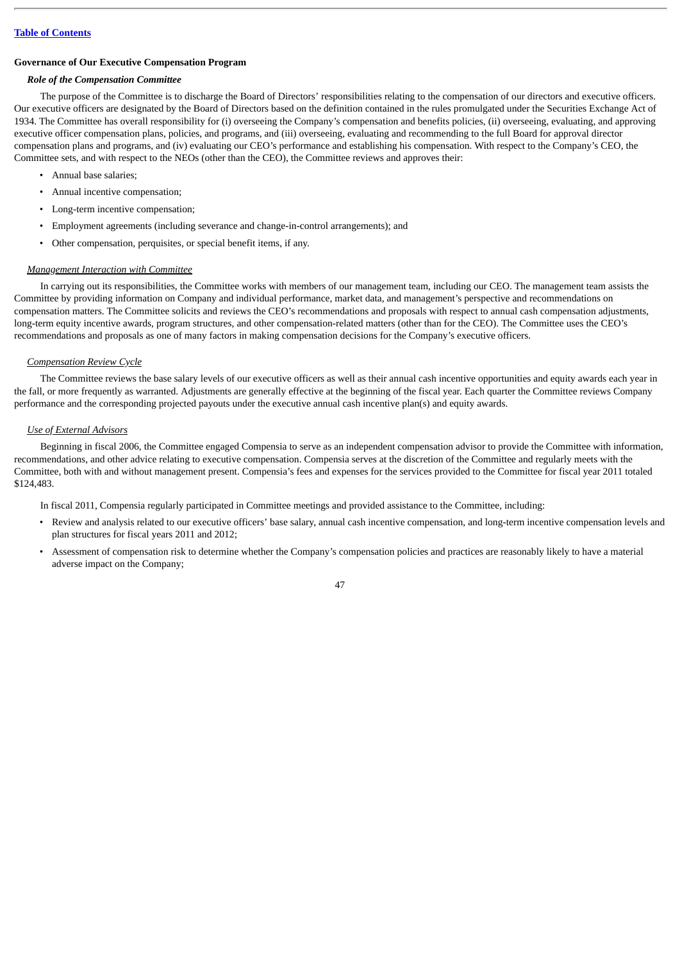### **Governance of Our Executive Compensation Program**

### *Role of the Compensation Committee*

The purpose of the Committee is to discharge the Board of Directors' responsibilities relating to the compensation of our directors and executive officers. Our executive officers are designated by the Board of Directors based on the definition contained in the rules promulgated under the Securities Exchange Act of 1934. The Committee has overall responsibility for (i) overseeing the Company's compensation and benefits policies, (ii) overseeing, evaluating, and approving executive officer compensation plans, policies, and programs, and (iii) overseeing, evaluating and recommending to the full Board for approval director compensation plans and programs, and (iv) evaluating our CEO's performance and establishing his compensation. With respect to the Company's CEO, the Committee sets, and with respect to the NEOs (other than the CEO), the Committee reviews and approves their:

- Annual base salaries;
- Annual incentive compensation;
- Long-term incentive compensation;
- Employment agreements (including severance and change-in-control arrangements); and
- Other compensation, perquisites, or special benefit items, if any.

### *Management Interaction with Committee*

In carrying out its responsibilities, the Committee works with members of our management team, including our CEO. The management team assists the Committee by providing information on Company and individual performance, market data, and management's perspective and recommendations on compensation matters. The Committee solicits and reviews the CEO's recommendations and proposals with respect to annual cash compensation adjustments, long-term equity incentive awards, program structures, and other compensation-related matters (other than for the CEO). The Committee uses the CEO's recommendations and proposals as one of many factors in making compensation decisions for the Company's executive officers.

#### *Compensation Review Cycle*

The Committee reviews the base salary levels of our executive officers as well as their annual cash incentive opportunities and equity awards each year in the fall, or more frequently as warranted. Adjustments are generally effective at the beginning of the fiscal year. Each quarter the Committee reviews Company performance and the corresponding projected payouts under the executive annual cash incentive plan(s) and equity awards.

#### *Use of External Advisors*

Beginning in fiscal 2006, the Committee engaged Compensia to serve as an independent compensation advisor to provide the Committee with information, recommendations, and other advice relating to executive compensation. Compensia serves at the discretion of the Committee and regularly meets with the Committee, both with and without management present. Compensia's fees and expenses for the services provided to the Committee for fiscal year 2011 totaled \$124,483.

In fiscal 2011, Compensia regularly participated in Committee meetings and provided assistance to the Committee, including:

- Review and analysis related to our executive officers' base salary, annual cash incentive compensation, and long-term incentive compensation levels and plan structures for fiscal years 2011 and 2012;
- Assessment of compensation risk to determine whether the Company's compensation policies and practices are reasonably likely to have a material adverse impact on the Company;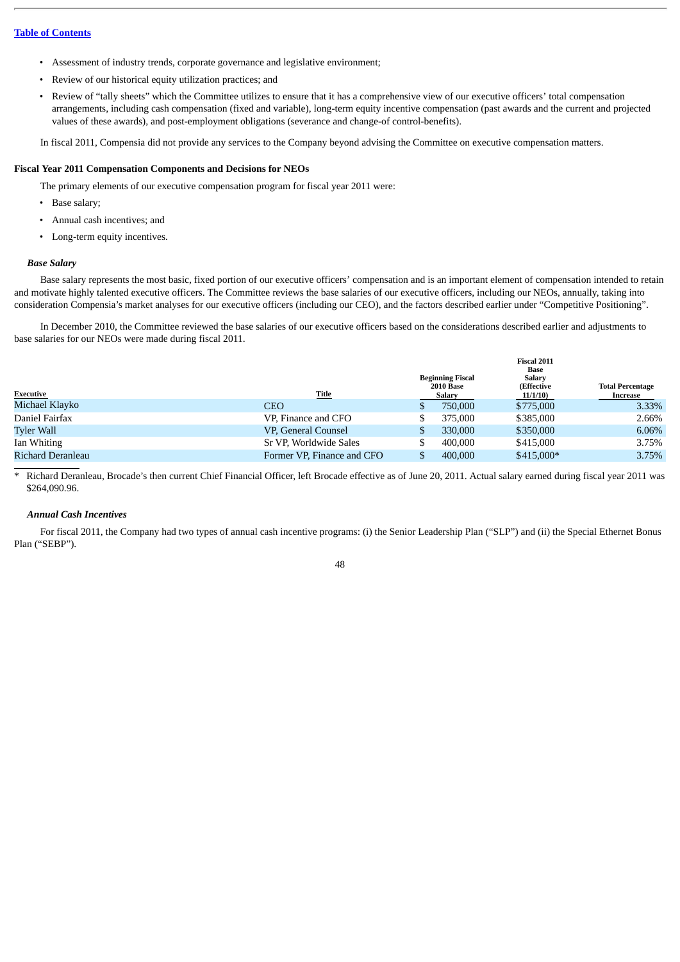- Assessment of industry trends, corporate governance and legislative environment;
- Review of our historical equity utilization practices; and
- Review of "tally sheets" which the Committee utilizes to ensure that it has a comprehensive view of our executive officers' total compensation arrangements, including cash compensation (fixed and variable), long-term equity incentive compensation (past awards and the current and projected values of these awards), and post-employment obligations (severance and change-of control-benefits).

In fiscal 2011, Compensia did not provide any services to the Company beyond advising the Committee on executive compensation matters.

### **Fiscal Year 2011 Compensation Components and Decisions for NEOs**

The primary elements of our executive compensation program for fiscal year 2011 were:

- Base salary;
- Annual cash incentives; and
- Long-term equity incentives.

### *Base Salary*

Base salary represents the most basic, fixed portion of our executive officers' compensation and is an important element of compensation intended to retain and motivate highly talented executive officers. The Committee reviews the base salaries of our executive officers, including our NEOs, annually, taking into consideration Compensia's market analyses for our executive officers (including our CEO), and the factors described earlier under "Competitive Positioning".

In December 2010, the Committee reviewed the base salaries of our executive officers based on the considerations described earlier and adjustments to base salaries for our NEOs were made during fiscal 2011.

|                   |                            | <b>Beginning Fiscal</b>    | <b>Fiscal 2011</b><br>Base<br><b>Salary</b> |                                     |
|-------------------|----------------------------|----------------------------|---------------------------------------------|-------------------------------------|
| Executive         | <u>Title</u>               | <b>2010 Base</b><br>Salary | <b>(Effective</b><br>11/1/10                | <b>Total Percentage</b><br>Increase |
| Michael Klayko    | <b>CEO</b>                 | 750,000                    | \$775,000                                   | 3.33%                               |
| Daniel Fairfax    | VP, Finance and CFO        | 375,000                    | \$385,000                                   | 2.66%                               |
| <b>Tyler Wall</b> | VP, General Counsel        | 330,000                    | \$350,000                                   | 6.06%                               |
| Ian Whiting       | Sr VP, Worldwide Sales     | 400,000                    | \$415,000                                   | 3.75%                               |
| Richard Deranleau | Former VP, Finance and CFO | 400,000                    | $$415,000*$                                 | 3.75%                               |

\* Richard Deranleau, Brocade's then current Chief Financial Officer, left Brocade effective as of June 20, 2011. Actual salary earned during fiscal year 2011 was \$264,090.96.

#### *Annual Cash Incentives*

For fiscal 2011, the Company had two types of annual cash incentive programs: (i) the Senior Leadership Plan ("SLP") and (ii) the Special Ethernet Bonus Plan ("SEBP").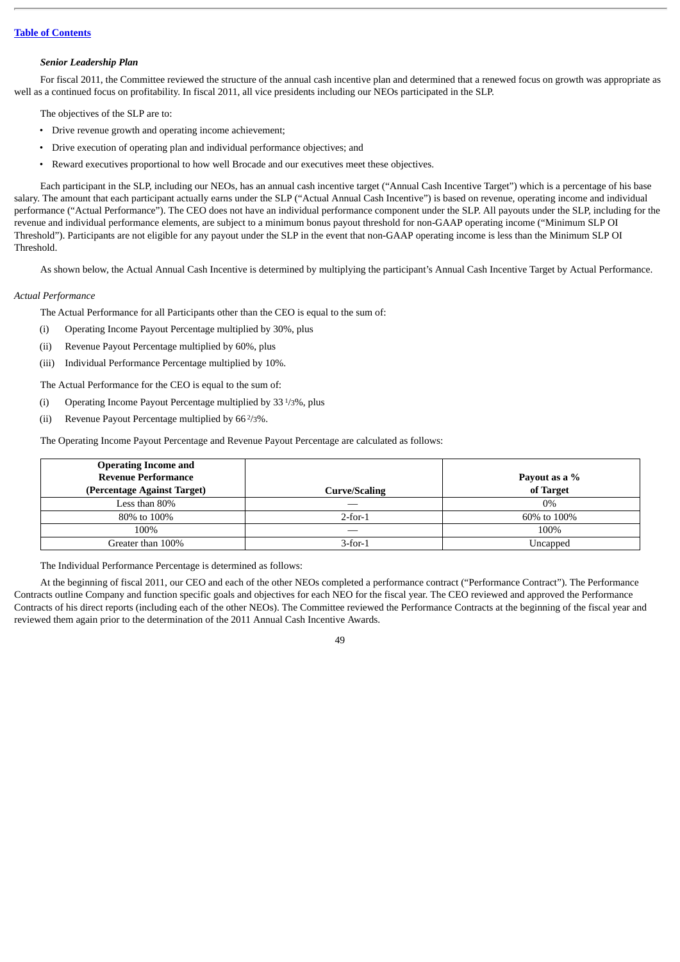### *Senior Leadership Plan*

For fiscal 2011, the Committee reviewed the structure of the annual cash incentive plan and determined that a renewed focus on growth was appropriate as well as a continued focus on profitability. In fiscal 2011, all vice presidents including our NEOs participated in the SLP.

The objectives of the SLP are to:

- Drive revenue growth and operating income achievement;
- Drive execution of operating plan and individual performance objectives; and
- Reward executives proportional to how well Brocade and our executives meet these objectives.

Each participant in the SLP, including our NEOs, has an annual cash incentive target ("Annual Cash Incentive Target") which is a percentage of his base salary. The amount that each participant actually earns under the SLP ("Actual Annual Cash Incentive") is based on revenue, operating income and individual performance ("Actual Performance"). The CEO does not have an individual performance component under the SLP. All payouts under the SLP, including for the revenue and individual performance elements, are subject to a minimum bonus payout threshold for non-GAAP operating income ("Minimum SLP OI Threshold"). Participants are not eligible for any payout under the SLP in the event that non-GAAP operating income is less than the Minimum SLP OI Threshold.

As shown below, the Actual Annual Cash Incentive is determined by multiplying the participant's Annual Cash Incentive Target by Actual Performance.

#### *Actual Performance*

The Actual Performance for all Participants other than the CEO is equal to the sum of:

- (i) Operating Income Payout Percentage multiplied by 30%, plus
- (ii) Revenue Payout Percentage multiplied by 60%, plus
- (iii) Individual Performance Percentage multiplied by 10%.

The Actual Performance for the CEO is equal to the sum of:

- (i) Operating Income Payout Percentage multiplied by 33 1/3%, plus
- (ii) Revenue Payout Percentage multiplied by  $66\frac{2}{3}\%$ .

The Operating Income Payout Percentage and Revenue Payout Percentage are calculated as follows:

| <b>Operating Income and</b><br><b>Revenue Performance</b><br>(Percentage Against Target) | Curve/Scaling | Payout as a %<br>of Target |
|------------------------------------------------------------------------------------------|---------------|----------------------------|
| Less than 80%                                                                            |               | $0\%$                      |
| 80% to 100%                                                                              | $2$ -for- $1$ | 60% to 100%                |
| 100%                                                                                     |               | 100%                       |
| Greater than 100%                                                                        | $3$ -for-1    | Uncapped                   |

The Individual Performance Percentage is determined as follows:

At the beginning of fiscal 2011, our CEO and each of the other NEOs completed a performance contract ("Performance Contract"). The Performance Contracts outline Company and function specific goals and objectives for each NEO for the fiscal year. The CEO reviewed and approved the Performance Contracts of his direct reports (including each of the other NEOs). The Committee reviewed the Performance Contracts at the beginning of the fiscal year and reviewed them again prior to the determination of the 2011 Annual Cash Incentive Awards.

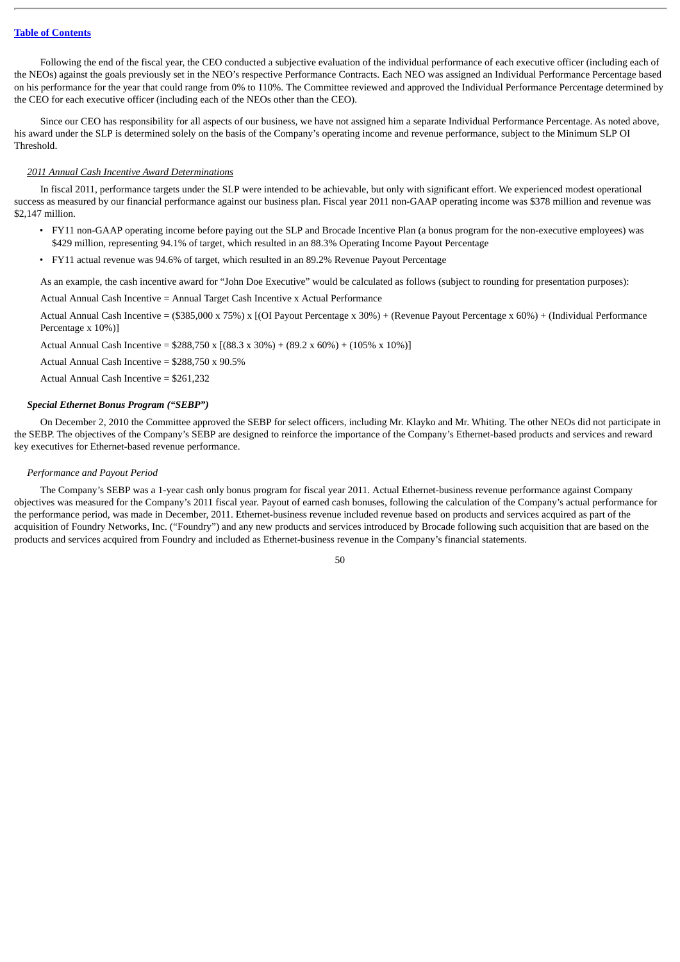Following the end of the fiscal year, the CEO conducted a subjective evaluation of the individual performance of each executive officer (including each of the NEOs) against the goals previously set in the NEO's respective Performance Contracts. Each NEO was assigned an Individual Performance Percentage based on his performance for the year that could range from 0% to 110%. The Committee reviewed and approved the Individual Performance Percentage determined by the CEO for each executive officer (including each of the NEOs other than the CEO).

Since our CEO has responsibility for all aspects of our business, we have not assigned him a separate Individual Performance Percentage. As noted above, his award under the SLP is determined solely on the basis of the Company's operating income and revenue performance, subject to the Minimum SLP OI Threshold.

### *2011 Annual Cash Incentive Award Determinations*

In fiscal 2011, performance targets under the SLP were intended to be achievable, but only with significant effort. We experienced modest operational success as measured by our financial performance against our business plan. Fiscal year 2011 non-GAAP operating income was \$378 million and revenue was \$2,147 million.

- FY11 non-GAAP operating income before paying out the SLP and Brocade Incentive Plan (a bonus program for the non-executive employees) was \$429 million, representing 94.1% of target, which resulted in an 88.3% Operating Income Payout Percentage
- FY11 actual revenue was 94.6% of target, which resulted in an 89.2% Revenue Payout Percentage

As an example, the cash incentive award for "John Doe Executive" would be calculated as follows (subject to rounding for presentation purposes):

Actual Annual Cash Incentive = Annual Target Cash Incentive x Actual Performance

Actual Annual Cash Incentive = (\$385,000 x 75%) x [(OI Payout Percentage x 30%) + (Revenue Payout Percentage x 60%) + (Individual Performance Percentage x 10%)]

Actual Annual Cash Incentive =  $$288,750 \times [(88.3 \times 30\%)+(89.2 \times 60\%)+(105\% \times 10\%)]$ 

Actual Annual Cash Incentive = \$288,750 x 90.5%

Actual Annual Cash Incentive = \$261,232

### *Special Ethernet Bonus Program ("SEBP")*

On December 2, 2010 the Committee approved the SEBP for select officers, including Mr. Klayko and Mr. Whiting. The other NEOs did not participate in the SEBP. The objectives of the Company's SEBP are designed to reinforce the importance of the Company's Ethernet-based products and services and reward key executives for Ethernet-based revenue performance.

#### *Performance and Payout Period*

The Company's SEBP was a 1-year cash only bonus program for fiscal year 2011. Actual Ethernet-business revenue performance against Company objectives was measured for the Company's 2011 fiscal year. Payout of earned cash bonuses, following the calculation of the Company's actual performance for the performance period, was made in December, 2011. Ethernet-business revenue included revenue based on products and services acquired as part of the acquisition of Foundry Networks, Inc. ("Foundry") and any new products and services introduced by Brocade following such acquisition that are based on the products and services acquired from Foundry and included as Ethernet-business revenue in the Company's financial statements.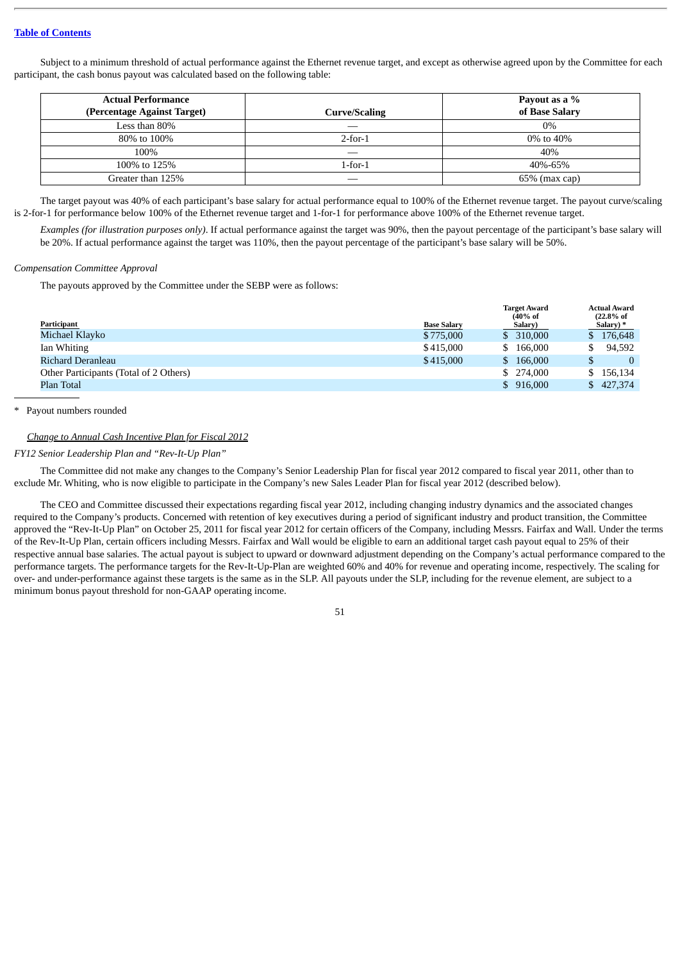Subject to a minimum threshold of actual performance against the Ethernet revenue target, and except as otherwise agreed upon by the Committee for each participant, the cash bonus payout was calculated based on the following table:

| Actual Performance          |               | Payout as a %    |
|-----------------------------|---------------|------------------|
| (Percentage Against Target) | Curve/Scaling | of Base Salary   |
| Less than 80%               |               | $0\%$            |
| 80% to 100%                 | $2$ -for-1    | 0\% to 40\%      |
| 100%                        | ___           | 40%              |
| 100% to 125%                | 1-for-1       | 40%-65%          |
| Greater than 125%           |               | $65\%$ (max cap) |

The target payout was 40% of each participant's base salary for actual performance equal to 100% of the Ethernet revenue target. The payout curve/scaling is 2-for-1 for performance below 100% of the Ethernet revenue target and 1-for-1 for performance above 100% of the Ethernet revenue target.

*Examples (for illustration purposes only)*. If actual performance against the target was 90%, then the payout percentage of the participant's base salary will be 20%. If actual performance against the target was 110%, then the payout percentage of the participant's base salary will be 50%.

### *Compensation Committee Approval*

The payouts approved by the Committee under the SEBP were as follows:

| Participant                            | <b>Base Salary</b> | <b>Target Award</b><br>$(40\% \text{ of }$<br>Salary) | <b>Actual Award</b><br>(22.8% of<br>Salary) * |
|----------------------------------------|--------------------|-------------------------------------------------------|-----------------------------------------------|
|                                        |                    |                                                       |                                               |
| Michael Klayko                         | \$775,000          | \$ 310,000                                            | \$176,648                                     |
| Ian Whiting                            | \$415,000          | \$166,000                                             | 94.592                                        |
| Richard Deranleau                      | \$415,000          | \$166,000                                             |                                               |
| Other Participants (Total of 2 Others) |                    | \$ 274,000                                            | \$156,134                                     |
| Plan Total                             |                    | \$916,000                                             | \$427.374                                     |

Payout numbers rounded

### *Change to Annual Cash Incentive Plan for Fiscal 2012*

*FY12 Senior Leadership Plan and "Rev-It-Up Plan"*

The Committee did not make any changes to the Company's Senior Leadership Plan for fiscal year 2012 compared to fiscal year 2011, other than to exclude Mr. Whiting, who is now eligible to participate in the Company's new Sales Leader Plan for fiscal year 2012 (described below).

The CEO and Committee discussed their expectations regarding fiscal year 2012, including changing industry dynamics and the associated changes required to the Company's products. Concerned with retention of key executives during a period of significant industry and product transition, the Committee approved the "Rev-It-Up Plan" on October 25, 2011 for fiscal year 2012 for certain officers of the Company, including Messrs. Fairfax and Wall. Under the terms of the Rev-It-Up Plan, certain officers including Messrs. Fairfax and Wall would be eligible to earn an additional target cash payout equal to 25% of their respective annual base salaries. The actual payout is subject to upward or downward adjustment depending on the Company's actual performance compared to the performance targets. The performance targets for the Rev-It-Up-Plan are weighted 60% and 40% for revenue and operating income, respectively. The scaling for over- and under-performance against these targets is the same as in the SLP. All payouts under the SLP, including for the revenue element, are subject to a minimum bonus payout threshold for non-GAAP operating income.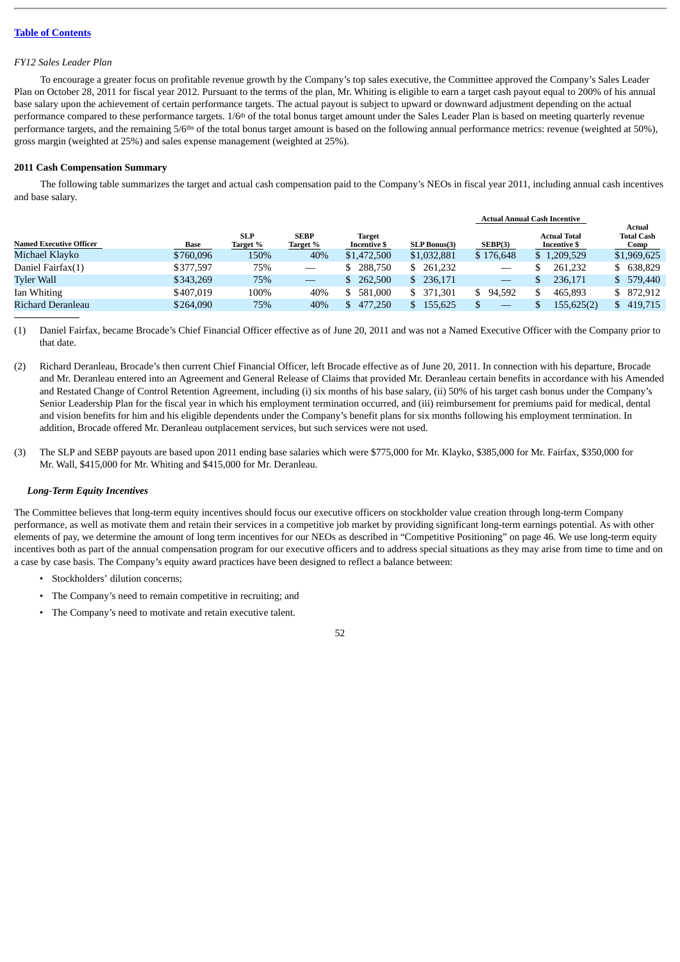#### *FY12 Sales Leader Plan*

To encourage a greater focus on profitable revenue growth by the Company's top sales executive, the Committee approved the Company's Sales Leader Plan on October 28, 2011 for fiscal year 2012. Pursuant to the terms of the plan, Mr. Whiting is eligible to earn a target cash payout equal to 200% of his annual base salary upon the achievement of certain performance targets. The actual payout is subject to upward or downward adjustment depending on the actual performance compared to these performance targets. 1/6<sup>th</sup> of the total bonus target amount under the Sales Leader Plan is based on meeting quarterly revenue performance targets, and the remaining 5/6<sup>ths</sup> of the total bonus target amount is based on the following annual performance metrics: revenue (weighted at 50%), gross margin (weighted at 25%) and sales expense management (weighted at 25%).

### **2011 Cash Compensation Summary**

The following table summarizes the target and actual cash compensation paid to the Company's NEOs in fiscal year 2011, including annual cash incentives and base salary.

|                                |           |                        |                                 |                                      |                     |                                 | <b>Actual Annual Cash Incentive</b>        |                                     |
|--------------------------------|-----------|------------------------|---------------------------------|--------------------------------------|---------------------|---------------------------------|--------------------------------------------|-------------------------------------|
| <b>Named Executive Officer</b> | Base      | <b>SLP</b><br>Target % | <b>SEBP</b><br>Target %         | <b>Target</b><br><b>Incentive \$</b> | <b>SLP Bonus(3)</b> | SEBP(3)                         | <b>Actual Total</b><br><b>Incentive \$</b> | Actual<br><b>Total Cash</b><br>Comp |
| Michael Klayko                 | \$760,096 | 150%                   | 40%                             | \$1,472,500                          | \$1,032,881         | \$176,648                       | \$1,209,529                                | \$1,969,625                         |
| Daniel Fairfax(1)              | \$377,597 | 75%                    | $\hspace{0.1mm}-\hspace{0.1mm}$ | 288,750                              | 261,232             | $\hspace{0.1mm}-\hspace{0.1mm}$ | 261,232                                    | 638,829                             |
| <b>Tyler Wall</b>              | \$343,269 | 75%                    |                                 | 262,500                              | 236,171<br>S.       |                                 | 236.171                                    | \$ 579,440                          |
| Ian Whiting                    | \$407.019 | 100%                   | 40%                             | 581.000<br>\$.                       | \$ 371,301          | 94.592<br>S.                    | 465,893                                    | 872,912                             |
| Richard Deranleau              | \$264,090 | 75%                    | 40%                             | 477,250                              | 155,625             |                                 | 155,625(2)                                 | 419,715<br>S.                       |

(1) Daniel Fairfax, became Brocade's Chief Financial Officer effective as of June 20, 2011 and was not a Named Executive Officer with the Company prior to that date.

- (2) Richard Deranleau, Brocade's then current Chief Financial Officer, left Brocade effective as of June 20, 2011. In connection with his departure, Brocade and Mr. Deranleau entered into an Agreement and General Release of Claims that provided Mr. Deranleau certain benefits in accordance with his Amended and Restated Change of Control Retention Agreement, including (i) six months of his base salary, (ii) 50% of his target cash bonus under the Company's Senior Leadership Plan for the fiscal year in which his employment termination occurred, and (iii) reimbursement for premiums paid for medical, dental and vision benefits for him and his eligible dependents under the Company's benefit plans for six months following his employment termination. In addition, Brocade offered Mr. Deranleau outplacement services, but such services were not used.
- (3) The SLP and SEBP payouts are based upon 2011 ending base salaries which were \$775,000 for Mr. Klayko, \$385,000 for Mr. Fairfax, \$350,000 for Mr. Wall, \$415,000 for Mr. Whiting and \$415,000 for Mr. Deranleau.

### *Long-Term Equity Incentives*

The Committee believes that long-term equity incentives should focus our executive officers on stockholder value creation through long-term Company performance, as well as motivate them and retain their services in a competitive job market by providing significant long-term earnings potential. As with other elements of pay, we determine the amount of long term incentives for our NEOs as described in "Competitive Positioning" on page 46. We use long-term equity incentives both as part of the annual compensation program for our executive officers and to address special situations as they may arise from time to time and on a case by case basis. The Company's equity award practices have been designed to reflect a balance between:

- Stockholders' dilution concerns;
- The Company's need to remain competitive in recruiting; and
- The Company's need to motivate and retain executive talent.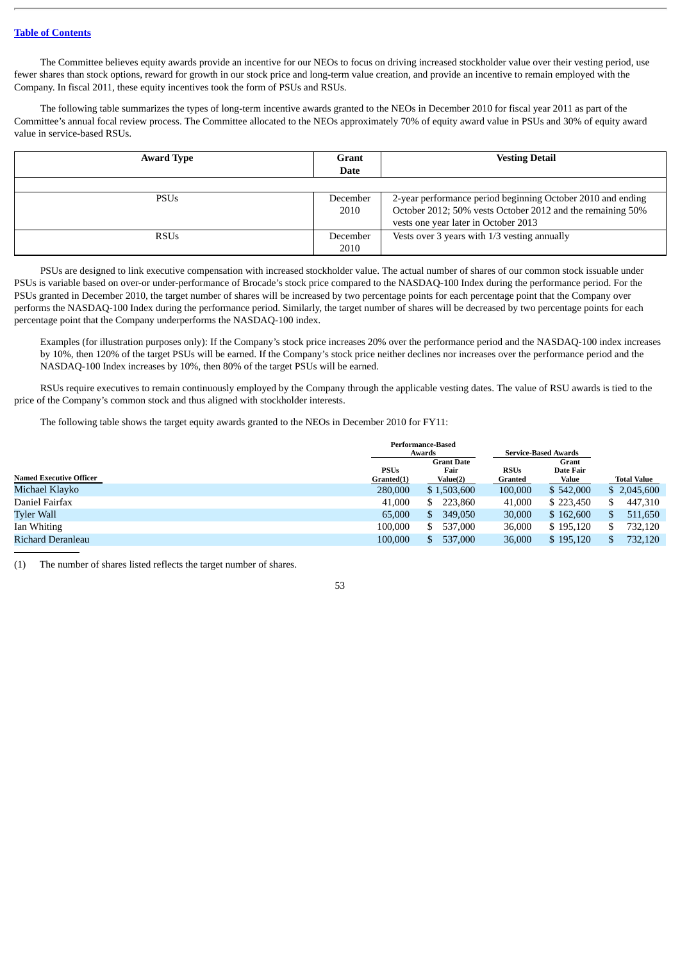The Committee believes equity awards provide an incentive for our NEOs to focus on driving increased stockholder value over their vesting period, use fewer shares than stock options, reward for growth in our stock price and long-term value creation, and provide an incentive to remain employed with the Company. In fiscal 2011, these equity incentives took the form of PSUs and RSUs.

The following table summarizes the types of long-term incentive awards granted to the NEOs in December 2010 for fiscal year 2011 as part of the Committee's annual focal review process. The Committee allocated to the NEOs approximately 70% of equity award value in PSUs and 30% of equity award value in service-based RSUs.

| <b>Award Type</b> | Grant<br><b>Date</b> | <b>Vesting Detail</b>                                                                                                                                             |
|-------------------|----------------------|-------------------------------------------------------------------------------------------------------------------------------------------------------------------|
|                   |                      |                                                                                                                                                                   |
| <b>PSUs</b>       | December<br>2010     | 2-year performance period beginning October 2010 and ending<br>October 2012; 50% vests October 2012 and the remaining 50%<br>vests one year later in October 2013 |
| <b>RSUs</b>       | December<br>2010     | Vests over 3 years with 1/3 vesting annually                                                                                                                      |

PSUs are designed to link executive compensation with increased stockholder value. The actual number of shares of our common stock issuable under PSUs is variable based on over-or under-performance of Brocade's stock price compared to the NASDAQ-100 Index during the performance period. For the PSUs granted in December 2010, the target number of shares will be increased by two percentage points for each percentage point that the Company over performs the NASDAQ-100 Index during the performance period. Similarly, the target number of shares will be decreased by two percentage points for each percentage point that the Company underperforms the NASDAQ-100 index.

Examples (for illustration purposes only): If the Company's stock price increases 20% over the performance period and the NASDAQ-100 index increases by 10%, then 120% of the target PSUs will be earned. If the Company's stock price neither declines nor increases over the performance period and the NASDAQ-100 Index increases by 10%, then 80% of the target PSUs will be earned.

RSUs require executives to remain continuously employed by the Company through the applicable vesting dates. The value of RSU awards is tied to the price of the Company's common stock and thus aligned with stockholder interests.

The following table shows the target equity awards granted to the NEOs in December 2010 for FY11:

|                                |             | Performance-Based |                             |           |                    |
|--------------------------------|-------------|-------------------|-----------------------------|-----------|--------------------|
|                                |             | Awards            | <b>Service-Based Awards</b> |           |                    |
|                                |             | <b>Grant Date</b> |                             | Grant     |                    |
|                                | <b>PSUs</b> | Fair              | <b>RSUs</b>                 | Date Fair |                    |
| <b>Named Executive Officer</b> | Granted(1)  | Value(2)          | Granted                     | Value     | <b>Total Value</b> |
| Michael Klavko                 | 280,000     | \$1,503,600       | 100,000                     | \$542,000 | \$2,045,600        |
| Daniel Fairfax                 | 41,000      | 223,860<br>S.     | 41,000                      | \$223,450 | 447.310            |
| <b>Tyler Wall</b>              | 65,000      | 349,050<br>S.     | 30,000                      | \$162,600 | 511,650<br>S       |
| Ian Whiting                    | 100,000     | 537,000<br>S.     | 36,000                      | \$195,120 | 732,120            |
| Richard Deranleau              | 100,000     | 537,000<br>S.     | 36,000                      | \$195,120 | 732,120            |
|                                |             |                   |                             |           |                    |

(1) The number of shares listed reflects the target number of shares.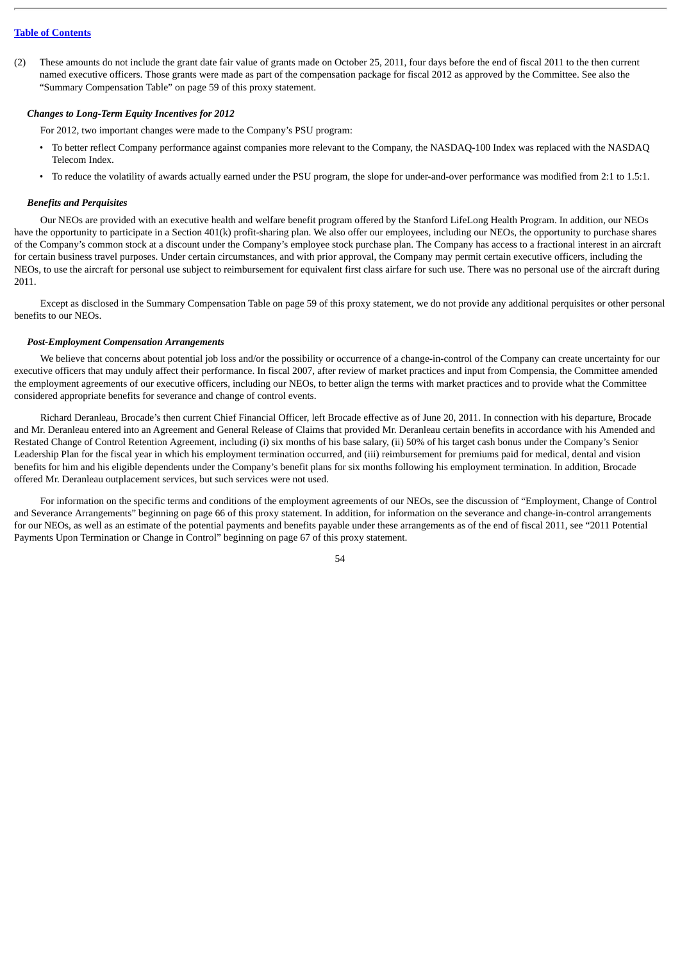(2) These amounts do not include the grant date fair value of grants made on October 25, 2011, four days before the end of fiscal 2011 to the then current named executive officers. Those grants were made as part of the compensation package for fiscal 2012 as approved by the Committee. See also the "Summary Compensation Table" on page 59 of this proxy statement.

### *Changes to Long-Term Equity Incentives for 2012*

For 2012, two important changes were made to the Company's PSU program:

- To better reflect Company performance against companies more relevant to the Company, the NASDAQ-100 Index was replaced with the NASDAQ Telecom Index.
- To reduce the volatility of awards actually earned under the PSU program, the slope for under-and-over performance was modified from 2:1 to 1.5:1.

### *Benefits and Perquisites*

Our NEOs are provided with an executive health and welfare benefit program offered by the Stanford LifeLong Health Program. In addition, our NEOs have the opportunity to participate in a Section 401(k) profit-sharing plan. We also offer our employees, including our NEOs, the opportunity to purchase shares of the Company's common stock at a discount under the Company's employee stock purchase plan. The Company has access to a fractional interest in an aircraft for certain business travel purposes. Under certain circumstances, and with prior approval, the Company may permit certain executive officers, including the NEOs, to use the aircraft for personal use subject to reimbursement for equivalent first class airfare for such use. There was no personal use of the aircraft during 2011.

Except as disclosed in the Summary Compensation Table on page 59 of this proxy statement, we do not provide any additional perquisites or other personal benefits to our NEOs.

### *Post-Employment Compensation Arrangements*

We believe that concerns about potential job loss and/or the possibility or occurrence of a change-in-control of the Company can create uncertainty for our executive officers that may unduly affect their performance. In fiscal 2007, after review of market practices and input from Compensia, the Committee amended the employment agreements of our executive officers, including our NEOs, to better align the terms with market practices and to provide what the Committee considered appropriate benefits for severance and change of control events.

Richard Deranleau, Brocade's then current Chief Financial Officer, left Brocade effective as of June 20, 2011. In connection with his departure, Brocade and Mr. Deranleau entered into an Agreement and General Release of Claims that provided Mr. Deranleau certain benefits in accordance with his Amended and Restated Change of Control Retention Agreement, including (i) six months of his base salary, (ii) 50% of his target cash bonus under the Company's Senior Leadership Plan for the fiscal year in which his employment termination occurred, and (iii) reimbursement for premiums paid for medical, dental and vision benefits for him and his eligible dependents under the Company's benefit plans for six months following his employment termination. In addition, Brocade offered Mr. Deranleau outplacement services, but such services were not used.

For information on the specific terms and conditions of the employment agreements of our NEOs, see the discussion of "Employment, Change of Control and Severance Arrangements" beginning on page 66 of this proxy statement. In addition, for information on the severance and change-in-control arrangements for our NEOs, as well as an estimate of the potential payments and benefits payable under these arrangements as of the end of fiscal 2011, see "2011 Potential Payments Upon Termination or Change in Control" beginning on page 67 of this proxy statement.

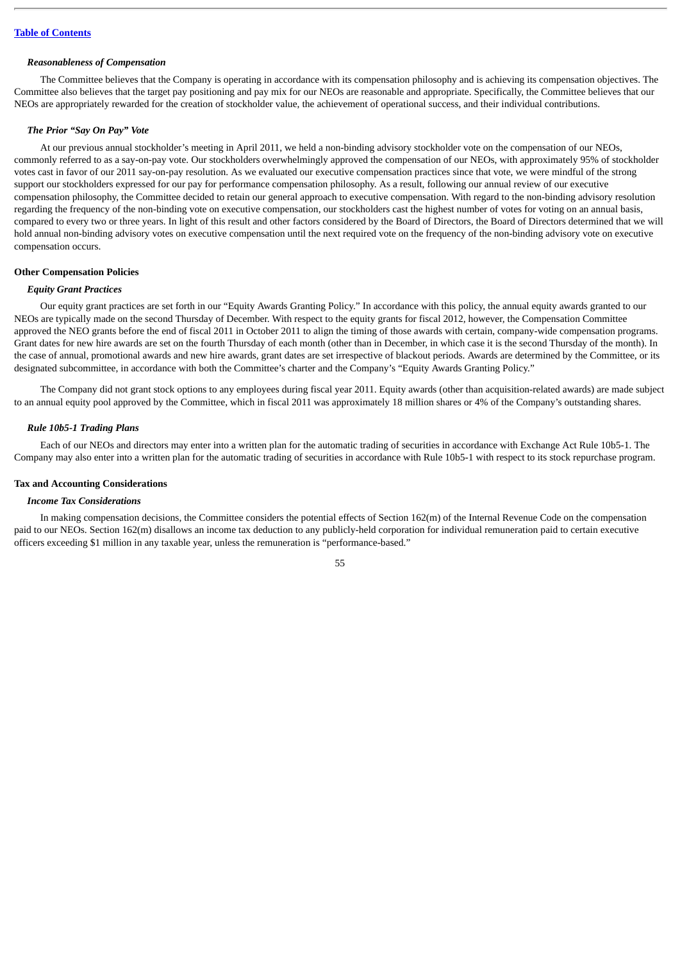#### *Reasonableness of Compensation*

The Committee believes that the Company is operating in accordance with its compensation philosophy and is achieving its compensation objectives. The Committee also believes that the target pay positioning and pay mix for our NEOs are reasonable and appropriate. Specifically, the Committee believes that our NEOs are appropriately rewarded for the creation of stockholder value, the achievement of operational success, and their individual contributions.

### *The Prior "Say On Pay" Vote*

At our previous annual stockholder's meeting in April 2011, we held a non-binding advisory stockholder vote on the compensation of our NEOs, commonly referred to as a say-on-pay vote. Our stockholders overwhelmingly approved the compensation of our NEOs, with approximately 95% of stockholder votes cast in favor of our 2011 say-on-pay resolution. As we evaluated our executive compensation practices since that vote, we were mindful of the strong support our stockholders expressed for our pay for performance compensation philosophy. As a result, following our annual review of our executive compensation philosophy, the Committee decided to retain our general approach to executive compensation. With regard to the non-binding advisory resolution regarding the frequency of the non-binding vote on executive compensation, our stockholders cast the highest number of votes for voting on an annual basis, compared to every two or three years. In light of this result and other factors considered by the Board of Directors, the Board of Directors determined that we will hold annual non-binding advisory votes on executive compensation until the next required vote on the frequency of the non-binding advisory vote on executive compensation occurs.

#### **Other Compensation Policies**

#### *Equity Grant Practices*

Our equity grant practices are set forth in our "Equity Awards Granting Policy." In accordance with this policy, the annual equity awards granted to our NEOs are typically made on the second Thursday of December. With respect to the equity grants for fiscal 2012, however, the Compensation Committee approved the NEO grants before the end of fiscal 2011 in October 2011 to align the timing of those awards with certain, company-wide compensation programs. Grant dates for new hire awards are set on the fourth Thursday of each month (other than in December, in which case it is the second Thursday of the month). In the case of annual, promotional awards and new hire awards, grant dates are set irrespective of blackout periods. Awards are determined by the Committee, or its designated subcommittee, in accordance with both the Committee's charter and the Company's "Equity Awards Granting Policy."

The Company did not grant stock options to any employees during fiscal year 2011. Equity awards (other than acquisition-related awards) are made subject to an annual equity pool approved by the Committee, which in fiscal 2011 was approximately 18 million shares or 4% of the Company's outstanding shares.

#### *Rule 10b5-1 Trading Plans*

Each of our NEOs and directors may enter into a written plan for the automatic trading of securities in accordance with Exchange Act Rule 10b5-1. The Company may also enter into a written plan for the automatic trading of securities in accordance with Rule 10b5-1 with respect to its stock repurchase program.

### **Tax and Accounting Considerations**

#### *Income Tax Considerations*

In making compensation decisions, the Committee considers the potential effects of Section 162(m) of the Internal Revenue Code on the compensation paid to our NEOs. Section 162(m) disallows an income tax deduction to any publicly-held corporation for individual remuneration paid to certain executive officers exceeding \$1 million in any taxable year, unless the remuneration is "performance-based."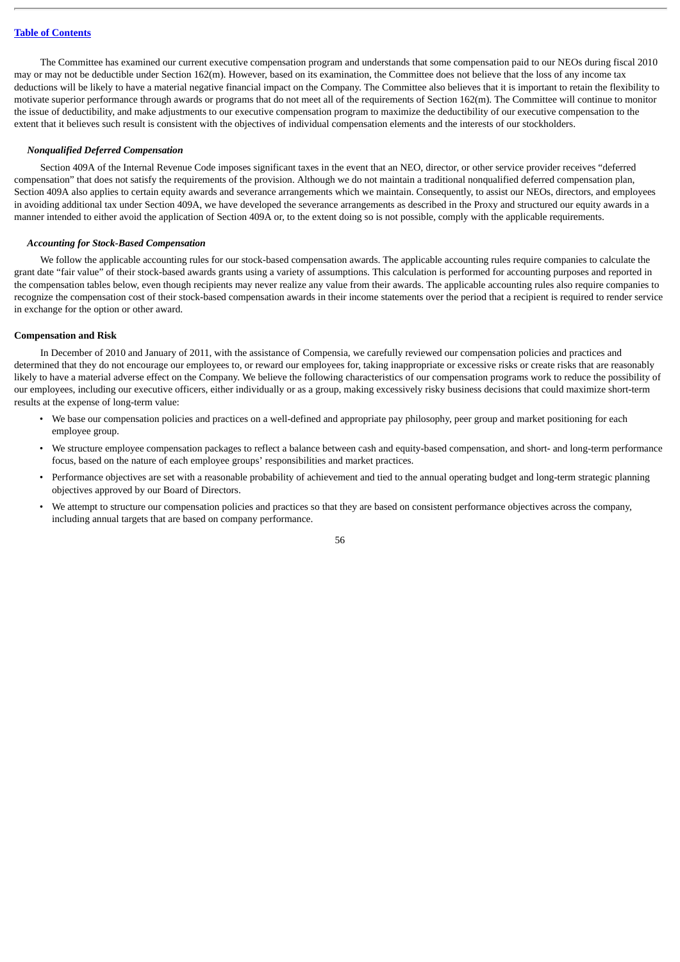The Committee has examined our current executive compensation program and understands that some compensation paid to our NEOs during fiscal 2010 may or may not be deductible under Section 162(m). However, based on its examination, the Committee does not believe that the loss of any income tax deductions will be likely to have a material negative financial impact on the Company. The Committee also believes that it is important to retain the flexibility to motivate superior performance through awards or programs that do not meet all of the requirements of Section 162(m). The Committee will continue to monitor the issue of deductibility, and make adjustments to our executive compensation program to maximize the deductibility of our executive compensation to the extent that it believes such result is consistent with the objectives of individual compensation elements and the interests of our stockholders.

#### *Nonqualified Deferred Compensation*

Section 409A of the Internal Revenue Code imposes significant taxes in the event that an NEO, director, or other service provider receives "deferred compensation" that does not satisfy the requirements of the provision. Although we do not maintain a traditional nonqualified deferred compensation plan, Section 409A also applies to certain equity awards and severance arrangements which we maintain. Consequently, to assist our NEOs, directors, and employees in avoiding additional tax under Section 409A, we have developed the severance arrangements as described in the Proxy and structured our equity awards in a manner intended to either avoid the application of Section 409A or, to the extent doing so is not possible, comply with the applicable requirements.

### *Accounting for Stock-Based Compensation*

We follow the applicable accounting rules for our stock-based compensation awards. The applicable accounting rules require companies to calculate the grant date "fair value" of their stock-based awards grants using a variety of assumptions. This calculation is performed for accounting purposes and reported in the compensation tables below, even though recipients may never realize any value from their awards. The applicable accounting rules also require companies to recognize the compensation cost of their stock-based compensation awards in their income statements over the period that a recipient is required to render service in exchange for the option or other award.

#### **Compensation and Risk**

In December of 2010 and January of 2011, with the assistance of Compensia, we carefully reviewed our compensation policies and practices and determined that they do not encourage our employees to, or reward our employees for, taking inappropriate or excessive risks or create risks that are reasonably likely to have a material adverse effect on the Company. We believe the following characteristics of our compensation programs work to reduce the possibility of our employees, including our executive officers, either individually or as a group, making excessively risky business decisions that could maximize short-term results at the expense of long-term value:

- We base our compensation policies and practices on a well-defined and appropriate pay philosophy, peer group and market positioning for each employee group.
- We structure employee compensation packages to reflect a balance between cash and equity-based compensation, and short- and long-term performance focus, based on the nature of each employee groups' responsibilities and market practices.
- Performance objectives are set with a reasonable probability of achievement and tied to the annual operating budget and long-term strategic planning objectives approved by our Board of Directors.
- We attempt to structure our compensation policies and practices so that they are based on consistent performance objectives across the company, including annual targets that are based on company performance.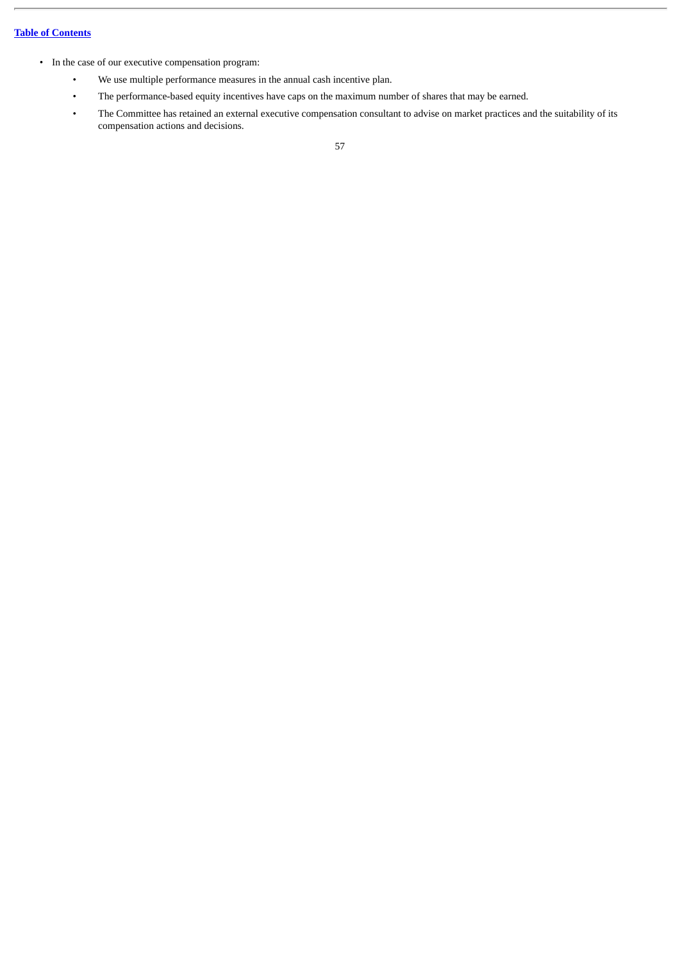- In the case of our executive compensation program:
	- We use multiple performance measures in the annual cash incentive plan.
	- The performance-based equity incentives have caps on the maximum number of shares that may be earned.
	- The Committee has retained an external executive compensation consultant to advise on market practices and the suitability of its compensation actions and decisions.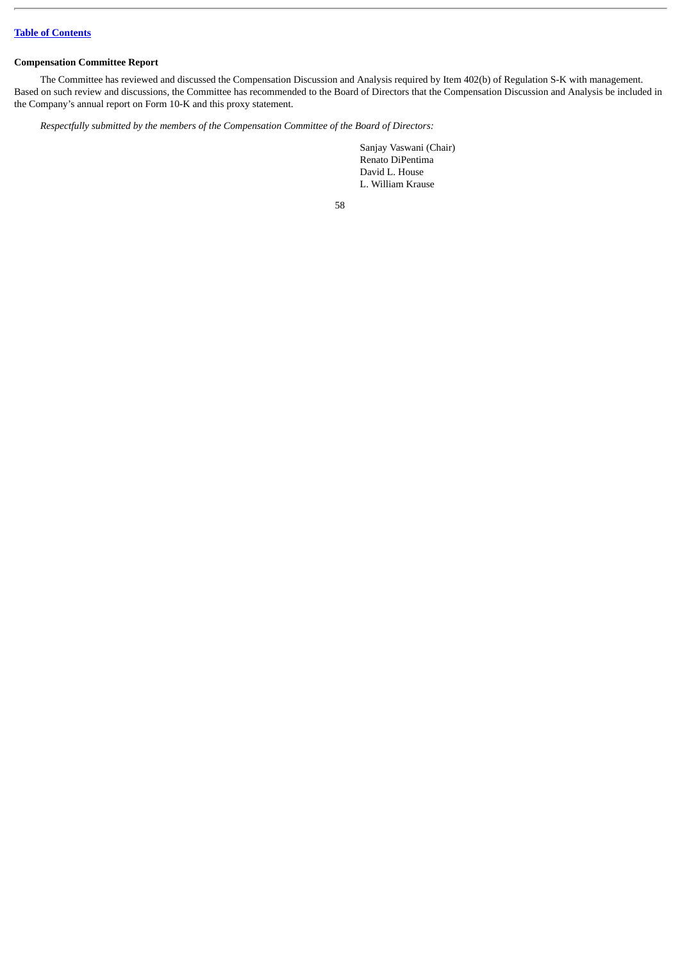# **Compensation Committee Report**

The Committee has reviewed and discussed the Compensation Discussion and Analysis required by Item 402(b) of Regulation S-K with management. Based on such review and discussions, the Committee has recommended to the Board of Directors that the Compensation Discussion and Analysis be included in the Company's annual report on Form 10-K and this proxy statement.

*Respectfully submitted by the members of the Compensation Committee of the Board of Directors:*

Sanjay Vaswani (Chair) Renato DiPentima David L. House L. William Krause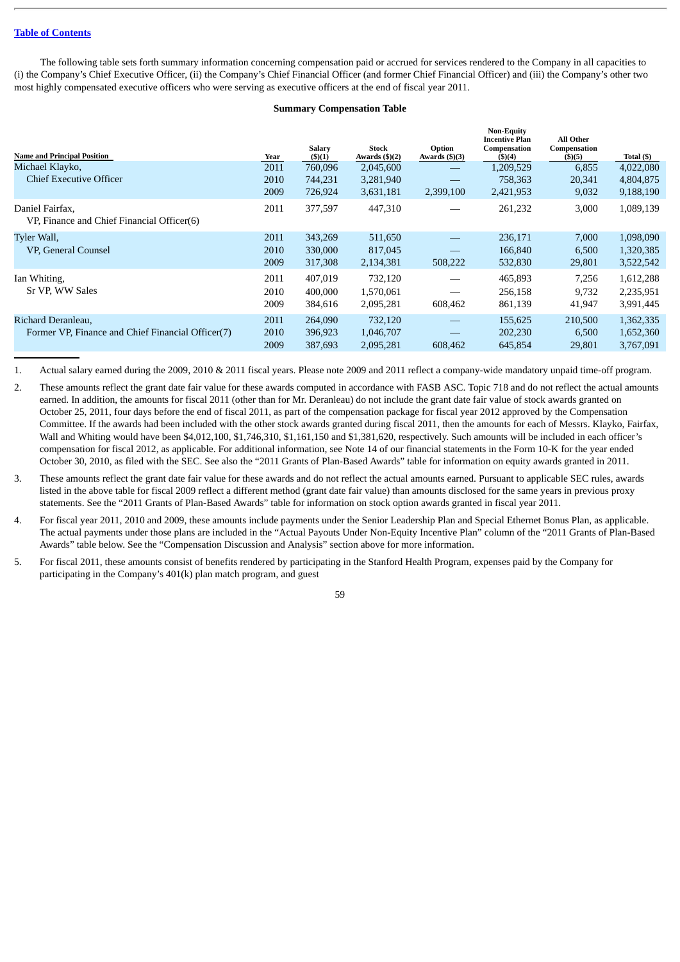The following table sets forth summary information concerning compensation paid or accrued for services rendered to the Company in all capacities to (i) the Company's Chief Executive Officer, (ii) the Company's Chief Financial Officer (and former Chief Financial Officer) and (iii) the Company's other two most highly compensated executive officers who were serving as executive officers at the end of fiscal year 2011.

### **Summary Compensation Table**

| <b>Name and Principal Position</b>                                      | Year                 | <b>Salary</b><br>(5)(1)       | Stock<br>Awards $(\frac{5}{2})$   | Option<br>Awards $(\frac{5}{3})$         | <b>Non-Equity</b><br><b>Incentive Plan</b><br>Compensation<br>$($ \$ $)(4)$ | <b>All Other</b><br>Compensation<br>$($ \$)(5) | Total (\$)                          |
|-------------------------------------------------------------------------|----------------------|-------------------------------|-----------------------------------|------------------------------------------|-----------------------------------------------------------------------------|------------------------------------------------|-------------------------------------|
| Michael Klayko,                                                         | 2011                 | 760,096                       | 2,045,600                         | $\overline{\phantom{m}}$                 | 1,209,529                                                                   | 6,855                                          | 4,022,080                           |
| <b>Chief Executive Officer</b>                                          | 2010<br>2009         | 744,231<br>726,924            | 3,281,940<br>3,631,181            | 2,399,100                                | 758,363<br>2,421,953                                                        | 20,341<br>9,032                                | 4,804,875<br>9,188,190              |
| Daniel Fairfax.<br>VP, Finance and Chief Financial Officer(6)           | 2011                 | 377,597                       | 447,310                           |                                          | 261,232                                                                     | 3,000                                          | 1,089,139                           |
| Tyler Wall,<br>VP, General Counsel                                      | 2011<br>2010<br>2009 | 343.269<br>330,000<br>317,308 | 511,650<br>817,045<br>2,134,381   | 508,222                                  | 236,171<br>166,840<br>532,830                                               | 7.000<br>6,500<br>29,801                       | 1,098,090<br>1,320,385<br>3,522,542 |
| Ian Whiting,<br>Sr VP. WW Sales                                         | 2011<br>2010<br>2009 | 407,019<br>400,000<br>384,616 | 732,120<br>1,570,061<br>2,095,281 | 608,462                                  | 465,893<br>256,158<br>861,139                                               | 7,256<br>9,732<br>41,947                       | 1,612,288<br>2,235,951<br>3,991,445 |
| Richard Deranleau,<br>Former VP, Finance and Chief Financial Officer(7) | 2011<br>2010<br>2009 | 264,090<br>396,923<br>387,693 | 732,120<br>1,046,707<br>2,095,281 | $\overbrace{\phantom{aaaaa}}$<br>608,462 | 155,625<br>202,230<br>645,854                                               | 210,500<br>6.500<br>29,801                     | 1,362,335<br>1,652,360<br>3,767,091 |

1. Actual salary earned during the 2009, 2010 & 2011 fiscal years. Please note 2009 and 2011 reflect a company-wide mandatory unpaid time-off program.

- 2. These amounts reflect the grant date fair value for these awards computed in accordance with FASB ASC. Topic 718 and do not reflect the actual amounts earned. In addition, the amounts for fiscal 2011 (other than for Mr. Deranleau) do not include the grant date fair value of stock awards granted on October 25, 2011, four days before the end of fiscal 2011, as part of the compensation package for fiscal year 2012 approved by the Compensation Committee. If the awards had been included with the other stock awards granted during fiscal 2011, then the amounts for each of Messrs. Klayko, Fairfax, Wall and Whiting would have been \$4,012,100, \$1,746,310, \$1,161,150 and \$1,381,620, respectively. Such amounts will be included in each officer's compensation for fiscal 2012, as applicable. For additional information, see Note 14 of our financial statements in the Form 10-K for the year ended October 30, 2010, as filed with the SEC. See also the "2011 Grants of Plan-Based Awards" table for information on equity awards granted in 2011.
- 3. These amounts reflect the grant date fair value for these awards and do not reflect the actual amounts earned. Pursuant to applicable SEC rules, awards listed in the above table for fiscal 2009 reflect a different method (grant date fair value) than amounts disclosed for the same years in previous proxy statements. See the "2011 Grants of Plan-Based Awards" table for information on stock option awards granted in fiscal year 2011.
- 4. For fiscal year 2011, 2010 and 2009, these amounts include payments under the Senior Leadership Plan and Special Ethernet Bonus Plan, as applicable. The actual payments under those plans are included in the "Actual Payouts Under Non-Equity Incentive Plan" column of the "2011 Grants of Plan-Based Awards" table below. See the "Compensation Discussion and Analysis" section above for more information.
- 5. For fiscal 2011, these amounts consist of benefits rendered by participating in the Stanford Health Program, expenses paid by the Company for participating in the Company's 401(k) plan match program, and guest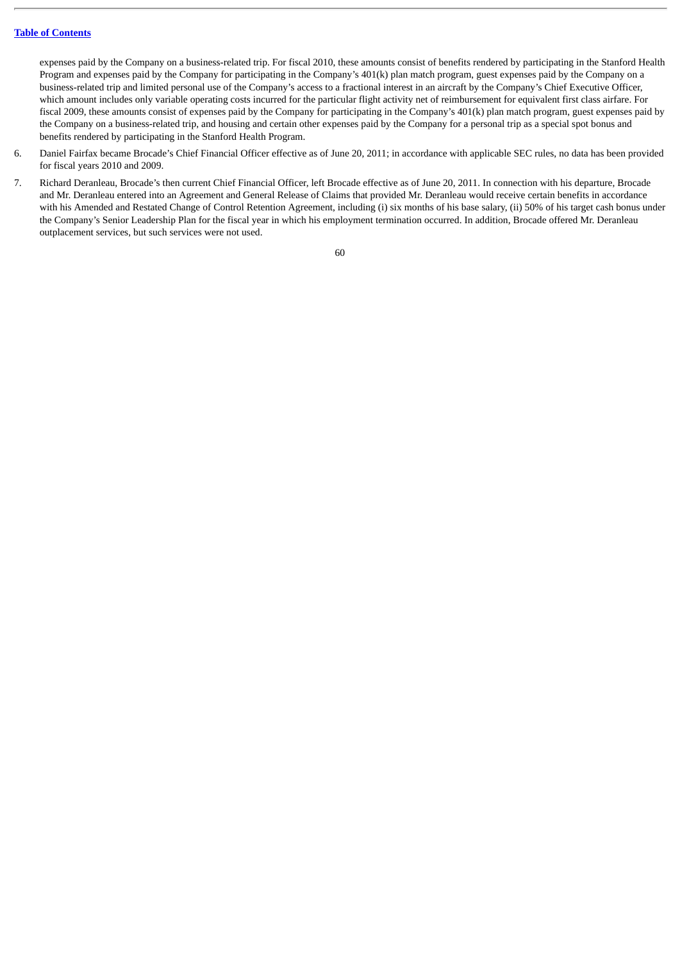expenses paid by the Company on a business-related trip. For fiscal 2010, these amounts consist of benefits rendered by participating in the Stanford Health Program and expenses paid by the Company for participating in the Company's 401(k) plan match program, guest expenses paid by the Company on a business-related trip and limited personal use of the Company's access to a fractional interest in an aircraft by the Company's Chief Executive Officer, which amount includes only variable operating costs incurred for the particular flight activity net of reimbursement for equivalent first class airfare. For fiscal 2009, these amounts consist of expenses paid by the Company for participating in the Company's 401(k) plan match program, guest expenses paid by the Company on a business-related trip, and housing and certain other expenses paid by the Company for a personal trip as a special spot bonus and benefits rendered by participating in the Stanford Health Program.

- 6. Daniel Fairfax became Brocade's Chief Financial Officer effective as of June 20, 2011; in accordance with applicable SEC rules, no data has been provided for fiscal years 2010 and 2009.
- 7. Richard Deranleau, Brocade's then current Chief Financial Officer, left Brocade effective as of June 20, 2011. In connection with his departure, Brocade and Mr. Deranleau entered into an Agreement and General Release of Claims that provided Mr. Deranleau would receive certain benefits in accordance with his Amended and Restated Change of Control Retention Agreement, including (i) six months of his base salary, (ii) 50% of his target cash bonus under the Company's Senior Leadership Plan for the fiscal year in which his employment termination occurred. In addition, Brocade offered Mr. Deranleau outplacement services, but such services were not used.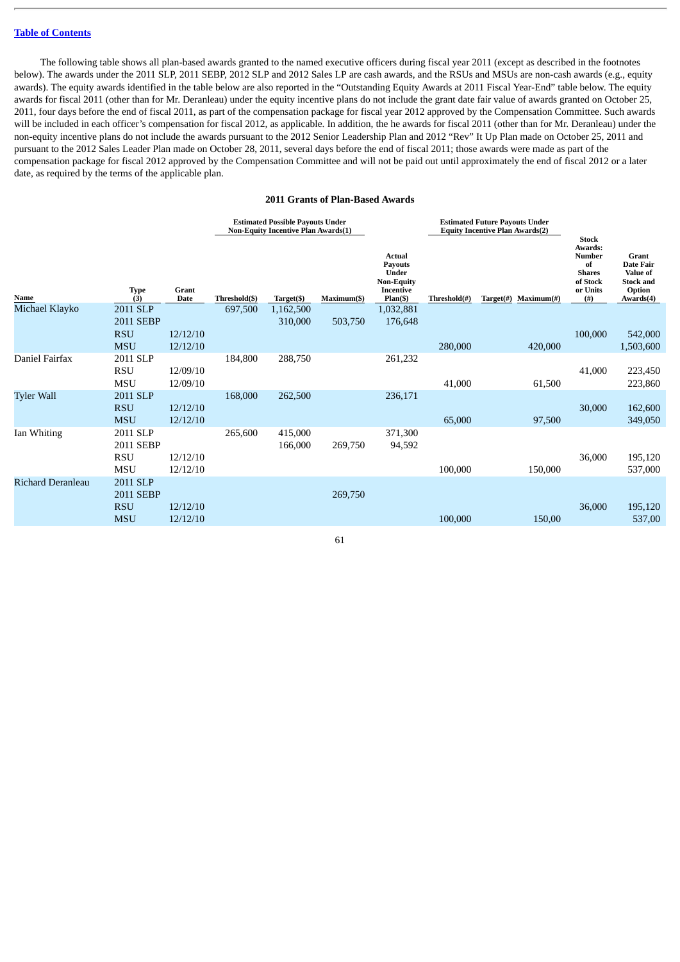The following table shows all plan-based awards granted to the named executive officers during fiscal year 2011 (except as described in the footnotes below). The awards under the 2011 SLP, 2011 SEBP, 2012 SLP and 2012 Sales LP are cash awards, and the RSUs and MSUs are non-cash awards (e.g., equity awards). The equity awards identified in the table below are also reported in the "Outstanding Equity Awards at 2011 Fiscal Year-End" table below. The equity awards for fiscal 2011 (other than for Mr. Deranleau) under the equity incentive plans do not include the grant date fair value of awards granted on October 25, 2011, four days before the end of fiscal 2011, as part of the compensation package for fiscal year 2012 approved by the Compensation Committee. Such awards will be included in each officer's compensation for fiscal 2012, as applicable. In addition, the he awards for fiscal 2011 (other than for Mr. Deranleau) under the non-equity incentive plans do not include the awards pursuant to the 2012 Senior Leadership Plan and 2012 "Rev" It Up Plan made on October 25, 2011 and pursuant to the 2012 Sales Leader Plan made on October 28, 2011, several days before the end of fiscal 2011; those awards were made as part of the compensation package for fiscal 2012 approved by the Compensation Committee and will not be paid out until approximately the end of fiscal 2012 or a later date, as required by the terms of the applicable plan.

#### **2011 Grants of Plan-Based Awards**

|                          |                          |                      | <b>Estimated Possible Payouts Under</b><br><b>Non-Equity Incentive Plan Awards(1)</b> |                    |             |                                                                                              |              | <b>Estimated Future Payouts Under</b><br><b>Equity Incentive Plan Awards(2)</b> | <b>Stock</b>                                                             |                                                                                  |  |
|--------------------------|--------------------------|----------------------|---------------------------------------------------------------------------------------|--------------------|-------------|----------------------------------------------------------------------------------------------|--------------|---------------------------------------------------------------------------------|--------------------------------------------------------------------------|----------------------------------------------------------------------------------|--|
| Name                     | Type<br>(3)              | Grant<br>Date        | Threshold(\$)                                                                         | Target(\$)         | Maximum(\$) | <b>Actual</b><br><b>Payouts</b><br>Under<br><b>Non-Equity</b><br>Incentive<br>$Plan($ \$ $)$ | Threshold(#) | Target(#)<br>Maximum(f)                                                         | Awards:<br>Number<br>of<br><b>Shares</b><br>of Stock<br>or Units<br>(# ) | Grant<br><b>Date Fair</b><br>Value of<br><b>Stock and</b><br>Option<br>Awards(4) |  |
| Michael Klayko           | 2011 SLP                 |                      | 697,500                                                                               | 1,162,500          |             | 1,032,881                                                                                    |              |                                                                                 |                                                                          |                                                                                  |  |
|                          | <b>2011 SEBP</b>         |                      |                                                                                       | 310,000            | 503,750     | 176,648                                                                                      |              |                                                                                 |                                                                          |                                                                                  |  |
|                          | <b>RSU</b><br><b>MSU</b> | 12/12/10<br>12/12/10 |                                                                                       |                    |             |                                                                                              | 280,000      | 420,000                                                                         | 100,000                                                                  | 542,000<br>1,503,600                                                             |  |
| Daniel Fairfax           | 2011 SLP                 |                      | 184,800                                                                               | 288,750            |             | 261,232                                                                                      |              |                                                                                 |                                                                          |                                                                                  |  |
|                          | <b>RSU</b>               | 12/09/10             |                                                                                       |                    |             |                                                                                              |              |                                                                                 | 41,000                                                                   | 223,450                                                                          |  |
|                          | <b>MSU</b>               | 12/09/10             |                                                                                       |                    |             |                                                                                              | 41,000       | 61,500                                                                          |                                                                          | 223,860                                                                          |  |
| <b>Tyler Wall</b>        | 2011 SLP                 |                      | 168,000                                                                               | 262,500            |             | 236,171                                                                                      |              |                                                                                 |                                                                          |                                                                                  |  |
|                          | <b>RSU</b>               | 12/12/10             |                                                                                       |                    |             |                                                                                              |              |                                                                                 | 30,000                                                                   | 162,600                                                                          |  |
|                          | <b>MSU</b>               | 12/12/10             |                                                                                       |                    |             |                                                                                              | 65,000       | 97,500                                                                          |                                                                          | 349,050                                                                          |  |
| Ian Whiting              | 2011 SLP<br>2011 SEBP    |                      | 265,600                                                                               | 415,000<br>166,000 | 269,750     | 371,300<br>94,592                                                                            |              |                                                                                 |                                                                          |                                                                                  |  |
|                          | <b>RSU</b>               | 12/12/10             |                                                                                       |                    |             |                                                                                              |              |                                                                                 | 36,000                                                                   | 195,120                                                                          |  |
|                          | <b>MSU</b>               | 12/12/10             |                                                                                       |                    |             |                                                                                              | 100,000      | 150,000                                                                         |                                                                          | 537,000                                                                          |  |
| <b>Richard Deranleau</b> | 2011 SLP                 |                      |                                                                                       |                    |             |                                                                                              |              |                                                                                 |                                                                          |                                                                                  |  |
|                          | 2011 SEBP                |                      |                                                                                       |                    | 269,750     |                                                                                              |              |                                                                                 |                                                                          |                                                                                  |  |
|                          | <b>RSU</b>               | 12/12/10             |                                                                                       |                    |             |                                                                                              |              |                                                                                 | 36,000                                                                   | 195,120                                                                          |  |
|                          | <b>MSU</b>               | 12/12/10             |                                                                                       |                    |             |                                                                                              | 100,000      | 150,00                                                                          |                                                                          | 537,00                                                                           |  |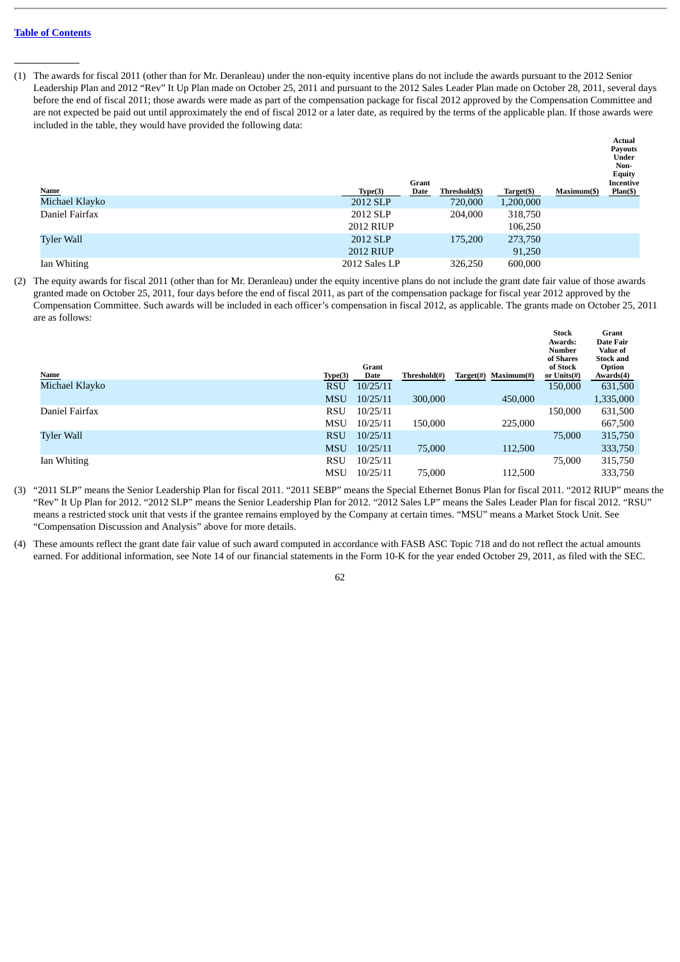(1) The awards for fiscal 2011 (other than for Mr. Deranleau) under the non-equity incentive plans do not include the awards pursuant to the 2012 Senior Leadership Plan and 2012 "Rev" It Up Plan made on October 25, 2011 and pursuant to the 2012 Sales Leader Plan made on October 28, 2011, several days before the end of fiscal 2011; those awards were made as part of the compensation package for fiscal 2012 approved by the Compensation Committee and are not expected be paid out until approximately the end of fiscal 2012 or a later date, as required by the terms of the applicable plan. If those awards were included in the table, they would have provided the following data:

**Actual**

|                   |                  | Grant |               |            |             | <b>Payouts</b><br>Under<br>Non-<br><b>Equity</b><br>Incentive |
|-------------------|------------------|-------|---------------|------------|-------------|---------------------------------------------------------------|
| <b>Name</b>       | Type(3)          | Date  | Threshold(\$) | Target(\$) | Maximum(\$) | Plan(                                                         |
| Michael Klayko    | 2012 SLP         |       | 720,000       | 1,200,000  |             |                                                               |
| Daniel Fairfax    | 2012 SLP         |       | 204,000       | 318,750    |             |                                                               |
|                   | 2012 RIUP        |       |               | 106,250    |             |                                                               |
| <b>Tyler Wall</b> | 2012 SLP         |       | 175,200       | 273,750    |             |                                                               |
|                   | <b>2012 RIUP</b> |       |               | 91,250     |             |                                                               |
| Ian Whiting       | 2012 Sales LP    |       | 326,250       | 600,000    |             |                                                               |

(2) The equity awards for fiscal 2011 (other than for Mr. Deranleau) under the equity incentive plans do not include the grant date fair value of those awards granted made on October 25, 2011, four days before the end of fiscal 2011, as part of the compensation package for fiscal year 2012 approved by the Compensation Committee. Such awards will be included in each officer's compensation in fiscal 2012, as applicable. The grants made on October 25, 2011 are as follows:

| Name              | Type(3)    | Grant<br>Date | Threshold(#) | Maximum#)<br>Target(#) | <b>Stock</b><br>Awards:<br><b>Number</b><br>of Shares<br>of Stock<br>or Units(#) | Grant<br>Date Fair<br><b>Value of</b><br><b>Stock and</b><br>Option<br>Awards(4) |
|-------------------|------------|---------------|--------------|------------------------|----------------------------------------------------------------------------------|----------------------------------------------------------------------------------|
| Michael Klayko    | <b>RSU</b> | 10/25/11      |              |                        | 150,000                                                                          | 631,500                                                                          |
|                   | <b>MSU</b> | 10/25/11      | 300,000      | 450,000                |                                                                                  | 1,335,000                                                                        |
| Daniel Fairfax    | <b>RSU</b> | 10/25/11      |              |                        | 150,000                                                                          | 631,500                                                                          |
|                   | <b>MSU</b> | 10/25/11      | 150,000      | 225,000                |                                                                                  | 667,500                                                                          |
| <b>Tyler Wall</b> | <b>RSU</b> | 10/25/11      |              |                        | 75,000                                                                           | 315,750                                                                          |
|                   | <b>MSU</b> | 10/25/11      | 75,000       | 112,500                |                                                                                  | 333,750                                                                          |
| Ian Whiting       | <b>RSU</b> | 10/25/11      |              |                        | 75,000                                                                           | 315,750                                                                          |
|                   | <b>MSU</b> | 10/25/11      | 75,000       | 112,500                |                                                                                  | 333,750                                                                          |

(3) "2011 SLP" means the Senior Leadership Plan for fiscal 2011. "2011 SEBP" means the Special Ethernet Bonus Plan for fiscal 2011. "2012 RIUP" means the "Rev" It Up Plan for 2012. "2012 SLP" means the Senior Leadership Plan for 2012. "2012 Sales LP" means the Sales Leader Plan for fiscal 2012. "RSU" means a restricted stock unit that vests if the grantee remains employed by the Company at certain times. "MSU" means a Market Stock Unit. See "Compensation Discussion and Analysis" above for more details.

(4) These amounts reflect the grant date fair value of such award computed in accordance with FASB ASC Topic 718 and do not reflect the actual amounts earned. For additional information, see Note 14 of our financial statements in the Form 10-K for the year ended October 29, 2011, as filed with the SEC.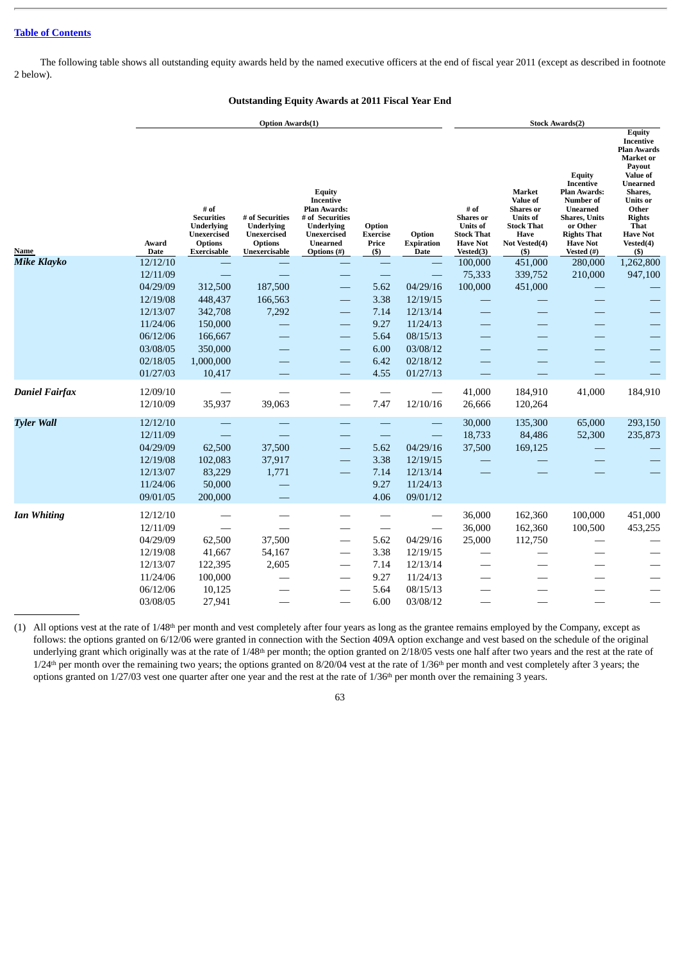The following table shows all outstanding equity awards held by the named executive officers at the end of fiscal year 2011 (except as described in footnote 2 below).

### **Outstanding Equity Awards at 2011 Fiscal Year End**

|                       |                      | <b>Option Awards(1)</b>                                                                               |                                                                                        |                                                                                                                              |                                             |                                     |                                                                                                  |                                                                                                                   | <b>Stock Awards(2)</b>                                                                                                                                          |                                                                                                                                                                                                                                        |  |  |  |
|-----------------------|----------------------|-------------------------------------------------------------------------------------------------------|----------------------------------------------------------------------------------------|------------------------------------------------------------------------------------------------------------------------------|---------------------------------------------|-------------------------------------|--------------------------------------------------------------------------------------------------|-------------------------------------------------------------------------------------------------------------------|-----------------------------------------------------------------------------------------------------------------------------------------------------------------|----------------------------------------------------------------------------------------------------------------------------------------------------------------------------------------------------------------------------------------|--|--|--|
| Name                  | Award<br>Date        | # of<br><b>Securities</b><br><b>Underlying</b><br><b>Unexercised</b><br><b>Options</b><br>Exercisable | # of Securities<br>Underlying<br><b>Unexercised</b><br><b>Options</b><br>Unexercisable | Equity<br>Incentive<br>Plan Awards:<br># of Securities<br>Underlying<br>Unexercised<br><b>Unearned</b><br><b>Options</b> (#) | Option<br><b>Exercise</b><br>Price<br>$($)$ | Option<br><b>Expiration</b><br>Date | # of<br><b>Shares</b> or<br><b>Units of</b><br><b>Stock That</b><br><b>Have Not</b><br>Vested(3) | Market<br>Value of<br><b>Shares</b> or<br><b>Units of</b><br>Stock That<br><b>Have</b><br>Not Vested(4)<br>$($ \$ | Equity<br>Incentive<br><b>Plan Awards:</b><br>Number of<br>Unearned<br><b>Shares</b> , Units<br>or Other<br><b>Rights That</b><br><b>Have Not</b><br>Vested (#) | <b>Equity</b><br><b>Incentive</b><br><b>Plan Awards</b><br>Market or<br>Payout<br><b>Value of</b><br><b>Unearned</b><br>Shares,<br><b>Units</b> or<br>Other<br><b>Rights</b><br><b>That</b><br><b>Have Not</b><br>Vested(4)<br>$($ \$) |  |  |  |
| <b>Mike Klayko</b>    | 12/12/10             |                                                                                                       |                                                                                        |                                                                                                                              |                                             |                                     | 100,000                                                                                          | 451,000                                                                                                           | 280,000                                                                                                                                                         | 1,262,800                                                                                                                                                                                                                              |  |  |  |
|                       | 12/11/09             |                                                                                                       |                                                                                        |                                                                                                                              |                                             |                                     | 75,333                                                                                           | 339,752                                                                                                           | 210,000                                                                                                                                                         | 947,100                                                                                                                                                                                                                                |  |  |  |
|                       | 04/29/09             | 312,500                                                                                               | 187,500                                                                                |                                                                                                                              | 5.62                                        | 04/29/16                            | 100,000                                                                                          | 451,000                                                                                                           |                                                                                                                                                                 |                                                                                                                                                                                                                                        |  |  |  |
|                       | 12/19/08             | 448,437                                                                                               | 166,563                                                                                |                                                                                                                              | 3.38                                        | 12/19/15                            |                                                                                                  |                                                                                                                   |                                                                                                                                                                 |                                                                                                                                                                                                                                        |  |  |  |
|                       | 12/13/07             | 342,708                                                                                               | 7,292                                                                                  |                                                                                                                              | 7.14                                        | 12/13/14                            |                                                                                                  |                                                                                                                   |                                                                                                                                                                 |                                                                                                                                                                                                                                        |  |  |  |
|                       | 11/24/06             | 150,000                                                                                               |                                                                                        |                                                                                                                              | 9.27                                        | 11/24/13                            |                                                                                                  |                                                                                                                   |                                                                                                                                                                 |                                                                                                                                                                                                                                        |  |  |  |
|                       | 06/12/06             | 166,667                                                                                               |                                                                                        |                                                                                                                              | 5.64                                        | 08/15/13                            |                                                                                                  |                                                                                                                   |                                                                                                                                                                 |                                                                                                                                                                                                                                        |  |  |  |
|                       | 03/08/05             | 350,000                                                                                               |                                                                                        |                                                                                                                              | 6.00                                        | 03/08/12                            |                                                                                                  |                                                                                                                   |                                                                                                                                                                 |                                                                                                                                                                                                                                        |  |  |  |
|                       | 02/18/05             | 1,000,000                                                                                             |                                                                                        | --                                                                                                                           | 6.42                                        | 02/18/12                            |                                                                                                  |                                                                                                                   |                                                                                                                                                                 |                                                                                                                                                                                                                                        |  |  |  |
|                       | 01/27/03             | 10,417                                                                                                |                                                                                        | $\qquad \qquad \longleftarrow$                                                                                               | 4.55                                        | 01/27/13                            |                                                                                                  |                                                                                                                   |                                                                                                                                                                 |                                                                                                                                                                                                                                        |  |  |  |
|                       |                      |                                                                                                       |                                                                                        |                                                                                                                              |                                             |                                     |                                                                                                  |                                                                                                                   |                                                                                                                                                                 |                                                                                                                                                                                                                                        |  |  |  |
| <b>Daniel Fairfax</b> | 12/09/10<br>12/10/09 | 35,937                                                                                                | 39,063                                                                                 |                                                                                                                              | 7.47                                        | 12/10/16                            | 41,000<br>26,666                                                                                 | 184,910<br>120,264                                                                                                | 41,000                                                                                                                                                          | 184,910                                                                                                                                                                                                                                |  |  |  |
| <b>Tyler Wall</b>     | 12/12/10             |                                                                                                       |                                                                                        |                                                                                                                              |                                             |                                     | 30,000                                                                                           | 135,300                                                                                                           | 65,000                                                                                                                                                          | 293,150                                                                                                                                                                                                                                |  |  |  |
|                       | 12/11/09             |                                                                                                       |                                                                                        |                                                                                                                              |                                             |                                     | 18,733                                                                                           | 84,486                                                                                                            | 52,300                                                                                                                                                          | 235,873                                                                                                                                                                                                                                |  |  |  |
|                       | 04/29/09             | 62,500                                                                                                | 37,500                                                                                 | $\overline{\phantom{0}}$                                                                                                     | 5.62                                        | 04/29/16                            | 37,500                                                                                           | 169,125                                                                                                           |                                                                                                                                                                 |                                                                                                                                                                                                                                        |  |  |  |
|                       | 12/19/08             | 102,083                                                                                               | 37,917                                                                                 | $\overline{\phantom{0}}$                                                                                                     | 3.38                                        | 12/19/15                            |                                                                                                  |                                                                                                                   |                                                                                                                                                                 |                                                                                                                                                                                                                                        |  |  |  |
|                       | 12/13/07             | 83,229                                                                                                | 1,771                                                                                  | $\overline{\phantom{0}}$                                                                                                     | 7.14                                        | 12/13/14                            |                                                                                                  |                                                                                                                   |                                                                                                                                                                 |                                                                                                                                                                                                                                        |  |  |  |
|                       | 11/24/06             | 50,000                                                                                                |                                                                                        |                                                                                                                              | 9.27                                        | 11/24/13                            |                                                                                                  |                                                                                                                   |                                                                                                                                                                 |                                                                                                                                                                                                                                        |  |  |  |
|                       | 09/01/05             | 200,000                                                                                               |                                                                                        |                                                                                                                              | 4.06                                        | 09/01/12                            |                                                                                                  |                                                                                                                   |                                                                                                                                                                 |                                                                                                                                                                                                                                        |  |  |  |
|                       |                      |                                                                                                       |                                                                                        |                                                                                                                              |                                             |                                     |                                                                                                  |                                                                                                                   |                                                                                                                                                                 |                                                                                                                                                                                                                                        |  |  |  |
| <b>Ian Whiting</b>    | 12/12/10             |                                                                                                       |                                                                                        |                                                                                                                              |                                             |                                     | 36,000                                                                                           | 162,360                                                                                                           | 100,000                                                                                                                                                         | 451,000                                                                                                                                                                                                                                |  |  |  |
|                       | 12/11/09             |                                                                                                       |                                                                                        |                                                                                                                              |                                             |                                     | 36,000                                                                                           | 162,360                                                                                                           | 100,500                                                                                                                                                         | 453,255                                                                                                                                                                                                                                |  |  |  |
|                       | 04/29/09             | 62,500                                                                                                | 37,500                                                                                 |                                                                                                                              | 5.62                                        | 04/29/16                            | 25,000                                                                                           | 112,750                                                                                                           |                                                                                                                                                                 |                                                                                                                                                                                                                                        |  |  |  |
|                       | 12/19/08             | 41,667                                                                                                | 54,167                                                                                 |                                                                                                                              | 3.38                                        | 12/19/15                            |                                                                                                  |                                                                                                                   |                                                                                                                                                                 |                                                                                                                                                                                                                                        |  |  |  |
|                       | 12/13/07             | 122,395                                                                                               | 2,605                                                                                  |                                                                                                                              | 7.14                                        | 12/13/14                            |                                                                                                  |                                                                                                                   |                                                                                                                                                                 |                                                                                                                                                                                                                                        |  |  |  |
|                       | 11/24/06             | 100,000                                                                                               |                                                                                        |                                                                                                                              | 9.27                                        | 11/24/13                            |                                                                                                  |                                                                                                                   |                                                                                                                                                                 |                                                                                                                                                                                                                                        |  |  |  |
|                       | 06/12/06             | 10,125                                                                                                |                                                                                        |                                                                                                                              | 5.64                                        | 08/15/13                            |                                                                                                  |                                                                                                                   |                                                                                                                                                                 |                                                                                                                                                                                                                                        |  |  |  |
|                       | 03/08/05             | 27,941                                                                                                |                                                                                        |                                                                                                                              | 6.00                                        | 03/08/12                            |                                                                                                  |                                                                                                                   |                                                                                                                                                                 |                                                                                                                                                                                                                                        |  |  |  |

 $(1)$  All options vest at the rate of  $1/48<sup>th</sup>$  per month and vest completely after four years as long as the grantee remains employed by the Company, except as follows: the options granted on 6/12/06 were granted in connection with the Section 409A option exchange and vest based on the schedule of the original underlying grant which originally was at the rate of  $1/48$ <sup>th</sup> per month; the option granted on  $2/18/05$  vests one half after two years and the rest at the rate of  $1/24<sup>th</sup>$  per month over the remaining two years; the options granted on 8/20/04 vest at the rate of  $1/36<sup>th</sup>$  per month and vest completely after 3 years; the options granted on  $1/27/03$  vest one quarter after one year and the rest at the rate of  $1/36<sup>th</sup>$  per month over the remaining 3 years.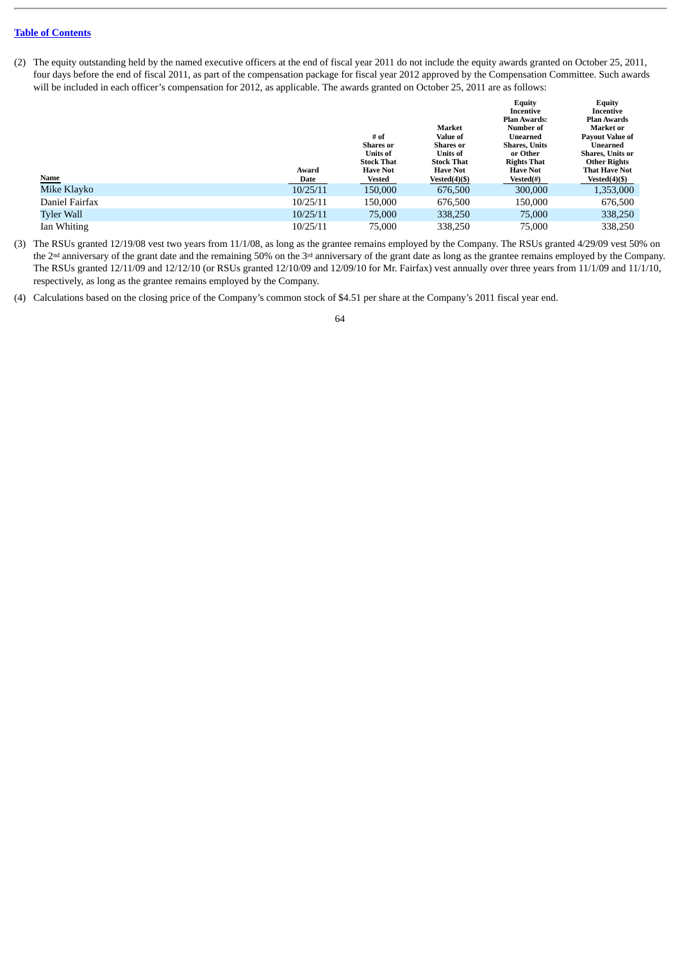(2) The equity outstanding held by the named executive officers at the end of fiscal year 2011 do not include the equity awards granted on October 25, 2011, four days before the end of fiscal 2011, as part of the compensation package for fiscal year 2012 approved by the Compensation Committee. Such awards will be included in each officer's compensation for 2012, as applicable. The awards granted on October 25, 2011 are as follows:

|                |          |                   |                   | <b>Equity</b>        | <b>Equity</b>          |
|----------------|----------|-------------------|-------------------|----------------------|------------------------|
|                |          |                   |                   | Incentive            | Incentive              |
|                |          |                   |                   | <b>Plan Awards:</b>  | <b>Plan Awards</b>     |
|                |          |                   | Market            | Number of            | Market or              |
|                |          | # of              | Value of          | Unearned             | <b>Pavout Value of</b> |
|                |          | Shares or         | Shares or         | <b>Shares, Units</b> | Unearned               |
|                |          | <b>Units of</b>   | <b>Units of</b>   | or Other             | Shares, Units or       |
|                |          | <b>Stock That</b> | <b>Stock That</b> | <b>Rights That</b>   | <b>Other Rights</b>    |
|                | Award    | <b>Have Not</b>   | <b>Have Not</b>   | <b>Have Not</b>      | <b>That Have Not</b>   |
| Name           | Date     | <b>Vested</b>     | $Vested(4)(\$)$   | Vested(#)            | Vested $(4)(\$)$       |
| Mike Klayko    | 10/25/11 | 150,000           | 676,500           | 300,000              | 1,353,000              |
| Daniel Fairfax | 10/25/11 | 150,000           | 676,500           | 150,000              | 676,500                |
| Tyler Wall     | 10/25/11 | 75,000            | 338,250           | 75,000               | 338,250                |
| Ian Whiting    | 10/25/11 | 75,000            | 338,250           | 75,000               | 338,250                |

(3) The RSUs granted 12/19/08 vest two years from 11/1/08, as long as the grantee remains employed by the Company. The RSUs granted 4/29/09 vest 50% on the  $2<sup>nd</sup>$  anniversary of the grant date and the remaining 50% on the  $3<sup>rd</sup>$  anniversary of the grant date as long as the grantee remains employed by the Company. The RSUs granted 12/11/09 and 12/12/10 (or RSUs granted 12/10/09 and 12/09/10 for Mr. Fairfax) vest annually over three years from 11/1/09 and 11/1/10, respectively, as long as the grantee remains employed by the Company.

(4) Calculations based on the closing price of the Company's common stock of \$4.51 per share at the Company's 2011 fiscal year end.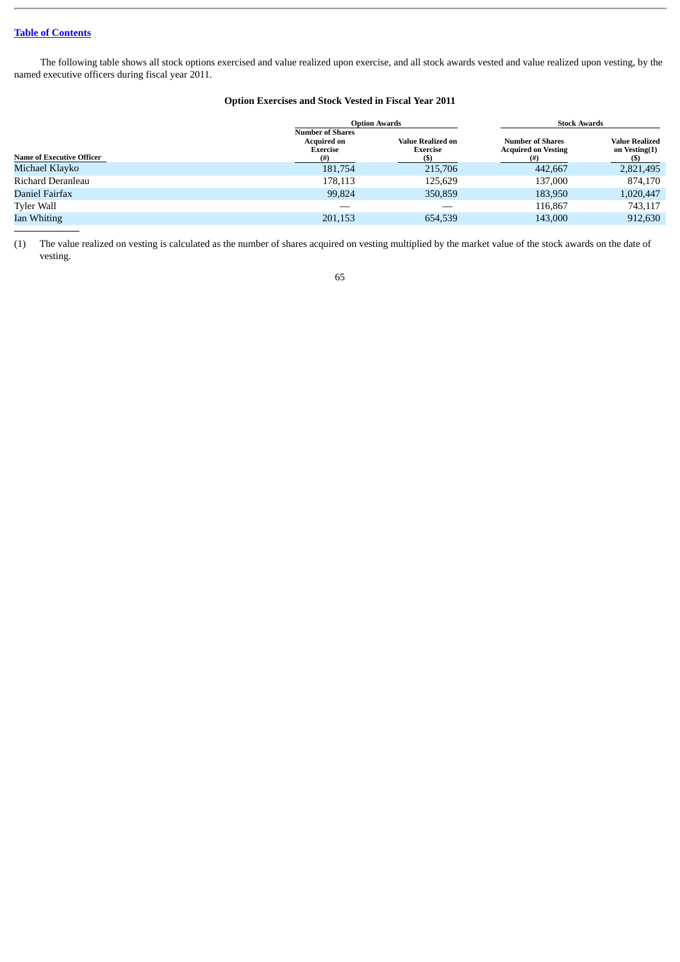The following table shows all stock options exercised and value realized upon exercise, and all stock awards vested and value realized upon vesting, by the named executive officers during fiscal year 2011.

# **Option Exercises and Stock Vested in Fiscal Year 2011**

|                                  |                                                                  | <b>Option Awards</b>                               | <b>Stock Awards</b>                                   |                                               |  |  |
|----------------------------------|------------------------------------------------------------------|----------------------------------------------------|-------------------------------------------------------|-----------------------------------------------|--|--|
| <b>Name of Executive Officer</b> | <b>Number of Shares</b><br><b>Acquired on</b><br>Exercise<br>(#) | <b>Value Realized on</b><br><b>Exercise</b><br>(S) | <b>Number of Shares</b><br><b>Acquired on Vesting</b> | <b>Value Realized</b><br>on Vesting(1)<br>(5) |  |  |
| Michael Klavko                   | 181,754                                                          | 215,706                                            | 442,667                                               | 2,821,495                                     |  |  |
| Richard Deranleau                | 178,113                                                          | 125,629                                            | 137,000                                               | 874,170                                       |  |  |
| Daniel Fairfax                   | 99,824                                                           | 350,859                                            | 183,950                                               | 1,020,447                                     |  |  |
| <b>Tyler Wall</b>                |                                                                  |                                                    | 116.867                                               | 743,117                                       |  |  |
| Ian Whiting                      | 201,153                                                          | 654,539                                            | 143,000                                               | 912,630                                       |  |  |

(1) The value realized on vesting is calculated as the number of shares acquired on vesting multiplied by the market value of the stock awards on the date of vesting.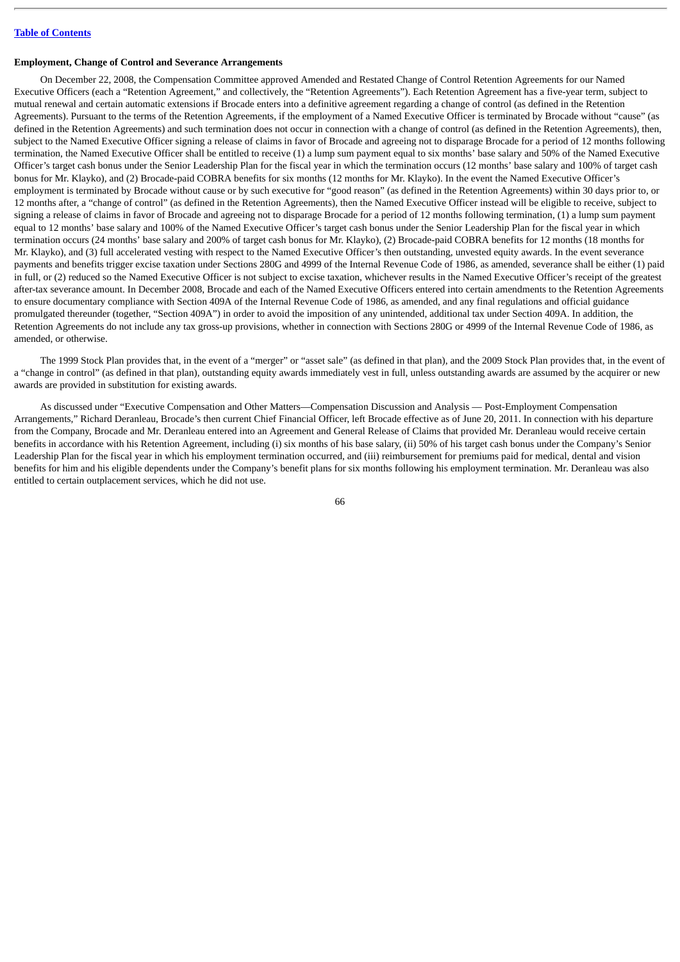### **Employment, Change of Control and Severance Arrangements**

On December 22, 2008, the Compensation Committee approved Amended and Restated Change of Control Retention Agreements for our Named Executive Officers (each a "Retention Agreement," and collectively, the "Retention Agreements"). Each Retention Agreement has a five-year term, subject to mutual renewal and certain automatic extensions if Brocade enters into a definitive agreement regarding a change of control (as defined in the Retention Agreements). Pursuant to the terms of the Retention Agreements, if the employment of a Named Executive Officer is terminated by Brocade without "cause" (as defined in the Retention Agreements) and such termination does not occur in connection with a change of control (as defined in the Retention Agreements), then, subject to the Named Executive Officer signing a release of claims in favor of Brocade and agreeing not to disparage Brocade for a period of 12 months following termination, the Named Executive Officer shall be entitled to receive (1) a lump sum payment equal to six months' base salary and 50% of the Named Executive Officer's target cash bonus under the Senior Leadership Plan for the fiscal year in which the termination occurs (12 months' base salary and 100% of target cash bonus for Mr. Klayko), and (2) Brocade-paid COBRA benefits for six months (12 months for Mr. Klayko). In the event the Named Executive Officer's employment is terminated by Brocade without cause or by such executive for "good reason" (as defined in the Retention Agreements) within 30 days prior to, or 12 months after, a "change of control" (as defined in the Retention Agreements), then the Named Executive Officer instead will be eligible to receive, subject to signing a release of claims in favor of Brocade and agreeing not to disparage Brocade for a period of 12 months following termination, (1) a lump sum payment equal to 12 months' base salary and 100% of the Named Executive Officer's target cash bonus under the Senior Leadership Plan for the fiscal year in which termination occurs (24 months' base salary and 200% of target cash bonus for Mr. Klayko), (2) Brocade-paid COBRA benefits for 12 months (18 months for Mr. Klayko), and (3) full accelerated vesting with respect to the Named Executive Officer's then outstanding, unvested equity awards. In the event severance payments and benefits trigger excise taxation under Sections 280G and 4999 of the Internal Revenue Code of 1986, as amended, severance shall be either (1) paid in full, or (2) reduced so the Named Executive Officer is not subject to excise taxation, whichever results in the Named Executive Officer's receipt of the greatest after-tax severance amount. In December 2008, Brocade and each of the Named Executive Officers entered into certain amendments to the Retention Agreements to ensure documentary compliance with Section 409A of the Internal Revenue Code of 1986, as amended, and any final regulations and official guidance promulgated thereunder (together, "Section 409A") in order to avoid the imposition of any unintended, additional tax under Section 409A. In addition, the Retention Agreements do not include any tax gross-up provisions, whether in connection with Sections 280G or 4999 of the Internal Revenue Code of 1986, as amended, or otherwise.

The 1999 Stock Plan provides that, in the event of a "merger" or "asset sale" (as defined in that plan), and the 2009 Stock Plan provides that, in the event of a "change in control" (as defined in that plan), outstanding equity awards immediately vest in full, unless outstanding awards are assumed by the acquirer or new awards are provided in substitution for existing awards.

As discussed under "Executive Compensation and Other Matters—Compensation Discussion and Analysis — Post-Employment Compensation Arrangements," Richard Deranleau, Brocade's then current Chief Financial Officer, left Brocade effective as of June 20, 2011. In connection with his departure from the Company, Brocade and Mr. Deranleau entered into an Agreement and General Release of Claims that provided Mr. Deranleau would receive certain benefits in accordance with his Retention Agreement, including (i) six months of his base salary, (ii) 50% of his target cash bonus under the Company's Senior Leadership Plan for the fiscal year in which his employment termination occurred, and (iii) reimbursement for premiums paid for medical, dental and vision benefits for him and his eligible dependents under the Company's benefit plans for six months following his employment termination. Mr. Deranleau was also entitled to certain outplacement services, which he did not use.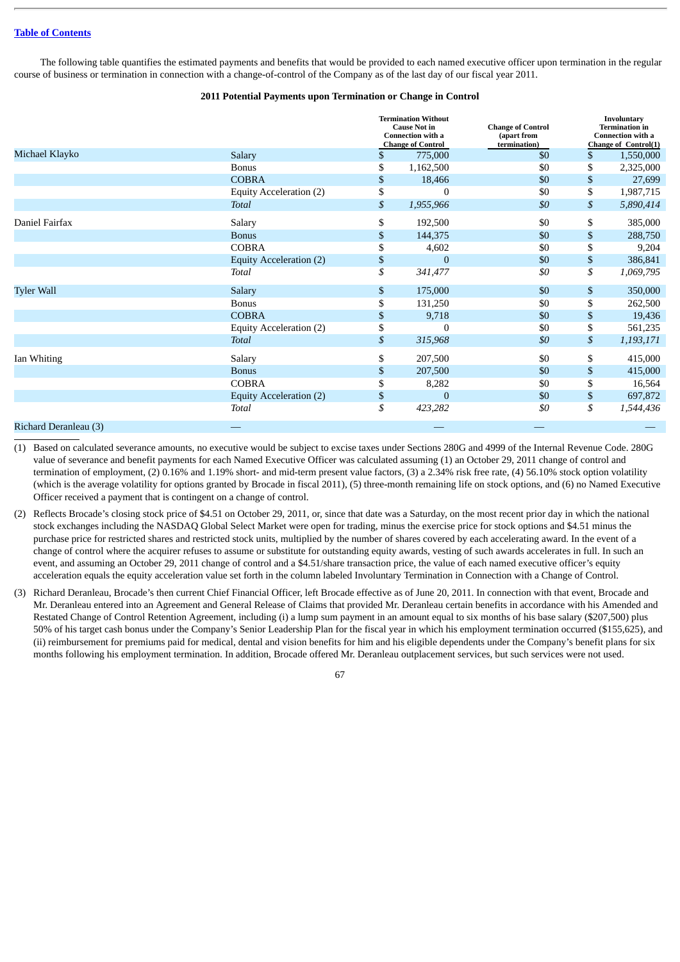The following table quantifies the estimated payments and benefits that would be provided to each named executive officer upon termination in the regular course of business or termination in connection with a change-of-control of the Company as of the last day of our fiscal year 2011.

### **2011 Potential Payments upon Termination or Change in Control**

|                       |                                | <b>Termination Without</b><br><b>Cause Not in</b><br><b>Connection with a</b><br><b>Change of Control</b> | <b>Change of Control</b><br>(apart from<br>termination) | Involuntary<br><b>Termination</b> in<br><b>Connection with a</b><br>Change of Control(1) |           |
|-----------------------|--------------------------------|-----------------------------------------------------------------------------------------------------------|---------------------------------------------------------|------------------------------------------------------------------------------------------|-----------|
| Michael Klayko        | Salary                         | \$<br>775,000                                                                                             | \$0                                                     | $\mathbf{S}$                                                                             | 1,550,000 |
|                       | <b>Bonus</b>                   | \$<br>1,162,500                                                                                           | \$0                                                     | \$                                                                                       | 2,325,000 |
|                       | <b>COBRA</b>                   | \$<br>18,466                                                                                              | \$0                                                     | \$                                                                                       | 27,699    |
|                       | <b>Equity Acceleration (2)</b> | \$<br>0                                                                                                   | \$0                                                     | \$                                                                                       | 1,987,715 |
|                       | Total                          | \$<br>1,955,966                                                                                           | \$0                                                     | \$                                                                                       | 5,890,414 |
| Daniel Fairfax        | Salary                         | \$<br>192,500                                                                                             | \$0                                                     | \$                                                                                       | 385,000   |
|                       | <b>Bonus</b>                   | \$<br>144,375                                                                                             | \$0                                                     | \$                                                                                       | 288,750   |
|                       | <b>COBRA</b>                   | \$<br>4,602                                                                                               | \$0                                                     | \$                                                                                       | 9,204     |
|                       | Equity Acceleration (2)        | \$<br>$\bf{0}$                                                                                            | \$0                                                     | \$                                                                                       | 386,841   |
|                       | Total                          | \$<br>341,477                                                                                             | \$0                                                     | \$                                                                                       | 1,069,795 |
| <b>Tyler Wall</b>     | Salary                         | \$<br>175,000                                                                                             | \$0                                                     | \$                                                                                       | 350,000   |
|                       | <b>Bonus</b>                   | \$<br>131,250                                                                                             | \$0                                                     | \$                                                                                       | 262,500   |
|                       | <b>COBRA</b>                   | \$<br>9,718                                                                                               | \$0                                                     | \$                                                                                       | 19,436    |
|                       | Equity Acceleration (2)        | \$<br>0                                                                                                   | \$0                                                     | \$                                                                                       | 561,235   |
|                       | Total                          | \$<br>315,968                                                                                             | \$0                                                     | \$                                                                                       | 1,193,171 |
| Ian Whiting           | Salary                         | \$<br>207,500                                                                                             | \$0                                                     | \$                                                                                       | 415,000   |
|                       | <b>Bonus</b>                   | \$<br>207,500                                                                                             | \$0                                                     | \$                                                                                       | 415,000   |
|                       | <b>COBRA</b>                   | \$<br>8,282                                                                                               | \$0                                                     | \$                                                                                       | 16,564    |
|                       | Equity Acceleration (2)        | \$<br>$\Omega$                                                                                            | \$0                                                     | \$                                                                                       | 697,872   |
|                       | Total                          | \$<br>423,282                                                                                             | \$0                                                     | \$                                                                                       | 1,544,436 |
| Richard Deranleau (3) |                                |                                                                                                           |                                                         |                                                                                          |           |

(1) Based on calculated severance amounts, no executive would be subject to excise taxes under Sections 280G and 4999 of the Internal Revenue Code. 280G value of severance and benefit payments for each Named Executive Officer was calculated assuming (1) an October 29, 2011 change of control and termination of employment, (2) 0.16% and 1.19% short- and mid-term present value factors, (3) a 2.34% risk free rate, (4) 56.10% stock option volatility (which is the average volatility for options granted by Brocade in fiscal 2011), (5) three-month remaining life on stock options, and (6) no Named Executive Officer received a payment that is contingent on a change of control.

- (2) Reflects Brocade's closing stock price of \$4.51 on October 29, 2011, or, since that date was a Saturday, on the most recent prior day in which the national stock exchanges including the NASDAQ Global Select Market were open for trading, minus the exercise price for stock options and \$4.51 minus the purchase price for restricted shares and restricted stock units, multiplied by the number of shares covered by each accelerating award. In the event of a change of control where the acquirer refuses to assume or substitute for outstanding equity awards, vesting of such awards accelerates in full. In such an event, and assuming an October 29, 2011 change of control and a \$4.51/share transaction price, the value of each named executive officer's equity acceleration equals the equity acceleration value set forth in the column labeled Involuntary Termination in Connection with a Change of Control.
- (3) Richard Deranleau, Brocade's then current Chief Financial Officer, left Brocade effective as of June 20, 2011. In connection with that event, Brocade and Mr. Deranleau entered into an Agreement and General Release of Claims that provided Mr. Deranleau certain benefits in accordance with his Amended and Restated Change of Control Retention Agreement, including (i) a lump sum payment in an amount equal to six months of his base salary (\$207,500) plus 50% of his target cash bonus under the Company's Senior Leadership Plan for the fiscal year in which his employment termination occurred (\$155,625), and (ii) reimbursement for premiums paid for medical, dental and vision benefits for him and his eligible dependents under the Company's benefit plans for six months following his employment termination. In addition, Brocade offered Mr. Deranleau outplacement services, but such services were not used.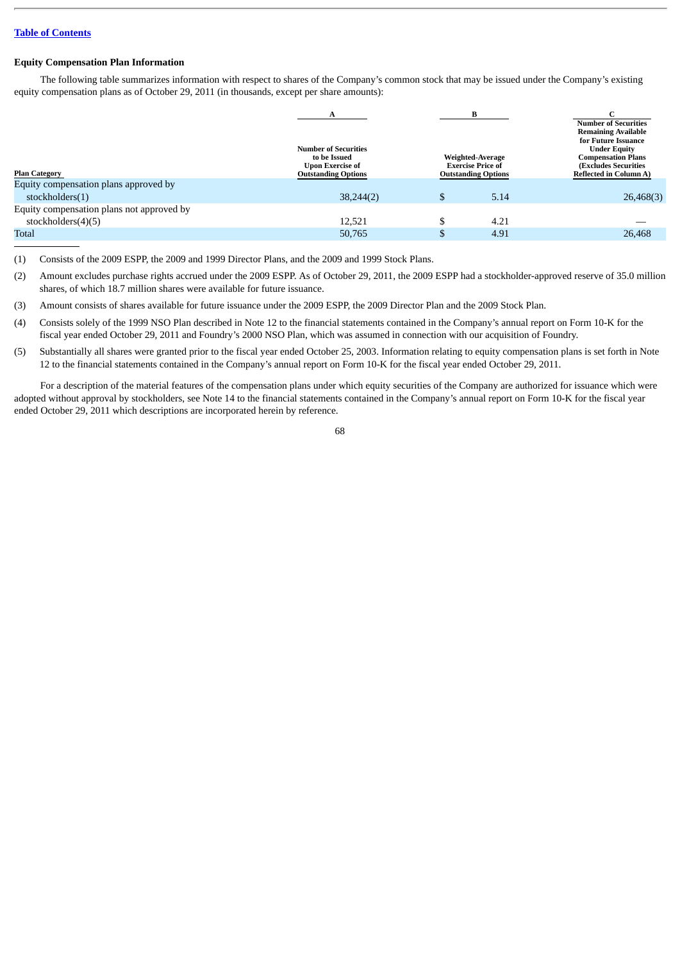### **Equity Compensation Plan Information**

The following table summarizes information with respect to shares of the Company's common stock that may be issued under the Company's existing equity compensation plans as of October 29, 2011 (in thousands, except per share amounts):

|                                           | <b>Number of Securities</b><br>to be Issued<br><b>Upon Exercise of</b> | Weighted-Average<br><b>Exercise Price of</b> |                            | <b>Number of Securities</b><br><b>Remaining Available</b><br>for Future Issuance<br><b>Under Equity</b><br><b>Compensation Plans</b><br>(Excludes Securities |  |
|-------------------------------------------|------------------------------------------------------------------------|----------------------------------------------|----------------------------|--------------------------------------------------------------------------------------------------------------------------------------------------------------|--|
| <b>Plan Category</b>                      | <b>Outstanding Options</b>                                             |                                              | <b>Outstanding Options</b> | <b>Reflected in Column A)</b>                                                                                                                                |  |
| Equity compensation plans approved by     |                                                                        |                                              |                            |                                                                                                                                                              |  |
| stockholders(1)                           | 38,244(2)                                                              |                                              | 5.14                       | 26,468(3)                                                                                                                                                    |  |
| Equity compensation plans not approved by |                                                                        |                                              |                            |                                                                                                                                                              |  |
| stockholders $(4)(5)$                     | 12.521                                                                 |                                              | 4.21                       |                                                                                                                                                              |  |
| <b>Total</b>                              | 50,765                                                                 |                                              | 4.91                       | 26,468                                                                                                                                                       |  |
|                                           |                                                                        |                                              |                            |                                                                                                                                                              |  |

(1) Consists of the 2009 ESPP, the 2009 and 1999 Director Plans, and the 2009 and 1999 Stock Plans.

(2) Amount excludes purchase rights accrued under the 2009 ESPP. As of October 29, 2011, the 2009 ESPP had a stockholder-approved reserve of 35.0 million shares, of which 18.7 million shares were available for future issuance.

(3) Amount consists of shares available for future issuance under the 2009 ESPP, the 2009 Director Plan and the 2009 Stock Plan.

(4) Consists solely of the 1999 NSO Plan described in Note 12 to the financial statements contained in the Company's annual report on Form 10-K for the fiscal year ended October 29, 2011 and Foundry's 2000 NSO Plan, which was assumed in connection with our acquisition of Foundry.

(5) Substantially all shares were granted prior to the fiscal year ended October 25, 2003. Information relating to equity compensation plans is set forth in Note 12 to the financial statements contained in the Company's annual report on Form 10-K for the fiscal year ended October 29, 2011.

For a description of the material features of the compensation plans under which equity securities of the Company are authorized for issuance which were adopted without approval by stockholders, see Note 14 to the financial statements contained in the Company's annual report on Form 10-K for the fiscal year ended October 29, 2011 which descriptions are incorporated herein by reference.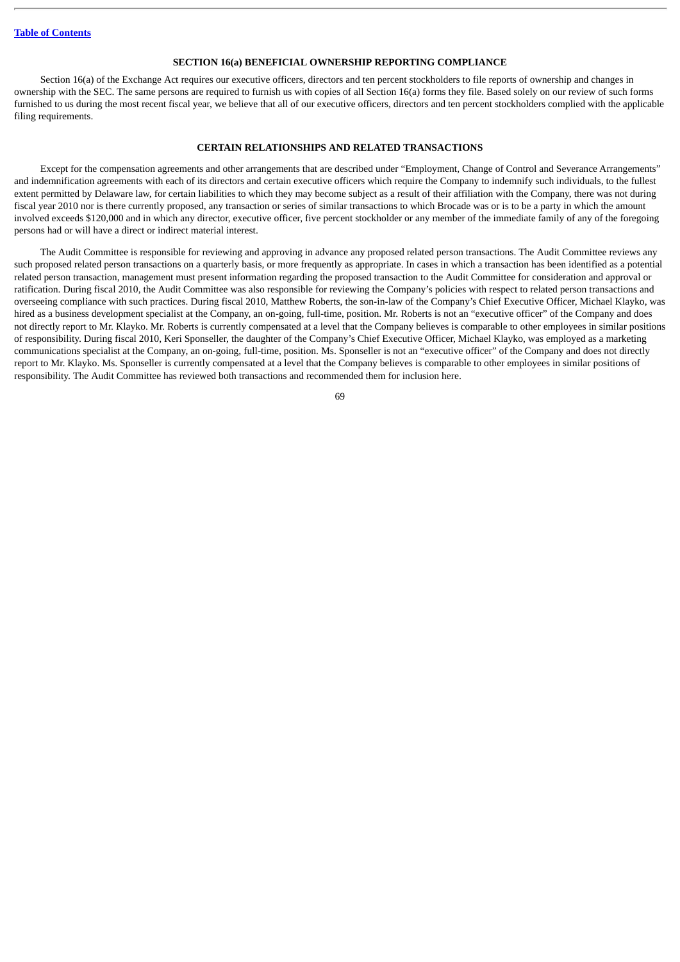#### **SECTION 16(a) BENEFICIAL OWNERSHIP REPORTING COMPLIANCE**

Section 16(a) of the Exchange Act requires our executive officers, directors and ten percent stockholders to file reports of ownership and changes in ownership with the SEC. The same persons are required to furnish us with copies of all Section 16(a) forms they file. Based solely on our review of such forms furnished to us during the most recent fiscal year, we believe that all of our executive officers, directors and ten percent stockholders complied with the applicable filing requirements.

### **CERTAIN RELATIONSHIPS AND RELATED TRANSACTIONS**

Except for the compensation agreements and other arrangements that are described under "Employment, Change of Control and Severance Arrangements" and indemnification agreements with each of its directors and certain executive officers which require the Company to indemnify such individuals, to the fullest extent permitted by Delaware law, for certain liabilities to which they may become subject as a result of their affiliation with the Company, there was not during fiscal year 2010 nor is there currently proposed, any transaction or series of similar transactions to which Brocade was or is to be a party in which the amount involved exceeds \$120,000 and in which any director, executive officer, five percent stockholder or any member of the immediate family of any of the foregoing persons had or will have a direct or indirect material interest.

The Audit Committee is responsible for reviewing and approving in advance any proposed related person transactions. The Audit Committee reviews any such proposed related person transactions on a quarterly basis, or more frequently as appropriate. In cases in which a transaction has been identified as a potential related person transaction, management must present information regarding the proposed transaction to the Audit Committee for consideration and approval or ratification. During fiscal 2010, the Audit Committee was also responsible for reviewing the Company's policies with respect to related person transactions and overseeing compliance with such practices. During fiscal 2010, Matthew Roberts, the son-in-law of the Company's Chief Executive Officer, Michael Klayko, was hired as a business development specialist at the Company, an on-going, full-time, position. Mr. Roberts is not an "executive officer" of the Company and does not directly report to Mr. Klayko. Mr. Roberts is currently compensated at a level that the Company believes is comparable to other employees in similar positions of responsibility. During fiscal 2010, Keri Sponseller, the daughter of the Company's Chief Executive Officer, Michael Klayko, was employed as a marketing communications specialist at the Company, an on-going, full-time, position. Ms. Sponseller is not an "executive officer" of the Company and does not directly report to Mr. Klayko. Ms. Sponseller is currently compensated at a level that the Company believes is comparable to other employees in similar positions of responsibility. The Audit Committee has reviewed both transactions and recommended them for inclusion here.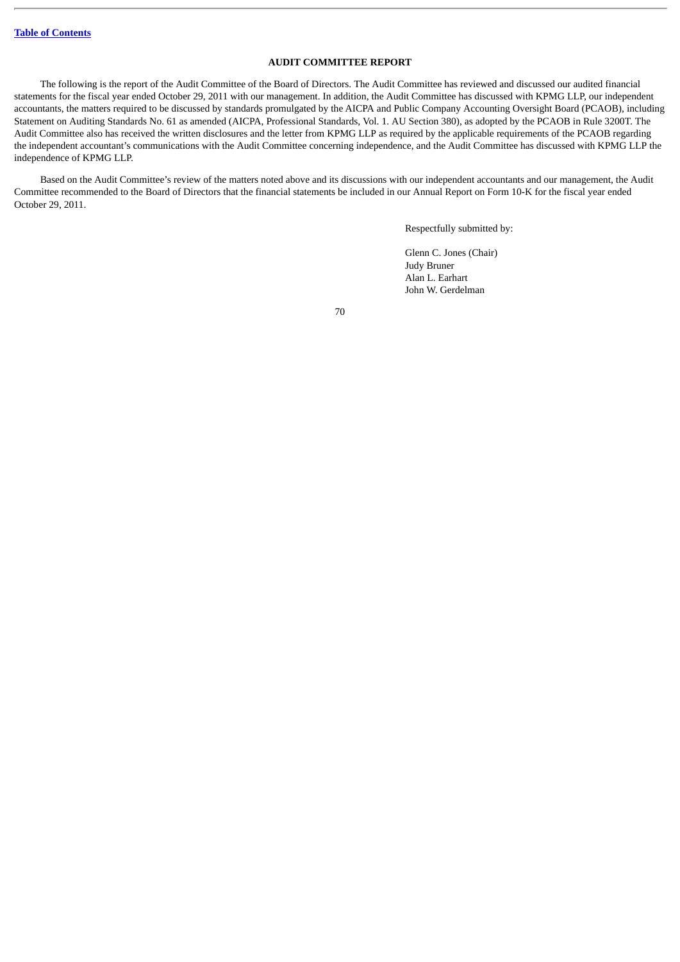# **AUDIT COMMITTEE REPORT**

The following is the report of the Audit Committee of the Board of Directors. The Audit Committee has reviewed and discussed our audited financial statements for the fiscal year ended October 29, 2011 with our management. In addition, the Audit Committee has discussed with KPMG LLP, our independent accountants, the matters required to be discussed by standards promulgated by the AICPA and Public Company Accounting Oversight Board (PCAOB), including Statement on Auditing Standards No. 61 as amended (AICPA, Professional Standards, Vol. 1. AU Section 380), as adopted by the PCAOB in Rule 3200T. The Audit Committee also has received the written disclosures and the letter from KPMG LLP as required by the applicable requirements of the PCAOB regarding the independent accountant's communications with the Audit Committee concerning independence, and the Audit Committee has discussed with KPMG LLP the independence of KPMG LLP.

Based on the Audit Committee's review of the matters noted above and its discussions with our independent accountants and our management, the Audit Committee recommended to the Board of Directors that the financial statements be included in our Annual Report on Form 10-K for the fiscal year ended October 29, 2011.

Respectfully submitted by:

Glenn C. Jones (Chair) Judy Bruner Alan L. Earhart John W. Gerdelman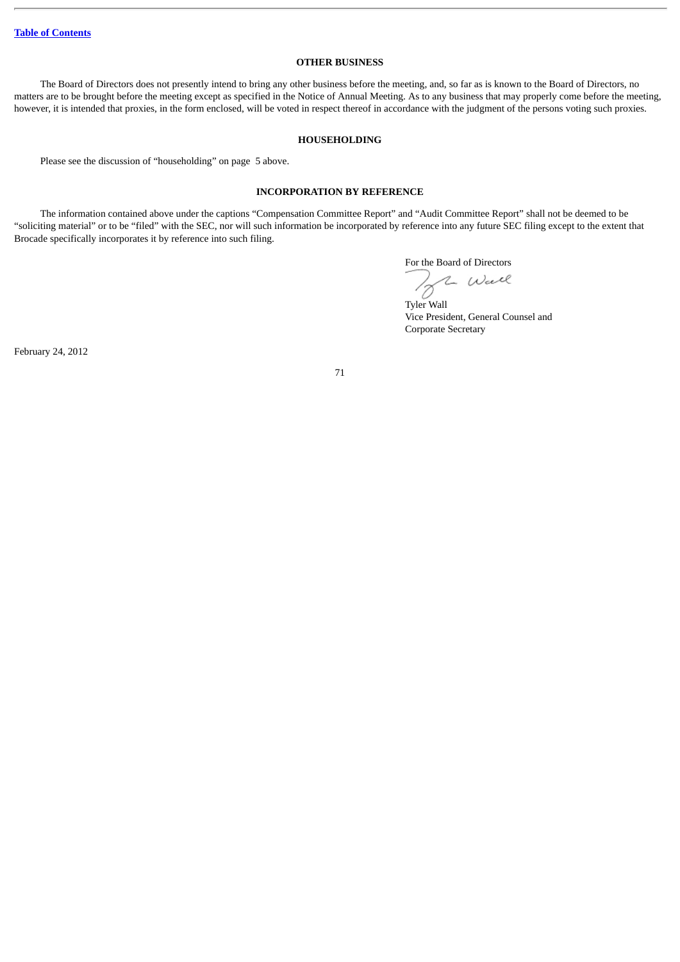# **OTHER BUSINESS**

The Board of Directors does not presently intend to bring any other business before the meeting, and, so far as is known to the Board of Directors, no matters are to be brought before the meeting except as specified in the Notice of Annual Meeting. As to any business that may properly come before the meeting, however, it is intended that proxies, in the form enclosed, will be voted in respect thereof in accordance with the judgment of the persons voting such proxies.

#### **HOUSEHOLDING**

Please see the discussion of "householding" on page 5 above.

### **INCORPORATION BY REFERENCE**

The information contained above under the captions "Compensation Committee Report" and "Audit Committee Report" shall not be deemed to be "soliciting material" or to be "filed" with the SEC, nor will such information be incorporated by reference into any future SEC filing except to the extent that Brocade specifically incorporates it by reference into such filing.

For the Board of Directors

Corporate Secretary

2 Wall Tyler Wall Vice President, General Counsel and

February 24, 2012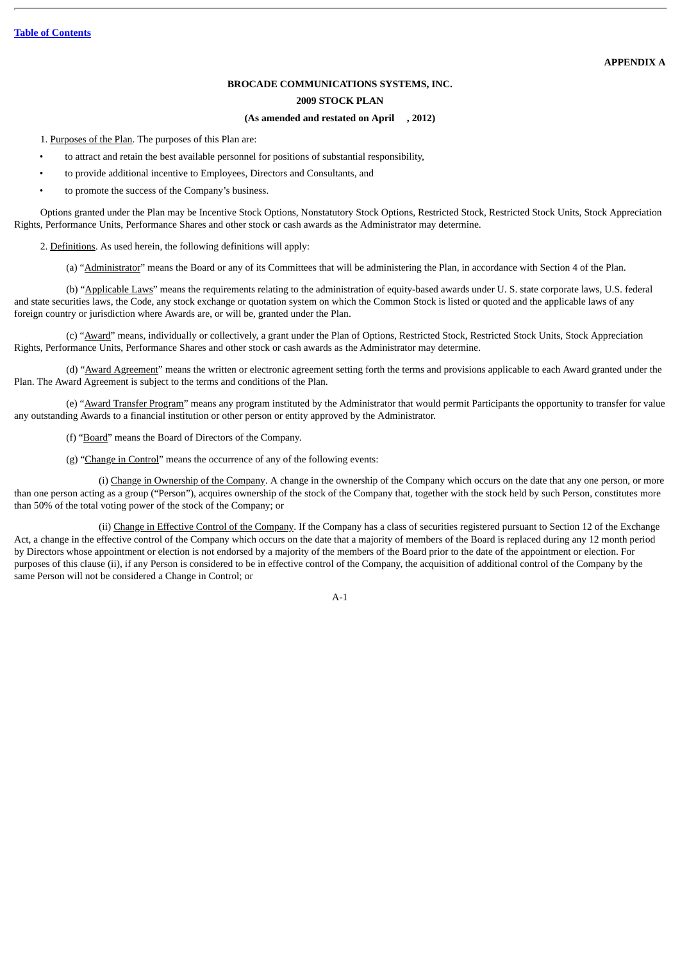### **BROCADE COMMUNICATIONS SYSTEMS, INC.**

#### **2009 STOCK PLAN**

#### **(As amended and restated on April , 2012)**

1. Purposes of the Plan. The purposes of this Plan are:

- to attract and retain the best available personnel for positions of substantial responsibility,
- to provide additional incentive to Employees, Directors and Consultants, and
- to promote the success of the Company's business.

Options granted under the Plan may be Incentive Stock Options, Nonstatutory Stock Options, Restricted Stock, Restricted Stock Units, Stock Appreciation Rights, Performance Units, Performance Shares and other stock or cash awards as the Administrator may determine.

2. Definitions. As used herein, the following definitions will apply:

(a) "Administrator" means the Board or any of its Committees that will be administering the Plan, in accordance with Section 4 of the Plan.

(b) "Applicable Laws" means the requirements relating to the administration of equity-based awards under U. S. state corporate laws, U.S. federal and state securities laws, the Code, any stock exchange or quotation system on which the Common Stock is listed or quoted and the applicable laws of any foreign country or jurisdiction where Awards are, or will be, granted under the Plan.

(c) "Award" means, individually or collectively, a grant under the Plan of Options, Restricted Stock, Restricted Stock Units, Stock Appreciation Rights, Performance Units, Performance Shares and other stock or cash awards as the Administrator may determine.

(d) "Award Agreement" means the written or electronic agreement setting forth the terms and provisions applicable to each Award granted under the Plan. The Award Agreement is subject to the terms and conditions of the Plan.

(e) "Award Transfer Program" means any program instituted by the Administrator that would permit Participants the opportunity to transfer for value any outstanding Awards to a financial institution or other person or entity approved by the Administrator.

(f) "Board" means the Board of Directors of the Company.

(g) "Change in Control" means the occurrence of any of the following events:

(i) Change in Ownership of the Company. A change in the ownership of the Company which occurs on the date that any one person, or more than one person acting as a group ("Person"), acquires ownership of the stock of the Company that, together with the stock held by such Person, constitutes more than 50% of the total voting power of the stock of the Company; or

(ii) Change in Effective Control of the Company. If the Company has a class of securities registered pursuant to Section 12 of the Exchange Act, a change in the effective control of the Company which occurs on the date that a majority of members of the Board is replaced during any 12 month period by Directors whose appointment or election is not endorsed by a majority of the members of the Board prior to the date of the appointment or election. For purposes of this clause (ii), if any Person is considered to be in effective control of the Company, the acquisition of additional control of the Company by the same Person will not be considered a Change in Control; or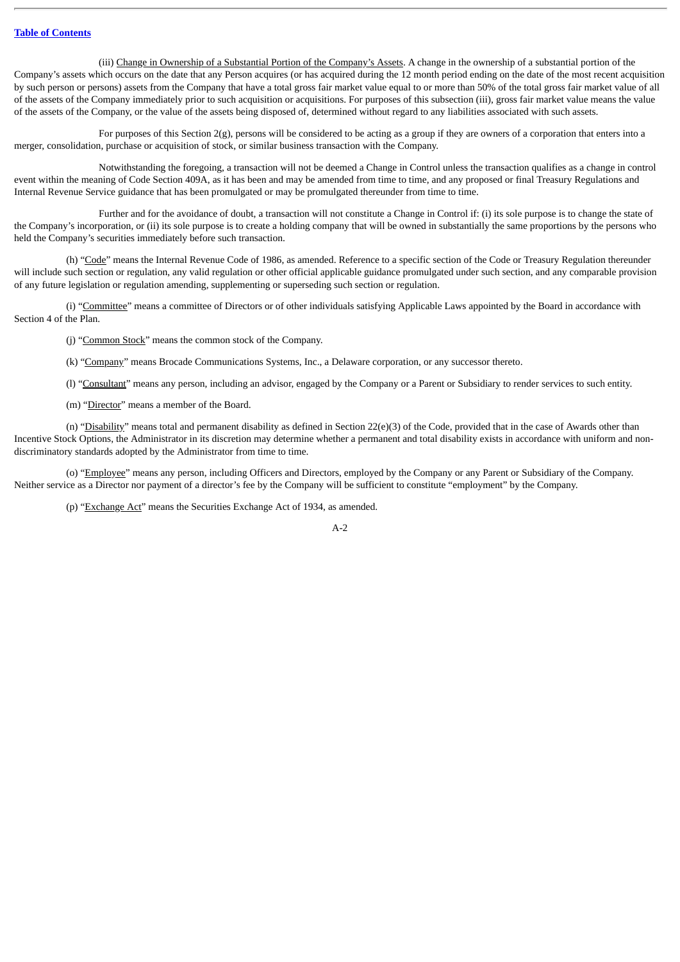(iii) Change in Ownership of a Substantial Portion of the Company's Assets. A change in the ownership of a substantial portion of the Company's assets which occurs on the date that any Person acquires (or has acquired during the 12 month period ending on the date of the most recent acquisition by such person or persons) assets from the Company that have a total gross fair market value equal to or more than 50% of the total gross fair market value of all of the assets of the Company immediately prior to such acquisition or acquisitions. For purposes of this subsection (iii), gross fair market value means the value of the assets of the Company, or the value of the assets being disposed of, determined without regard to any liabilities associated with such assets.

For purposes of this Section  $2(g)$ , persons will be considered to be acting as a group if they are owners of a corporation that enters into a merger, consolidation, purchase or acquisition of stock, or similar business transaction with the Company.

Notwithstanding the foregoing, a transaction will not be deemed a Change in Control unless the transaction qualifies as a change in control event within the meaning of Code Section 409A, as it has been and may be amended from time to time, and any proposed or final Treasury Regulations and Internal Revenue Service guidance that has been promulgated or may be promulgated thereunder from time to time.

Further and for the avoidance of doubt, a transaction will not constitute a Change in Control if: (i) its sole purpose is to change the state of the Company's incorporation, or (ii) its sole purpose is to create a holding company that will be owned in substantially the same proportions by the persons who held the Company's securities immediately before such transaction.

(h) "Code" means the Internal Revenue Code of 1986, as amended. Reference to a specific section of the Code or Treasury Regulation thereunder will include such section or regulation, any valid regulation or other official applicable guidance promulgated under such section, and any comparable provision of any future legislation or regulation amending, supplementing or superseding such section or regulation.

(i) "Committee" means a committee of Directors or of other individuals satisfying Applicable Laws appointed by the Board in accordance with Section 4 of the Plan.

(j) "Common Stock" means the common stock of the Company.

(k) "Company" means Brocade Communications Systems, Inc., a Delaware corporation, or any successor thereto.

(l) "Consultant" means any person, including an advisor, engaged by the Company or a Parent or Subsidiary to render services to such entity.

(m) "Director" means a member of the Board.

(n) "Disability" means total and permanent disability as defined in Section 22(e)(3) of the Code, provided that in the case of Awards other than Incentive Stock Options, the Administrator in its discretion may determine whether a permanent and total disability exists in accordance with uniform and nondiscriminatory standards adopted by the Administrator from time to time.

(o) "Employee" means any person, including Officers and Directors, employed by the Company or any Parent or Subsidiary of the Company. Neither service as a Director nor payment of a director's fee by the Company will be sufficient to constitute "employment" by the Company.

(p) "Exchange Act" means the Securities Exchange Act of 1934, as amended.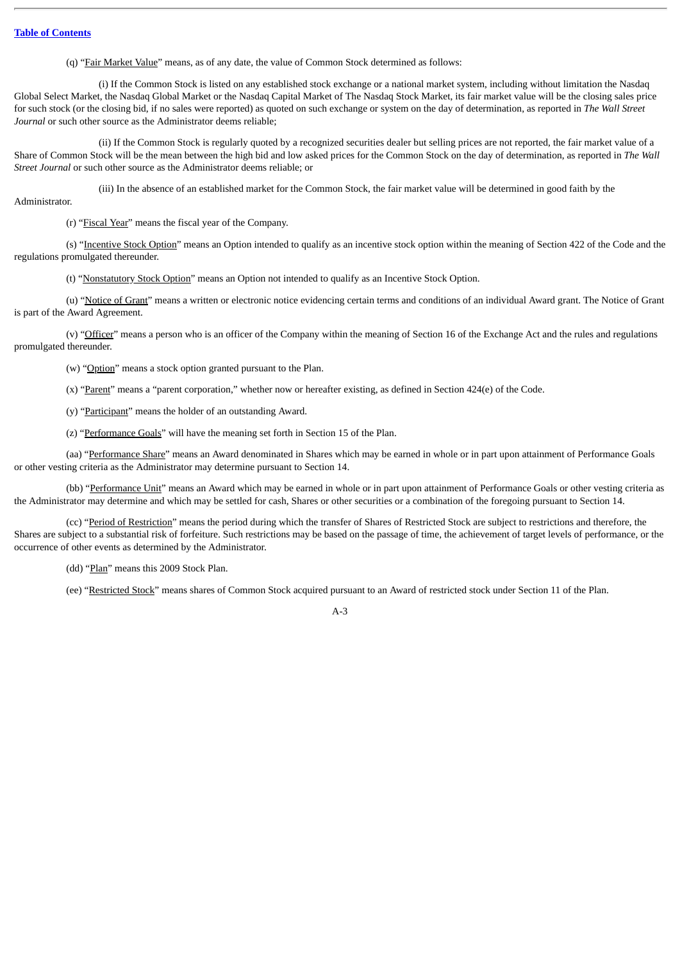(q) "Fair Market Value" means, as of any date, the value of Common Stock determined as follows:

(i) If the Common Stock is listed on any established stock exchange or a national market system, including without limitation the Nasdaq Global Select Market, the Nasdaq Global Market or the Nasdaq Capital Market of The Nasdaq Stock Market, its fair market value will be the closing sales price for such stock (or the closing bid, if no sales were reported) as quoted on such exchange or system on the day of determination, as reported in *The Wall Street Journal* or such other source as the Administrator deems reliable;

(ii) If the Common Stock is regularly quoted by a recognized securities dealer but selling prices are not reported, the fair market value of a Share of Common Stock will be the mean between the high bid and low asked prices for the Common Stock on the day of determination, as reported in *The Wall Street Journal* or such other source as the Administrator deems reliable; or

(iii) In the absence of an established market for the Common Stock, the fair market value will be determined in good faith by the Administrator.

(r) "Fiscal Year" means the fiscal year of the Company.

(s) "Incentive Stock Option" means an Option intended to qualify as an incentive stock option within the meaning of Section 422 of the Code and the regulations promulgated thereunder.

(t) "Nonstatutory Stock Option" means an Option not intended to qualify as an Incentive Stock Option.

(u) "Notice of Grant" means a written or electronic notice evidencing certain terms and conditions of an individual Award grant. The Notice of Grant is part of the Award Agreement.

(v) "Officer" means a person who is an officer of the Company within the meaning of Section 16 of the Exchange Act and the rules and regulations promulgated thereunder.

(w) "Option" means a stock option granted pursuant to the Plan.

(x) "Parent" means a "parent corporation," whether now or hereafter existing, as defined in Section 424(e) of the Code.

(y) "Participant" means the holder of an outstanding Award.

(z) "Performance Goals" will have the meaning set forth in Section 15 of the Plan.

(aa) "Performance Share" means an Award denominated in Shares which may be earned in whole or in part upon attainment of Performance Goals or other vesting criteria as the Administrator may determine pursuant to Section 14.

(bb) "Performance Unit" means an Award which may be earned in whole or in part upon attainment of Performance Goals or other vesting criteria as the Administrator may determine and which may be settled for cash, Shares or other securities or a combination of the foregoing pursuant to Section 14.

(cc) "Period of Restriction" means the period during which the transfer of Shares of Restricted Stock are subject to restrictions and therefore, the Shares are subject to a substantial risk of forfeiture. Such restrictions may be based on the passage of time, the achievement of target levels of performance, or the occurrence of other events as determined by the Administrator.

(dd) "Plan" means this 2009 Stock Plan.

(ee) "Restricted Stock" means shares of Common Stock acquired pursuant to an Award of restricted stock under Section 11 of the Plan.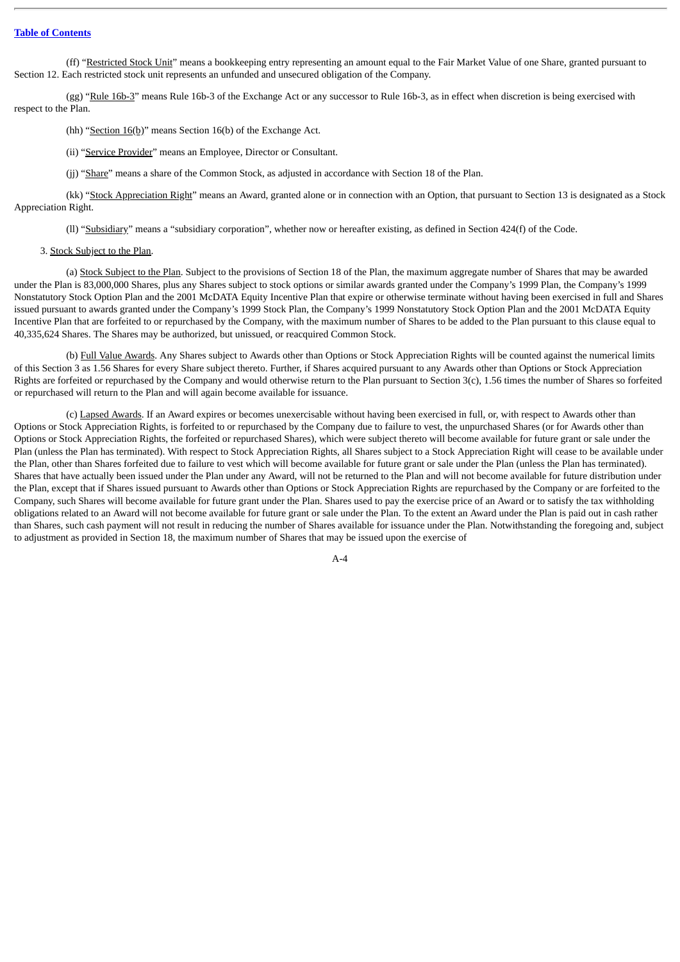(ff) "Restricted Stock Unit" means a bookkeeping entry representing an amount equal to the Fair Market Value of one Share, granted pursuant to Section 12. Each restricted stock unit represents an unfunded and unsecured obligation of the Company.

(gg) "Rule 16b-3" means Rule 16b-3 of the Exchange Act or any successor to Rule 16b-3, as in effect when discretion is being exercised with respect to the Plan.

(hh) "Section  $16(b)$ " means Section 16(b) of the Exchange Act.

- (ii) "Service Provider" means an Employee, Director or Consultant.
- (jj) "Share" means a share of the Common Stock, as adjusted in accordance with Section 18 of the Plan.

(kk) "Stock Appreciation Right" means an Award, granted alone or in connection with an Option, that pursuant to Section 13 is designated as a Stock Appreciation Right.

(ll) "Subsidiary" means a "subsidiary corporation", whether now or hereafter existing, as defined in Section 424(f) of the Code.

#### 3. Stock Subject to the Plan.

(a) Stock Subject to the Plan. Subject to the provisions of Section 18 of the Plan, the maximum aggregate number of Shares that may be awarded under the Plan is 83,000,000 Shares, plus any Shares subject to stock options or similar awards granted under the Company's 1999 Plan, the Company's 1999 Nonstatutory Stock Option Plan and the 2001 McDATA Equity Incentive Plan that expire or otherwise terminate without having been exercised in full and Shares issued pursuant to awards granted under the Company's 1999 Stock Plan, the Company's 1999 Nonstatutory Stock Option Plan and the 2001 McDATA Equity Incentive Plan that are forfeited to or repurchased by the Company, with the maximum number of Shares to be added to the Plan pursuant to this clause equal to 40,335,624 Shares. The Shares may be authorized, but unissued, or reacquired Common Stock.

(b) Full Value Awards. Any Shares subject to Awards other than Options or Stock Appreciation Rights will be counted against the numerical limits of this Section 3 as 1.56 Shares for every Share subject thereto. Further, if Shares acquired pursuant to any Awards other than Options or Stock Appreciation Rights are forfeited or repurchased by the Company and would otherwise return to the Plan pursuant to Section  $3(c)$ , 1.56 times the number of Shares so forfeited or repurchased will return to the Plan and will again become available for issuance.

(c) Lapsed Awards. If an Award expires or becomes unexercisable without having been exercised in full, or, with respect to Awards other than Options or Stock Appreciation Rights, is forfeited to or repurchased by the Company due to failure to vest, the unpurchased Shares (or for Awards other than Options or Stock Appreciation Rights, the forfeited or repurchased Shares), which were subject thereto will become available for future grant or sale under the Plan (unless the Plan has terminated). With respect to Stock Appreciation Rights, all Shares subject to a Stock Appreciation Right will cease to be available under the Plan, other than Shares forfeited due to failure to vest which will become available for future grant or sale under the Plan (unless the Plan has terminated). Shares that have actually been issued under the Plan under any Award, will not be returned to the Plan and will not become available for future distribution under the Plan, except that if Shares issued pursuant to Awards other than Options or Stock Appreciation Rights are repurchased by the Company or are forfeited to the Company, such Shares will become available for future grant under the Plan. Shares used to pay the exercise price of an Award or to satisfy the tax withholding obligations related to an Award will not become available for future grant or sale under the Plan. To the extent an Award under the Plan is paid out in cash rather than Shares, such cash payment will not result in reducing the number of Shares available for issuance under the Plan. Notwithstanding the foregoing and, subject to adjustment as provided in Section 18, the maximum number of Shares that may be issued upon the exercise of

 $A - 4$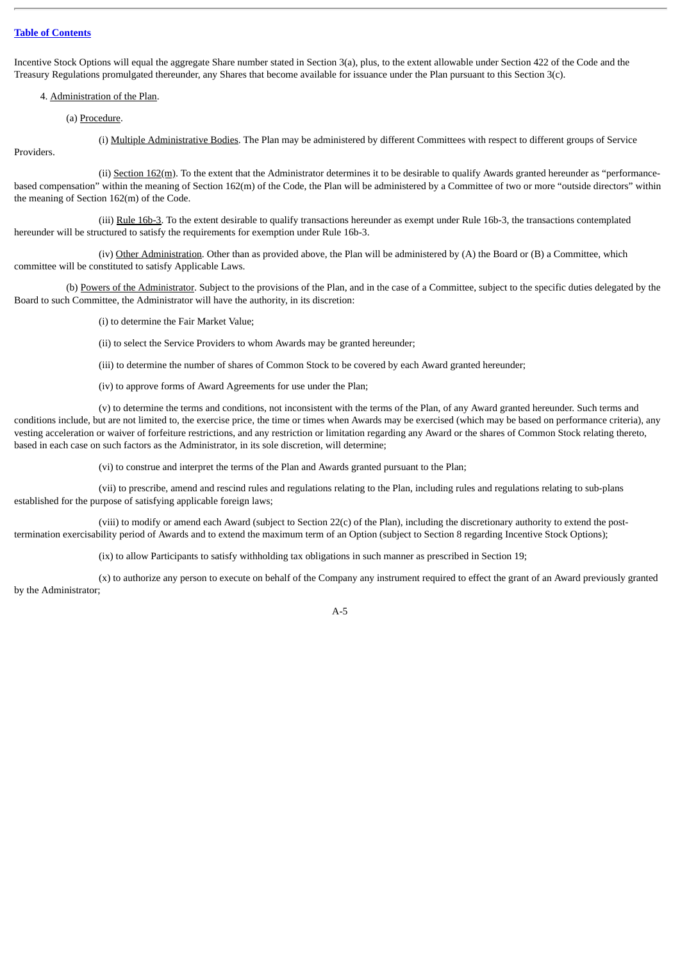Incentive Stock Options will equal the aggregate Share number stated in Section 3(a), plus, to the extent allowable under Section 422 of the Code and the Treasury Regulations promulgated thereunder, any Shares that become available for issuance under the Plan pursuant to this Section 3(c).

4. Administration of the Plan.

(a) Procedure.

**Providers** 

(i) Multiple Administrative Bodies. The Plan may be administered by different Committees with respect to different groups of Service

(ii) Section 162(m). To the extent that the Administrator determines it to be desirable to qualify Awards granted hereunder as "performancebased compensation" within the meaning of Section 162(m) of the Code, the Plan will be administered by a Committee of two or more "outside directors" within the meaning of Section 162(m) of the Code.

(iii) Rule 16b-3. To the extent desirable to qualify transactions hereunder as exempt under Rule 16b-3, the transactions contemplated hereunder will be structured to satisfy the requirements for exemption under Rule 16b-3.

(iv) Other Administration. Other than as provided above, the Plan will be administered by (A) the Board or (B) a Committee, which committee will be constituted to satisfy Applicable Laws.

(b) Powers of the Administrator. Subject to the provisions of the Plan, and in the case of a Committee, subject to the specific duties delegated by the Board to such Committee, the Administrator will have the authority, in its discretion:

(i) to determine the Fair Market Value;

(ii) to select the Service Providers to whom Awards may be granted hereunder;

(iii) to determine the number of shares of Common Stock to be covered by each Award granted hereunder;

(iv) to approve forms of Award Agreements for use under the Plan;

(v) to determine the terms and conditions, not inconsistent with the terms of the Plan, of any Award granted hereunder. Such terms and conditions include, but are not limited to, the exercise price, the time or times when Awards may be exercised (which may be based on performance criteria), any vesting acceleration or waiver of forfeiture restrictions, and any restriction or limitation regarding any Award or the shares of Common Stock relating thereto, based in each case on such factors as the Administrator, in its sole discretion, will determine;

(vi) to construe and interpret the terms of the Plan and Awards granted pursuant to the Plan;

(vii) to prescribe, amend and rescind rules and regulations relating to the Plan, including rules and regulations relating to sub-plans established for the purpose of satisfying applicable foreign laws;

(viii) to modify or amend each Award (subject to Section 22(c) of the Plan), including the discretionary authority to extend the posttermination exercisability period of Awards and to extend the maximum term of an Option (subject to Section 8 regarding Incentive Stock Options);

(ix) to allow Participants to satisfy withholding tax obligations in such manner as prescribed in Section 19;

(x) to authorize any person to execute on behalf of the Company any instrument required to effect the grant of an Award previously granted by the Administrator;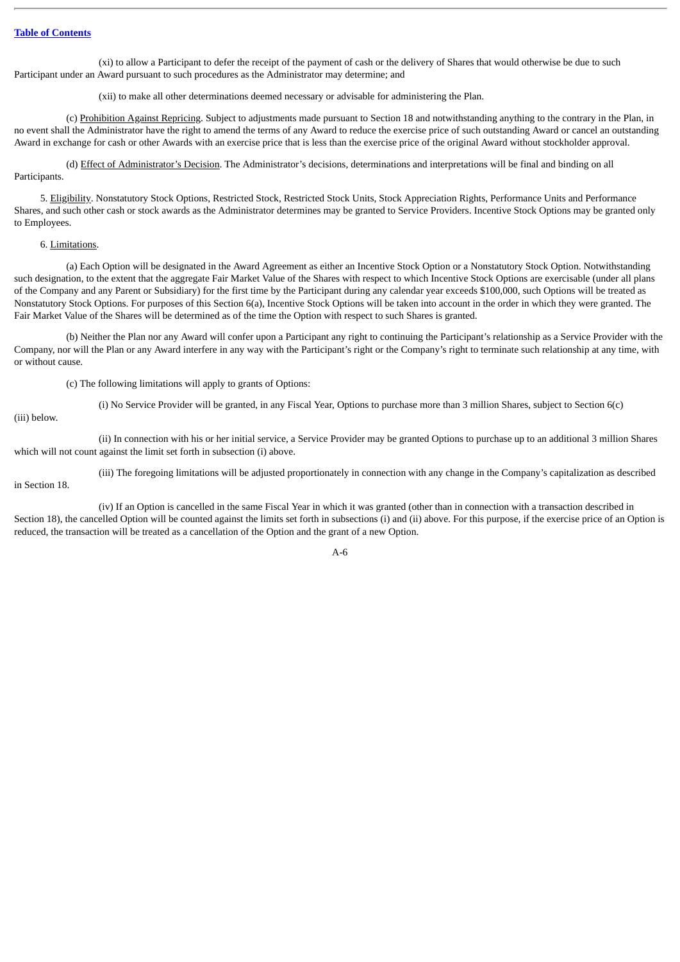(xi) to allow a Participant to defer the receipt of the payment of cash or the delivery of Shares that would otherwise be due to such Participant under an Award pursuant to such procedures as the Administrator may determine; and

(xii) to make all other determinations deemed necessary or advisable for administering the Plan.

(c) Prohibition Against Repricing. Subject to adjustments made pursuant to Section 18 and notwithstanding anything to the contrary in the Plan, in no event shall the Administrator have the right to amend the terms of any Award to reduce the exercise price of such outstanding Award or cancel an outstanding Award in exchange for cash or other Awards with an exercise price that is less than the exercise price of the original Award without stockholder approval.

(d) Effect of Administrator's Decision. The Administrator's decisions, determinations and interpretations will be final and binding on all Participants.

5. Eligibility. Nonstatutory Stock Options, Restricted Stock, Restricted Stock Units, Stock Appreciation Rights, Performance Units and Performance Shares, and such other cash or stock awards as the Administrator determines may be granted to Service Providers. Incentive Stock Options may be granted only to Employees.

# 6. Limitations.

(a) Each Option will be designated in the Award Agreement as either an Incentive Stock Option or a Nonstatutory Stock Option. Notwithstanding such designation, to the extent that the aggregate Fair Market Value of the Shares with respect to which Incentive Stock Options are exercisable (under all plans of the Company and any Parent or Subsidiary) for the first time by the Participant during any calendar year exceeds \$100,000, such Options will be treated as Nonstatutory Stock Options. For purposes of this Section 6(a), Incentive Stock Options will be taken into account in the order in which they were granted. The Fair Market Value of the Shares will be determined as of the time the Option with respect to such Shares is granted.

(b) Neither the Plan nor any Award will confer upon a Participant any right to continuing the Participant's relationship as a Service Provider with the Company, nor will the Plan or any Award interfere in any way with the Participant's right or the Company's right to terminate such relationship at any time, with or without cause.

(c) The following limitations will apply to grants of Options:

(i) No Service Provider will be granted, in any Fiscal Year, Options to purchase more than 3 million Shares, subject to Section 6(c)

(iii) below.

(ii) In connection with his or her initial service, a Service Provider may be granted Options to purchase up to an additional 3 million Shares which will not count against the limit set forth in subsection (i) above.

(iii) The foregoing limitations will be adjusted proportionately in connection with any change in the Company's capitalization as described in Section 18.

(iv) If an Option is cancelled in the same Fiscal Year in which it was granted (other than in connection with a transaction described in Section 18), the cancelled Option will be counted against the limits set forth in subsections (i) and (ii) above. For this purpose, if the exercise price of an Option is reduced, the transaction will be treated as a cancellation of the Option and the grant of a new Option.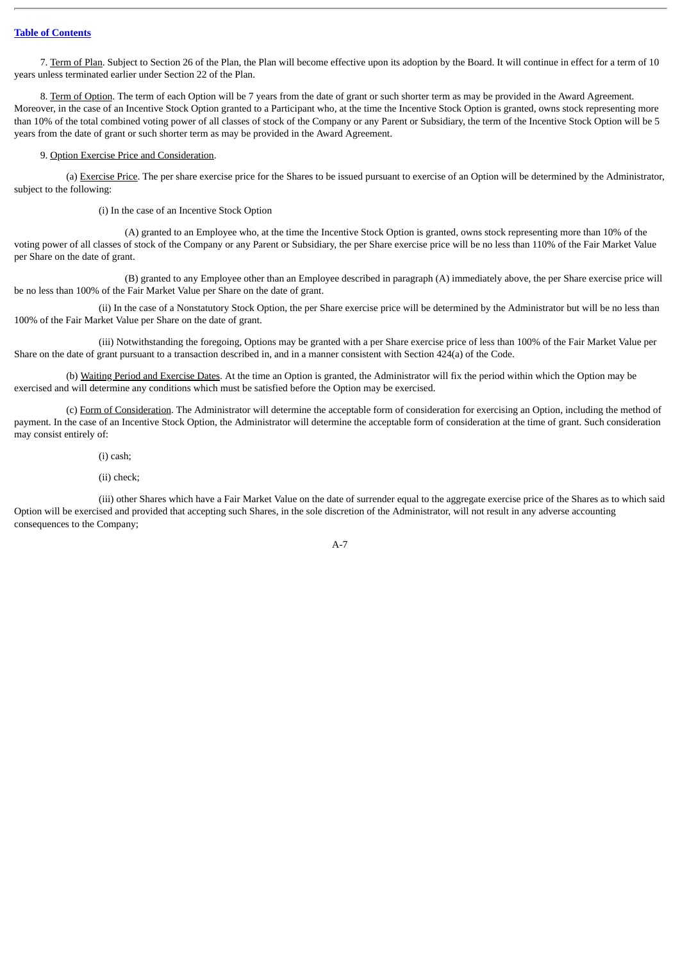7. Term of Plan. Subject to Section 26 of the Plan, the Plan will become effective upon its adoption by the Board. It will continue in effect for a term of 10 years unless terminated earlier under Section 22 of the Plan.

8. Term of Option. The term of each Option will be 7 years from the date of grant or such shorter term as may be provided in the Award Agreement. Moreover, in the case of an Incentive Stock Option granted to a Participant who, at the time the Incentive Stock Option is granted, owns stock representing more than 10% of the total combined voting power of all classes of stock of the Company or any Parent or Subsidiary, the term of the Incentive Stock Option will be 5 years from the date of grant or such shorter term as may be provided in the Award Agreement.

#### 9. Option Exercise Price and Consideration.

(a) Exercise Price. The per share exercise price for the Shares to be issued pursuant to exercise of an Option will be determined by the Administrator, subject to the following:

(i) In the case of an Incentive Stock Option

(A) granted to an Employee who, at the time the Incentive Stock Option is granted, owns stock representing more than 10% of the voting power of all classes of stock of the Company or any Parent or Subsidiary, the per Share exercise price will be no less than 110% of the Fair Market Value per Share on the date of grant.

(B) granted to any Employee other than an Employee described in paragraph (A) immediately above, the per Share exercise price will be no less than 100% of the Fair Market Value per Share on the date of grant.

(ii) In the case of a Nonstatutory Stock Option, the per Share exercise price will be determined by the Administrator but will be no less than 100% of the Fair Market Value per Share on the date of grant.

(iii) Notwithstanding the foregoing, Options may be granted with a per Share exercise price of less than 100% of the Fair Market Value per Share on the date of grant pursuant to a transaction described in, and in a manner consistent with Section 424(a) of the Code.

(b) Waiting Period and Exercise Dates. At the time an Option is granted, the Administrator will fix the period within which the Option may be exercised and will determine any conditions which must be satisfied before the Option may be exercised.

(c) Form of Consideration. The Administrator will determine the acceptable form of consideration for exercising an Option, including the method of payment. In the case of an Incentive Stock Option, the Administrator will determine the acceptable form of consideration at the time of grant. Such consideration may consist entirely of:

# (i) cash;

### (ii) check;

(iii) other Shares which have a Fair Market Value on the date of surrender equal to the aggregate exercise price of the Shares as to which said Option will be exercised and provided that accepting such Shares, in the sole discretion of the Administrator, will not result in any adverse accounting consequences to the Company;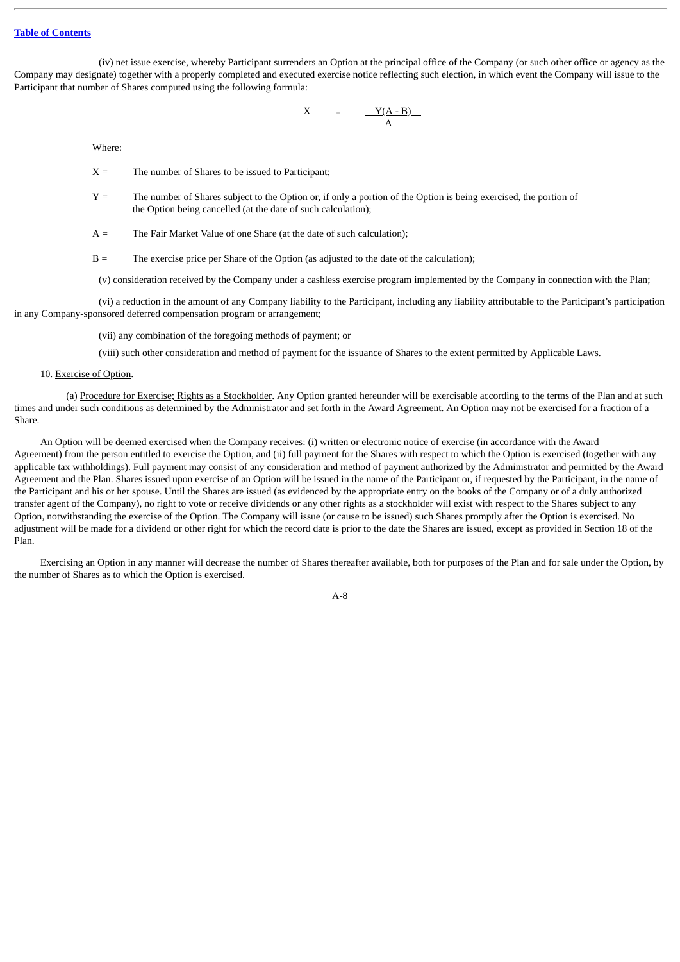(iv) net issue exercise, whereby Participant surrenders an Option at the principal office of the Company (or such other office or agency as the Company may designate) together with a properly completed and executed exercise notice reflecting such election, in which event the Company will issue to the Participant that number of Shares computed using the following formula:

$$
X = \frac{Y(A - B)}{A}
$$

Where:

- $X =$  The number of Shares to be issued to Participant;
- Y = The number of Shares subject to the Option or, if only a portion of the Option is being exercised, the portion of the Option being cancelled (at the date of such calculation);
- $A =$  The Fair Market Value of one Share (at the date of such calculation);
- B = The exercise price per Share of the Option (as adjusted to the date of the calculation);

(v) consideration received by the Company under a cashless exercise program implemented by the Company in connection with the Plan;

(vi) a reduction in the amount of any Company liability to the Participant, including any liability attributable to the Participant's participation in any Company-sponsored deferred compensation program or arrangement;

(vii) any combination of the foregoing methods of payment; or

(viii) such other consideration and method of payment for the issuance of Shares to the extent permitted by Applicable Laws.

#### 10. Exercise of Option.

(a) Procedure for Exercise; Rights as a Stockholder. Any Option granted hereunder will be exercisable according to the terms of the Plan and at such times and under such conditions as determined by the Administrator and set forth in the Award Agreement. An Option may not be exercised for a fraction of a Share.

An Option will be deemed exercised when the Company receives: (i) written or electronic notice of exercise (in accordance with the Award Agreement) from the person entitled to exercise the Option, and (ii) full payment for the Shares with respect to which the Option is exercised (together with any applicable tax withholdings). Full payment may consist of any consideration and method of payment authorized by the Administrator and permitted by the Award Agreement and the Plan. Shares issued upon exercise of an Option will be issued in the name of the Participant or, if requested by the Participant, in the name of the Participant and his or her spouse. Until the Shares are issued (as evidenced by the appropriate entry on the books of the Company or of a duly authorized transfer agent of the Company), no right to vote or receive dividends or any other rights as a stockholder will exist with respect to the Shares subject to any Option, notwithstanding the exercise of the Option. The Company will issue (or cause to be issued) such Shares promptly after the Option is exercised. No adjustment will be made for a dividend or other right for which the record date is prior to the date the Shares are issued, except as provided in Section 18 of the Plan.

Exercising an Option in any manner will decrease the number of Shares thereafter available, both for purposes of the Plan and for sale under the Option, by the number of Shares as to which the Option is exercised.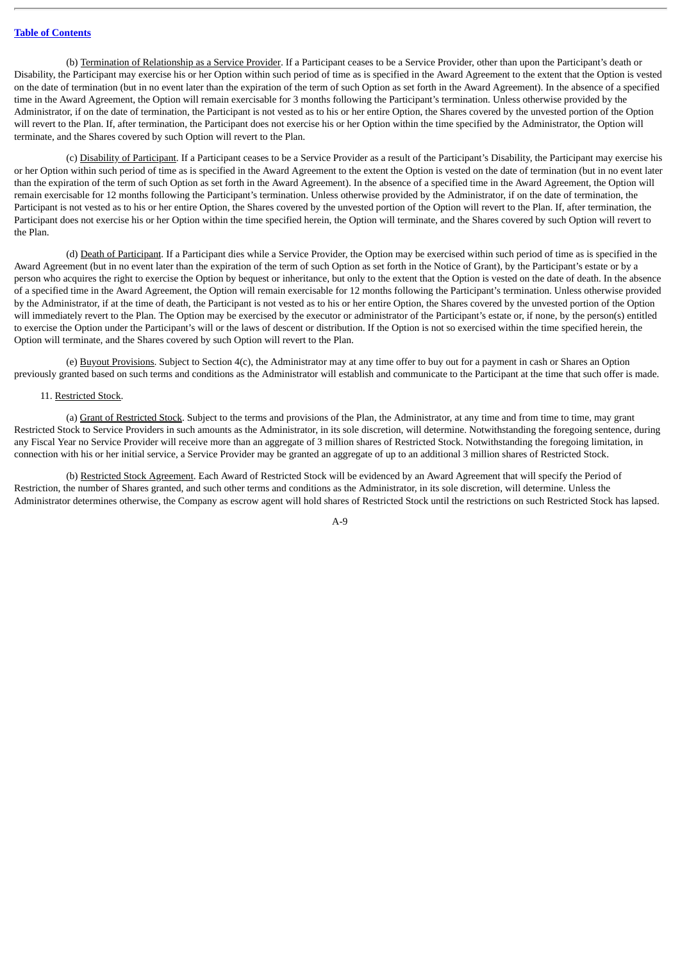(b) Termination of Relationship as a Service Provider. If a Participant ceases to be a Service Provider, other than upon the Participant's death or Disability, the Participant may exercise his or her Option within such period of time as is specified in the Award Agreement to the extent that the Option is vested on the date of termination (but in no event later than the expiration of the term of such Option as set forth in the Award Agreement). In the absence of a specified time in the Award Agreement, the Option will remain exercisable for 3 months following the Participant's termination. Unless otherwise provided by the Administrator, if on the date of termination, the Participant is not vested as to his or her entire Option, the Shares covered by the unvested portion of the Option will revert to the Plan. If, after termination, the Participant does not exercise his or her Option within the time specified by the Administrator, the Option will terminate, and the Shares covered by such Option will revert to the Plan.

(c) Disability of Participant. If a Participant ceases to be a Service Provider as a result of the Participant's Disability, the Participant may exercise his or her Option within such period of time as is specified in the Award Agreement to the extent the Option is vested on the date of termination (but in no event later than the expiration of the term of such Option as set forth in the Award Agreement). In the absence of a specified time in the Award Agreement, the Option will remain exercisable for 12 months following the Participant's termination. Unless otherwise provided by the Administrator, if on the date of termination, the Participant is not vested as to his or her entire Option, the Shares covered by the unvested portion of the Option will revert to the Plan. If, after termination, the Participant does not exercise his or her Option within the time specified herein, the Option will terminate, and the Shares covered by such Option will revert to the Plan.

(d) Death of Participant. If a Participant dies while a Service Provider, the Option may be exercised within such period of time as is specified in the Award Agreement (but in no event later than the expiration of the term of such Option as set forth in the Notice of Grant), by the Participant's estate or by a person who acquires the right to exercise the Option by bequest or inheritance, but only to the extent that the Option is vested on the date of death. In the absence of a specified time in the Award Agreement, the Option will remain exercisable for 12 months following the Participant's termination. Unless otherwise provided by the Administrator, if at the time of death, the Participant is not vested as to his or her entire Option, the Shares covered by the unvested portion of the Option will immediately revert to the Plan. The Option may be exercised by the executor or administrator of the Participant's estate or, if none, by the person(s) entitled to exercise the Option under the Participant's will or the laws of descent or distribution. If the Option is not so exercised within the time specified herein, the Option will terminate, and the Shares covered by such Option will revert to the Plan.

(e) Buyout Provisions. Subject to Section 4(c), the Administrator may at any time offer to buy out for a payment in cash or Shares an Option previously granted based on such terms and conditions as the Administrator will establish and communicate to the Participant at the time that such offer is made.

### 11. Restricted Stock.

(a) Grant of Restricted Stock. Subject to the terms and provisions of the Plan, the Administrator, at any time and from time to time, may grant Restricted Stock to Service Providers in such amounts as the Administrator, in its sole discretion, will determine. Notwithstanding the foregoing sentence, during any Fiscal Year no Service Provider will receive more than an aggregate of 3 million shares of Restricted Stock. Notwithstanding the foregoing limitation, in connection with his or her initial service, a Service Provider may be granted an aggregate of up to an additional 3 million shares of Restricted Stock.

(b) Restricted Stock Agreement. Each Award of Restricted Stock will be evidenced by an Award Agreement that will specify the Period of Restriction, the number of Shares granted, and such other terms and conditions as the Administrator, in its sole discretion, will determine. Unless the Administrator determines otherwise, the Company as escrow agent will hold shares of Restricted Stock until the restrictions on such Restricted Stock has lapsed.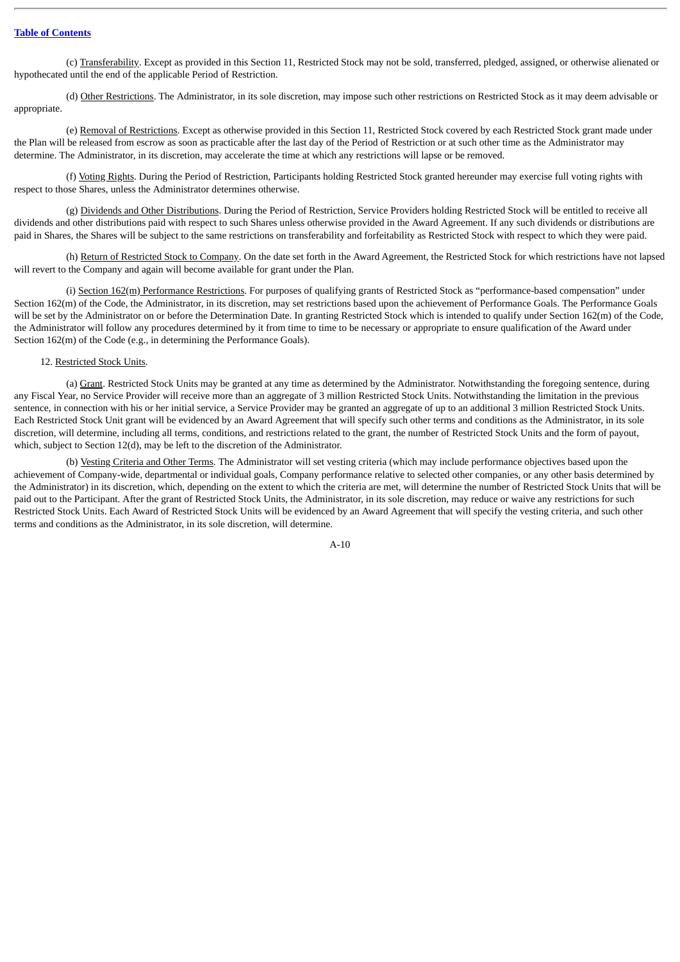(c) Transferability. Except as provided in this Section 11, Restricted Stock may not be sold, transferred, pledged, assigned, or otherwise alienated or hypothecated until the end of the applicable Period of Restriction.

(d) Other Restrictions. The Administrator, in its sole discretion, may impose such other restrictions on Restricted Stock as it may deem advisable or appropriate.

(e) Removal of Restrictions. Except as otherwise provided in this Section 11, Restricted Stock covered by each Restricted Stock grant made under the Plan will be released from escrow as soon as practicable after the last day of the Period of Restriction or at such other time as the Administrator may determine. The Administrator, in its discretion, may accelerate the time at which any restrictions will lapse or be removed.

(f) Voting Rights. During the Period of Restriction, Participants holding Restricted Stock granted hereunder may exercise full voting rights with respect to those Shares, unless the Administrator determines otherwise.

(g) Dividends and Other Distributions. During the Period of Restriction, Service Providers holding Restricted Stock will be entitled to receive all dividends and other distributions paid with respect to such Shares unless otherwise provided in the Award Agreement. If any such dividends or distributions are paid in Shares, the Shares will be subject to the same restrictions on transferability and forfeitability as Restricted Stock with respect to which they were paid.

(h) Return of Restricted Stock to Company. On the date set forth in the Award Agreement, the Restricted Stock for which restrictions have not lapsed will revert to the Company and again will become available for grant under the Plan.

(i) Section 162(m) Performance Restrictions. For purposes of qualifying grants of Restricted Stock as "performance-based compensation" under Section 162(m) of the Code, the Administrator, in its discretion, may set restrictions based upon the achievement of Performance Goals. The Performance Goals will be set by the Administrator on or before the Determination Date. In granting Restricted Stock which is intended to qualify under Section 162(m) of the Code, the Administrator will follow any procedures determined by it from time to time to be necessary or appropriate to ensure qualification of the Award under Section 162(m) of the Code (e.g., in determining the Performance Goals).

# 12. Restricted Stock Units.

(a) Grant. Restricted Stock Units may be granted at any time as determined by the Administrator. Notwithstanding the foregoing sentence, during any Fiscal Year, no Service Provider will receive more than an aggregate of 3 million Restricted Stock Units. Notwithstanding the limitation in the previous sentence, in connection with his or her initial service, a Service Provider may be granted an aggregate of up to an additional 3 million Restricted Stock Units. Each Restricted Stock Unit grant will be evidenced by an Award Agreement that will specify such other terms and conditions as the Administrator, in its sole discretion, will determine, including all terms, conditions, and restrictions related to the grant, the number of Restricted Stock Units and the form of payout, which, subject to Section 12(d), may be left to the discretion of the Administrator.

(b) Vesting Criteria and Other Terms. The Administrator will set vesting criteria (which may include performance objectives based upon the achievement of Company-wide, departmental or individual goals, Company performance relative to selected other companies, or any other basis determined by the Administrator) in its discretion, which, depending on the extent to which the criteria are met, will determine the number of Restricted Stock Units that will be paid out to the Participant. After the grant of Restricted Stock Units, the Administrator, in its sole discretion, may reduce or waive any restrictions for such Restricted Stock Units. Each Award of Restricted Stock Units will be evidenced by an Award Agreement that will specify the vesting criteria, and such other terms and conditions as the Administrator, in its sole discretion, will determine.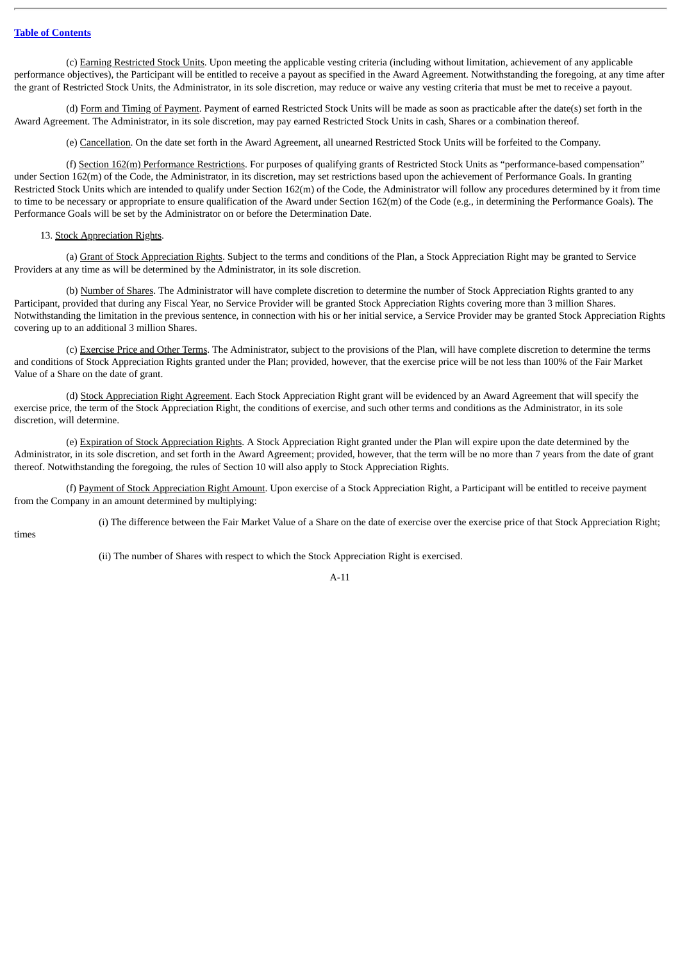(c) Earning Restricted Stock Units. Upon meeting the applicable vesting criteria (including without limitation, achievement of any applicable performance objectives), the Participant will be entitled to receive a payout as specified in the Award Agreement. Notwithstanding the foregoing, at any time after the grant of Restricted Stock Units, the Administrator, in its sole discretion, may reduce or waive any vesting criteria that must be met to receive a payout.

(d) Form and Timing of Payment. Payment of earned Restricted Stock Units will be made as soon as practicable after the date(s) set forth in the Award Agreement. The Administrator, in its sole discretion, may pay earned Restricted Stock Units in cash, Shares or a combination thereof.

(e) Cancellation. On the date set forth in the Award Agreement, all unearned Restricted Stock Units will be forfeited to the Company.

(f) Section 162(m) Performance Restrictions. For purposes of qualifying grants of Restricted Stock Units as "performance-based compensation" under Section 162(m) of the Code, the Administrator, in its discretion, may set restrictions based upon the achievement of Performance Goals. In granting Restricted Stock Units which are intended to qualify under Section 162(m) of the Code, the Administrator will follow any procedures determined by it from time to time to be necessary or appropriate to ensure qualification of the Award under Section 162(m) of the Code (e.g., in determining the Performance Goals). The Performance Goals will be set by the Administrator on or before the Determination Date.

### 13. Stock Appreciation Rights.

(a) Grant of Stock Appreciation Rights. Subject to the terms and conditions of the Plan, a Stock Appreciation Right may be granted to Service Providers at any time as will be determined by the Administrator, in its sole discretion.

(b) Number of Shares. The Administrator will have complete discretion to determine the number of Stock Appreciation Rights granted to any Participant, provided that during any Fiscal Year, no Service Provider will be granted Stock Appreciation Rights covering more than 3 million Shares. Notwithstanding the limitation in the previous sentence, in connection with his or her initial service, a Service Provider may be granted Stock Appreciation Rights covering up to an additional 3 million Shares.

(c) Exercise Price and Other Terms. The Administrator, subject to the provisions of the Plan, will have complete discretion to determine the terms and conditions of Stock Appreciation Rights granted under the Plan; provided, however, that the exercise price will be not less than 100% of the Fair Market Value of a Share on the date of grant.

(d) Stock Appreciation Right Agreement. Each Stock Appreciation Right grant will be evidenced by an Award Agreement that will specify the exercise price, the term of the Stock Appreciation Right, the conditions of exercise, and such other terms and conditions as the Administrator, in its sole discretion, will determine.

(e) Expiration of Stock Appreciation Rights. A Stock Appreciation Right granted under the Plan will expire upon the date determined by the Administrator, in its sole discretion, and set forth in the Award Agreement; provided, however, that the term will be no more than 7 years from the date of grant thereof. Notwithstanding the foregoing, the rules of Section 10 will also apply to Stock Appreciation Rights.

(f) Payment of Stock Appreciation Right Amount. Upon exercise of a Stock Appreciation Right, a Participant will be entitled to receive payment from the Company in an amount determined by multiplying:

(i) The difference between the Fair Market Value of a Share on the date of exercise over the exercise price of that Stock Appreciation Right;

times

(ii) The number of Shares with respect to which the Stock Appreciation Right is exercised.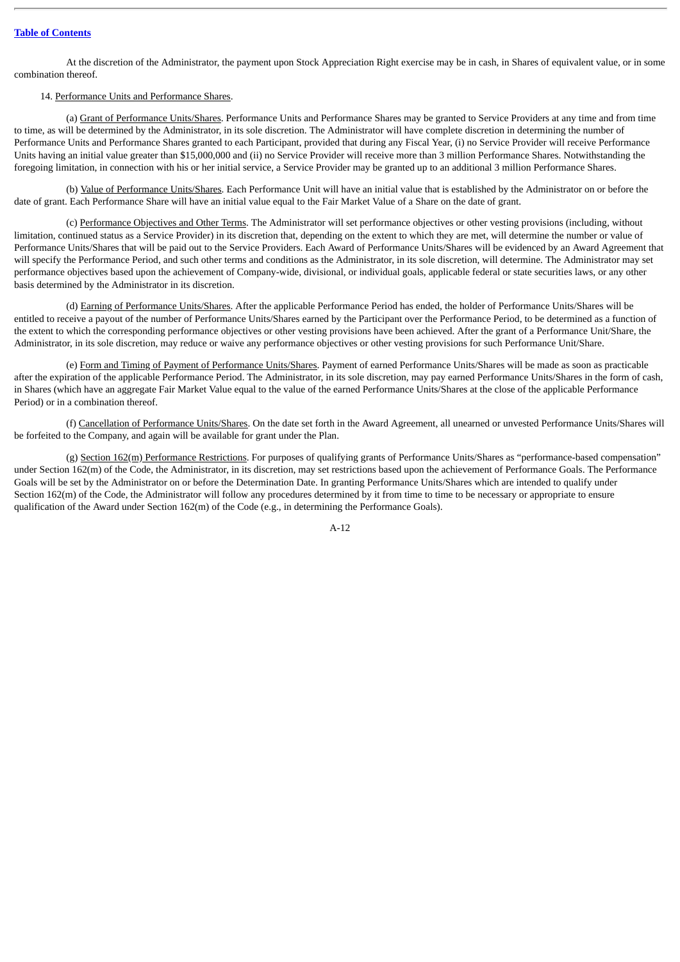At the discretion of the Administrator, the payment upon Stock Appreciation Right exercise may be in cash, in Shares of equivalent value, or in some combination thereof.

# 14. Performance Units and Performance Shares.

(a) Grant of Performance Units/Shares. Performance Units and Performance Shares may be granted to Service Providers at any time and from time to time, as will be determined by the Administrator, in its sole discretion. The Administrator will have complete discretion in determining the number of Performance Units and Performance Shares granted to each Participant, provided that during any Fiscal Year, (i) no Service Provider will receive Performance Units having an initial value greater than \$15,000,000 and (ii) no Service Provider will receive more than 3 million Performance Shares. Notwithstanding the foregoing limitation, in connection with his or her initial service, a Service Provider may be granted up to an additional 3 million Performance Shares.

(b) Value of Performance Units/Shares. Each Performance Unit will have an initial value that is established by the Administrator on or before the date of grant. Each Performance Share will have an initial value equal to the Fair Market Value of a Share on the date of grant.

(c) Performance Objectives and Other Terms. The Administrator will set performance objectives or other vesting provisions (including, without limitation, continued status as a Service Provider) in its discretion that, depending on the extent to which they are met, will determine the number or value of Performance Units/Shares that will be paid out to the Service Providers. Each Award of Performance Units/Shares will be evidenced by an Award Agreement that will specify the Performance Period, and such other terms and conditions as the Administrator, in its sole discretion, will determine. The Administrator may set performance objectives based upon the achievement of Company-wide, divisional, or individual goals, applicable federal or state securities laws, or any other basis determined by the Administrator in its discretion.

(d) Earning of Performance Units/Shares. After the applicable Performance Period has ended, the holder of Performance Units/Shares will be entitled to receive a payout of the number of Performance Units/Shares earned by the Participant over the Performance Period, to be determined as a function of the extent to which the corresponding performance objectives or other vesting provisions have been achieved. After the grant of a Performance Unit/Share, the Administrator, in its sole discretion, may reduce or waive any performance objectives or other vesting provisions for such Performance Unit/Share.

(e) Form and Timing of Payment of Performance Units/Shares. Payment of earned Performance Units/Shares will be made as soon as practicable after the expiration of the applicable Performance Period. The Administrator, in its sole discretion, may pay earned Performance Units/Shares in the form of cash, in Shares (which have an aggregate Fair Market Value equal to the value of the earned Performance Units/Shares at the close of the applicable Performance Period) or in a combination thereof.

(f) Cancellation of Performance Units/Shares. On the date set forth in the Award Agreement, all unearned or unvested Performance Units/Shares will be forfeited to the Company, and again will be available for grant under the Plan.

(g) Section 162(m) Performance Restrictions. For purposes of qualifying grants of Performance Units/Shares as "performance-based compensation" under Section 162(m) of the Code, the Administrator, in its discretion, may set restrictions based upon the achievement of Performance Goals. The Performance Goals will be set by the Administrator on or before the Determination Date. In granting Performance Units/Shares which are intended to qualify under Section 162(m) of the Code, the Administrator will follow any procedures determined by it from time to time to be necessary or appropriate to ensure qualification of the Award under Section 162(m) of the Code (e.g., in determining the Performance Goals).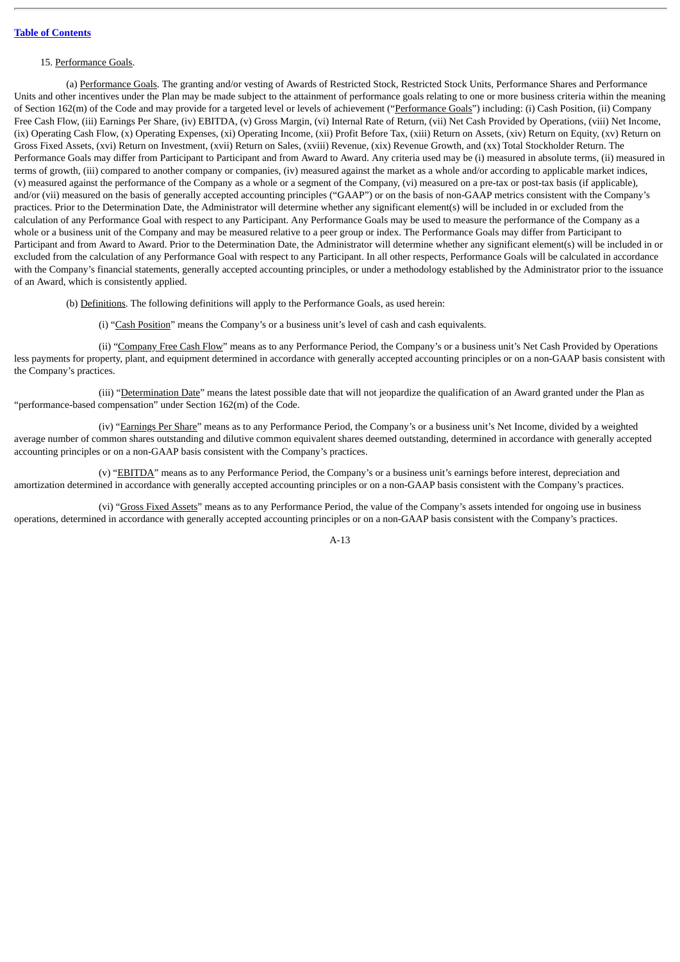### 15. Performance Goals.

(a) Performance Goals. The granting and/or vesting of Awards of Restricted Stock, Restricted Stock Units, Performance Shares and Performance Units and other incentives under the Plan may be made subject to the attainment of performance goals relating to one or more business criteria within the meaning of Section 162(m) of the Code and may provide for a targeted level or levels of achievement ("Performance Goals") including: (i) Cash Position, (ii) Company Free Cash Flow, (iii) Earnings Per Share, (iv) EBITDA, (v) Gross Margin, (vi) Internal Rate of Return, (vii) Net Cash Provided by Operations, (viii) Net Income, (ix) Operating Cash Flow, (x) Operating Expenses, (xi) Operating Income, (xii) Profit Before Tax, (xiii) Return on Assets, (xiv) Return on Equity, (xv) Return on Gross Fixed Assets, (xvi) Return on Investment, (xvii) Return on Sales, (xviii) Revenue, (xix) Revenue Growth, and (xx) Total Stockholder Return. The Performance Goals may differ from Participant to Participant and from Award to Award. Any criteria used may be (i) measured in absolute terms, (ii) measured in terms of growth, (iii) compared to another company or companies, (iv) measured against the market as a whole and/or according to applicable market indices, (v) measured against the performance of the Company as a whole or a segment of the Company, (vi) measured on a pre-tax or post-tax basis (if applicable), and/or (vii) measured on the basis of generally accepted accounting principles ("GAAP") or on the basis of non-GAAP metrics consistent with the Company's practices. Prior to the Determination Date, the Administrator will determine whether any significant element(s) will be included in or excluded from the calculation of any Performance Goal with respect to any Participant. Any Performance Goals may be used to measure the performance of the Company as a whole or a business unit of the Company and may be measured relative to a peer group or index. The Performance Goals may differ from Participant to Participant and from Award to Award. Prior to the Determination Date, the Administrator will determine whether any significant element(s) will be included in or excluded from the calculation of any Performance Goal with respect to any Participant. In all other respects, Performance Goals will be calculated in accordance with the Company's financial statements, generally accepted accounting principles, or under a methodology established by the Administrator prior to the issuance of an Award, which is consistently applied.

(b) Definitions. The following definitions will apply to the Performance Goals, as used herein:

(i) "Cash Position" means the Company's or a business unit's level of cash and cash equivalents.

(ii) "Company Free Cash Flow" means as to any Performance Period, the Company's or a business unit's Net Cash Provided by Operations less payments for property, plant, and equipment determined in accordance with generally accepted accounting principles or on a non-GAAP basis consistent with the Company's practices.

(iii) "Determination Date" means the latest possible date that will not jeopardize the qualification of an Award granted under the Plan as "performance-based compensation" under Section 162(m) of the Code.

(iv) "Earnings Per Share" means as to any Performance Period, the Company's or a business unit's Net Income, divided by a weighted average number of common shares outstanding and dilutive common equivalent shares deemed outstanding, determined in accordance with generally accepted accounting principles or on a non-GAAP basis consistent with the Company's practices.

(v) "EBITDA" means as to any Performance Period, the Company's or a business unit's earnings before interest, depreciation and amortization determined in accordance with generally accepted accounting principles or on a non-GAAP basis consistent with the Company's practices.

(vi) "Gross Fixed Assets" means as to any Performance Period, the value of the Company's assets intended for ongoing use in business operations, determined in accordance with generally accepted accounting principles or on a non-GAAP basis consistent with the Company's practices.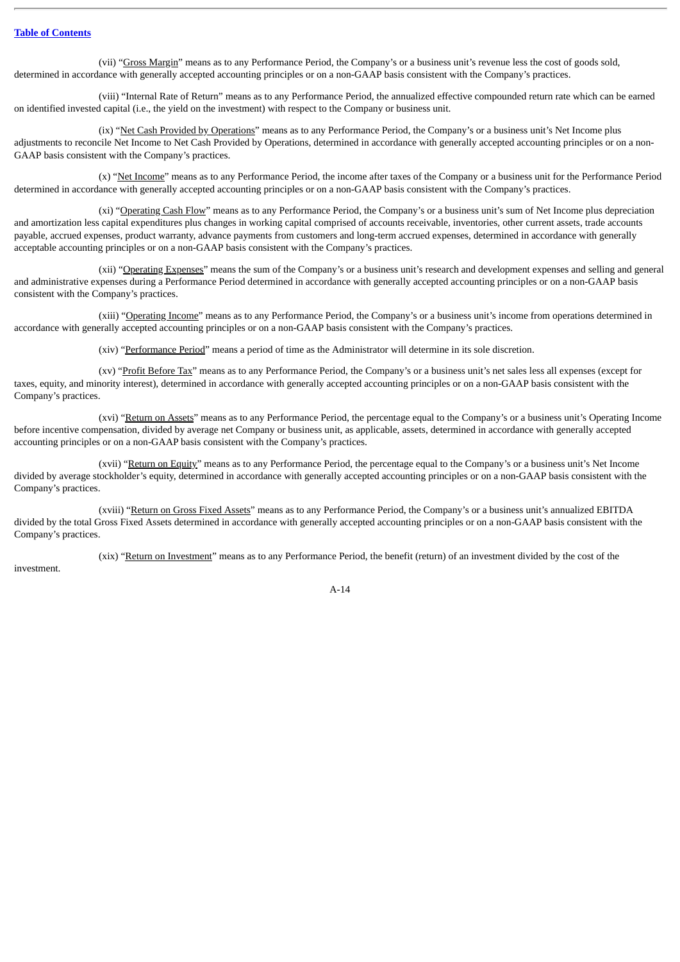(vii) "Gross Margin" means as to any Performance Period, the Company's or a business unit's revenue less the cost of goods sold, determined in accordance with generally accepted accounting principles or on a non-GAAP basis consistent with the Company's practices.

(viii) "Internal Rate of Return" means as to any Performance Period, the annualized effective compounded return rate which can be earned on identified invested capital (i.e., the yield on the investment) with respect to the Company or business unit.

(ix) "Net Cash Provided by Operations" means as to any Performance Period, the Company's or a business unit's Net Income plus adjustments to reconcile Net Income to Net Cash Provided by Operations, determined in accordance with generally accepted accounting principles or on a non-GAAP basis consistent with the Company's practices.

(x) "Net Income" means as to any Performance Period, the income after taxes of the Company or a business unit for the Performance Period determined in accordance with generally accepted accounting principles or on a non-GAAP basis consistent with the Company's practices.

(xi) "Operating Cash Flow" means as to any Performance Period, the Company's or a business unit's sum of Net Income plus depreciation and amortization less capital expenditures plus changes in working capital comprised of accounts receivable, inventories, other current assets, trade accounts payable, accrued expenses, product warranty, advance payments from customers and long-term accrued expenses, determined in accordance with generally acceptable accounting principles or on a non-GAAP basis consistent with the Company's practices.

(xii) "Operating Expenses" means the sum of the Company's or a business unit's research and development expenses and selling and general and administrative expenses during a Performance Period determined in accordance with generally accepted accounting principles or on a non-GAAP basis consistent with the Company's practices.

(xiii) "Operating Income" means as to any Performance Period, the Company's or a business unit's income from operations determined in accordance with generally accepted accounting principles or on a non-GAAP basis consistent with the Company's practices.

(xiv) "Performance Period" means a period of time as the Administrator will determine in its sole discretion.

(xv) "Profit Before Tax" means as to any Performance Period, the Company's or a business unit's net sales less all expenses (except for taxes, equity, and minority interest), determined in accordance with generally accepted accounting principles or on a non-GAAP basis consistent with the Company's practices.

(xvi) "Return on Assets" means as to any Performance Period, the percentage equal to the Company's or a business unit's Operating Income before incentive compensation, divided by average net Company or business unit, as applicable, assets, determined in accordance with generally accepted accounting principles or on a non-GAAP basis consistent with the Company's practices.

(xvii) "Return on Equity" means as to any Performance Period, the percentage equal to the Company's or a business unit's Net Income divided by average stockholder's equity, determined in accordance with generally accepted accounting principles or on a non-GAAP basis consistent with the Company's practices.

(xviii) "Return on Gross Fixed Assets" means as to any Performance Period, the Company's or a business unit's annualized EBITDA divided by the total Gross Fixed Assets determined in accordance with generally accepted accounting principles or on a non-GAAP basis consistent with the Company's practices.

(xix) "Return on Investment" means as to any Performance Period, the benefit (return) of an investment divided by the cost of the

investment.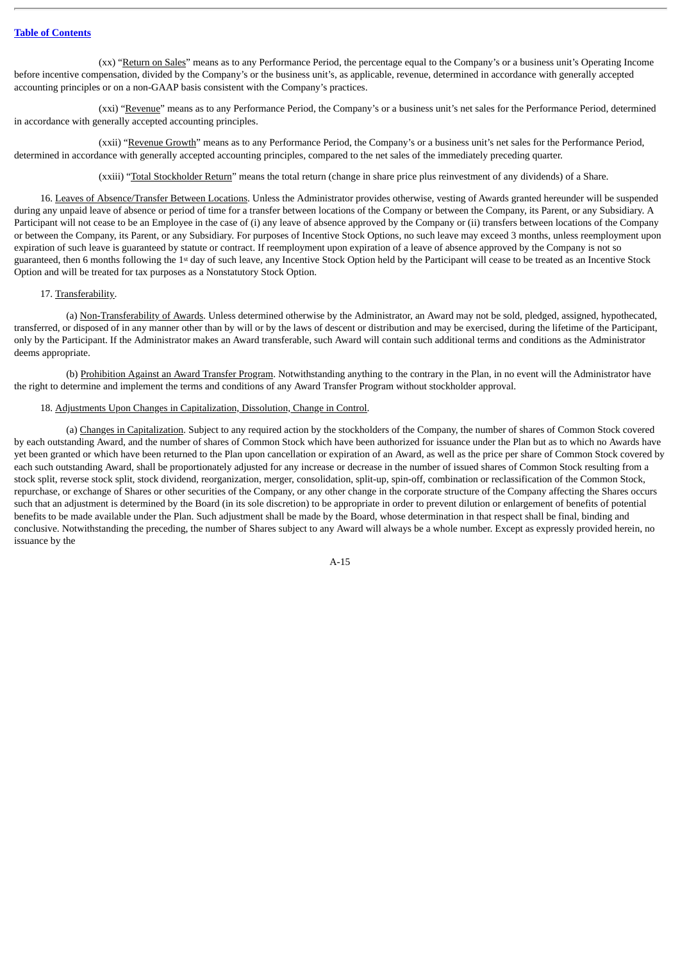(xx) "Return on Sales" means as to any Performance Period, the percentage equal to the Company's or a business unit's Operating Income before incentive compensation, divided by the Company's or the business unit's, as applicable, revenue, determined in accordance with generally accepted accounting principles or on a non-GAAP basis consistent with the Company's practices.

(xxi) "Revenue" means as to any Performance Period, the Company's or a business unit's net sales for the Performance Period, determined in accordance with generally accepted accounting principles.

(xxii) "Revenue Growth" means as to any Performance Period, the Company's or a business unit's net sales for the Performance Period, determined in accordance with generally accepted accounting principles, compared to the net sales of the immediately preceding quarter.

(xxiii) "Total Stockholder Return" means the total return (change in share price plus reinvestment of any dividends) of a Share.

16. Leaves of Absence/Transfer Between Locations. Unless the Administrator provides otherwise, vesting of Awards granted hereunder will be suspended during any unpaid leave of absence or period of time for a transfer between locations of the Company or between the Company, its Parent, or any Subsidiary. A Participant will not cease to be an Employee in the case of (i) any leave of absence approved by the Company or (ii) transfers between locations of the Company or between the Company, its Parent, or any Subsidiary. For purposes of Incentive Stock Options, no such leave may exceed 3 months, unless reemployment upon expiration of such leave is guaranteed by statute or contract. If reemployment upon expiration of a leave of absence approved by the Company is not so guaranteed, then 6 months following the 1<sup>st</sup> day of such leave, any Incentive Stock Option held by the Participant will cease to be treated as an Incentive Stock Option and will be treated for tax purposes as a Nonstatutory Stock Option.

### 17. Transferability.

(a) Non-Transferability of Awards. Unless determined otherwise by the Administrator, an Award may not be sold, pledged, assigned, hypothecated, transferred, or disposed of in any manner other than by will or by the laws of descent or distribution and may be exercised, during the lifetime of the Participant, only by the Participant. If the Administrator makes an Award transferable, such Award will contain such additional terms and conditions as the Administrator deems appropriate.

(b) Prohibition Against an Award Transfer Program. Notwithstanding anything to the contrary in the Plan, in no event will the Administrator have the right to determine and implement the terms and conditions of any Award Transfer Program without stockholder approval.

# 18. Adjustments Upon Changes in Capitalization, Dissolution, Change in Control.

(a) Changes in Capitalization. Subject to any required action by the stockholders of the Company, the number of shares of Common Stock covered by each outstanding Award, and the number of shares of Common Stock which have been authorized for issuance under the Plan but as to which no Awards have yet been granted or which have been returned to the Plan upon cancellation or expiration of an Award, as well as the price per share of Common Stock covered by each such outstanding Award, shall be proportionately adjusted for any increase or decrease in the number of issued shares of Common Stock resulting from a stock split, reverse stock split, stock dividend, reorganization, merger, consolidation, split-up, spin-off, combination or reclassification of the Common Stock, repurchase, or exchange of Shares or other securities of the Company, or any other change in the corporate structure of the Company affecting the Shares occurs such that an adjustment is determined by the Board (in its sole discretion) to be appropriate in order to prevent dilution or enlargement of benefits of potential benefits to be made available under the Plan. Such adjustment shall be made by the Board, whose determination in that respect shall be final, binding and conclusive. Notwithstanding the preceding, the number of Shares subject to any Award will always be a whole number. Except as expressly provided herein, no issuance by the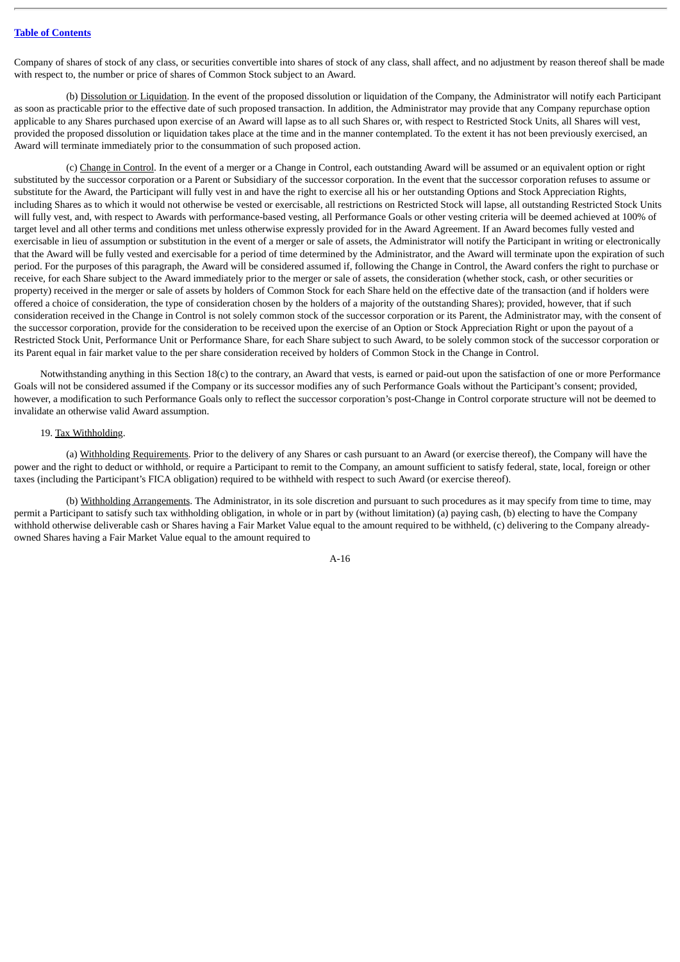Company of shares of stock of any class, or securities convertible into shares of stock of any class, shall affect, and no adjustment by reason thereof shall be made with respect to, the number or price of shares of Common Stock subject to an Award.

(b) Dissolution or Liquidation. In the event of the proposed dissolution or liquidation of the Company, the Administrator will notify each Participant as soon as practicable prior to the effective date of such proposed transaction. In addition, the Administrator may provide that any Company repurchase option applicable to any Shares purchased upon exercise of an Award will lapse as to all such Shares or, with respect to Restricted Stock Units, all Shares will vest, provided the proposed dissolution or liquidation takes place at the time and in the manner contemplated. To the extent it has not been previously exercised, an Award will terminate immediately prior to the consummation of such proposed action.

(c) Change in Control. In the event of a merger or a Change in Control, each outstanding Award will be assumed or an equivalent option or right substituted by the successor corporation or a Parent or Subsidiary of the successor corporation. In the event that the successor corporation refuses to assume or substitute for the Award, the Participant will fully vest in and have the right to exercise all his or her outstanding Options and Stock Appreciation Rights, including Shares as to which it would not otherwise be vested or exercisable, all restrictions on Restricted Stock will lapse, all outstanding Restricted Stock Units will fully vest, and, with respect to Awards with performance-based vesting, all Performance Goals or other vesting criteria will be deemed achieved at 100% of target level and all other terms and conditions met unless otherwise expressly provided for in the Award Agreement. If an Award becomes fully vested and exercisable in lieu of assumption or substitution in the event of a merger or sale of assets, the Administrator will notify the Participant in writing or electronically that the Award will be fully vested and exercisable for a period of time determined by the Administrator, and the Award will terminate upon the expiration of such period. For the purposes of this paragraph, the Award will be considered assumed if, following the Change in Control, the Award confers the right to purchase or receive, for each Share subject to the Award immediately prior to the merger or sale of assets, the consideration (whether stock, cash, or other securities or property) received in the merger or sale of assets by holders of Common Stock for each Share held on the effective date of the transaction (and if holders were offered a choice of consideration, the type of consideration chosen by the holders of a majority of the outstanding Shares); provided, however, that if such consideration received in the Change in Control is not solely common stock of the successor corporation or its Parent, the Administrator may, with the consent of the successor corporation, provide for the consideration to be received upon the exercise of an Option or Stock Appreciation Right or upon the payout of a Restricted Stock Unit, Performance Unit or Performance Share, for each Share subject to such Award, to be solely common stock of the successor corporation or its Parent equal in fair market value to the per share consideration received by holders of Common Stock in the Change in Control.

Notwithstanding anything in this Section 18(c) to the contrary, an Award that vests, is earned or paid-out upon the satisfaction of one or more Performance Goals will not be considered assumed if the Company or its successor modifies any of such Performance Goals without the Participant's consent; provided, however, a modification to such Performance Goals only to reflect the successor corporation's post-Change in Control corporate structure will not be deemed to invalidate an otherwise valid Award assumption.

### 19. Tax Withholding.

(a) Withholding Requirements. Prior to the delivery of any Shares or cash pursuant to an Award (or exercise thereof), the Company will have the power and the right to deduct or withhold, or require a Participant to remit to the Company, an amount sufficient to satisfy federal, state, local, foreign or other taxes (including the Participant's FICA obligation) required to be withheld with respect to such Award (or exercise thereof).

(b) Withholding Arrangements. The Administrator, in its sole discretion and pursuant to such procedures as it may specify from time to time, may permit a Participant to satisfy such tax withholding obligation, in whole or in part by (without limitation) (a) paying cash, (b) electing to have the Company withhold otherwise deliverable cash or Shares having a Fair Market Value equal to the amount required to be withheld, (c) delivering to the Company alreadyowned Shares having a Fair Market Value equal to the amount required to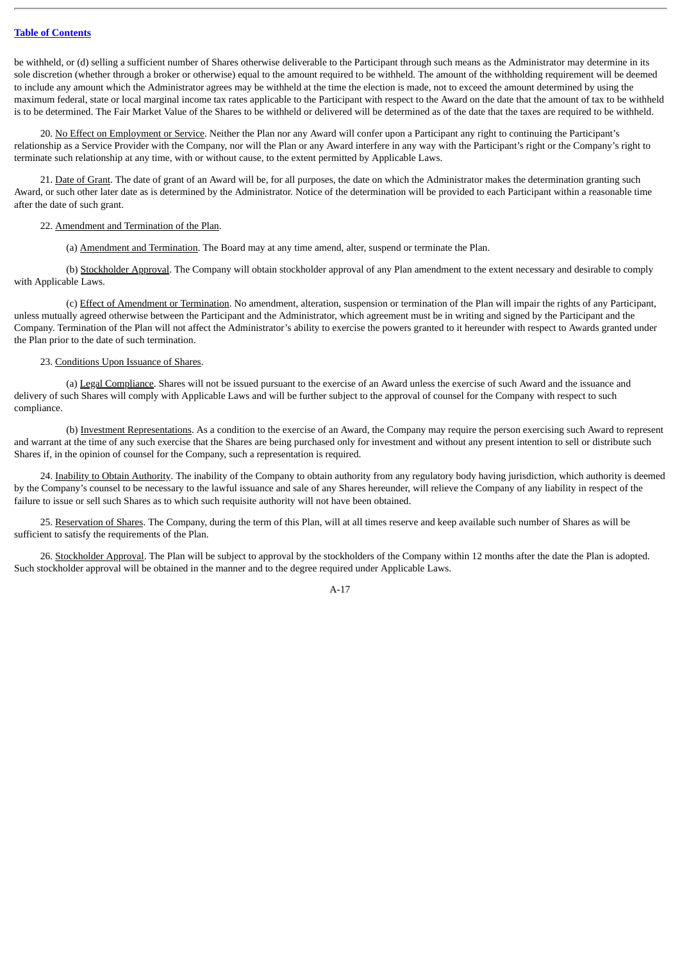be withheld, or (d) selling a sufficient number of Shares otherwise deliverable to the Participant through such means as the Administrator may determine in its sole discretion (whether through a broker or otherwise) equal to the amount required to be withheld. The amount of the withholding requirement will be deemed to include any amount which the Administrator agrees may be withheld at the time the election is made, not to exceed the amount determined by using the maximum federal, state or local marginal income tax rates applicable to the Participant with respect to the Award on the date that the amount of tax to be withheld is to be determined. The Fair Market Value of the Shares to be withheld or delivered will be determined as of the date that the taxes are required to be withheld.

20. No Effect on Employment or Service. Neither the Plan nor any Award will confer upon a Participant any right to continuing the Participant's relationship as a Service Provider with the Company, nor will the Plan or any Award interfere in any way with the Participant's right or the Company's right to terminate such relationship at any time, with or without cause, to the extent permitted by Applicable Laws.

21. Date of Grant. The date of grant of an Award will be, for all purposes, the date on which the Administrator makes the determination granting such Award, or such other later date as is determined by the Administrator. Notice of the determination will be provided to each Participant within a reasonable time after the date of such grant.

#### 22. Amendment and Termination of the Plan.

(a) Amendment and Termination. The Board may at any time amend, alter, suspend or terminate the Plan.

(b) Stockholder Approval. The Company will obtain stockholder approval of any Plan amendment to the extent necessary and desirable to comply with Applicable Laws.

(c) Effect of Amendment or Termination. No amendment, alteration, suspension or termination of the Plan will impair the rights of any Participant, unless mutually agreed otherwise between the Participant and the Administrator, which agreement must be in writing and signed by the Participant and the Company. Termination of the Plan will not affect the Administrator's ability to exercise the powers granted to it hereunder with respect to Awards granted under the Plan prior to the date of such termination.

#### 23. Conditions Upon Issuance of Shares.

(a) Legal Compliance. Shares will not be issued pursuant to the exercise of an Award unless the exercise of such Award and the issuance and delivery of such Shares will comply with Applicable Laws and will be further subject to the approval of counsel for the Company with respect to such compliance.

(b) Investment Representations. As a condition to the exercise of an Award, the Company may require the person exercising such Award to represent and warrant at the time of any such exercise that the Shares are being purchased only for investment and without any present intention to sell or distribute such Shares if, in the opinion of counsel for the Company, such a representation is required.

24. Inability to Obtain Authority. The inability of the Company to obtain authority from any regulatory body having jurisdiction, which authority is deemed by the Company's counsel to be necessary to the lawful issuance and sale of any Shares hereunder, will relieve the Company of any liability in respect of the failure to issue or sell such Shares as to which such requisite authority will not have been obtained.

25. Reservation of Shares. The Company, during the term of this Plan, will at all times reserve and keep available such number of Shares as will be sufficient to satisfy the requirements of the Plan.

26. Stockholder Approval. The Plan will be subject to approval by the stockholders of the Company within 12 months after the date the Plan is adopted. Such stockholder approval will be obtained in the manner and to the degree required under Applicable Laws.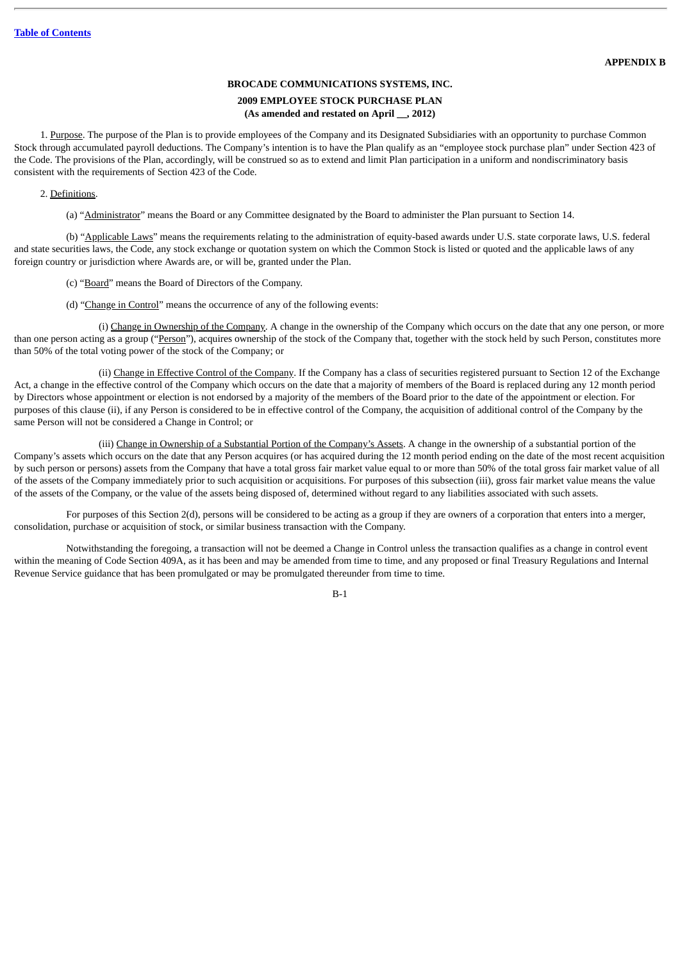# **BROCADE COMMUNICATIONS SYSTEMS, INC.**

# **2009 EMPLOYEE STOCK PURCHASE PLAN (As amended and restated on April \_\_, 2012)**

1. Purpose. The purpose of the Plan is to provide employees of the Company and its Designated Subsidiaries with an opportunity to purchase Common Stock through accumulated payroll deductions. The Company's intention is to have the Plan qualify as an "employee stock purchase plan" under Section 423 of the Code. The provisions of the Plan, accordingly, will be construed so as to extend and limit Plan participation in a uniform and nondiscriminatory basis consistent with the requirements of Section 423 of the Code.

# 2. Definitions.

(a) "Administrator" means the Board or any Committee designated by the Board to administer the Plan pursuant to Section 14.

(b) "Applicable Laws" means the requirements relating to the administration of equity-based awards under U.S. state corporate laws, U.S. federal and state securities laws, the Code, any stock exchange or quotation system on which the Common Stock is listed or quoted and the applicable laws of any foreign country or jurisdiction where Awards are, or will be, granted under the Plan.

- (c) "Board" means the Board of Directors of the Company.
- (d) "Change in Control" means the occurrence of any of the following events:

(i) Change in Ownership of the Company. A change in the ownership of the Company which occurs on the date that any one person, or more than one person acting as a group ("Person"), acquires ownership of the stock of the Company that, together with the stock held by such Person, constitutes more than 50% of the total voting power of the stock of the Company; or

(ii) Change in Effective Control of the Company. If the Company has a class of securities registered pursuant to Section 12 of the Exchange Act, a change in the effective control of the Company which occurs on the date that a majority of members of the Board is replaced during any 12 month period by Directors whose appointment or election is not endorsed by a majority of the members of the Board prior to the date of the appointment or election. For purposes of this clause (ii), if any Person is considered to be in effective control of the Company, the acquisition of additional control of the Company by the same Person will not be considered a Change in Control; or

(iii) Change in Ownership of a Substantial Portion of the Company's Assets. A change in the ownership of a substantial portion of the Company's assets which occurs on the date that any Person acquires (or has acquired during the 12 month period ending on the date of the most recent acquisition by such person or persons) assets from the Company that have a total gross fair market value equal to or more than 50% of the total gross fair market value of all of the assets of the Company immediately prior to such acquisition or acquisitions. For purposes of this subsection (iii), gross fair market value means the value of the assets of the Company, or the value of the assets being disposed of, determined without regard to any liabilities associated with such assets.

For purposes of this Section 2(d), persons will be considered to be acting as a group if they are owners of a corporation that enters into a merger, consolidation, purchase or acquisition of stock, or similar business transaction with the Company.

Notwithstanding the foregoing, a transaction will not be deemed a Change in Control unless the transaction qualifies as a change in control event within the meaning of Code Section 409A, as it has been and may be amended from time to time, and any proposed or final Treasury Regulations and Internal Revenue Service guidance that has been promulgated or may be promulgated thereunder from time to time.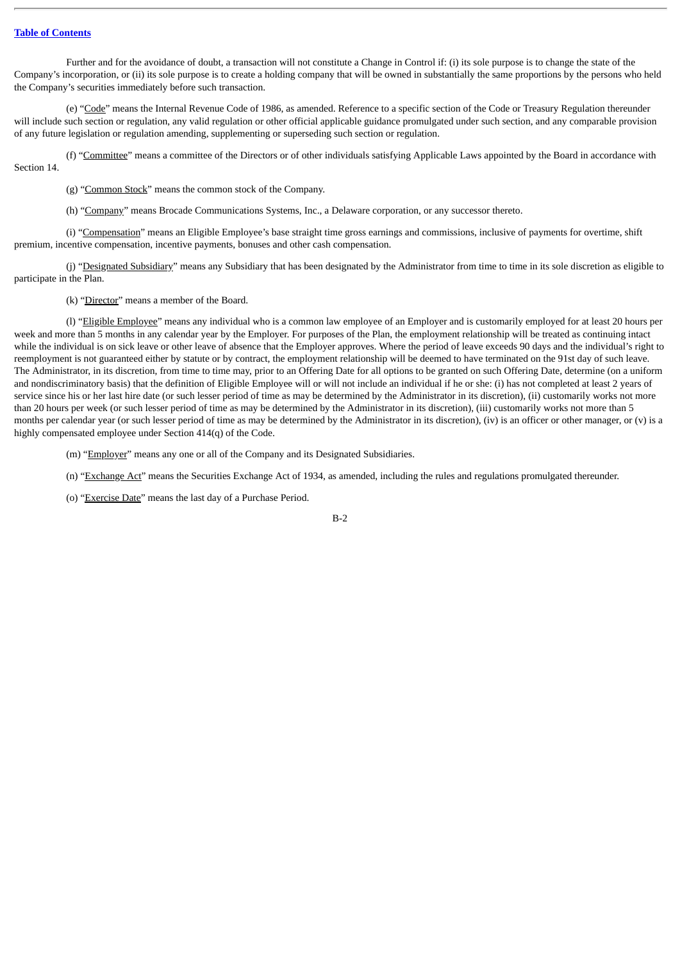Further and for the avoidance of doubt, a transaction will not constitute a Change in Control if: (i) its sole purpose is to change the state of the Company's incorporation, or (ii) its sole purpose is to create a holding company that will be owned in substantially the same proportions by the persons who held the Company's securities immediately before such transaction.

(e) "Code" means the Internal Revenue Code of 1986, as amended. Reference to a specific section of the Code or Treasury Regulation thereunder will include such section or regulation, any valid regulation or other official applicable guidance promulgated under such section, and any comparable provision of any future legislation or regulation amending, supplementing or superseding such section or regulation.

(f) "Committee" means a committee of the Directors or of other individuals satisfying Applicable Laws appointed by the Board in accordance with Section 14.

(g) "Common Stock" means the common stock of the Company.

(h) "Company" means Brocade Communications Systems, Inc., a Delaware corporation, or any successor thereto.

(i) "Compensation" means an Eligible Employee's base straight time gross earnings and commissions, inclusive of payments for overtime, shift premium, incentive compensation, incentive payments, bonuses and other cash compensation.

(j) "Designated Subsidiary" means any Subsidiary that has been designated by the Administrator from time to time in its sole discretion as eligible to participate in the Plan.

(k) "Director" means a member of the Board.

(l) "Eligible Employee" means any individual who is a common law employee of an Employer and is customarily employed for at least 20 hours per week and more than 5 months in any calendar year by the Employer. For purposes of the Plan, the employment relationship will be treated as continuing intact while the individual is on sick leave or other leave of absence that the Employer approves. Where the period of leave exceeds 90 days and the individual's right to reemployment is not guaranteed either by statute or by contract, the employment relationship will be deemed to have terminated on the 91st day of such leave. The Administrator, in its discretion, from time to time may, prior to an Offering Date for all options to be granted on such Offering Date, determine (on a uniform and nondiscriminatory basis) that the definition of Eligible Employee will or will not include an individual if he or she: (i) has not completed at least 2 years of service since his or her last hire date (or such lesser period of time as may be determined by the Administrator in its discretion), (ii) customarily works not more than 20 hours per week (or such lesser period of time as may be determined by the Administrator in its discretion), (iii) customarily works not more than 5 months per calendar year (or such lesser period of time as may be determined by the Administrator in its discretion), (iv) is an officer or other manager, or (v) is a highly compensated employee under Section 414(q) of the Code.

(m) "Employer" means any one or all of the Company and its Designated Subsidiaries.

(n) "Exchange Act" means the Securities Exchange Act of 1934, as amended, including the rules and regulations promulgated thereunder.

(o) "Exercise Date" means the last day of a Purchase Period.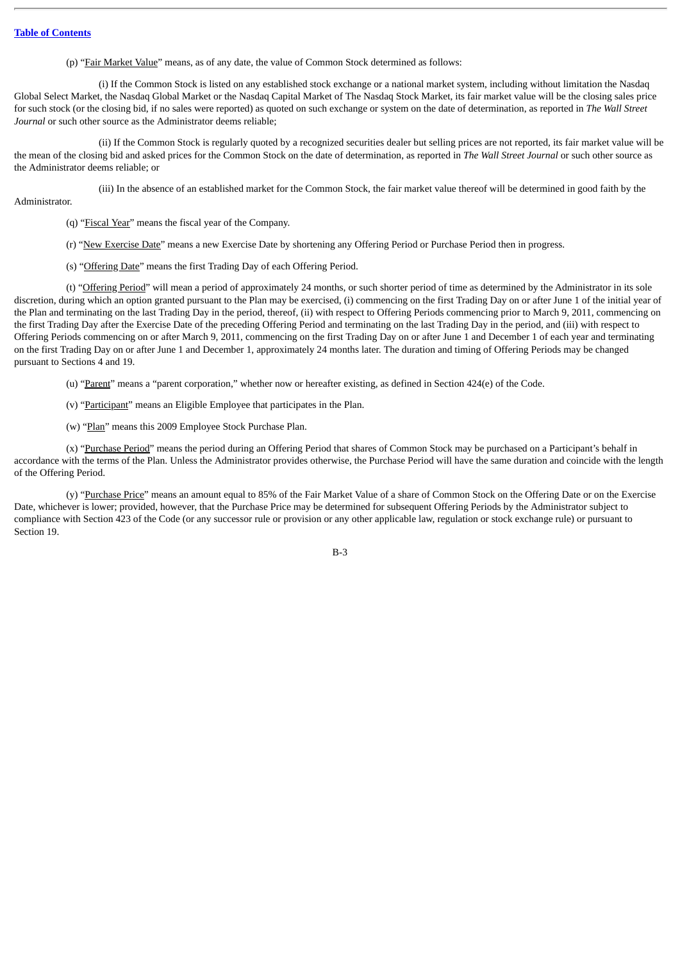(p) "Fair Market Value" means, as of any date, the value of Common Stock determined as follows:

(i) If the Common Stock is listed on any established stock exchange or a national market system, including without limitation the Nasdaq Global Select Market, the Nasdaq Global Market or the Nasdaq Capital Market of The Nasdaq Stock Market, its fair market value will be the closing sales price for such stock (or the closing bid, if no sales were reported) as quoted on such exchange or system on the date of determination, as reported in *The Wall Street Journal* or such other source as the Administrator deems reliable;

(ii) If the Common Stock is regularly quoted by a recognized securities dealer but selling prices are not reported, its fair market value will be the mean of the closing bid and asked prices for the Common Stock on the date of determination, as reported in *The Wall Street Journal* or such other source as the Administrator deems reliable; or

(iii) In the absence of an established market for the Common Stock, the fair market value thereof will be determined in good faith by the

#### Administrator.

(q) "Fiscal Year" means the fiscal year of the Company.

(r) "New Exercise Date" means a new Exercise Date by shortening any Offering Period or Purchase Period then in progress.

(s) "Offering Date" means the first Trading Day of each Offering Period.

(t) "Offering Period" will mean a period of approximately 24 months, or such shorter period of time as determined by the Administrator in its sole discretion, during which an option granted pursuant to the Plan may be exercised, (i) commencing on the first Trading Day on or after June 1 of the initial year of the Plan and terminating on the last Trading Day in the period, thereof, (ii) with respect to Offering Periods commencing prior to March 9, 2011, commencing on the first Trading Day after the Exercise Date of the preceding Offering Period and terminating on the last Trading Day in the period, and (iii) with respect to Offering Periods commencing on or after March 9, 2011, commencing on the first Trading Day on or after June 1 and December 1 of each year and terminating on the first Trading Day on or after June 1 and December 1, approximately 24 months later. The duration and timing of Offering Periods may be changed pursuant to Sections 4 and 19.

(u) "Parent" means a "parent corporation," whether now or hereafter existing, as defined in Section 424(e) of the Code.

(v) "Participant" means an Eligible Employee that participates in the Plan.

(w) "Plan" means this 2009 Employee Stock Purchase Plan.

(x) "Purchase Period" means the period during an Offering Period that shares of Common Stock may be purchased on a Participant's behalf in accordance with the terms of the Plan. Unless the Administrator provides otherwise, the Purchase Period will have the same duration and coincide with the length of the Offering Period.

(y) "Purchase Price" means an amount equal to 85% of the Fair Market Value of a share of Common Stock on the Offering Date or on the Exercise Date, whichever is lower; provided, however, that the Purchase Price may be determined for subsequent Offering Periods by the Administrator subject to compliance with Section 423 of the Code (or any successor rule or provision or any other applicable law, regulation or stock exchange rule) or pursuant to Section 19.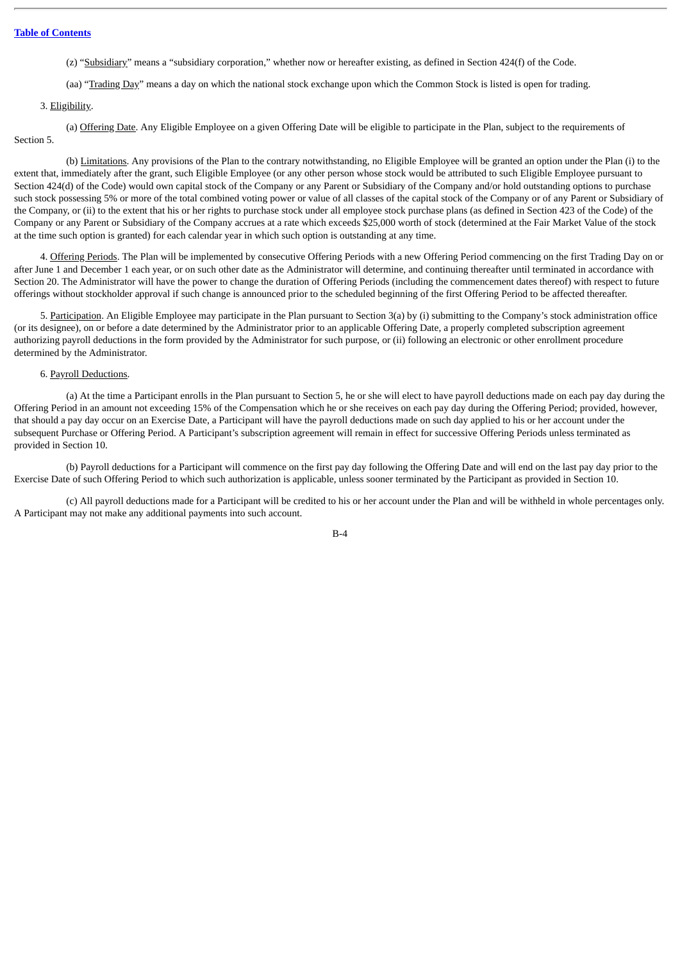(z) "Subsidiary" means a "subsidiary corporation," whether now or hereafter existing, as defined in Section 424(f) of the Code.

(aa) "Trading Day" means a day on which the national stock exchange upon which the Common Stock is listed is open for trading.

# 3. Eligibility.

(a) Offering Date. Any Eligible Employee on a given Offering Date will be eligible to participate in the Plan, subject to the requirements of Section 5.

(b) Limitations. Any provisions of the Plan to the contrary notwithstanding, no Eligible Employee will be granted an option under the Plan (i) to the extent that, immediately after the grant, such Eligible Employee (or any other person whose stock would be attributed to such Eligible Employee pursuant to Section 424(d) of the Code) would own capital stock of the Company or any Parent or Subsidiary of the Company and/or hold outstanding options to purchase such stock possessing 5% or more of the total combined voting power or value of all classes of the capital stock of the Company or of any Parent or Subsidiary of the Company, or (ii) to the extent that his or her rights to purchase stock under all employee stock purchase plans (as defined in Section 423 of the Code) of the Company or any Parent or Subsidiary of the Company accrues at a rate which exceeds \$25,000 worth of stock (determined at the Fair Market Value of the stock at the time such option is granted) for each calendar year in which such option is outstanding at any time.

4. Offering Periods. The Plan will be implemented by consecutive Offering Periods with a new Offering Period commencing on the first Trading Day on or after June 1 and December 1 each year, or on such other date as the Administrator will determine, and continuing thereafter until terminated in accordance with Section 20. The Administrator will have the power to change the duration of Offering Periods (including the commencement dates thereof) with respect to future offerings without stockholder approval if such change is announced prior to the scheduled beginning of the first Offering Period to be affected thereafter.

5. Participation. An Eligible Employee may participate in the Plan pursuant to Section 3(a) by (i) submitting to the Company's stock administration office (or its designee), on or before a date determined by the Administrator prior to an applicable Offering Date, a properly completed subscription agreement authorizing payroll deductions in the form provided by the Administrator for such purpose, or (ii) following an electronic or other enrollment procedure determined by the Administrator.

### 6. Payroll Deductions.

(a) At the time a Participant enrolls in the Plan pursuant to Section 5, he or she will elect to have payroll deductions made on each pay day during the Offering Period in an amount not exceeding 15% of the Compensation which he or she receives on each pay day during the Offering Period; provided, however, that should a pay day occur on an Exercise Date, a Participant will have the payroll deductions made on such day applied to his or her account under the subsequent Purchase or Offering Period. A Participant's subscription agreement will remain in effect for successive Offering Periods unless terminated as provided in Section 10.

(b) Payroll deductions for a Participant will commence on the first pay day following the Offering Date and will end on the last pay day prior to the Exercise Date of such Offering Period to which such authorization is applicable, unless sooner terminated by the Participant as provided in Section 10.

(c) All payroll deductions made for a Participant will be credited to his or her account under the Plan and will be withheld in whole percentages only. A Participant may not make any additional payments into such account.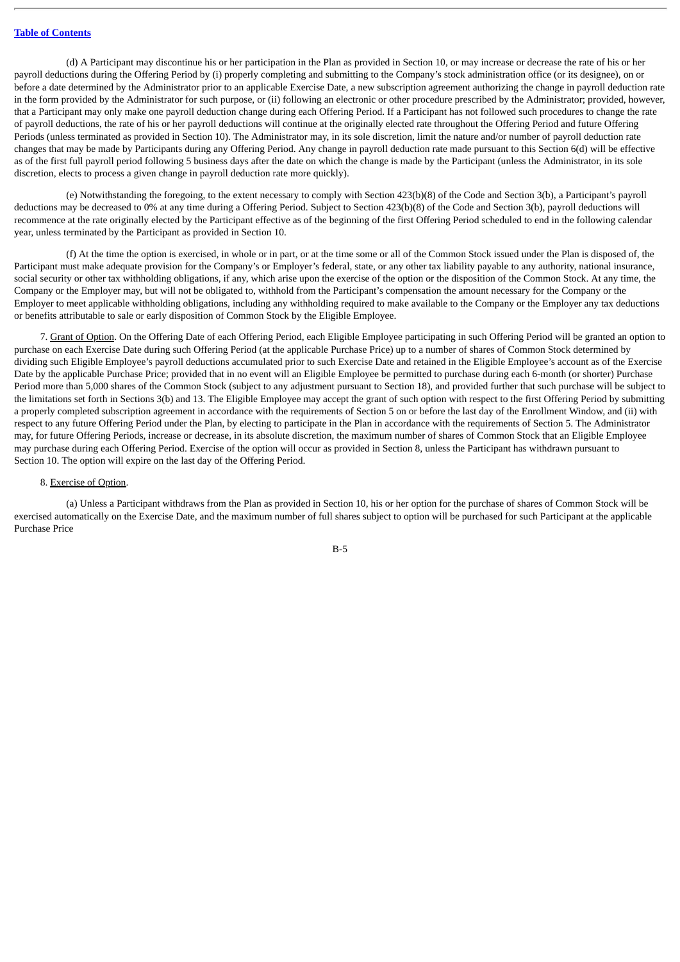(d) A Participant may discontinue his or her participation in the Plan as provided in Section 10, or may increase or decrease the rate of his or her payroll deductions during the Offering Period by (i) properly completing and submitting to the Company's stock administration office (or its designee), on or before a date determined by the Administrator prior to an applicable Exercise Date, a new subscription agreement authorizing the change in payroll deduction rate in the form provided by the Administrator for such purpose, or (ii) following an electronic or other procedure prescribed by the Administrator; provided, however, that a Participant may only make one payroll deduction change during each Offering Period. If a Participant has not followed such procedures to change the rate of payroll deductions, the rate of his or her payroll deductions will continue at the originally elected rate throughout the Offering Period and future Offering Periods (unless terminated as provided in Section 10). The Administrator may, in its sole discretion, limit the nature and/or number of payroll deduction rate changes that may be made by Participants during any Offering Period. Any change in payroll deduction rate made pursuant to this Section 6(d) will be effective as of the first full payroll period following 5 business days after the date on which the change is made by the Participant (unless the Administrator, in its sole discretion, elects to process a given change in payroll deduction rate more quickly).

(e) Notwithstanding the foregoing, to the extent necessary to comply with Section 423(b)(8) of the Code and Section 3(b), a Participant's payroll deductions may be decreased to 0% at any time during a Offering Period. Subject to Section 423(b)(8) of the Code and Section 3(b), payroll deductions will recommence at the rate originally elected by the Participant effective as of the beginning of the first Offering Period scheduled to end in the following calendar year, unless terminated by the Participant as provided in Section 10.

(f) At the time the option is exercised, in whole or in part, or at the time some or all of the Common Stock issued under the Plan is disposed of, the Participant must make adequate provision for the Company's or Employer's federal, state, or any other tax liability payable to any authority, national insurance, social security or other tax withholding obligations, if any, which arise upon the exercise of the option or the disposition of the Common Stock. At any time, the Company or the Employer may, but will not be obligated to, withhold from the Participant's compensation the amount necessary for the Company or the Employer to meet applicable withholding obligations, including any withholding required to make available to the Company or the Employer any tax deductions or benefits attributable to sale or early disposition of Common Stock by the Eligible Employee.

7. Grant of Option. On the Offering Date of each Offering Period, each Eligible Employee participating in such Offering Period will be granted an option to purchase on each Exercise Date during such Offering Period (at the applicable Purchase Price) up to a number of shares of Common Stock determined by dividing such Eligible Employee's payroll deductions accumulated prior to such Exercise Date and retained in the Eligible Employee's account as of the Exercise Date by the applicable Purchase Price; provided that in no event will an Eligible Employee be permitted to purchase during each 6-month (or shorter) Purchase Period more than 5,000 shares of the Common Stock (subject to any adjustment pursuant to Section 18), and provided further that such purchase will be subject to the limitations set forth in Sections 3(b) and 13. The Eligible Employee may accept the grant of such option with respect to the first Offering Period by submitting a properly completed subscription agreement in accordance with the requirements of Section 5 on or before the last day of the Enrollment Window, and (ii) with respect to any future Offering Period under the Plan, by electing to participate in the Plan in accordance with the requirements of Section 5. The Administrator may, for future Offering Periods, increase or decrease, in its absolute discretion, the maximum number of shares of Common Stock that an Eligible Employee may purchase during each Offering Period. Exercise of the option will occur as provided in Section 8, unless the Participant has withdrawn pursuant to Section 10. The option will expire on the last day of the Offering Period.

# 8. Exercise of Option.

(a) Unless a Participant withdraws from the Plan as provided in Section 10, his or her option for the purchase of shares of Common Stock will be exercised automatically on the Exercise Date, and the maximum number of full shares subject to option will be purchased for such Participant at the applicable Purchase Price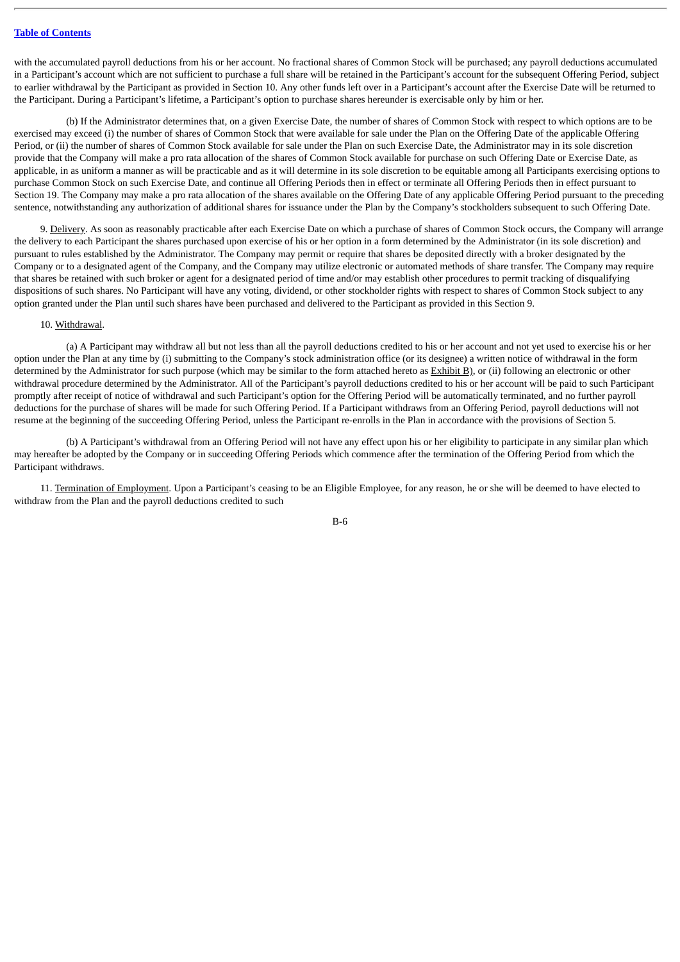with the accumulated payroll deductions from his or her account. No fractional shares of Common Stock will be purchased; any payroll deductions accumulated in a Participant's account which are not sufficient to purchase a full share will be retained in the Participant's account for the subsequent Offering Period, subject to earlier withdrawal by the Participant as provided in Section 10. Any other funds left over in a Participant's account after the Exercise Date will be returned to the Participant. During a Participant's lifetime, a Participant's option to purchase shares hereunder is exercisable only by him or her.

(b) If the Administrator determines that, on a given Exercise Date, the number of shares of Common Stock with respect to which options are to be exercised may exceed (i) the number of shares of Common Stock that were available for sale under the Plan on the Offering Date of the applicable Offering Period, or (ii) the number of shares of Common Stock available for sale under the Plan on such Exercise Date, the Administrator may in its sole discretion provide that the Company will make a pro rata allocation of the shares of Common Stock available for purchase on such Offering Date or Exercise Date, as applicable, in as uniform a manner as will be practicable and as it will determine in its sole discretion to be equitable among all Participants exercising options to purchase Common Stock on such Exercise Date, and continue all Offering Periods then in effect or terminate all Offering Periods then in effect pursuant to Section 19. The Company may make a pro rata allocation of the shares available on the Offering Date of any applicable Offering Period pursuant to the preceding sentence, notwithstanding any authorization of additional shares for issuance under the Plan by the Company's stockholders subsequent to such Offering Date.

9. Delivery. As soon as reasonably practicable after each Exercise Date on which a purchase of shares of Common Stock occurs, the Company will arrange the delivery to each Participant the shares purchased upon exercise of his or her option in a form determined by the Administrator (in its sole discretion) and pursuant to rules established by the Administrator. The Company may permit or require that shares be deposited directly with a broker designated by the Company or to a designated agent of the Company, and the Company may utilize electronic or automated methods of share transfer. The Company may require that shares be retained with such broker or agent for a designated period of time and/or may establish other procedures to permit tracking of disqualifying dispositions of such shares. No Participant will have any voting, dividend, or other stockholder rights with respect to shares of Common Stock subject to any option granted under the Plan until such shares have been purchased and delivered to the Participant as provided in this Section 9.

### 10. Withdrawal.

(a) A Participant may withdraw all but not less than all the payroll deductions credited to his or her account and not yet used to exercise his or her option under the Plan at any time by (i) submitting to the Company's stock administration office (or its designee) a written notice of withdrawal in the form determined by the Administrator for such purpose (which may be similar to the form attached hereto as Exhibit B), or (ii) following an electronic or other withdrawal procedure determined by the Administrator. All of the Participant's payroll deductions credited to his or her account will be paid to such Participant promptly after receipt of notice of withdrawal and such Participant's option for the Offering Period will be automatically terminated, and no further payroll deductions for the purchase of shares will be made for such Offering Period. If a Participant withdraws from an Offering Period, payroll deductions will not resume at the beginning of the succeeding Offering Period, unless the Participant re-enrolls in the Plan in accordance with the provisions of Section 5.

(b) A Participant's withdrawal from an Offering Period will not have any effect upon his or her eligibility to participate in any similar plan which may hereafter be adopted by the Company or in succeeding Offering Periods which commence after the termination of the Offering Period from which the Participant withdraws.

11. Termination of Employment. Upon a Participant's ceasing to be an Eligible Employee, for any reason, he or she will be deemed to have elected to withdraw from the Plan and the payroll deductions credited to such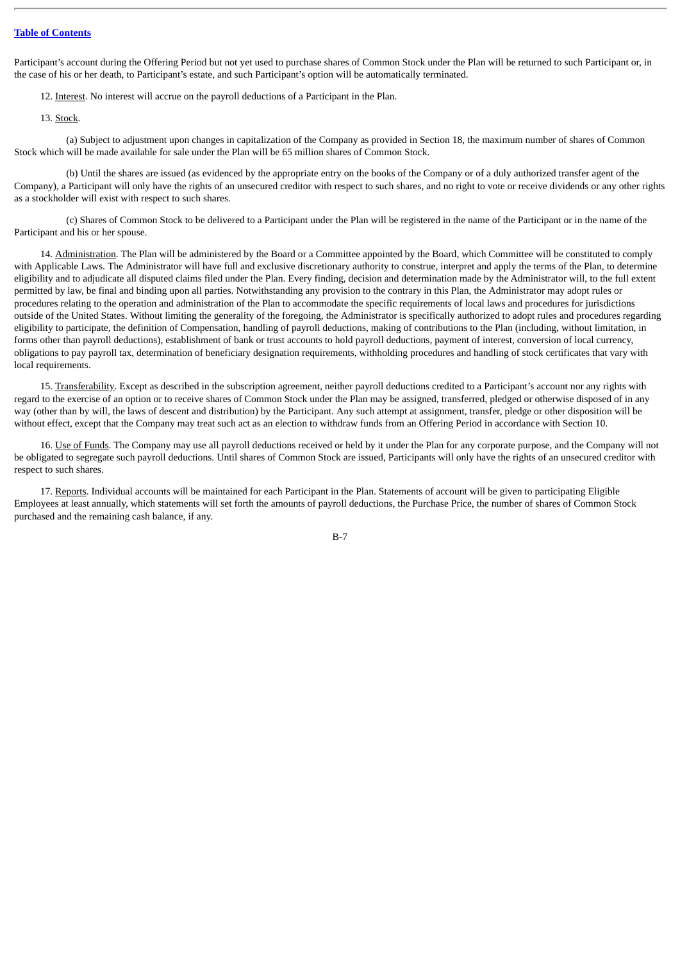Participant's account during the Offering Period but not yet used to purchase shares of Common Stock under the Plan will be returned to such Participant or, in the case of his or her death, to Participant's estate, and such Participant's option will be automatically terminated.

12. Interest. No interest will accrue on the payroll deductions of a Participant in the Plan.

13. Stock.

(a) Subject to adjustment upon changes in capitalization of the Company as provided in Section 18, the maximum number of shares of Common Stock which will be made available for sale under the Plan will be 65 million shares of Common Stock.

(b) Until the shares are issued (as evidenced by the appropriate entry on the books of the Company or of a duly authorized transfer agent of the Company), a Participant will only have the rights of an unsecured creditor with respect to such shares, and no right to vote or receive dividends or any other rights as a stockholder will exist with respect to such shares.

(c) Shares of Common Stock to be delivered to a Participant under the Plan will be registered in the name of the Participant or in the name of the Participant and his or her spouse.

14. Administration. The Plan will be administered by the Board or a Committee appointed by the Board, which Committee will be constituted to comply with Applicable Laws. The Administrator will have full and exclusive discretionary authority to construe, interpret and apply the terms of the Plan, to determine eligibility and to adjudicate all disputed claims filed under the Plan. Every finding, decision and determination made by the Administrator will, to the full extent permitted by law, be final and binding upon all parties. Notwithstanding any provision to the contrary in this Plan, the Administrator may adopt rules or procedures relating to the operation and administration of the Plan to accommodate the specific requirements of local laws and procedures for jurisdictions outside of the United States. Without limiting the generality of the foregoing, the Administrator is specifically authorized to adopt rules and procedures regarding eligibility to participate, the definition of Compensation, handling of payroll deductions, making of contributions to the Plan (including, without limitation, in forms other than payroll deductions), establishment of bank or trust accounts to hold payroll deductions, payment of interest, conversion of local currency, obligations to pay payroll tax, determination of beneficiary designation requirements, withholding procedures and handling of stock certificates that vary with local requirements.

15. Transferability. Except as described in the subscription agreement, neither payroll deductions credited to a Participant's account nor any rights with regard to the exercise of an option or to receive shares of Common Stock under the Plan may be assigned, transferred, pledged or otherwise disposed of in any way (other than by will, the laws of descent and distribution) by the Participant. Any such attempt at assignment, transfer, pledge or other disposition will be without effect, except that the Company may treat such act as an election to withdraw funds from an Offering Period in accordance with Section 10.

16. Use of Funds. The Company may use all payroll deductions received or held by it under the Plan for any corporate purpose, and the Company will not be obligated to segregate such payroll deductions. Until shares of Common Stock are issued, Participants will only have the rights of an unsecured creditor with respect to such shares.

17. Reports. Individual accounts will be maintained for each Participant in the Plan. Statements of account will be given to participating Eligible Employees at least annually, which statements will set forth the amounts of payroll deductions, the Purchase Price, the number of shares of Common Stock purchased and the remaining cash balance, if any.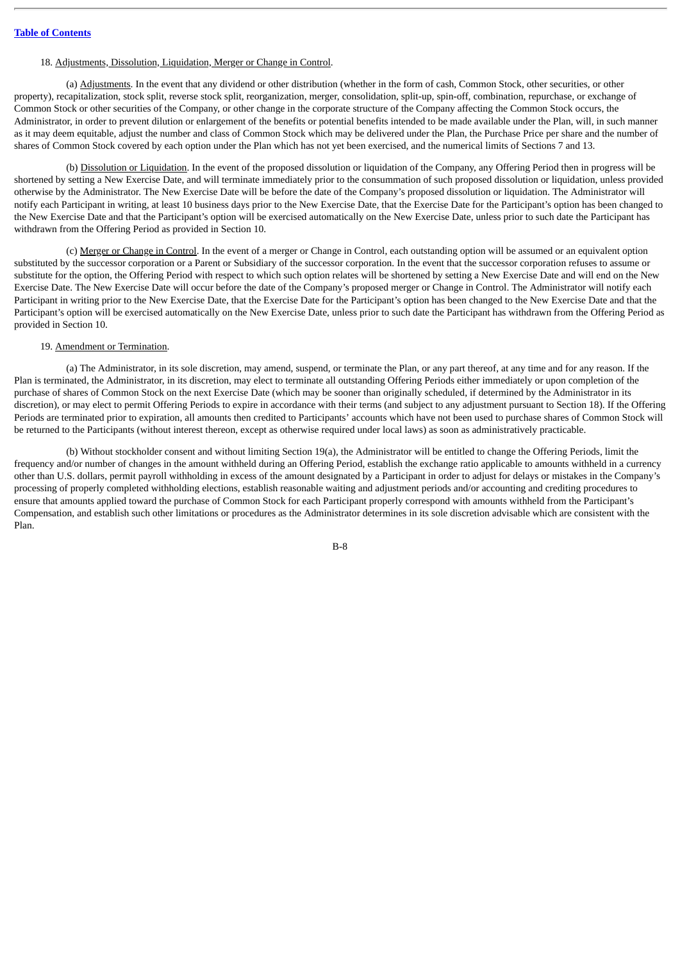# 18. Adjustments, Dissolution, Liquidation, Merger or Change in Control.

(a) Adjustments. In the event that any dividend or other distribution (whether in the form of cash, Common Stock, other securities, or other property), recapitalization, stock split, reverse stock split, reorganization, merger, consolidation, split-up, spin-off, combination, repurchase, or exchange of Common Stock or other securities of the Company, or other change in the corporate structure of the Company affecting the Common Stock occurs, the Administrator, in order to prevent dilution or enlargement of the benefits or potential benefits intended to be made available under the Plan, will, in such manner as it may deem equitable, adjust the number and class of Common Stock which may be delivered under the Plan, the Purchase Price per share and the number of shares of Common Stock covered by each option under the Plan which has not yet been exercised, and the numerical limits of Sections 7 and 13.

(b) Dissolution or Liquidation. In the event of the proposed dissolution or liquidation of the Company, any Offering Period then in progress will be shortened by setting a New Exercise Date, and will terminate immediately prior to the consummation of such proposed dissolution or liquidation, unless provided otherwise by the Administrator. The New Exercise Date will be before the date of the Company's proposed dissolution or liquidation. The Administrator will notify each Participant in writing, at least 10 business days prior to the New Exercise Date, that the Exercise Date for the Participant's option has been changed to the New Exercise Date and that the Participant's option will be exercised automatically on the New Exercise Date, unless prior to such date the Participant has withdrawn from the Offering Period as provided in Section 10.

(c) Merger or Change in Control. In the event of a merger or Change in Control, each outstanding option will be assumed or an equivalent option substituted by the successor corporation or a Parent or Subsidiary of the successor corporation. In the event that the successor corporation refuses to assume or substitute for the option, the Offering Period with respect to which such option relates will be shortened by setting a New Exercise Date and will end on the New Exercise Date. The New Exercise Date will occur before the date of the Company's proposed merger or Change in Control. The Administrator will notify each Participant in writing prior to the New Exercise Date, that the Exercise Date for the Participant's option has been changed to the New Exercise Date and that the Participant's option will be exercised automatically on the New Exercise Date, unless prior to such date the Participant has withdrawn from the Offering Period as provided in Section 10.

#### 19. Amendment or Termination.

(a) The Administrator, in its sole discretion, may amend, suspend, or terminate the Plan, or any part thereof, at any time and for any reason. If the Plan is terminated, the Administrator, in its discretion, may elect to terminate all outstanding Offering Periods either immediately or upon completion of the purchase of shares of Common Stock on the next Exercise Date (which may be sooner than originally scheduled, if determined by the Administrator in its discretion), or may elect to permit Offering Periods to expire in accordance with their terms (and subject to any adjustment pursuant to Section 18). If the Offering Periods are terminated prior to expiration, all amounts then credited to Participants' accounts which have not been used to purchase shares of Common Stock will be returned to the Participants (without interest thereon, except as otherwise required under local laws) as soon as administratively practicable.

(b) Without stockholder consent and without limiting Section 19(a), the Administrator will be entitled to change the Offering Periods, limit the frequency and/or number of changes in the amount withheld during an Offering Period, establish the exchange ratio applicable to amounts withheld in a currency other than U.S. dollars, permit payroll withholding in excess of the amount designated by a Participant in order to adjust for delays or mistakes in the Company's processing of properly completed withholding elections, establish reasonable waiting and adjustment periods and/or accounting and crediting procedures to ensure that amounts applied toward the purchase of Common Stock for each Participant properly correspond with amounts withheld from the Participant's Compensation, and establish such other limitations or procedures as the Administrator determines in its sole discretion advisable which are consistent with the Plan.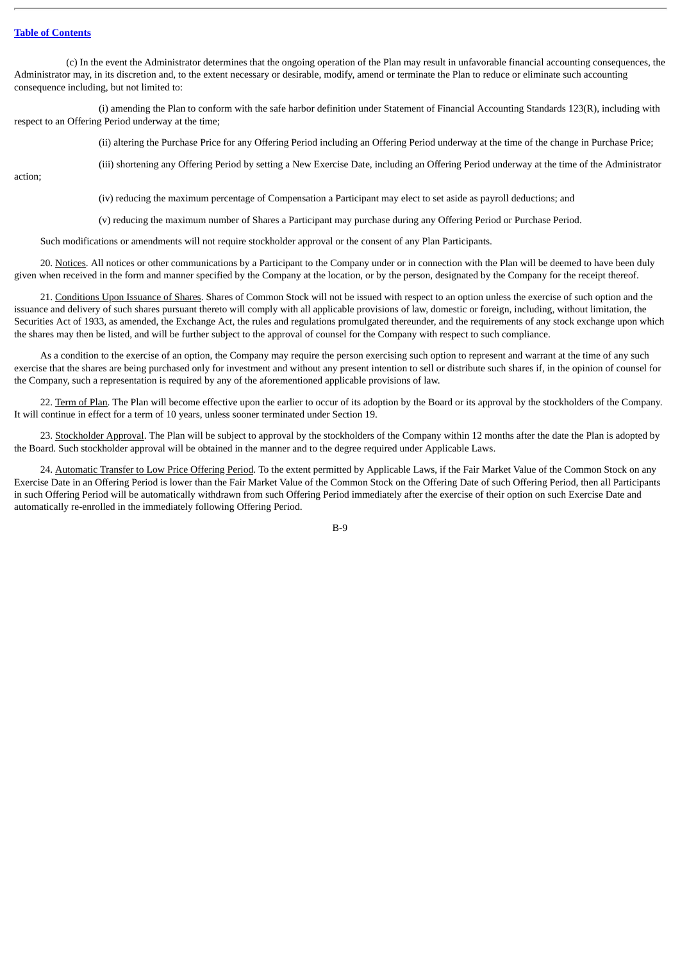(c) In the event the Administrator determines that the ongoing operation of the Plan may result in unfavorable financial accounting consequences, the Administrator may, in its discretion and, to the extent necessary or desirable, modify, amend or terminate the Plan to reduce or eliminate such accounting consequence including, but not limited to:

(i) amending the Plan to conform with the safe harbor definition under Statement of Financial Accounting Standards 123(R), including with respect to an Offering Period underway at the time;

(ii) altering the Purchase Price for any Offering Period including an Offering Period underway at the time of the change in Purchase Price;

(iii) shortening any Offering Period by setting a New Exercise Date, including an Offering Period underway at the time of the Administrator

action;

(iv) reducing the maximum percentage of Compensation a Participant may elect to set aside as payroll deductions; and

(v) reducing the maximum number of Shares a Participant may purchase during any Offering Period or Purchase Period.

Such modifications or amendments will not require stockholder approval or the consent of any Plan Participants.

20. Notices. All notices or other communications by a Participant to the Company under or in connection with the Plan will be deemed to have been duly given when received in the form and manner specified by the Company at the location, or by the person, designated by the Company for the receipt thereof.

21. Conditions Upon Issuance of Shares. Shares of Common Stock will not be issued with respect to an option unless the exercise of such option and the issuance and delivery of such shares pursuant thereto will comply with all applicable provisions of law, domestic or foreign, including, without limitation, the Securities Act of 1933, as amended, the Exchange Act, the rules and regulations promulgated thereunder, and the requirements of any stock exchange upon which the shares may then be listed, and will be further subject to the approval of counsel for the Company with respect to such compliance.

As a condition to the exercise of an option, the Company may require the person exercising such option to represent and warrant at the time of any such exercise that the shares are being purchased only for investment and without any present intention to sell or distribute such shares if, in the opinion of counsel for the Company, such a representation is required by any of the aforementioned applicable provisions of law.

22. Term of Plan. The Plan will become effective upon the earlier to occur of its adoption by the Board or its approval by the stockholders of the Company. It will continue in effect for a term of 10 years, unless sooner terminated under Section 19.

23. Stockholder Approval. The Plan will be subject to approval by the stockholders of the Company within 12 months after the date the Plan is adopted by the Board. Such stockholder approval will be obtained in the manner and to the degree required under Applicable Laws.

24. Automatic Transfer to Low Price Offering Period. To the extent permitted by Applicable Laws, if the Fair Market Value of the Common Stock on any Exercise Date in an Offering Period is lower than the Fair Market Value of the Common Stock on the Offering Date of such Offering Period, then all Participants in such Offering Period will be automatically withdrawn from such Offering Period immediately after the exercise of their option on such Exercise Date and automatically re-enrolled in the immediately following Offering Period.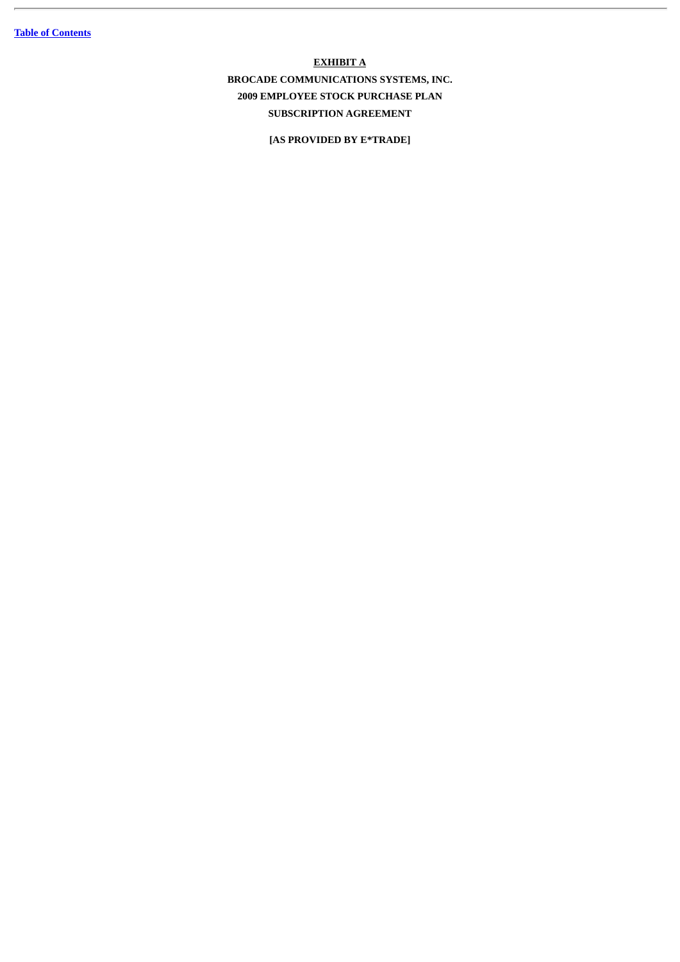# **EXHIBIT A**

**BROCADE COMMUNICATIONS SYSTEMS, INC. 2009 EMPLOYEE STOCK PURCHASE PLAN SUBSCRIPTION AGREEMENT**

**[AS PROVIDED BY E\*TRADE]**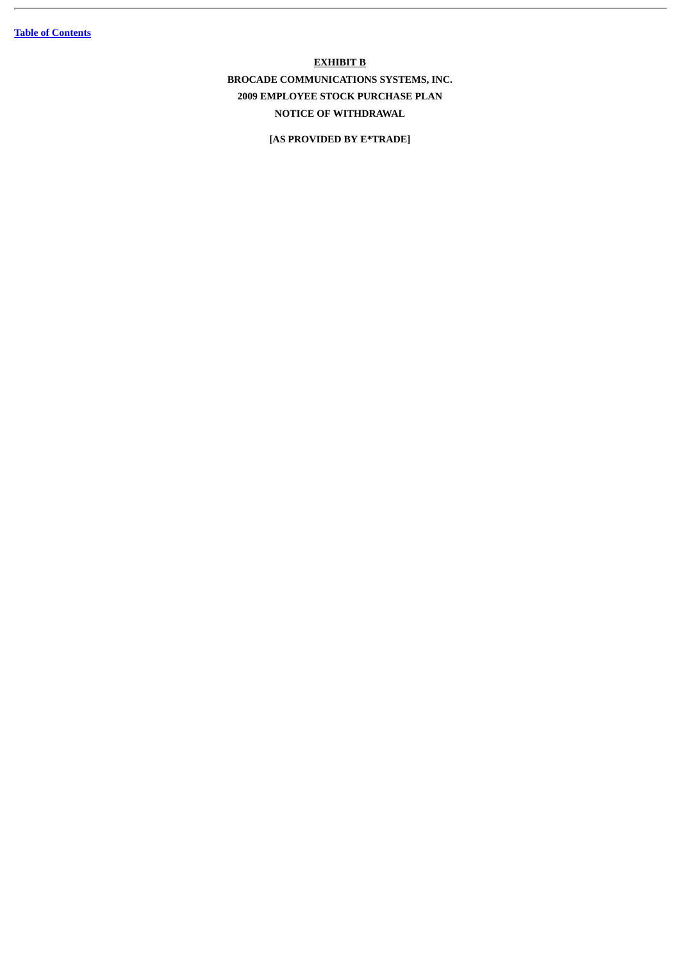**EXHIBIT B BROCADE COMMUNICATIONS SYSTEMS, INC. 2009 EMPLOYEE STOCK PURCHASE PLAN NOTICE OF WITHDRAWAL**

**[AS PROVIDED BY E\*TRADE]**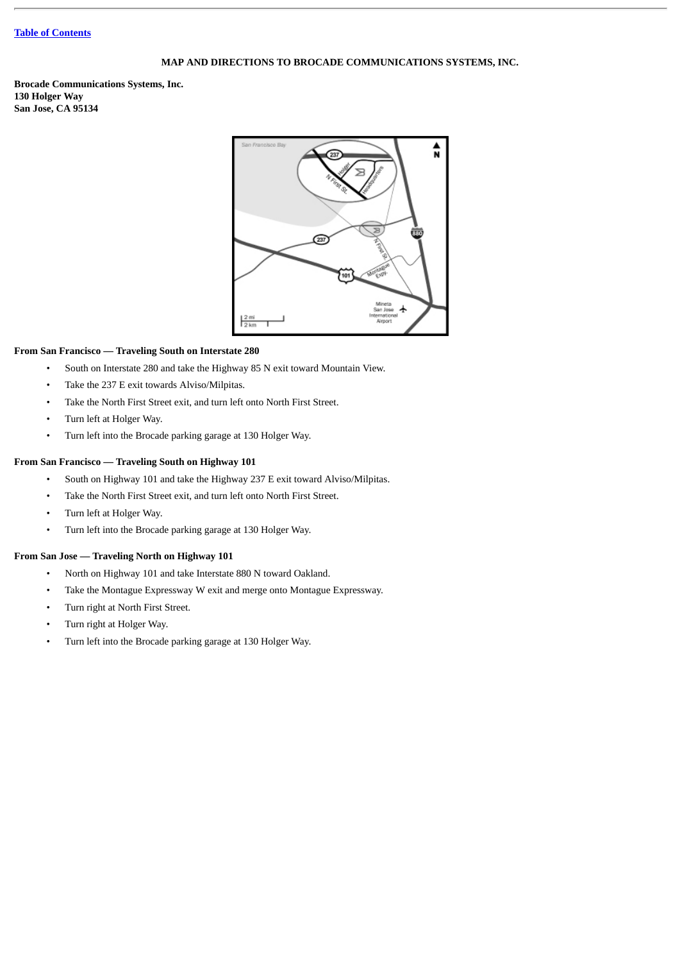# **MAP AND DIRECTIONS TO BROCADE COMMUNICATIONS SYSTEMS, INC.**

**Brocade Communications Systems, Inc. 130 Holger Way San Jose, CA 95134**



# **From San Francisco — Traveling South on Interstate 280**

- South on Interstate 280 and take the Highway 85 N exit toward Mountain View.
- Take the 237 E exit towards Alviso/Milpitas.
- Take the North First Street exit, and turn left onto North First Street.
- Turn left at Holger Way.
- Turn left into the Brocade parking garage at 130 Holger Way.

# **From San Francisco — Traveling South on Highway 101**

- South on Highway 101 and take the Highway 237 E exit toward Alviso/Milpitas.
- Take the North First Street exit, and turn left onto North First Street.
- Turn left at Holger Way.
- Turn left into the Brocade parking garage at 130 Holger Way.

# **From San Jose — Traveling North on Highway 101**

- North on Highway 101 and take Interstate 880 N toward Oakland.
- Take the Montague Expressway W exit and merge onto Montague Expressway.
- Turn right at North First Street.
- Turn right at Holger Way.
- Turn left into the Brocade parking garage at 130 Holger Way.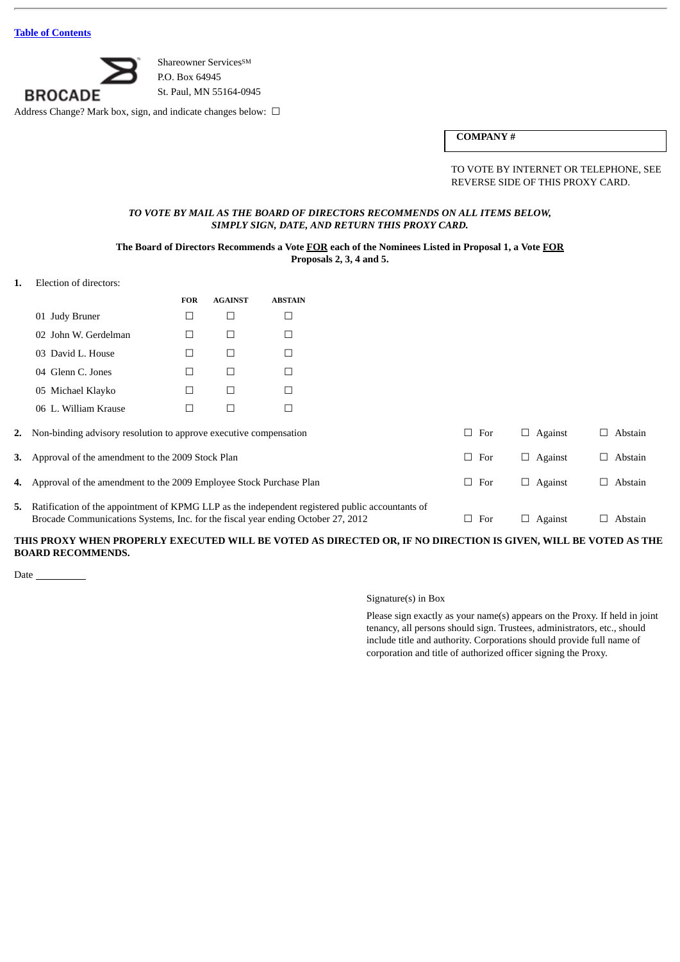

Shareowner Services<sup>SM</sup> P.O. Box 64945 St. Paul, MN 55164-0945

Address Change? Mark box, sign, and indicate changes below: □

# **COMPANY #**

TO VOTE BY INTERNET OR TELEPHONE, SEE REVERSE SIDE OF THIS PROXY CARD.

# *TO VOTE BY MAIL AS THE BOARD OF DIRECTORS RECOMMENDS ON ALL ITEMS BELOW, SIMPLY SIGN, DATE, AND RETURN THIS PROXY CARD.*

# **The Board of Directors Recommends a Vote FOR each of the Nominees Listed in Proposal 1, a Vote FOR Proposals 2, 3, 4 and 5.**

**1.** Election of directors:

| <b>FOR</b> | <b>AGAINST</b> | <b>ABSTAIN</b> |
|------------|----------------|----------------|
|            |                |                |
|            |                |                |
|            |                |                |
|            |                |                |
|            |                |                |
|            |                |                |
|            |                |                |

| 2. Non-binding advisory resolution to approve executive compensation                                                                                                                   | $\Box$ For | $\Box$ Against | Abstain        |
|----------------------------------------------------------------------------------------------------------------------------------------------------------------------------------------|------------|----------------|----------------|
| 3. Approval of the amendment to the 2009 Stock Plan                                                                                                                                    | $\Box$ For | $\Box$ Against | $\Box$ Abstain |
| 4. Approval of the amendment to the 2009 Employee Stock Purchase Plan                                                                                                                  | $\Box$ For | $\Box$ Against | $\Box$ Abstain |
| 5. Ratification of the appointment of KPMG LLP as the independent registered public accountants of<br>Brocade Communications Systems, Inc. for the fiscal year ending October 27, 2012 | $\Box$ For | $\Box$ Against | Abstain        |

# **THIS PROXY WHEN PROPERLY EXECUTED WILL BE VOTED AS DIRECTED OR, IF NO DIRECTION IS GIVEN, WILL BE VOTED AS THE BOARD RECOMMENDS.**

Date

### Signature(s) in Box

Please sign exactly as your name(s) appears on the Proxy. If held in joint tenancy, all persons should sign. Trustees, administrators, etc., should include title and authority. Corporations should provide full name of corporation and title of authorized officer signing the Proxy.